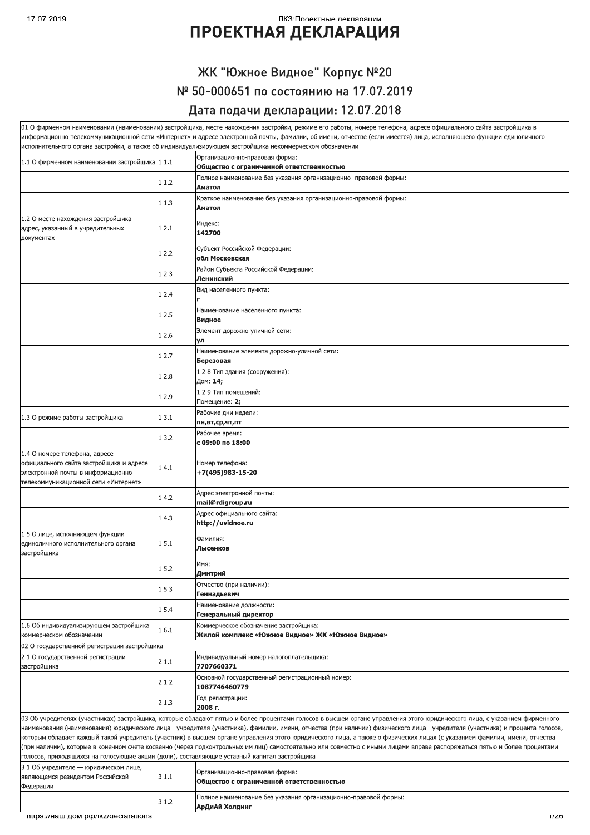#### $2019$ ПКЗ•Проектные леклярянии

## ПРОЕКТНАЯ ДЕКЛАРАЦИЯ

### ЖК "Южное Видное" Корпус №20 № 50-000651 по состоянию на 17.07.2019 Дата подачи декларации: 12.07.2018

|                                                                                                                                                        |       | 01 О фирменном наименовании (наименовании) застройщика, месте нахождения застройки, режиме его работы, номере телефона, адресе официального сайта застройщика в                                                                                                                                                                                                                                                                                                                                                                                                                                                                                                                                                  |
|--------------------------------------------------------------------------------------------------------------------------------------------------------|-------|------------------------------------------------------------------------------------------------------------------------------------------------------------------------------------------------------------------------------------------------------------------------------------------------------------------------------------------------------------------------------------------------------------------------------------------------------------------------------------------------------------------------------------------------------------------------------------------------------------------------------------------------------------------------------------------------------------------|
|                                                                                                                                                        |       | информационно-телекоммуникационной сети «Интернет» и адресе электронной почты, фамилии, об имени, отчестве (если имеется) лица, исполняющего функции единоличного<br>исполнительного органа застройки, а также об индивидуализирующем застройщика некоммерческом обозначении                                                                                                                                                                                                                                                                                                                                                                                                                                     |
|                                                                                                                                                        |       | Организационно-правовая форма:                                                                                                                                                                                                                                                                                                                                                                                                                                                                                                                                                                                                                                                                                   |
| 1.1 О фирменном наименовании застройщика 1.1.1                                                                                                         |       | Общество с ограниченной ответственностью                                                                                                                                                                                                                                                                                                                                                                                                                                                                                                                                                                                                                                                                         |
|                                                                                                                                                        | 1.1.2 | Полное наименование без указания организационно -правовой формы:<br>Аматол                                                                                                                                                                                                                                                                                                                                                                                                                                                                                                                                                                                                                                       |
|                                                                                                                                                        | 1.1.3 | Краткое наименование без указания организационно-правовой формы:<br>Аматол                                                                                                                                                                                                                                                                                                                                                                                                                                                                                                                                                                                                                                       |
| 1.2 О месте нахождения застройщика -<br>адрес, указанный в учредительных<br>документах                                                                 | 1.2.1 | Индекс:<br>142700                                                                                                                                                                                                                                                                                                                                                                                                                                                                                                                                                                                                                                                                                                |
|                                                                                                                                                        | 1.2.2 | Субъект Российской Федерации:<br>обл Московская                                                                                                                                                                                                                                                                                                                                                                                                                                                                                                                                                                                                                                                                  |
|                                                                                                                                                        | 1.2.3 | Район Субъекта Российской Федерации:<br>Ленинский                                                                                                                                                                                                                                                                                                                                                                                                                                                                                                                                                                                                                                                                |
|                                                                                                                                                        | 1.2.4 | Вид населенного пункта:                                                                                                                                                                                                                                                                                                                                                                                                                                                                                                                                                                                                                                                                                          |
|                                                                                                                                                        | 1.2.5 | Наименование населенного пункта:<br>Видное                                                                                                                                                                                                                                                                                                                                                                                                                                                                                                                                                                                                                                                                       |
|                                                                                                                                                        | 1.2.6 | Элемент дорожно-уличной сети:<br>ул                                                                                                                                                                                                                                                                                                                                                                                                                                                                                                                                                                                                                                                                              |
|                                                                                                                                                        | 1.2.7 | Наименование элемента дорожно-уличной сети:<br>Березовая                                                                                                                                                                                                                                                                                                                                                                                                                                                                                                                                                                                                                                                         |
|                                                                                                                                                        | 1.2.8 | 1.2.8 Тип здания (сооружения):<br>Дом: 14;                                                                                                                                                                                                                                                                                                                                                                                                                                                                                                                                                                                                                                                                       |
|                                                                                                                                                        | 1.2.9 | 1.2.9 Тип помещений:<br>Помещение: 2;                                                                                                                                                                                                                                                                                                                                                                                                                                                                                                                                                                                                                                                                            |
| 1.3 О режиме работы застройщика                                                                                                                        | 1.3.1 | Рабочие дни недели:                                                                                                                                                                                                                                                                                                                                                                                                                                                                                                                                                                                                                                                                                              |
|                                                                                                                                                        |       | пн,вт,ср,чт,пт<br>Рабочее время:                                                                                                                                                                                                                                                                                                                                                                                                                                                                                                                                                                                                                                                                                 |
|                                                                                                                                                        | 1.3.2 | с 09:00 по 18:00                                                                                                                                                                                                                                                                                                                                                                                                                                                                                                                                                                                                                                                                                                 |
| 1.4 О номере телефона, адресе<br>официального сайта застройщика и адресе<br>электронной почты в информационно-<br>телекоммуникационной сети «Интернет» | 1.4.1 | Номер телефона:<br>+7(495)983-15-20                                                                                                                                                                                                                                                                                                                                                                                                                                                                                                                                                                                                                                                                              |
|                                                                                                                                                        | 1.4.2 | Адрес электронной почты:<br>mail@rdigroup.ru                                                                                                                                                                                                                                                                                                                                                                                                                                                                                                                                                                                                                                                                     |
|                                                                                                                                                        | 1.4.3 | Адрес официального сайта:<br>http://uvidnoe.ru                                                                                                                                                                                                                                                                                                                                                                                                                                                                                                                                                                                                                                                                   |
| 1.5 О лице, исполняющем функции<br>единоличного исполнительного органа<br>застройщика                                                                  | 1.5.1 | Фамилия:<br>Лысенков                                                                                                                                                                                                                                                                                                                                                                                                                                                                                                                                                                                                                                                                                             |
|                                                                                                                                                        | 1.5.2 | Имя:<br>Дмитрий                                                                                                                                                                                                                                                                                                                                                                                                                                                                                                                                                                                                                                                                                                  |
|                                                                                                                                                        | 1.5.3 | Отчество (при наличии):<br>Геннадьевич                                                                                                                                                                                                                                                                                                                                                                                                                                                                                                                                                                                                                                                                           |
|                                                                                                                                                        | 1.5.4 | Наименование должности:<br>Генеральный директор                                                                                                                                                                                                                                                                                                                                                                                                                                                                                                                                                                                                                                                                  |
| 1.6 Об индивидуализирующем застройщика<br>коммерческом обозначении                                                                                     | 1.6.1 | Коммерческое обозначение застройщика:<br>Жилой комплекс «Южное Видное» ЖК «Южное Видное»                                                                                                                                                                                                                                                                                                                                                                                                                                                                                                                                                                                                                         |
| 02 О государственной регистрации застройщика                                                                                                           |       |                                                                                                                                                                                                                                                                                                                                                                                                                                                                                                                                                                                                                                                                                                                  |
| 2.1 О государственной регистрации<br>застройщика                                                                                                       | 2.1.1 | Индивидуальный номер налогоплательщика:<br>7707660371                                                                                                                                                                                                                                                                                                                                                                                                                                                                                                                                                                                                                                                            |
|                                                                                                                                                        | 2.1.2 | Основной государственный регистрационный номер:<br>1087746460779                                                                                                                                                                                                                                                                                                                                                                                                                                                                                                                                                                                                                                                 |
|                                                                                                                                                        | 2.1.3 | Год регистрации:<br>2008 г.                                                                                                                                                                                                                                                                                                                                                                                                                                                                                                                                                                                                                                                                                      |
|                                                                                                                                                        |       | 03 Об учредителях (участниках) застройщика, которые обладают пятью и более процентами голосов в высшем органе управления этого юридического лица, с указанием фирменного<br>наименования (наименования) юридического лица - учредителя (участника), фамилии, имени, отчества (при наличии) физического лица - учредителя (участника) и процента голосов,<br>которым обладает каждый такой учредитель (участник) в высшем органе управления этого юридического лица, а также о физических лицах (с указанием фамилии, имени, отчества<br>(при наличии), которые в конечном счете косвенно (через подконтрольных им лиц) самостоятельно или совместно с иными лицами вправе распоряжаться пятью и более процентами |
| голосов, приходящихся на голосующие акции (доли), составляющие уставный капитал застройщика                                                            |       |                                                                                                                                                                                                                                                                                                                                                                                                                                                                                                                                                                                                                                                                                                                  |
| 3.1 Об учредителе - юридическом лице,<br>являющемся резидентом Российской<br>Федерации                                                                 | 3.1.1 | Организационно-правовая форма:<br>Общество с ограниченной ответственностью                                                                                                                                                                                                                                                                                                                                                                                                                                                                                                                                                                                                                                       |
|                                                                                                                                                        | 3.1.2 | Полное наименование без указания организационно-правовой формы:<br>АрДиАй Холдинг                                                                                                                                                                                                                                                                                                                                                                                                                                                                                                                                                                                                                                |
| mups.//Ham.pom.po/ikz/declarations                                                                                                                     |       | 17Z0                                                                                                                                                                                                                                                                                                                                                                                                                                                                                                                                                                                                                                                                                                             |
|                                                                                                                                                        |       |                                                                                                                                                                                                                                                                                                                                                                                                                                                                                                                                                                                                                                                                                                                  |
|                                                                                                                                                        |       |                                                                                                                                                                                                                                                                                                                                                                                                                                                                                                                                                                                                                                                                                                                  |
|                                                                                                                                                        |       |                                                                                                                                                                                                                                                                                                                                                                                                                                                                                                                                                                                                                                                                                                                  |
|                                                                                                                                                        |       |                                                                                                                                                                                                                                                                                                                                                                                                                                                                                                                                                                                                                                                                                                                  |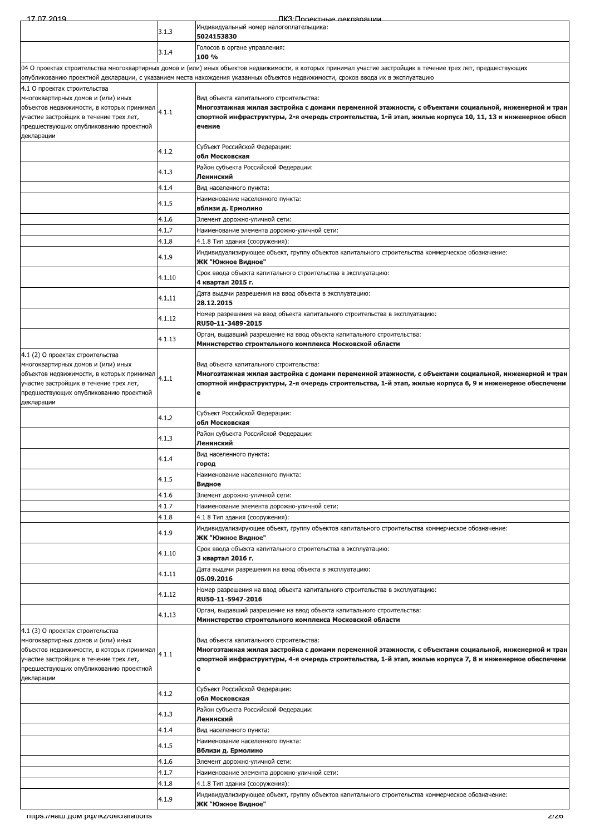17.07.2019 ПКЗ Проектные лекларации Индивидуальный номер налогоплательщика:  $3.1.3$ 5024153830 Голосов в органе управления:  $3.1.4$ 100 % 04 О проектах строительства многоквартирных домов и (или) иных объектов недвижимости, в которых принимал участие застройщик в течение трех лет, предшествующих лгубликованию проектной декларации, с указанием места нахождения указанных объектов недвижимости, сроков ввода их в эксплуатацию 4.1 О проектах строительства многоквартирных домов и (или) иных Вид объекта капитального строительства: объектов недвижимости, в которых принимал Многоэтажная жилая застройка с домами переменной этажности, с объектами социальной, инженерной и тран  $4.1.1$ участие застройщик в течение трех лет, спортной инфраструктуры, 2-я очередь строительства, 1-й этап, жилые корпуса 10, 11, 13 и инженерное обесп предшествующих опубликованию проектной ечение декларации Субъект Российской Федерации: 4 1 2 обл Московская Район субъекта Российской Федерации:  $4.1.3$ Ленинский  $4.1.4$ Вид населенного пункта: Наименование населенного пункта:  $4.1.5$ вблизи д. Ермолино 4.1.6 Элемент дорожно-уличной сети:  $4.1.7$ Наименование элемента дорожно-уличной сети: 4.1.8 4.1.8 Тип здания (сооружения): Индивидуализирующее объект, группу объектов капитального строительства коммерческое обозначение:  $4.1.9$ ЖК "Южное Видное" Срок ввода объекта капитального строительства в эксплуатацию:  $4.1.10$ 4 квартал 2015 г. Дата выдачи разрешения на ввод объекта в эксплуатацию:  $4.1.11$ 28.12.2015 Номер разрешения на ввод объекта капитального строительства в эксплуатацию: 4.1.12 RU50-11-3489-2015 Орган, выдавший разрешение на ввод объекта капитального строительства:  $4.1.13$ Министерство строительного комплекса Московской области 4.1 (2) О проектах строительства иногоквартирных домов и (или) <mark>ины</mark>х Вид объекта капитального строительства: .<br>Многоэтажная жилая застройка с домами переменной этажности, с объектами социальной, инженерной и тран объектов недвижимости, в которых принимал  $4.1.1$ ,<br>иастие застройщик в течение трех лет спортной инфраструктуры, 2-я очередь строительства, 1-й этап, жилые корпуса 6, 9 и инженерное обеспечени предшествующих опубликованию проектной декларации Субъект Российской Федерации:  $4.1.2$ обл Московская Район субъекта Российской Федерации:  $4.1.3$ Ленинский Вид населенного пункта:  $4.1.4$ город Наименование населенного пункта:  $4.1.5$ Видное  $4.1.6$ .<br>Элемент дорожно-уличной се<mark>т</mark>и:  $4.1.7$ Наименование элемента дорожно-уличной сети:  $4.1.8$ 1.1.8 Тип здания (сооружения): -<br>1ндивидуализирующее объект, группу объектов капитального строительства коммерческое обозначение: 4 1 9 ЖК "Южное Видное" Срок ввода объекта капитального строительства в эксплуатацию: 4.1.10 3 квартал 2016 г<mark>.</mark> Дата выдачи разрешения на ввод объекта в эксплуатацию:  $4.1.11$ 05.09.2016 Номер разрешения на ввод объекта капитального строительства в эксплуатацию: 4.1.12 RU50-11-5947-2016 Орган, выдавший разрешение на ввод объекта капитального строительства:  $4.1.13$ Министерство строительного комплекса Московской области 4.1 (3) О проектах строительства иногоквартирных домов и (или) <mark>ины</mark>х Вид объекта капитального строительства: Многоэтажная жилая застройка с домами переменной этажности, с объектами социальной, инженерной и тран объектов недвижимости, в которых принимал  $4.1.1$ ластие застройщик в течение трех лет, спортной инфраструктуры, 4-я очередь строительства, 1-й этап, жилые корпуса 7, 8 и инженерное обеспечени предшествующих опубликованию проектной зекларации Субъект Российской Федерации:  $4.1.2$ обл Московская Район субъекта Российской Федерации:  $4.1.3$ .<br>Ленинский  $4.1.4$ Вид населенного пункта: .<br>Наименование населенного пункта:  $4.1.5$ Вблизи д. Ермоли<mark>н</mark>о  $4.1.6$ Элемент дорожно-уличной сети: 4 1 7 Наименование элемента дорожно-уличной сети:  $4.1.8$ 4.1.8 Тип здания (сооружения) Индивидуализирующее объект, группу объектов капитального строительства коммерческое обозначение:  $4.1.9$ ЖК "Южное Видное"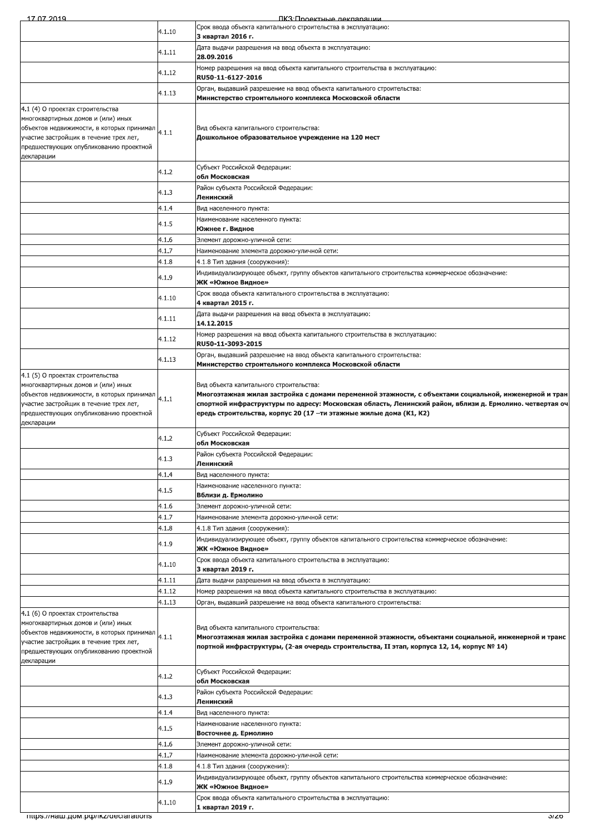| 17 07 2019                                                                                          |                | ПКЗ Полектные лекпарации                                                                                                                         |
|-----------------------------------------------------------------------------------------------------|----------------|--------------------------------------------------------------------------------------------------------------------------------------------------|
|                                                                                                     | 4.1.10         | Срок ввода объекта капитального строительства в эксплуатацию:                                                                                    |
|                                                                                                     |                | 3 квартал 2016 г.<br>Дата выдачи разрешения на ввод объекта в эксплуатацию:                                                                      |
|                                                                                                     | 4.1.11         | 28.09.2016                                                                                                                                       |
|                                                                                                     | 4.1.12         | Номер разрешения на ввод объекта капитального строительства в эксплуатацию:<br>RU50-11-6127-2016                                                 |
|                                                                                                     |                | Орган, выдавший разрешение на ввод объекта капитального строительства:                                                                           |
|                                                                                                     | 4.1.13         | Министерство строительного комплекса Московской области                                                                                          |
| 4.1 (4) О проектах строительства<br>многоквартирных домов и (или) иных                              |                |                                                                                                                                                  |
|                                                                                                     |                | Вид объекта капитального строительства:                                                                                                          |
| участие застройщик в течение трех лет,<br>предшествующих опубликованию проектной                    |                | Дошкольное образовательное учреждение на 120 мест                                                                                                |
| декларации                                                                                          |                |                                                                                                                                                  |
|                                                                                                     | 4.1.2          | Субъект Российской Федерации:<br>обл Московская                                                                                                  |
|                                                                                                     | 4.1.3          | Район субъекта Российской Федерации:                                                                                                             |
|                                                                                                     |                | Ленинский                                                                                                                                        |
|                                                                                                     | 4.1.4          | Вид населенного пункта:<br>Наименование населенного пункта:                                                                                      |
|                                                                                                     | 4.1.5          | Южнее г. Видное                                                                                                                                  |
|                                                                                                     | 4.1.6          | Элемент дорожно-уличной сети:                                                                                                                    |
|                                                                                                     | 4.1.7<br>4.1.8 | Наименование элемента дорожно-уличной сети:<br>4.1.8 Тип здания (сооружения):                                                                    |
|                                                                                                     | 4.1.9          | Индивидуализирующее объект, группу объектов капитального строительства коммерческое обозначение:                                                 |
|                                                                                                     |                | ЖК «Южное Видное»                                                                                                                                |
|                                                                                                     | 4.1.10         | Срок ввода объекта капитального строительства в эксплуатацию:<br>4 квартал 2015 г.                                                               |
|                                                                                                     | 4.1.11         | Дата выдачи разрешения на ввод объекта в эксплуатацию:<br>14.12.2015                                                                             |
|                                                                                                     | 4.1.12         | Номер разрешения на ввод объекта капитального строительства в эксплуатацию:                                                                      |
|                                                                                                     |                | RU50-11-3093-2015<br>Орган, выдавший разрешение на ввод объекта капитального строительства:                                                      |
|                                                                                                     | 4.1.13         | Министерство строительного комплекса Московской области                                                                                          |
| 4.1 (5) О проектах строительства                                                                    |                |                                                                                                                                                  |
| многоквартирных домов и (или) иных<br>объектов недвижимости, в которых принимал                     |                | Вид объекта капитального строительства:<br>Многоэтажная жилая застройка с домами переменной этажности, с объектами социальной, инженерной и тран |
| участие застройщик в течение трех лет,                                                              | 4.1.1          | спортной инфраструктуры по адресу: Московская область, Ленинский район, вблизи д. Ермолино. четвертая оч                                         |
| предшествующих опубликованию проектной<br>декларации                                                |                | ередь строительства, корпус 20 (17 –ти этажные жилые дома (K1, K2)                                                                               |
|                                                                                                     | 4.1.2          | Субъект Российской Федерации:                                                                                                                    |
|                                                                                                     |                | обл Московская<br>Район субъекта Российской Федерации:                                                                                           |
|                                                                                                     | 4.1.3          | Ленинский                                                                                                                                        |
|                                                                                                     | 4.1.4          | Вид населенного пункта:                                                                                                                          |
|                                                                                                     | 4.1.5          | Наименование населенного пункта:<br>Вблизи д. Ермолино                                                                                           |
|                                                                                                     | 4.1.6          | Элемент дорожно-уличной сети:                                                                                                                    |
|                                                                                                     | 4.1.7<br>4.1.8 | Наименование элемента дорожно-уличной сети:<br>4.1.8 Тип здания (сооружения):                                                                    |
|                                                                                                     |                | Индивидуализирующее объект, группу объектов капитального строительства коммерческое обозначение:                                                 |
|                                                                                                     | 4.1.9          | ЖК «Южное Видное»                                                                                                                                |
|                                                                                                     | 4.1.10         | Срок ввода объекта капитального строительства в эксплуатацию:<br>3 квартал 2019 г.                                                               |
|                                                                                                     | 4.1.11         | Дата выдачи разрешения на ввод объекта в эксплуатацию:                                                                                           |
|                                                                                                     | 4.1.12         | Номер разрешения на ввод объекта капитального строительства в эксплуатацию:                                                                      |
| 4.1 (6) О проектах строительства                                                                    | 4.1.13         | Орган, выдавший разрешение на ввод объекта капитального строительства:                                                                           |
| многоквартирных домов и (или) иных                                                                  |                | Вид объекта капитального строительства:                                                                                                          |
| объектов недвижимости, в которых принимал $\vert_{4.1.1}$<br>участие застройщик в течение трех лет, |                | Многоэтажная жилая застройка с домами переменной этажности, объектами социальной, инженерной и транс                                             |
| предшествующих опубликованию проектной                                                              |                | портной инфраструктуры, (2-ая очередь строительства, II этап, корпуса 12, 14, корпус № 14)                                                       |
| декларации                                                                                          |                | Субъект Российской Федерации:                                                                                                                    |
|                                                                                                     | 4.1.2          | обл Московская                                                                                                                                   |
|                                                                                                     | 4.1.3          | Район субъекта Российской Федерации:<br>Ленинский                                                                                                |
|                                                                                                     | 4.1.4          | Вид населенного пункта:                                                                                                                          |
|                                                                                                     | 4.1.5          | Наименование населенного пункта:                                                                                                                 |
|                                                                                                     | 4.1.6          | Восточнее д. Ермолино<br>Элемент дорожно-уличной сети:                                                                                           |
|                                                                                                     | 4.1.7          | Наименование элемента дорожно-уличной сети:                                                                                                      |
|                                                                                                     | 4.1.8          | 4.1.8 Тип здания (сооружения):                                                                                                                   |
|                                                                                                     | 4.1.9          | Индивидуализирующее объект, группу объектов капитального строительства коммерческое обозначение:<br>ЖК «Южное Видное»                            |
|                                                                                                     | 4.1.10         | Срок ввода объекта капитального строительства в эксплуатацию:                                                                                    |
| mups.//Ham.pow.po//ikz/declarations                                                                 |                | 1 квартал 2019 г.<br>J/ZO                                                                                                                        |
|                                                                                                     |                |                                                                                                                                                  |
|                                                                                                     |                |                                                                                                                                                  |
|                                                                                                     |                |                                                                                                                                                  |
|                                                                                                     |                |                                                                                                                                                  |
|                                                                                                     |                |                                                                                                                                                  |
|                                                                                                     |                |                                                                                                                                                  |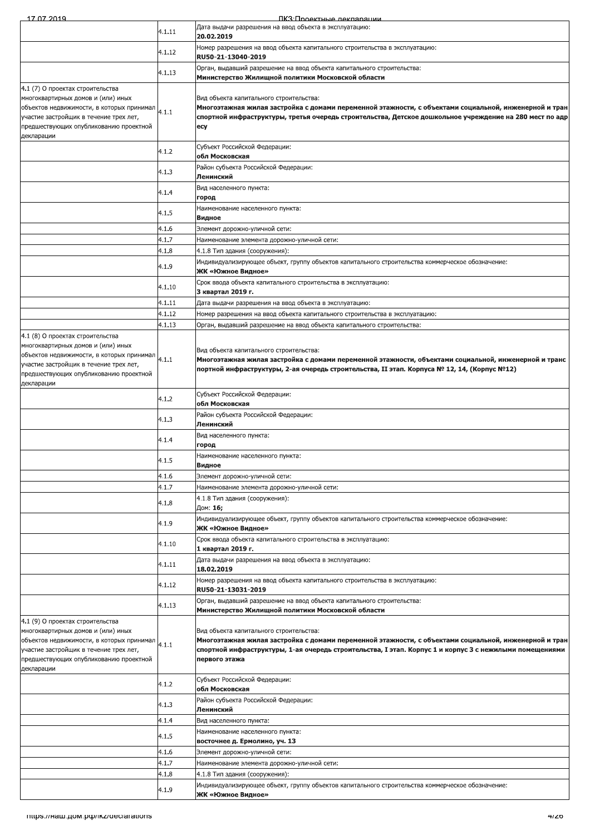| <u>17 N7 2019</u>                                                                                                                                                                                                     |                | <u> ПКЗ Проектные леклярации</u>                                                                                                                                                                                                                                             |
|-----------------------------------------------------------------------------------------------------------------------------------------------------------------------------------------------------------------------|----------------|------------------------------------------------------------------------------------------------------------------------------------------------------------------------------------------------------------------------------------------------------------------------------|
|                                                                                                                                                                                                                       | 4.1.11         | Дата выдачи разрешения на ввод объекта в эксплуатацию:<br>20.02.2019                                                                                                                                                                                                         |
|                                                                                                                                                                                                                       |                | Номер разрешения на ввод объекта капитального строительства в эксплуатацию:                                                                                                                                                                                                  |
|                                                                                                                                                                                                                       | 4.1.12         | RU50-21-13040-2019                                                                                                                                                                                                                                                           |
|                                                                                                                                                                                                                       | 4.1.13         | Орган, выдавший разрешение на ввод объекта капитального строительства:<br>Министерство Жилищной политики Московской области                                                                                                                                                  |
| 4.1 (7) О проектах строительства<br>многоквартирных домов и (или) иных<br>объектов недвижимости, в которых принимал<br>участие застройщик в течение трех лет,<br>предшествующих опубликованию проектной<br>декларации | 4.1.1          | Вид объекта капитального строительства:<br>Многоэтажная жилая застройка с домами переменной этажности, с объектами социальной, инженерной и тран<br>спортной инфраструктуры, третья очередь строительства, Детское дошкольное учреждение на 280 мест по адр<br>ecy           |
|                                                                                                                                                                                                                       | 4.1.2          | Субъект Российской Федерации:                                                                                                                                                                                                                                                |
|                                                                                                                                                                                                                       | 4.1.3          | обл Московская<br>Район субъекта Российской Федерации:                                                                                                                                                                                                                       |
|                                                                                                                                                                                                                       | 4.1.4          | Ленинский<br>Вид населенного пункта:                                                                                                                                                                                                                                         |
|                                                                                                                                                                                                                       | 4.1.5          | город<br>Наименование населенного пункта:                                                                                                                                                                                                                                    |
|                                                                                                                                                                                                                       | 4.1.6          | Видное<br>Элемент дорожно-уличной сети:                                                                                                                                                                                                                                      |
|                                                                                                                                                                                                                       | 4.1.7          | Наименование элемента дорожно-уличной сети:                                                                                                                                                                                                                                  |
|                                                                                                                                                                                                                       | 4.1.8          | 4.1.8 Тип здания (сооружения):                                                                                                                                                                                                                                               |
|                                                                                                                                                                                                                       | 4.1.9          | Индивидуализирующее объект, группу объектов капитального строительства коммерческое обозначение:<br>ЖК «Южное Видное»                                                                                                                                                        |
|                                                                                                                                                                                                                       | 4.1.10         | Срок ввода объекта капитального строительства в эксплуатацию:<br>3 квартал 2019 г.                                                                                                                                                                                           |
|                                                                                                                                                                                                                       | 4.1.11         | Дата выдачи разрешения на ввод объекта в эксплуатацию:                                                                                                                                                                                                                       |
|                                                                                                                                                                                                                       | 4.1.12         | Номер разрешения на ввод объекта капитального строительства в эксплуатацию:                                                                                                                                                                                                  |
|                                                                                                                                                                                                                       | 4.1.13         | Орган, выдавший разрешение на ввод объекта капитального строительства:                                                                                                                                                                                                       |
| 4.1 (8) О проектах строительства<br>многоквартирных домов и (или) иных<br>объектов недвижимости, в которых принимал<br>участие застройщик в течение трех лет,<br>тредшествующих опубликованию проектной<br>декларации | 4.1.1          | Вид объекта капитального строительства:<br>Многоэтажная жилая застройка с домами переменной этажности, объектами социальной, инженерной и транс<br>портной инфраструктуры, 2-ая очередь строительства, II этап. Корпуса № 12, 14, (Корпус №12)                               |
|                                                                                                                                                                                                                       | 4.1.2          | Субъект Российской Федерации:<br>обл Московская                                                                                                                                                                                                                              |
|                                                                                                                                                                                                                       | 4.1.3          | Район субъекта Российской Федерации:<br>Ленинский                                                                                                                                                                                                                            |
|                                                                                                                                                                                                                       | 4.1.4          | Вид населенного пункта:<br>город                                                                                                                                                                                                                                             |
|                                                                                                                                                                                                                       | 4.1.5          | Наименование населенного пункта:<br>Видное                                                                                                                                                                                                                                   |
|                                                                                                                                                                                                                       | 4.1.6          | Элемент дорожно-уличной сети:                                                                                                                                                                                                                                                |
|                                                                                                                                                                                                                       | 4.1.7          | Наименование элемента дорожно-уличной сети:                                                                                                                                                                                                                                  |
|                                                                                                                                                                                                                       | 4.1.8          | 4.1.8 Тип здания (сооружения):<br>Дом: 16;                                                                                                                                                                                                                                   |
|                                                                                                                                                                                                                       | 4.1.9          | Индивидуализирующее объект, группу объектов капитального строительства коммерческое обозначение:<br>ЖК «Южное Видное»                                                                                                                                                        |
|                                                                                                                                                                                                                       | 4.1.10         | Срок ввода объекта капитального строительства в эксплуатацию:                                                                                                                                                                                                                |
|                                                                                                                                                                                                                       |                | 1 квартал 2019 г.<br>Дата выдачи разрешения на ввод объекта в эксплуатацию:                                                                                                                                                                                                  |
|                                                                                                                                                                                                                       | 4.1.11         | 18.02.2019<br>Номер разрешения на ввод объекта капитального строительства в эксплуатацию:                                                                                                                                                                                    |
|                                                                                                                                                                                                                       | 4.1.12         | RU50-21-13031-2019                                                                                                                                                                                                                                                           |
|                                                                                                                                                                                                                       | 4.1.13         | Орган, выдавший разрешение на ввод объекта капитального строительства:<br>Министерство Жилищной политики Московской области                                                                                                                                                  |
| 4.1 (9) О проектах строительства<br>многоквартирных домов и (или) иных<br>объектов недвижимости, в которых принимал<br>участие застройщик в течение трех лет,<br>предшествующих опубликованию проектной<br>декларации | 4.1.1          | Вид объекта капитального строительства:<br>Многоэтажная жилая застройка с домами переменной этажности, с объектами социальной, инженерной и тран<br>спортной инфраструктуры, 1-ая очередь строительства, I этап. Корпус 1 и корпус 3 с нежилыми помещениями<br>первого этажа |
|                                                                                                                                                                                                                       | 4.1.2          | Субъект Российской Федерации:<br>обл Московская                                                                                                                                                                                                                              |
|                                                                                                                                                                                                                       | 4.1.3          | Район субъекта Российской Федерации:<br>Ленинский                                                                                                                                                                                                                            |
|                                                                                                                                                                                                                       | 4.1.4          | Вид населенного пункта:                                                                                                                                                                                                                                                      |
|                                                                                                                                                                                                                       | 4.1.5          | Наименование населенного пункта:                                                                                                                                                                                                                                             |
|                                                                                                                                                                                                                       |                | восточнее д. Ермолино, уч. 13                                                                                                                                                                                                                                                |
|                                                                                                                                                                                                                       | 4.1.6<br>4.1.7 | Элемент дорожно-уличной сети:<br>Наименование элемента дорожно-уличной сети:                                                                                                                                                                                                 |
|                                                                                                                                                                                                                       | 4.1.8          | 4.1.8 Тип здания (сооружения):                                                                                                                                                                                                                                               |
|                                                                                                                                                                                                                       |                | Индивидуализирующее объект, группу объектов капитального строительства коммерческое обозначение:                                                                                                                                                                             |
|                                                                                                                                                                                                                       | 4.1.9          | ЖК «Южное Видное»                                                                                                                                                                                                                                                            |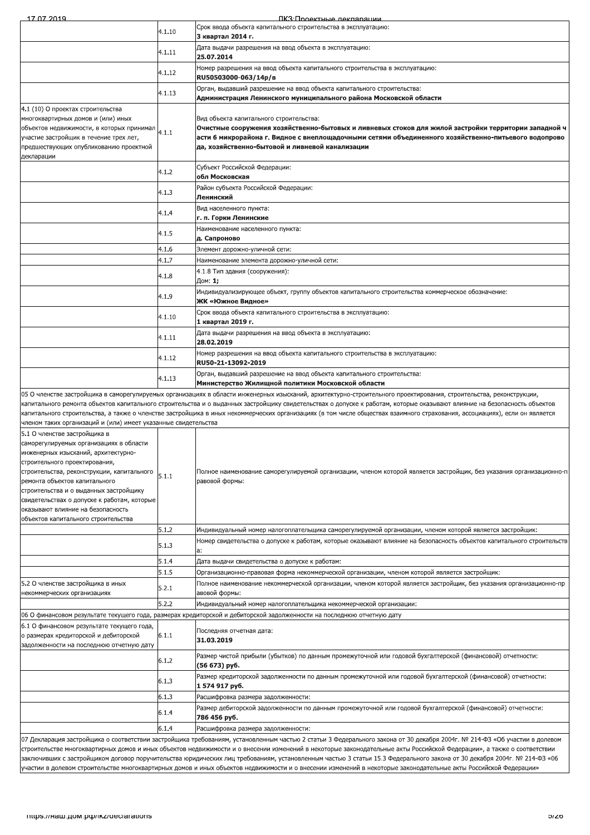|                                                                                                                                                                                                                                                                                                                                                                                                     |        | <u>IIK:3'I Innektulle_пекпапашии</u>                                                                                                                                                                                                                                                                                                                   |
|-----------------------------------------------------------------------------------------------------------------------------------------------------------------------------------------------------------------------------------------------------------------------------------------------------------------------------------------------------------------------------------------------------|--------|--------------------------------------------------------------------------------------------------------------------------------------------------------------------------------------------------------------------------------------------------------------------------------------------------------------------------------------------------------|
|                                                                                                                                                                                                                                                                                                                                                                                                     | 4.1.10 | Срок ввода объекта капитального строительства в эксплуатацию:<br>3 квартал 2014 г.                                                                                                                                                                                                                                                                     |
|                                                                                                                                                                                                                                                                                                                                                                                                     |        | Дата выдачи разрешения на ввод объекта в эксплуатацию:                                                                                                                                                                                                                                                                                                 |
|                                                                                                                                                                                                                                                                                                                                                                                                     | 4.1.11 | 25.07.2014                                                                                                                                                                                                                                                                                                                                             |
|                                                                                                                                                                                                                                                                                                                                                                                                     | 4.1.12 | Номер разрешения на ввод объекта капитального строительства в эксплуатацию:<br>RU50503000-063/14p/B                                                                                                                                                                                                                                                    |
|                                                                                                                                                                                                                                                                                                                                                                                                     | 4.1.13 | Орган, выдавший разрешение на ввод объекта капитального строительства:<br>Администрация Ленинского муниципального района Московской области                                                                                                                                                                                                            |
| 4.1 (10) О проектах строительства<br>многоквартирных домов и (или) иных<br>объектов недвижимости, в которых принимал<br>участие застройщик в течение трех лет,<br>предшествующих опубликованию проектной<br>декларации                                                                                                                                                                              | 4.1.1  | Вид объекта капитального строительства:<br>Очистные сооружения хозяйственно-бытовых и ливневых стоков для жилой застройки территории западной ч<br>асти 6 микрорайона г. Видное с внеплощадочными сетями объединенного хозяйственно-питьевого водопрово<br>да, хозяйственно-бытовой и ливневой канализации                                             |
|                                                                                                                                                                                                                                                                                                                                                                                                     | 4.1.2  | Субъект Российской Федерации:<br>обл Московская                                                                                                                                                                                                                                                                                                        |
|                                                                                                                                                                                                                                                                                                                                                                                                     | 4.1.3  | Район субъекта Российской Федерации:<br>Ленинский                                                                                                                                                                                                                                                                                                      |
|                                                                                                                                                                                                                                                                                                                                                                                                     | 4.1.4  | Вид населенного пункта:<br>г. п. Горки Ленинские                                                                                                                                                                                                                                                                                                       |
|                                                                                                                                                                                                                                                                                                                                                                                                     | 4.1.5  | Наименование населенного пункта:<br>д. Сапроново                                                                                                                                                                                                                                                                                                       |
|                                                                                                                                                                                                                                                                                                                                                                                                     | 4.1.6  | Элемент дорожно-уличной сети:                                                                                                                                                                                                                                                                                                                          |
|                                                                                                                                                                                                                                                                                                                                                                                                     | 4.1.7  | Наименование элемента дорожно-уличной сети:                                                                                                                                                                                                                                                                                                            |
|                                                                                                                                                                                                                                                                                                                                                                                                     | 4.1.8  | 4.1.8 Тип здания (сооружения):<br>Дом: 1;                                                                                                                                                                                                                                                                                                              |
|                                                                                                                                                                                                                                                                                                                                                                                                     | 4.1.9  | Индивидуализирующее объект, группу объектов капитального строительства коммерческое обозначение:<br>ЖК «Южное Видное»                                                                                                                                                                                                                                  |
|                                                                                                                                                                                                                                                                                                                                                                                                     | 4.1.10 | Срок ввода объекта капитального строительства в эксплуатацию:<br>1 квартал 2019 г.                                                                                                                                                                                                                                                                     |
|                                                                                                                                                                                                                                                                                                                                                                                                     | 4.1.11 | Дата выдачи разрешения на ввод объекта в эксплуатацию:<br>28.02.2019                                                                                                                                                                                                                                                                                   |
|                                                                                                                                                                                                                                                                                                                                                                                                     | 4.1.12 | Номер разрешения на ввод объекта капитального строительства в эксплуатацию:<br>RU50-21-13092-2019                                                                                                                                                                                                                                                      |
|                                                                                                                                                                                                                                                                                                                                                                                                     | 4.1.13 | Орган, выдавший разрешение на ввод объекта капитального строительства:<br>Министерство Жилищной политики Московской области                                                                                                                                                                                                                            |
|                                                                                                                                                                                                                                                                                                                                                                                                     |        | 05 О членстве застройщика в саморегулируемых организациях в области инженерных изысканий, архитектурно-строительного проектирования, строительства, реконструкции,                                                                                                                                                                                     |
|                                                                                                                                                                                                                                                                                                                                                                                                     |        | капитального ремонта объектов капитального строительства и о выданных застройщику свидетельствах о допуске к работам, которые оказывают влияние на безопасность объектов<br>капитального строительства, а также о членстве застройщика в иных некоммерческих организациях (в том числе обществах взаимного страхования, ассоциациях), если он является |
| членом таких организаций и (или) имеет указанные свидетельства                                                                                                                                                                                                                                                                                                                                      |        |                                                                                                                                                                                                                                                                                                                                                        |
|                                                                                                                                                                                                                                                                                                                                                                                                     |        |                                                                                                                                                                                                                                                                                                                                                        |
| 5.1 О членстве застройщика в<br>саморегулируемых организациях в области<br>инженерных изысканий, архитектурно-<br>строительного проектирования,<br>строительства, реконструкции, капитального<br>ремонта объектов капитального<br>строительства и о выданных застройщику<br>свидетельствах о допуске к работам, которые<br>оказывают влияние на безопасность<br>объектов капитального строительства | 5.1.1  | равовой формы:                                                                                                                                                                                                                                                                                                                                         |
|                                                                                                                                                                                                                                                                                                                                                                                                     | 5.1.2  | Индивидуальный номер налогоплательщика саморегулируемой организации, членом которой является застройщик:                                                                                                                                                                                                                                               |
|                                                                                                                                                                                                                                                                                                                                                                                                     | 5.1.3  | Номер свидетельства о допуске к работам, которые оказывают влияние на безопасность объектов капитального строительств<br>a:                                                                                                                                                                                                                            |
|                                                                                                                                                                                                                                                                                                                                                                                                     | 5.1.4  | Дата выдачи свидетельства о допуске к работам:                                                                                                                                                                                                                                                                                                         |
|                                                                                                                                                                                                                                                                                                                                                                                                     | 5.1.5  | Организационно-правовая форма некоммерческой организации, членом которой является застройщик:                                                                                                                                                                                                                                                          |
| 5.2 О членстве застройщика в иных<br>некоммерческих организациях                                                                                                                                                                                                                                                                                                                                    | 5.2.1  | Полное наименование некоммерческой организации, членом которой является застройщик, без указания организационно-пр<br>авовой формы:                                                                                                                                                                                                                    |
|                                                                                                                                                                                                                                                                                                                                                                                                     | 5.2.2  | Индивидуальный номер налогоплательщика некоммерческой организации:                                                                                                                                                                                                                                                                                     |
|                                                                                                                                                                                                                                                                                                                                                                                                     |        | Полное наименование саморегулируемой организации, членом которой является застройщик, без указания организационно-п<br>06 О финансовом результате текущего года, размерах кредиторской и дебиторской задолженности на последнюю отчетную дату                                                                                                          |
| 6.1 О финансовом результате текущего года<br>о размерах кредиторской и дебиторской<br>задолженности на последнюю отчетную дату                                                                                                                                                                                                                                                                      | 6.1.1  | Последняя отчетная дата:<br>31.03.2019                                                                                                                                                                                                                                                                                                                 |
|                                                                                                                                                                                                                                                                                                                                                                                                     | 6.1.2  | Размер чистой прибыли (убытков) по данным промежуточной или годовой бухгалтерской (финансовой) отчетности:<br>(56 673) руб.                                                                                                                                                                                                                            |
|                                                                                                                                                                                                                                                                                                                                                                                                     | 6.1.3  | Размер кредиторской задолженности по данным промежуточной или годовой бухгалтерской (финансовой) отчетности:<br>1 574 917 py6.                                                                                                                                                                                                                         |
|                                                                                                                                                                                                                                                                                                                                                                                                     | 6.1.3  | Расшифровка размера задолженности:                                                                                                                                                                                                                                                                                                                     |
|                                                                                                                                                                                                                                                                                                                                                                                                     | 6.1.4  | Размер дебиторской задолженности по данным промежуточной или годовой бухгалтерской (финансовой) отчетности:<br>786 456 руб.                                                                                                                                                                                                                            |
|                                                                                                                                                                                                                                                                                                                                                                                                     | 6.1.4  | Расшифровка размера задолженности:                                                                                                                                                                                                                                                                                                                     |

07 Декларация застроицика о соответствии застроицика треованиям, установленным частью 2 статьи з чедерального закона от 30 декаоря 2004г. № 214-0-3 «Оо участии в долевом<br>строительстве многоквартирных домов и иных объекто строительстве многоквартирных домов и иных объектов недвижимости и о внесении изменении в некоторые законодательные акты Россиискои Федерации», а также о соответствии ааключивших с застройщиком договор поручительства юридических лиц требованиям, установленным частью 3 статьи 15.3 Федерального закона от 30 декабря 2004г. № 214-ФЗ «06 участии в долевом строительстве многоквартирных домов и иных объектов недвижимости и о внесении изменений в некоторые законодательные акты Российской Федерации»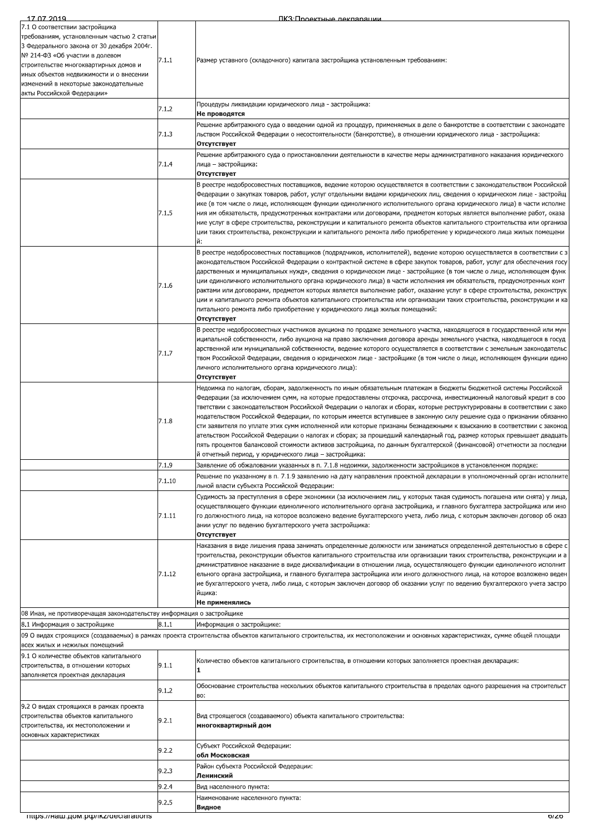| 17 07 2019                                                                                                                                                                                                                                                                                                              |        | ПКЗ <sup>.</sup> Проектные леклярящий                                                                                                                                                                                                                                                                                                                                                                                                                                                                                                                                                                                                                                                                                                                                                                                                                                                                                   |
|-------------------------------------------------------------------------------------------------------------------------------------------------------------------------------------------------------------------------------------------------------------------------------------------------------------------------|--------|-------------------------------------------------------------------------------------------------------------------------------------------------------------------------------------------------------------------------------------------------------------------------------------------------------------------------------------------------------------------------------------------------------------------------------------------------------------------------------------------------------------------------------------------------------------------------------------------------------------------------------------------------------------------------------------------------------------------------------------------------------------------------------------------------------------------------------------------------------------------------------------------------------------------------|
| 7.1 О соответствии застройщика<br>требованиям, установленным частью 2 статьи<br>3 Федерального закона от 30 декабря 2004г.<br>№ 214-ФЗ «Об участии в долевом<br>строительстве многоквартирных домов и<br>иных объектов недвижимости и о внесении<br>изменений в некоторые законодательные<br>акты Российской Федерации» | 7.1.1  | Размер уставного (складочного) капитала застройщика установленным требованиям:                                                                                                                                                                                                                                                                                                                                                                                                                                                                                                                                                                                                                                                                                                                                                                                                                                          |
|                                                                                                                                                                                                                                                                                                                         | 7.1.2  | Процедуры ликвидации юридического лица - застройщика:<br>Не проводятся                                                                                                                                                                                                                                                                                                                                                                                                                                                                                                                                                                                                                                                                                                                                                                                                                                                  |
|                                                                                                                                                                                                                                                                                                                         | 7.1.3  | Решение арбитражного суда о введении одной из процедур, применяемых в деле о банкротстве в соответствии с законодате<br>льством Российской Федерации о несостоятельности (банкротстве), в отношении юридического лица - застройщика:                                                                                                                                                                                                                                                                                                                                                                                                                                                                                                                                                                                                                                                                                    |
|                                                                                                                                                                                                                                                                                                                         |        | Отсутствует<br>Решение арбитражного суда о приостановлении деятельности в качестве меры административного наказания юридического                                                                                                                                                                                                                                                                                                                                                                                                                                                                                                                                                                                                                                                                                                                                                                                        |
|                                                                                                                                                                                                                                                                                                                         | 7.1.4  | лица – застройщика:<br>Отсутствует                                                                                                                                                                                                                                                                                                                                                                                                                                                                                                                                                                                                                                                                                                                                                                                                                                                                                      |
|                                                                                                                                                                                                                                                                                                                         | 7.1.5  | В реестре недобросовестных поставщиков, ведение которою осуществляется в соответствии с законодательством Российской<br>Федерации о закупках товаров, работ, услуг отдельными видами юридических лиц, сведения о юридическом лице - застройщ<br>ике (в том числе о лице, исполняющем функции единоличного исполнительного органа юридического лица) в части исполне<br>ния им обязательств, предусмотренных контрактами или договорами, предметом которых является выполнение работ, оказа<br>ние услуг в сфере строительства, реконструкции и капитального ремонта объектов капитального строительства или организа<br>ции таких строительства, реконструкции и капитального ремонта либо приобретение у юридического лица жилых помещени<br>й:                                                                                                                                                                        |
|                                                                                                                                                                                                                                                                                                                         | 7.1.6  | В реестре недобросовестных поставщиков (подрядчиков, исполнителей), ведение которою осуществляется в соответствии с з<br>аконодательством Российской Федерации о контрактной системе в сфере закупок товаров, работ, услуг для обеспечения госу<br>дарственных и муниципальных нужд», сведения о юридическом лице - застройщике (в том числе о лице, исполняющем функ<br>ции единоличного исполнительного органа юридического лица) в части исполнения им обязательств, предусмотренных конт<br>рактами или договорами, предметом которых является выполнение работ, оказание услуг в сфере строительства, реконструк<br>ции и капитального ремонта объектов капитального строительства или организации таких строительства, реконструкции и ка<br>питального ремонта либо приобретение у юридического лица жилых помещений:<br>Отсутствует                                                                             |
|                                                                                                                                                                                                                                                                                                                         | 7.1.7  | В реестре недобросовестных участников аукциона по продаже земельного участка, находящегося в государственной или мун<br>иципальной собственности, либо аукциона на право заключения договора аренды земельного участка, находящегося в госуд<br>арственной или муниципальной собственности, ведение которого осуществляется в соответствии с земельным законодательс<br>твом Российской Федерации, сведения о юридическом лице - застройщике (в том числе о лице, исполняющем функции едино<br>личного исполнительного органа юридического лица):<br>Отсутствует                                                                                                                                                                                                                                                                                                                                                        |
|                                                                                                                                                                                                                                                                                                                         | 7.1.8  | Недоимка по налогам, сборам, задолженность по иным обязательным платежам в бюджеты бюджетной системы Российской<br>Федерации (за исключением сумм, на которые предоставлены отсрочка, рассрочка, инвестиционный налоговый кредит в соо<br>тветствии с законодательством Российской Федерации о налогах и сборах, которые реструктурированы в соответствии с зако<br>нодательством Российской Федерации, по которым имеется вступившее в законную силу решение суда о признании обязанно<br>сти заявителя по уплате этих сумм исполненной или которые признаны безнадежными к взысканию в соответствии с законод<br>ательством Российской Федерации о налогах и сборах; за прошедший календарный год, размер которых превышает двадцать<br>пять процентов балансовой стоимости активов застройщика, по данным бухгалтерской (финансовой) отчетности за последни<br>й отчетный период, у юридического лица - застройщика: |
|                                                                                                                                                                                                                                                                                                                         | 7.1.9  | Заявление об обжаловании указанных в п. 7.1.8 недоимки, задолженности застройщиков в установленном порядке:                                                                                                                                                                                                                                                                                                                                                                                                                                                                                                                                                                                                                                                                                                                                                                                                             |
|                                                                                                                                                                                                                                                                                                                         | 7.1.10 | Решение по указанному в п. 7.1.9 заявлению на дату направления проектной декларации в уполномоченный орган исполните<br>льной власти субъекта Российской Федерации:                                                                                                                                                                                                                                                                                                                                                                                                                                                                                                                                                                                                                                                                                                                                                     |
|                                                                                                                                                                                                                                                                                                                         | 7.1.11 | Судимость за преступления в сфере экономики (за исключением лиц, у которых такая судимость погашена или снята) у лица,<br>осуществляющего функции единоличного исполнительного органа застройщика, и главного бухгалтера застройщика или ино<br>го должностного лица, на которое возложено ведение бухгалтерского учета, либо лица, с которым заключен договор об оказ<br>ании услуг по ведению бухгалтерского учета застройщика:<br>Отсутствует                                                                                                                                                                                                                                                                                                                                                                                                                                                                        |
|                                                                                                                                                                                                                                                                                                                         | 7.1.12 | Наказания в виде лишения права занимать определенные должности или заниматься определенной деятельностью в сфере с<br>троительства, реконструкции объектов капитального строительства или организации таких строительства, реконструкции и а<br>дминистративное наказание в виде дисквалификации в отношении лица, осуществляющего функции единоличного исполнит<br>ельного органа застройщика, и главного бухгалтера застройщика или иного должностного лица, на которое возложено веден<br>ие бухгалтерского учета, либо лица, с которым заключен договор об оказании услуг по ведению бухгалтерского учета застро<br>йщика:<br>Не применялись                                                                                                                                                                                                                                                                        |
| 08 Иная, не противоречащая законодательству информация о застройщике                                                                                                                                                                                                                                                    |        |                                                                                                                                                                                                                                                                                                                                                                                                                                                                                                                                                                                                                                                                                                                                                                                                                                                                                                                         |
| 8.1 Информация о застройщике                                                                                                                                                                                                                                                                                            | 8.1.1  | Информация о застройщике:<br>09 О видах строящихся (создаваемых) в рамках проекта строительства объектов капитального строительства, их местоположении и основных характеристиках, сумме общей площади                                                                                                                                                                                                                                                                                                                                                                                                                                                                                                                                                                                                                                                                                                                  |
| всех жилых и нежилых помещений                                                                                                                                                                                                                                                                                          |        |                                                                                                                                                                                                                                                                                                                                                                                                                                                                                                                                                                                                                                                                                                                                                                                                                                                                                                                         |
| 9.1 О количестве объектов капитального<br>строительства, в отношении которых<br>заполняется проектная декларация                                                                                                                                                                                                        | 9.1.1  | Количество объектов капитального строительства, в отношении которых заполняется проектная декларация:<br>11.                                                                                                                                                                                                                                                                                                                                                                                                                                                                                                                                                                                                                                                                                                                                                                                                            |
|                                                                                                                                                                                                                                                                                                                         | 9.1.2  | Обоснование строительства нескольких объектов капитального строительства в пределах одного разрешения на строительст<br>BO:                                                                                                                                                                                                                                                                                                                                                                                                                                                                                                                                                                                                                                                                                                                                                                                             |
| 9.2 О видах строящихся в рамках проекта<br>строительства объектов капитального<br>строительства, их местоположении и<br>основных характеристиках                                                                                                                                                                        | 9.2.1  | Вид строящегося (создаваемого) объекта капитального строительства:<br>многоквартирный дом                                                                                                                                                                                                                                                                                                                                                                                                                                                                                                                                                                                                                                                                                                                                                                                                                               |
|                                                                                                                                                                                                                                                                                                                         | 9.2.2  | Субъект Российской Федерации:<br>обл Московская                                                                                                                                                                                                                                                                                                                                                                                                                                                                                                                                                                                                                                                                                                                                                                                                                                                                         |
|                                                                                                                                                                                                                                                                                                                         | 9.2.3  | Район субъекта Российской Федерации:<br>Ленинский                                                                                                                                                                                                                                                                                                                                                                                                                                                                                                                                                                                                                                                                                                                                                                                                                                                                       |
|                                                                                                                                                                                                                                                                                                                         | 9.2.4  | Вид населенного пункта:                                                                                                                                                                                                                                                                                                                                                                                                                                                                                                                                                                                                                                                                                                                                                                                                                                                                                                 |
|                                                                                                                                                                                                                                                                                                                         | 9.2.5  | Наименование населенного пункта:<br>Видное                                                                                                                                                                                                                                                                                                                                                                                                                                                                                                                                                                                                                                                                                                                                                                                                                                                                              |
| mups.//Ham.uom.po//jkz/declarations                                                                                                                                                                                                                                                                                     |        | 0/Z0                                                                                                                                                                                                                                                                                                                                                                                                                                                                                                                                                                                                                                                                                                                                                                                                                                                                                                                    |
|                                                                                                                                                                                                                                                                                                                         |        |                                                                                                                                                                                                                                                                                                                                                                                                                                                                                                                                                                                                                                                                                                                                                                                                                                                                                                                         |
|                                                                                                                                                                                                                                                                                                                         |        |                                                                                                                                                                                                                                                                                                                                                                                                                                                                                                                                                                                                                                                                                                                                                                                                                                                                                                                         |
|                                                                                                                                                                                                                                                                                                                         |        |                                                                                                                                                                                                                                                                                                                                                                                                                                                                                                                                                                                                                                                                                                                                                                                                                                                                                                                         |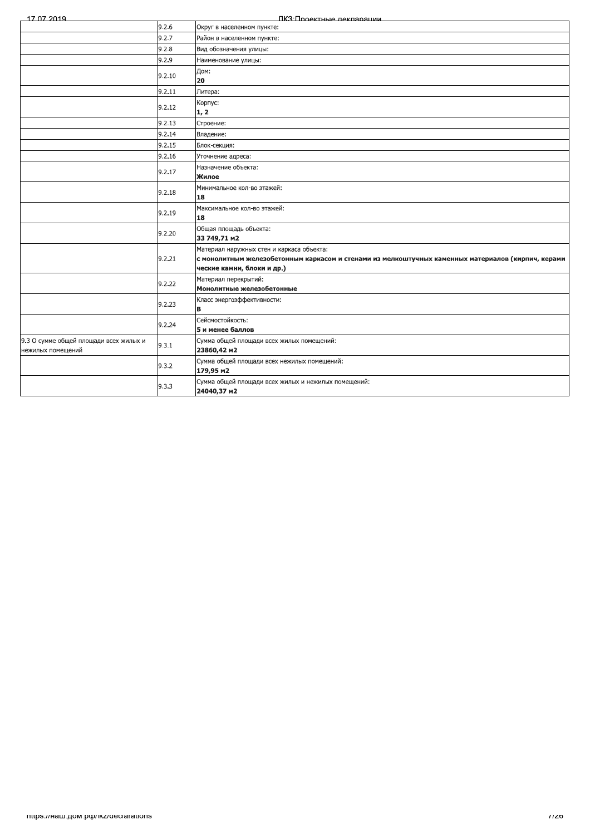| 17 07 2019 |  |
|------------|--|

ПКЗ:Проектные лекларации

|                                                             | 9.2.6  | Округ в населенном пункте:                                                                                                                                                    |
|-------------------------------------------------------------|--------|-------------------------------------------------------------------------------------------------------------------------------------------------------------------------------|
|                                                             | 9.2.7  | Район в населенном пункте:                                                                                                                                                    |
|                                                             | 9.2.8  | Вид обозначения улицы:                                                                                                                                                        |
|                                                             | 9.2.9  | Наименование улицы:                                                                                                                                                           |
|                                                             | 9.2.10 | Дом:<br>20                                                                                                                                                                    |
|                                                             | 9.2.11 | Литера:                                                                                                                                                                       |
|                                                             | 9.2.12 | Корпус:<br>1, 2                                                                                                                                                               |
|                                                             | 9.2.13 | Строение:                                                                                                                                                                     |
|                                                             | 9.2.14 | Владение:                                                                                                                                                                     |
|                                                             | 9.2.15 | Блок-секция:                                                                                                                                                                  |
|                                                             | 9.2.16 | Уточнение адреса:                                                                                                                                                             |
|                                                             | 9.2.17 | Назначение объекта:<br>Жилое                                                                                                                                                  |
|                                                             | 9.2.18 | Минимальное кол-во этажей:<br>18                                                                                                                                              |
|                                                             | 9.2.19 | Максимальное кол-во этажей:<br>18                                                                                                                                             |
|                                                             | 9.2.20 | Общая площадь объекта:<br>33 749,71 M2                                                                                                                                        |
|                                                             | 9.2.21 | Материал наружных стен и каркаса объекта:<br>с монолитным железобетонным каркасом и стенами из мелкоштучных каменных материалов (кирпич, керами<br>ческие камни, блоки и др.) |
|                                                             | 9.2.22 | Материал перекрытий:<br>Монолитные железобетонные                                                                                                                             |
|                                                             | 9.2.23 | Класс энергоэффективности:<br>в                                                                                                                                               |
|                                                             | 9.2.24 | Сейсмостойкость:<br>5 и менее баллов                                                                                                                                          |
| 9.3 О сумме общей площади всех жилых и<br>нежилых помещений | 9.3.1  | Сумма общей площади всех жилых помещений:<br>23860,42 m2                                                                                                                      |
|                                                             | 9.3.2  | Сумма общей площади всех нежилых помещений:<br>179,95 m2                                                                                                                      |
|                                                             | 9.3.3  | Сумма общей площади всех жилых и нежилых помещений:<br>24040,37 m2                                                                                                            |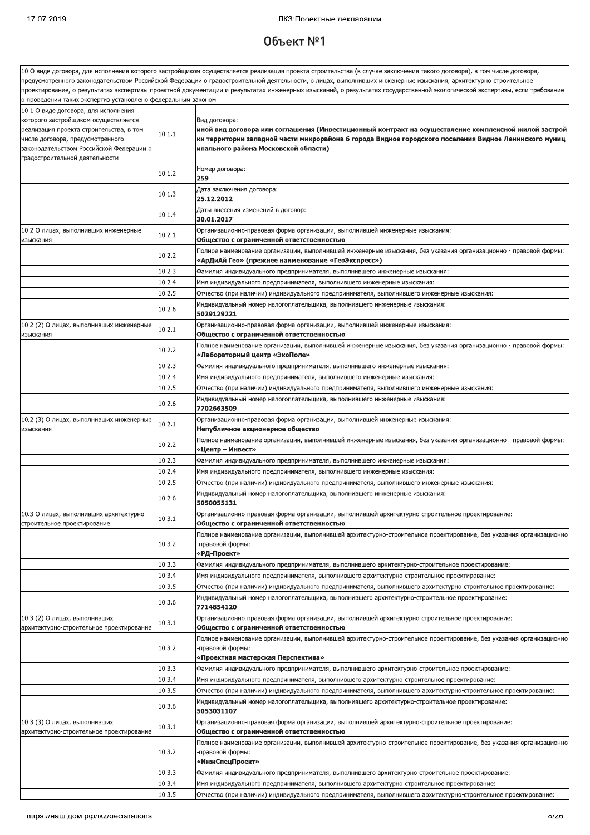#### $06$ ъект  $N<sup>°</sup>1$

.<br>10 О виде договора, для исполнения которого застройщиком осуществляется реализация проекта строительства (в случае заключения такого договора), в том числе договора, предусмотренного законодательством Российской Федерации о градостроительной деятельности, о лицах, выполнивших инженерные изыскания, архитектурно-строительное проектирование, о результатах экспертизы проектной документации и результатах инженерных изысканий, о результатах государственной экологической экспертизы, если требование проведении таких экспертиз установлено федеральным законом 10.1 О виде договора, для исполнения которого застройщиком осуществляется Вил логовора: иной вид договора или соглашения (Инвестиционный контракт на осуществление комплексной жилой застрой реализация проекта строительства, в том  $10.1.1$ ки территории западной части микрорайона 6 города Видное городского поселения Видное Ленинского муниц нисле договора, предусмотренного законодательством Российской Федерации о ипального района Московской области) градостроительной деятельности Номер договора:  $10.1.2$ 259 Дата заключения договора:  $10.1.3$ 25.12.2012 .<br>Даты внесения изменений в договор: 10.1.4 30.01.2017 10.2 О лицах, выполнивших инженерные Организационно-правовая форма организации, выполнившей инженерные изыскания:  $10.2.1$ изыскания Общество с ограниченной ответственностью .<br>Полное наименование организации, выполнившей инженерные изыскания, без указания организационно - правовой формы 10.2.2 «АрДиАй Гео» (прежнее наименование «ГеоЭкспресс»)  $10.2.3$ Фамилия индивидуального предпринимателя, выполнившего инженерные изыскания:  $10.2.4$ Имя индивидуального предпринимателя, выполнившего инженерные изыскания:  $10.2.5$ Отчество (при наличии) индивидуального предпринимателя, выполнившего инженерные изыскания: Индивидуальный номер налогоплательщика, выполнившего инженерные изыскания: 10.2.6 5029129221 10.2 (2) О лицах, выполнивших инженерные Организационно-правовая форма организации, выполнившей инженерные изыскания:  $10.2.1$ Общество с ограниченной ответственностью изыскания Толное наименование организации, выполнившей инженерные изыскания, без указания организационно - правовой формы: 10.2.2 «Лабораторный центр «ЭкоПоле»  $10.2.3$ Фамилия индивидуального предпринимателя, выполнившего инженерные изыскания:  $10.2.4$ Имя индивидуального предпринимателя, выполнившего инженерные изыскания:  $10.2.5$ Отчество (при наличии) индивидуального предпринимателя, выполнившего инженерные изыскания: Индивидуальный номер налогоплательщика, выполнившего инженерные изыскания: 10.2.6 7702663509 10.2 (3) О лицах, выполнивших инженерные Организационно-правовая форма организации, выполнившей инженерные изыскания:  $10.2.1$ лзыскания Непубличное акционерное общество .<br>Полное наименование организации, выполнившей инженерные изыскания, без указания организационно - правовой формы 10.2.2 «Центр – Инвест»  $10.2.3$ .<br>Фамилия индивидуального предпринимателя, выполнившего инженерные изыскания  $10.2.4$ Имя индивидуального предпринимателя, выполнившего инженерные изыскания  $10.2.5$ Отчество (при наличии) индивидуального предпринимателя, выполнившего инженерные изыскания: Индивидуальный номер налогоплательщика, выполнившего инженерные изыскания: 10.2.6 5050055131 10.3 О лицах, выполнивших архитектурно-Организационно-правовая форма организации, выполнившей архитектурно-строительное проектирование:  $10.3.1$ строительное проектирование Общество с ограниченной ответственностью .<br>Полное наименование организации, выполнившей архитектурно-строительное проектирование, без указания организационнс 10.3.2 правовой формы: «РД-Проект» 10.3.3 Фамилия индивидуального предпринимателя, выполнившего архитектурно-строительное проектирование: 10.3.4 Имя индивидуального предпринимателя, выполнившего архитектурно-строительное проектирование: 10.3.5 Отчество (при наличии) индивидуального предпринимателя, выполнившего архитектурно-строительное проектирование: Индивидуальный номер налогоплательщика, выполнившего архитектурно-строительное проектирование: 10.3.6 7714854120 10.3 (2) О лицах, выполнивших .<br>Организационно-правовая форма организации, выполнившей архитектурно-строительное проектирование:  $10.3.1$ архитектурно-строительное проектирование Обшество с ограниченной ответственностью Полное наименование организации, выполнившей архитектурно-строительное проектирование, без указания организационно 10.3.2 правовой формы: «Проектная мастерская Перспектива»  $10.3.3$ .<br>Фамилия индивидуального предпринимателя, выполнившего архитектурно-строительное проектирование:  $10.3.4$ .<br>Имя индивидуального предпринимателя, выполнившего архитектурно-строительное проектирование:  $10.3.5$ .<br>Отчество (при наличии) индивидуального предпринимателя, выполнившего архитектурно-строительное проектирование: .<br>Индивидуальный номер налогоплательщика, выполнившего архитектурно-строительное проектирование: 10.3.6 5053031107 10.3 (3) О линах, выполнивших .<br>Организационно-правовая форма организации, выполнившей архитектурно-строительное проектирование 10.3.1 архитектурно-строительное проектирование Общество с ограниченной ответственностью .<br>Полное наименование организации, выполнившей архитектурно-строительное проектирование, без указания организационно 10.3.2 правовой формы: «ИнжСпецПроект» 10.3.3 Фамилия индивидуального предпринимателя, выполнившего архитектурно-строительное проектирование: 10.3.4 Имя индивидуального предпринимателя, выполнившего архитектурно-строительное проектирование  $10.35$ Отчество (при наличии) индивидуального предпринимателя, выполнившего архитектурно-строительное проектирование: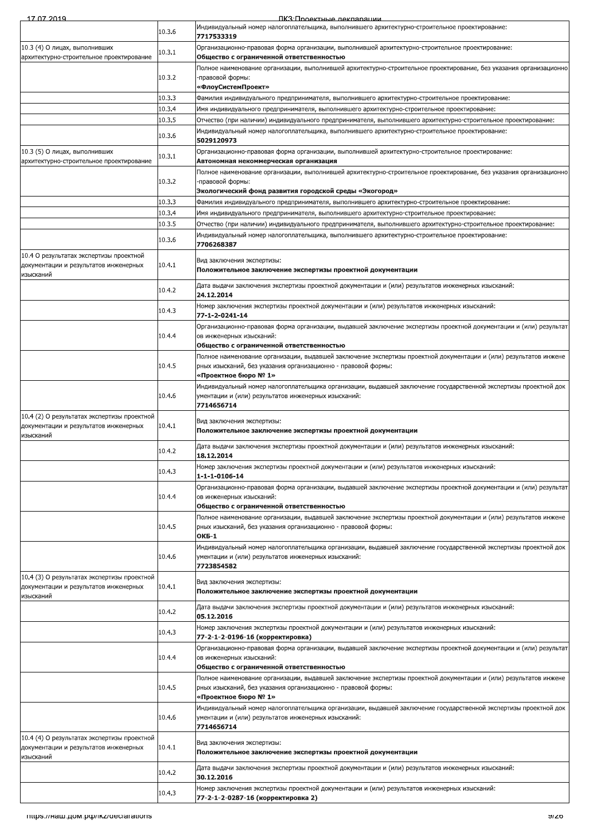| 7 07 2010 |  |  |
|-----------|--|--|

ПКЗ:Проектные лекларации

|                                                                                                   | 10.4.3           | Номер заключения экспертизы проектной документации и (или) результатов инженерных изысканий:<br>77-2-1-2-0196-16 (корректировка)                                                                                                                                |
|---------------------------------------------------------------------------------------------------|------------------|-----------------------------------------------------------------------------------------------------------------------------------------------------------------------------------------------------------------------------------------------------------------|
|                                                                                                   | 10.4.2           | 05.12.2016                                                                                                                                                                                                                                                      |
| 10.4 (3) О результатах экспертизы проектной<br>документации и результатов инженерных<br>изысканий | 10.4.1           | Вид заключения экспертизы:<br>Положительное заключение экспертизы проектной документации<br>Дата выдачи заключения экспертизы проектной документации и (или) результатов инженерных изысканий:                                                                  |
|                                                                                                   | 10.4.6           | Индивидуальный номер налогоплательщика организации, выдавшей заключение государственной экспертизы проектной док<br>ументации и (или) результатов инженерных изысканий:<br>7723854582                                                                           |
|                                                                                                   | 10.4.5           | Общество с ограниченной ответственностью<br>Полное наименование организации, выдавшей заключение экспертизы проектной документации и (или) результатов инжене<br>рных изысканий, без указания организационно - правовой формы:<br>ОКБ-1                         |
|                                                                                                   | 10.4.4           | Организационно-правовая форма организации, выдавшей заключение экспертизы проектной документации и (или) результат<br>ов инженерных изысканий:                                                                                                                  |
|                                                                                                   | 10.4.3           | Номер заключения экспертизы проектной документации и (или) результатов инженерных изысканий:<br>$1 - 1 - 1 - 0106 - 14$                                                                                                                                         |
|                                                                                                   | 10.4.2           | Дата выдачи заключения экспертизы проектной документации и (или) результатов инженерных изысканий:<br>18.12.2014                                                                                                                                                |
| 10.4 (2) О результатах экспертизы проектной<br>документации и результатов инженерных<br>изысканий | 10.4.1           | Вид заключения экспертизы:<br>Положительное заключение экспертизы проектной документации                                                                                                                                                                        |
|                                                                                                   | 10.4.6           | Индивидуальный номер налогоплательщика организации, выдавшей заключение государственной экспертизы проектной док<br>ументации и (или) результатов инженерных изысканий:<br>7714656714                                                                           |
|                                                                                                   | 10.4.5           | Полное наименование организации, выдавшей заключение экспертизы проектной документации и (или) результатов инжене<br>рных изысканий, без указания организационно - правовой формы:<br>«Проектное бюро № 1»                                                      |
|                                                                                                   | 10.4.4           | Организационно-правовая форма организации, выдавшей заключение экспертизы проектной документации и (или) результат<br>ов инженерных изысканий:<br>Общество с ограниченной ответственностью                                                                      |
|                                                                                                   | 10.4.3           | Номер заключения экспертизы проектной документации и (или) результатов инженерных изысканий:<br>77-1-2-0241-14                                                                                                                                                  |
|                                                                                                   | 10.4.2           | Дата выдачи заключения экспертизы проектной документации и (или) результатов инженерных изысканий:<br>24.12.2014                                                                                                                                                |
| 10.4 О результатах экспертизы проектной<br>документации и результатов инженерных<br>изысканий     | 10.4.1           | Вид заключения экспертизы:<br>Положительное заключение экспертизы проектной документации                                                                                                                                                                        |
|                                                                                                   | 10.3.6           | Индивидуальный номер налогоплательщика, выполнившего архитектурно-строительное проектирование:<br>7706268387                                                                                                                                                    |
|                                                                                                   | 10.3.4<br>10.3.5 | Имя индивидуального предпринимателя, выполнившего архитектурно-строительное проектирование:<br>Отчество (при наличии) индивидуального предпринимателя, выполнившего архитектурно-строительное проектирование:                                                   |
|                                                                                                   | 10.3.3           | Фамилия индивидуального предпринимателя, выполнившего архитектурно-строительное проектирование:                                                                                                                                                                 |
|                                                                                                   | 10.3.2           | -правовой формы:<br>Экологический фонд развития городской среды «Экогород»                                                                                                                                                                                      |
| 10.3 (5) О лицах, выполнивших<br>архитектурно-строительное проектирование                         | 10.3.1           | Организационно-правовая форма организации, выполнившей архитектурно-строительное проектирование:<br>Автономная некоммерческая организация<br>Полное наименование организации, выполнившей архитектурно-строительное проектирование, без указания организационнс |
|                                                                                                   | 10.3.6           | "Индивидуальный номер налогоплательщика, выполнившего архитектурно-строительное проектирование<br>5029120973                                                                                                                                                    |
|                                                                                                   | 10.3.4<br>10.3.5 | Имя индивидуального предпринимателя, выполнившего архитектурно-строительное проектирование:<br>Отчество (при наличии) индивидуального предпринимателя, выполнившего архитектурно-строительное проектирование:                                                   |
|                                                                                                   | 10.3.3           | Фамилия индивидуального предпринимателя, выполнившего архитектурно-строительное проектирование:                                                                                                                                                                 |
|                                                                                                   | 10.3.2           | Полное наименование организации, выполнившей архитектурно-строительное проектирование, без указания организационно<br>-правовой формы:<br>«ФлоуСистемПроект»                                                                                                    |
| архитектурно-строительное проектирование                                                          | 10.3.1           | Общество с ограниченной ответственностью                                                                                                                                                                                                                        |
| 10.3 (4) О лицах, выполнивших                                                                     | 10.3.6           | 7717533319<br>Организационно-правовая форма организации, выполнившей архитектурно-строительное проектирование:                                                                                                                                                  |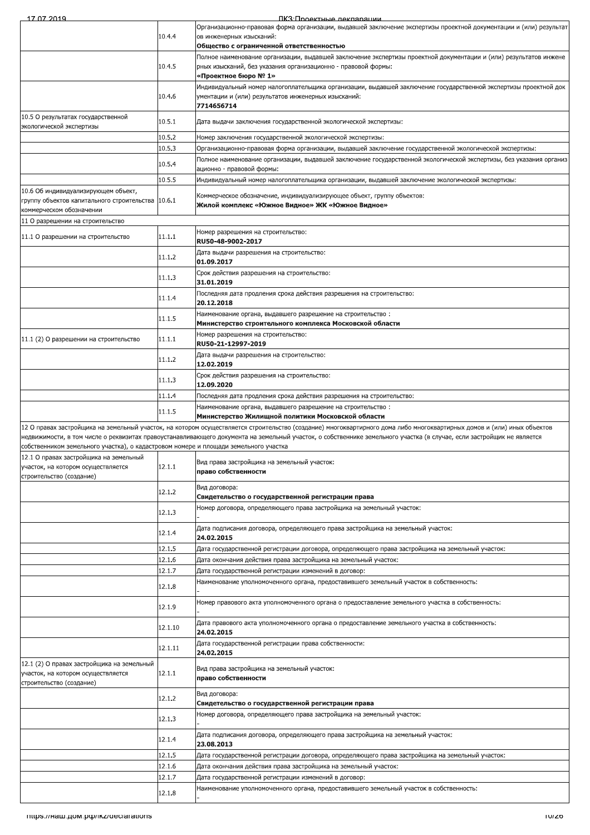| 10.4.4<br>ов инженерных изысканий:<br>Общество с ограниченной ответственностью<br>10.4.5<br>рных изысканий, без указания организационно - правовой формы:<br>«Проектное бюро № 1»<br>10.4.6<br>ументации и (или) результатов инженерных изысканий:<br>7714656714<br>10.5 О результатах государственной<br>10.5.1<br>Дата выдачи заключения государственной экологической экспертизы:<br>экологической экспертизы<br>10.5.2<br>Номер заключения государственной экологической экспертизы:<br>Организационно-правовая форма организации, выдавшей заключение государственной экологической экспертизы:<br>10.5.3<br>10.5.4<br>ационно - правовой формы:<br>10.5.5<br>Индивидуальный номер налогоплательщика организации, выдавшей заключение экологической экспертизы:<br>10.6 Об индивидуализирующем объект,<br>Коммерческое обозначение, индивидуализирующее объект, группу объектов:<br>группу объектов капитального строительства 10.6.1<br>Жилой комплекс «Южное Видное» ЖК «Южное Видное»<br>коммерческом обозначении<br>11 О разрешении на строительство<br>Номер разрешения на строительство:<br>11.1.1<br>11.1 О разрешении на строительство<br>RU50-48-9002-2017<br>Дата выдачи разрешения на строительство:<br>11.1.2<br>01.09.2017<br>Срок действия разрешения на строительство:<br>11.1.3<br>31.01.2019<br>Последняя дата продления срока действия разрешения на строительство:<br>11.1.4<br>20.12.2018<br>Наименование органа, выдавшего разрешение на строительство:<br>11.1.5<br>Министерство строительного комплекса Московской области<br>Номер разрешения на строительство:<br>11.1.1<br>11.1 (2) О разрешении на строительство<br>RU50-21-12997-2019<br>Дата выдачи разрешения на строительство:<br>11.1.2<br>12.02.2019<br>Срок действия разрешения на строительство:<br>11.1.3<br>12.09.2020<br>11.1.4<br>Последняя дата продления срока действия разрешения на строительство:<br>Наименование органа, выдавшего разрешение на строительство:<br>11.1.5<br>Министерство Жилищной политики Московской области<br>12 О правах застройщика на земельный участок, на котором осуществляется строительство (создание) многоквартирного дома либо многоквартирных домов и (или) иных объектов<br>недвижимости, в том числе о реквизитах правоустанавливающего документа на земельный участок, о собственнике земельного участка (в случае, если застройщик не является<br>собственником земельного участка), о кадастровом номере и площади земельного участка<br>12.1 О правах застройшика на земельный<br>Вид права застройщика на земельный участок:<br>12.1.1<br>участок, на котором осуществляется<br>право собственности<br>строительство (создание)<br>Вид договора:<br>12.1.2<br>Свидетельство о государственной регистрации права<br>Номер договора, определяющего права застройщика на земельный участок:<br>12.1.3<br>Дата подписания договора, определяющего права застройщика на земельный участок:<br>12.1.4<br>24.02.2015<br>12.1.5<br>Дата государственной регистрации договора, определяющего права застройщика на земельный участок:<br>12.1.6<br>Дата окончания действия права застройщика на земельный участок:<br>12.1.7<br>Дата государственной регистрации изменений в договор:<br>Наименование уполномоченного органа, предоставившего земельный участок в собственность:<br>12.1.8<br>Номер правового акта уполномоченного органа о предоставление земельного участка в собственность:<br>12.1.9<br>Дата правового акта уполномоченного органа о предоставление земельного участка в собственность:<br>12.1.10<br>24.02.2015<br>Дата государственной регистрации права собственности:<br>12.1.11<br>24.02.2015<br>12.1 (2) О правах застройщика на земельный<br>Вид права застройщика на земельный участок:<br>12.1.1<br>участок, на котором осуществляется<br>право собственности<br>строительство (создание)<br>Вид договора:<br>12.1.2<br>Свидетельство о государственной регистрации права<br>Номер договора, определяющего права застройщика на земельный участок:<br>12.1.3<br>Дата подписания договора, определяющего права застройщика на земельный участок:<br>12.1.4<br>23.08.2013<br>12.1.5<br>Дата государственной регистрации договора, определяющего права застройщика на земельный участок:<br>12.1.6<br>Дата окончания действия права застройщика на земельный участок:<br>12.1.7<br>Дата государственной регистрации изменений в договор:<br>Наименование уполномоченного органа, предоставившего земельный участок в собственность:<br>12.1.8<br>mups.//наш.дом.pф/ikz/declarations | 17 07 2019 | ПКЗ <u>Проектные лекларации</u>                                                                                     |
|----------------------------------------------------------------------------------------------------------------------------------------------------------------------------------------------------------------------------------------------------------------------------------------------------------------------------------------------------------------------------------------------------------------------------------------------------------------------------------------------------------------------------------------------------------------------------------------------------------------------------------------------------------------------------------------------------------------------------------------------------------------------------------------------------------------------------------------------------------------------------------------------------------------------------------------------------------------------------------------------------------------------------------------------------------------------------------------------------------------------------------------------------------------------------------------------------------------------------------------------------------------------------------------------------------------------------------------------------------------------------------------------------------------------------------------------------------------------------------------------------------------------------------------------------------------------------------------------------------------------------------------------------------------------------------------------------------------------------------------------------------------------------------------------------------------------------------------------------------------------------------------------------------------------------------------------------------------------------------------------------------------------------------------------------------------------------------------------------------------------------------------------------------------------------------------------------------------------------------------------------------------------------------------------------------------------------------------------------------------------------------------------------------------------------------------------------------------------------------------------------------------------------------------------------------------------------------------------------------------------------------------------------------------------------------------------------------------------------------------------------------------------------------------------------------------------------------------------------------------------------------------------------------------------------------------------------------------------------------------------------------------------------------------------------------------------------------------------------------------------------------------------------------------------------------------------------------------------------------------------------------------------------------------------------------------------------------------------------------------------------------------------------------------------------------------------------------------------------------------------------------------------------------------------------------------------------------------------------------------------------------------------------------------------------------------------------------------------------------------------------------------------------------------------------------------------------------------------------------------------------------------------------------------------------------------------------------------------------------------------------------------------------------------------------------------------------------------------------------------------------------------------------------------------------------------------------------------------------------------------------------------------------------------------------------------------------------------------------------------------------------------------------------------------------------------------------------------------------------------------------------------------------------------------|------------|---------------------------------------------------------------------------------------------------------------------|
|                                                                                                                                                                                                                                                                                                                                                                                                                                                                                                                                                                                                                                                                                                                                                                                                                                                                                                                                                                                                                                                                                                                                                                                                                                                                                                                                                                                                                                                                                                                                                                                                                                                                                                                                                                                                                                                                                                                                                                                                                                                                                                                                                                                                                                                                                                                                                                                                                                                                                                                                                                                                                                                                                                                                                                                                                                                                                                                                                                                                                                                                                                                                                                                                                                                                                                                                                                                                                                                                                                                                                                                                                                                                                                                                                                                                                                                                                                                                                                                                                                                                                                                                                                                                                                                                                                                                                                                                                                                                                                                                              |            | Организационно-правовая форма организации, выдавшей заключение экспертизы проектной документации и (или) результат  |
|                                                                                                                                                                                                                                                                                                                                                                                                                                                                                                                                                                                                                                                                                                                                                                                                                                                                                                                                                                                                                                                                                                                                                                                                                                                                                                                                                                                                                                                                                                                                                                                                                                                                                                                                                                                                                                                                                                                                                                                                                                                                                                                                                                                                                                                                                                                                                                                                                                                                                                                                                                                                                                                                                                                                                                                                                                                                                                                                                                                                                                                                                                                                                                                                                                                                                                                                                                                                                                                                                                                                                                                                                                                                                                                                                                                                                                                                                                                                                                                                                                                                                                                                                                                                                                                                                                                                                                                                                                                                                                                                              |            |                                                                                                                     |
|                                                                                                                                                                                                                                                                                                                                                                                                                                                                                                                                                                                                                                                                                                                                                                                                                                                                                                                                                                                                                                                                                                                                                                                                                                                                                                                                                                                                                                                                                                                                                                                                                                                                                                                                                                                                                                                                                                                                                                                                                                                                                                                                                                                                                                                                                                                                                                                                                                                                                                                                                                                                                                                                                                                                                                                                                                                                                                                                                                                                                                                                                                                                                                                                                                                                                                                                                                                                                                                                                                                                                                                                                                                                                                                                                                                                                                                                                                                                                                                                                                                                                                                                                                                                                                                                                                                                                                                                                                                                                                                                              |            | Полное наименование организации, выдавшей заключение экспертизы проектной документации и (или) результатов инжене   |
|                                                                                                                                                                                                                                                                                                                                                                                                                                                                                                                                                                                                                                                                                                                                                                                                                                                                                                                                                                                                                                                                                                                                                                                                                                                                                                                                                                                                                                                                                                                                                                                                                                                                                                                                                                                                                                                                                                                                                                                                                                                                                                                                                                                                                                                                                                                                                                                                                                                                                                                                                                                                                                                                                                                                                                                                                                                                                                                                                                                                                                                                                                                                                                                                                                                                                                                                                                                                                                                                                                                                                                                                                                                                                                                                                                                                                                                                                                                                                                                                                                                                                                                                                                                                                                                                                                                                                                                                                                                                                                                                              |            |                                                                                                                     |
|                                                                                                                                                                                                                                                                                                                                                                                                                                                                                                                                                                                                                                                                                                                                                                                                                                                                                                                                                                                                                                                                                                                                                                                                                                                                                                                                                                                                                                                                                                                                                                                                                                                                                                                                                                                                                                                                                                                                                                                                                                                                                                                                                                                                                                                                                                                                                                                                                                                                                                                                                                                                                                                                                                                                                                                                                                                                                                                                                                                                                                                                                                                                                                                                                                                                                                                                                                                                                                                                                                                                                                                                                                                                                                                                                                                                                                                                                                                                                                                                                                                                                                                                                                                                                                                                                                                                                                                                                                                                                                                                              |            | Индивидуальный номер налогоплательщика организации, выдавшей заключение государственной экспертизы проектной док    |
|                                                                                                                                                                                                                                                                                                                                                                                                                                                                                                                                                                                                                                                                                                                                                                                                                                                                                                                                                                                                                                                                                                                                                                                                                                                                                                                                                                                                                                                                                                                                                                                                                                                                                                                                                                                                                                                                                                                                                                                                                                                                                                                                                                                                                                                                                                                                                                                                                                                                                                                                                                                                                                                                                                                                                                                                                                                                                                                                                                                                                                                                                                                                                                                                                                                                                                                                                                                                                                                                                                                                                                                                                                                                                                                                                                                                                                                                                                                                                                                                                                                                                                                                                                                                                                                                                                                                                                                                                                                                                                                                              |            |                                                                                                                     |
|                                                                                                                                                                                                                                                                                                                                                                                                                                                                                                                                                                                                                                                                                                                                                                                                                                                                                                                                                                                                                                                                                                                                                                                                                                                                                                                                                                                                                                                                                                                                                                                                                                                                                                                                                                                                                                                                                                                                                                                                                                                                                                                                                                                                                                                                                                                                                                                                                                                                                                                                                                                                                                                                                                                                                                                                                                                                                                                                                                                                                                                                                                                                                                                                                                                                                                                                                                                                                                                                                                                                                                                                                                                                                                                                                                                                                                                                                                                                                                                                                                                                                                                                                                                                                                                                                                                                                                                                                                                                                                                                              |            |                                                                                                                     |
|                                                                                                                                                                                                                                                                                                                                                                                                                                                                                                                                                                                                                                                                                                                                                                                                                                                                                                                                                                                                                                                                                                                                                                                                                                                                                                                                                                                                                                                                                                                                                                                                                                                                                                                                                                                                                                                                                                                                                                                                                                                                                                                                                                                                                                                                                                                                                                                                                                                                                                                                                                                                                                                                                                                                                                                                                                                                                                                                                                                                                                                                                                                                                                                                                                                                                                                                                                                                                                                                                                                                                                                                                                                                                                                                                                                                                                                                                                                                                                                                                                                                                                                                                                                                                                                                                                                                                                                                                                                                                                                                              |            |                                                                                                                     |
|                                                                                                                                                                                                                                                                                                                                                                                                                                                                                                                                                                                                                                                                                                                                                                                                                                                                                                                                                                                                                                                                                                                                                                                                                                                                                                                                                                                                                                                                                                                                                                                                                                                                                                                                                                                                                                                                                                                                                                                                                                                                                                                                                                                                                                                                                                                                                                                                                                                                                                                                                                                                                                                                                                                                                                                                                                                                                                                                                                                                                                                                                                                                                                                                                                                                                                                                                                                                                                                                                                                                                                                                                                                                                                                                                                                                                                                                                                                                                                                                                                                                                                                                                                                                                                                                                                                                                                                                                                                                                                                                              |            |                                                                                                                     |
|                                                                                                                                                                                                                                                                                                                                                                                                                                                                                                                                                                                                                                                                                                                                                                                                                                                                                                                                                                                                                                                                                                                                                                                                                                                                                                                                                                                                                                                                                                                                                                                                                                                                                                                                                                                                                                                                                                                                                                                                                                                                                                                                                                                                                                                                                                                                                                                                                                                                                                                                                                                                                                                                                                                                                                                                                                                                                                                                                                                                                                                                                                                                                                                                                                                                                                                                                                                                                                                                                                                                                                                                                                                                                                                                                                                                                                                                                                                                                                                                                                                                                                                                                                                                                                                                                                                                                                                                                                                                                                                                              |            | Полное наименование организации, выдавшей заключение государственной экологической экспертизы, без указания организ |
|                                                                                                                                                                                                                                                                                                                                                                                                                                                                                                                                                                                                                                                                                                                                                                                                                                                                                                                                                                                                                                                                                                                                                                                                                                                                                                                                                                                                                                                                                                                                                                                                                                                                                                                                                                                                                                                                                                                                                                                                                                                                                                                                                                                                                                                                                                                                                                                                                                                                                                                                                                                                                                                                                                                                                                                                                                                                                                                                                                                                                                                                                                                                                                                                                                                                                                                                                                                                                                                                                                                                                                                                                                                                                                                                                                                                                                                                                                                                                                                                                                                                                                                                                                                                                                                                                                                                                                                                                                                                                                                                              |            |                                                                                                                     |
|                                                                                                                                                                                                                                                                                                                                                                                                                                                                                                                                                                                                                                                                                                                                                                                                                                                                                                                                                                                                                                                                                                                                                                                                                                                                                                                                                                                                                                                                                                                                                                                                                                                                                                                                                                                                                                                                                                                                                                                                                                                                                                                                                                                                                                                                                                                                                                                                                                                                                                                                                                                                                                                                                                                                                                                                                                                                                                                                                                                                                                                                                                                                                                                                                                                                                                                                                                                                                                                                                                                                                                                                                                                                                                                                                                                                                                                                                                                                                                                                                                                                                                                                                                                                                                                                                                                                                                                                                                                                                                                                              |            |                                                                                                                     |
|                                                                                                                                                                                                                                                                                                                                                                                                                                                                                                                                                                                                                                                                                                                                                                                                                                                                                                                                                                                                                                                                                                                                                                                                                                                                                                                                                                                                                                                                                                                                                                                                                                                                                                                                                                                                                                                                                                                                                                                                                                                                                                                                                                                                                                                                                                                                                                                                                                                                                                                                                                                                                                                                                                                                                                                                                                                                                                                                                                                                                                                                                                                                                                                                                                                                                                                                                                                                                                                                                                                                                                                                                                                                                                                                                                                                                                                                                                                                                                                                                                                                                                                                                                                                                                                                                                                                                                                                                                                                                                                                              |            |                                                                                                                     |
|                                                                                                                                                                                                                                                                                                                                                                                                                                                                                                                                                                                                                                                                                                                                                                                                                                                                                                                                                                                                                                                                                                                                                                                                                                                                                                                                                                                                                                                                                                                                                                                                                                                                                                                                                                                                                                                                                                                                                                                                                                                                                                                                                                                                                                                                                                                                                                                                                                                                                                                                                                                                                                                                                                                                                                                                                                                                                                                                                                                                                                                                                                                                                                                                                                                                                                                                                                                                                                                                                                                                                                                                                                                                                                                                                                                                                                                                                                                                                                                                                                                                                                                                                                                                                                                                                                                                                                                                                                                                                                                                              |            |                                                                                                                     |
|                                                                                                                                                                                                                                                                                                                                                                                                                                                                                                                                                                                                                                                                                                                                                                                                                                                                                                                                                                                                                                                                                                                                                                                                                                                                                                                                                                                                                                                                                                                                                                                                                                                                                                                                                                                                                                                                                                                                                                                                                                                                                                                                                                                                                                                                                                                                                                                                                                                                                                                                                                                                                                                                                                                                                                                                                                                                                                                                                                                                                                                                                                                                                                                                                                                                                                                                                                                                                                                                                                                                                                                                                                                                                                                                                                                                                                                                                                                                                                                                                                                                                                                                                                                                                                                                                                                                                                                                                                                                                                                                              |            |                                                                                                                     |
|                                                                                                                                                                                                                                                                                                                                                                                                                                                                                                                                                                                                                                                                                                                                                                                                                                                                                                                                                                                                                                                                                                                                                                                                                                                                                                                                                                                                                                                                                                                                                                                                                                                                                                                                                                                                                                                                                                                                                                                                                                                                                                                                                                                                                                                                                                                                                                                                                                                                                                                                                                                                                                                                                                                                                                                                                                                                                                                                                                                                                                                                                                                                                                                                                                                                                                                                                                                                                                                                                                                                                                                                                                                                                                                                                                                                                                                                                                                                                                                                                                                                                                                                                                                                                                                                                                                                                                                                                                                                                                                                              |            |                                                                                                                     |
|                                                                                                                                                                                                                                                                                                                                                                                                                                                                                                                                                                                                                                                                                                                                                                                                                                                                                                                                                                                                                                                                                                                                                                                                                                                                                                                                                                                                                                                                                                                                                                                                                                                                                                                                                                                                                                                                                                                                                                                                                                                                                                                                                                                                                                                                                                                                                                                                                                                                                                                                                                                                                                                                                                                                                                                                                                                                                                                                                                                                                                                                                                                                                                                                                                                                                                                                                                                                                                                                                                                                                                                                                                                                                                                                                                                                                                                                                                                                                                                                                                                                                                                                                                                                                                                                                                                                                                                                                                                                                                                                              |            |                                                                                                                     |
|                                                                                                                                                                                                                                                                                                                                                                                                                                                                                                                                                                                                                                                                                                                                                                                                                                                                                                                                                                                                                                                                                                                                                                                                                                                                                                                                                                                                                                                                                                                                                                                                                                                                                                                                                                                                                                                                                                                                                                                                                                                                                                                                                                                                                                                                                                                                                                                                                                                                                                                                                                                                                                                                                                                                                                                                                                                                                                                                                                                                                                                                                                                                                                                                                                                                                                                                                                                                                                                                                                                                                                                                                                                                                                                                                                                                                                                                                                                                                                                                                                                                                                                                                                                                                                                                                                                                                                                                                                                                                                                                              |            |                                                                                                                     |
|                                                                                                                                                                                                                                                                                                                                                                                                                                                                                                                                                                                                                                                                                                                                                                                                                                                                                                                                                                                                                                                                                                                                                                                                                                                                                                                                                                                                                                                                                                                                                                                                                                                                                                                                                                                                                                                                                                                                                                                                                                                                                                                                                                                                                                                                                                                                                                                                                                                                                                                                                                                                                                                                                                                                                                                                                                                                                                                                                                                                                                                                                                                                                                                                                                                                                                                                                                                                                                                                                                                                                                                                                                                                                                                                                                                                                                                                                                                                                                                                                                                                                                                                                                                                                                                                                                                                                                                                                                                                                                                                              |            |                                                                                                                     |
|                                                                                                                                                                                                                                                                                                                                                                                                                                                                                                                                                                                                                                                                                                                                                                                                                                                                                                                                                                                                                                                                                                                                                                                                                                                                                                                                                                                                                                                                                                                                                                                                                                                                                                                                                                                                                                                                                                                                                                                                                                                                                                                                                                                                                                                                                                                                                                                                                                                                                                                                                                                                                                                                                                                                                                                                                                                                                                                                                                                                                                                                                                                                                                                                                                                                                                                                                                                                                                                                                                                                                                                                                                                                                                                                                                                                                                                                                                                                                                                                                                                                                                                                                                                                                                                                                                                                                                                                                                                                                                                                              |            |                                                                                                                     |
|                                                                                                                                                                                                                                                                                                                                                                                                                                                                                                                                                                                                                                                                                                                                                                                                                                                                                                                                                                                                                                                                                                                                                                                                                                                                                                                                                                                                                                                                                                                                                                                                                                                                                                                                                                                                                                                                                                                                                                                                                                                                                                                                                                                                                                                                                                                                                                                                                                                                                                                                                                                                                                                                                                                                                                                                                                                                                                                                                                                                                                                                                                                                                                                                                                                                                                                                                                                                                                                                                                                                                                                                                                                                                                                                                                                                                                                                                                                                                                                                                                                                                                                                                                                                                                                                                                                                                                                                                                                                                                                                              |            |                                                                                                                     |
|                                                                                                                                                                                                                                                                                                                                                                                                                                                                                                                                                                                                                                                                                                                                                                                                                                                                                                                                                                                                                                                                                                                                                                                                                                                                                                                                                                                                                                                                                                                                                                                                                                                                                                                                                                                                                                                                                                                                                                                                                                                                                                                                                                                                                                                                                                                                                                                                                                                                                                                                                                                                                                                                                                                                                                                                                                                                                                                                                                                                                                                                                                                                                                                                                                                                                                                                                                                                                                                                                                                                                                                                                                                                                                                                                                                                                                                                                                                                                                                                                                                                                                                                                                                                                                                                                                                                                                                                                                                                                                                                              |            |                                                                                                                     |
|                                                                                                                                                                                                                                                                                                                                                                                                                                                                                                                                                                                                                                                                                                                                                                                                                                                                                                                                                                                                                                                                                                                                                                                                                                                                                                                                                                                                                                                                                                                                                                                                                                                                                                                                                                                                                                                                                                                                                                                                                                                                                                                                                                                                                                                                                                                                                                                                                                                                                                                                                                                                                                                                                                                                                                                                                                                                                                                                                                                                                                                                                                                                                                                                                                                                                                                                                                                                                                                                                                                                                                                                                                                                                                                                                                                                                                                                                                                                                                                                                                                                                                                                                                                                                                                                                                                                                                                                                                                                                                                                              |            |                                                                                                                     |
|                                                                                                                                                                                                                                                                                                                                                                                                                                                                                                                                                                                                                                                                                                                                                                                                                                                                                                                                                                                                                                                                                                                                                                                                                                                                                                                                                                                                                                                                                                                                                                                                                                                                                                                                                                                                                                                                                                                                                                                                                                                                                                                                                                                                                                                                                                                                                                                                                                                                                                                                                                                                                                                                                                                                                                                                                                                                                                                                                                                                                                                                                                                                                                                                                                                                                                                                                                                                                                                                                                                                                                                                                                                                                                                                                                                                                                                                                                                                                                                                                                                                                                                                                                                                                                                                                                                                                                                                                                                                                                                                              |            |                                                                                                                     |
|                                                                                                                                                                                                                                                                                                                                                                                                                                                                                                                                                                                                                                                                                                                                                                                                                                                                                                                                                                                                                                                                                                                                                                                                                                                                                                                                                                                                                                                                                                                                                                                                                                                                                                                                                                                                                                                                                                                                                                                                                                                                                                                                                                                                                                                                                                                                                                                                                                                                                                                                                                                                                                                                                                                                                                                                                                                                                                                                                                                                                                                                                                                                                                                                                                                                                                                                                                                                                                                                                                                                                                                                                                                                                                                                                                                                                                                                                                                                                                                                                                                                                                                                                                                                                                                                                                                                                                                                                                                                                                                                              |            |                                                                                                                     |
|                                                                                                                                                                                                                                                                                                                                                                                                                                                                                                                                                                                                                                                                                                                                                                                                                                                                                                                                                                                                                                                                                                                                                                                                                                                                                                                                                                                                                                                                                                                                                                                                                                                                                                                                                                                                                                                                                                                                                                                                                                                                                                                                                                                                                                                                                                                                                                                                                                                                                                                                                                                                                                                                                                                                                                                                                                                                                                                                                                                                                                                                                                                                                                                                                                                                                                                                                                                                                                                                                                                                                                                                                                                                                                                                                                                                                                                                                                                                                                                                                                                                                                                                                                                                                                                                                                                                                                                                                                                                                                                                              |            |                                                                                                                     |
|                                                                                                                                                                                                                                                                                                                                                                                                                                                                                                                                                                                                                                                                                                                                                                                                                                                                                                                                                                                                                                                                                                                                                                                                                                                                                                                                                                                                                                                                                                                                                                                                                                                                                                                                                                                                                                                                                                                                                                                                                                                                                                                                                                                                                                                                                                                                                                                                                                                                                                                                                                                                                                                                                                                                                                                                                                                                                                                                                                                                                                                                                                                                                                                                                                                                                                                                                                                                                                                                                                                                                                                                                                                                                                                                                                                                                                                                                                                                                                                                                                                                                                                                                                                                                                                                                                                                                                                                                                                                                                                                              |            |                                                                                                                     |
|                                                                                                                                                                                                                                                                                                                                                                                                                                                                                                                                                                                                                                                                                                                                                                                                                                                                                                                                                                                                                                                                                                                                                                                                                                                                                                                                                                                                                                                                                                                                                                                                                                                                                                                                                                                                                                                                                                                                                                                                                                                                                                                                                                                                                                                                                                                                                                                                                                                                                                                                                                                                                                                                                                                                                                                                                                                                                                                                                                                                                                                                                                                                                                                                                                                                                                                                                                                                                                                                                                                                                                                                                                                                                                                                                                                                                                                                                                                                                                                                                                                                                                                                                                                                                                                                                                                                                                                                                                                                                                                                              |            |                                                                                                                     |
|                                                                                                                                                                                                                                                                                                                                                                                                                                                                                                                                                                                                                                                                                                                                                                                                                                                                                                                                                                                                                                                                                                                                                                                                                                                                                                                                                                                                                                                                                                                                                                                                                                                                                                                                                                                                                                                                                                                                                                                                                                                                                                                                                                                                                                                                                                                                                                                                                                                                                                                                                                                                                                                                                                                                                                                                                                                                                                                                                                                                                                                                                                                                                                                                                                                                                                                                                                                                                                                                                                                                                                                                                                                                                                                                                                                                                                                                                                                                                                                                                                                                                                                                                                                                                                                                                                                                                                                                                                                                                                                                              |            |                                                                                                                     |
|                                                                                                                                                                                                                                                                                                                                                                                                                                                                                                                                                                                                                                                                                                                                                                                                                                                                                                                                                                                                                                                                                                                                                                                                                                                                                                                                                                                                                                                                                                                                                                                                                                                                                                                                                                                                                                                                                                                                                                                                                                                                                                                                                                                                                                                                                                                                                                                                                                                                                                                                                                                                                                                                                                                                                                                                                                                                                                                                                                                                                                                                                                                                                                                                                                                                                                                                                                                                                                                                                                                                                                                                                                                                                                                                                                                                                                                                                                                                                                                                                                                                                                                                                                                                                                                                                                                                                                                                                                                                                                                                              |            |                                                                                                                     |
|                                                                                                                                                                                                                                                                                                                                                                                                                                                                                                                                                                                                                                                                                                                                                                                                                                                                                                                                                                                                                                                                                                                                                                                                                                                                                                                                                                                                                                                                                                                                                                                                                                                                                                                                                                                                                                                                                                                                                                                                                                                                                                                                                                                                                                                                                                                                                                                                                                                                                                                                                                                                                                                                                                                                                                                                                                                                                                                                                                                                                                                                                                                                                                                                                                                                                                                                                                                                                                                                                                                                                                                                                                                                                                                                                                                                                                                                                                                                                                                                                                                                                                                                                                                                                                                                                                                                                                                                                                                                                                                                              |            |                                                                                                                     |
|                                                                                                                                                                                                                                                                                                                                                                                                                                                                                                                                                                                                                                                                                                                                                                                                                                                                                                                                                                                                                                                                                                                                                                                                                                                                                                                                                                                                                                                                                                                                                                                                                                                                                                                                                                                                                                                                                                                                                                                                                                                                                                                                                                                                                                                                                                                                                                                                                                                                                                                                                                                                                                                                                                                                                                                                                                                                                                                                                                                                                                                                                                                                                                                                                                                                                                                                                                                                                                                                                                                                                                                                                                                                                                                                                                                                                                                                                                                                                                                                                                                                                                                                                                                                                                                                                                                                                                                                                                                                                                                                              |            |                                                                                                                     |
|                                                                                                                                                                                                                                                                                                                                                                                                                                                                                                                                                                                                                                                                                                                                                                                                                                                                                                                                                                                                                                                                                                                                                                                                                                                                                                                                                                                                                                                                                                                                                                                                                                                                                                                                                                                                                                                                                                                                                                                                                                                                                                                                                                                                                                                                                                                                                                                                                                                                                                                                                                                                                                                                                                                                                                                                                                                                                                                                                                                                                                                                                                                                                                                                                                                                                                                                                                                                                                                                                                                                                                                                                                                                                                                                                                                                                                                                                                                                                                                                                                                                                                                                                                                                                                                                                                                                                                                                                                                                                                                                              |            |                                                                                                                     |
|                                                                                                                                                                                                                                                                                                                                                                                                                                                                                                                                                                                                                                                                                                                                                                                                                                                                                                                                                                                                                                                                                                                                                                                                                                                                                                                                                                                                                                                                                                                                                                                                                                                                                                                                                                                                                                                                                                                                                                                                                                                                                                                                                                                                                                                                                                                                                                                                                                                                                                                                                                                                                                                                                                                                                                                                                                                                                                                                                                                                                                                                                                                                                                                                                                                                                                                                                                                                                                                                                                                                                                                                                                                                                                                                                                                                                                                                                                                                                                                                                                                                                                                                                                                                                                                                                                                                                                                                                                                                                                                                              |            |                                                                                                                     |
|                                                                                                                                                                                                                                                                                                                                                                                                                                                                                                                                                                                                                                                                                                                                                                                                                                                                                                                                                                                                                                                                                                                                                                                                                                                                                                                                                                                                                                                                                                                                                                                                                                                                                                                                                                                                                                                                                                                                                                                                                                                                                                                                                                                                                                                                                                                                                                                                                                                                                                                                                                                                                                                                                                                                                                                                                                                                                                                                                                                                                                                                                                                                                                                                                                                                                                                                                                                                                                                                                                                                                                                                                                                                                                                                                                                                                                                                                                                                                                                                                                                                                                                                                                                                                                                                                                                                                                                                                                                                                                                                              |            |                                                                                                                     |
|                                                                                                                                                                                                                                                                                                                                                                                                                                                                                                                                                                                                                                                                                                                                                                                                                                                                                                                                                                                                                                                                                                                                                                                                                                                                                                                                                                                                                                                                                                                                                                                                                                                                                                                                                                                                                                                                                                                                                                                                                                                                                                                                                                                                                                                                                                                                                                                                                                                                                                                                                                                                                                                                                                                                                                                                                                                                                                                                                                                                                                                                                                                                                                                                                                                                                                                                                                                                                                                                                                                                                                                                                                                                                                                                                                                                                                                                                                                                                                                                                                                                                                                                                                                                                                                                                                                                                                                                                                                                                                                                              |            |                                                                                                                     |
|                                                                                                                                                                                                                                                                                                                                                                                                                                                                                                                                                                                                                                                                                                                                                                                                                                                                                                                                                                                                                                                                                                                                                                                                                                                                                                                                                                                                                                                                                                                                                                                                                                                                                                                                                                                                                                                                                                                                                                                                                                                                                                                                                                                                                                                                                                                                                                                                                                                                                                                                                                                                                                                                                                                                                                                                                                                                                                                                                                                                                                                                                                                                                                                                                                                                                                                                                                                                                                                                                                                                                                                                                                                                                                                                                                                                                                                                                                                                                                                                                                                                                                                                                                                                                                                                                                                                                                                                                                                                                                                                              |            |                                                                                                                     |
|                                                                                                                                                                                                                                                                                                                                                                                                                                                                                                                                                                                                                                                                                                                                                                                                                                                                                                                                                                                                                                                                                                                                                                                                                                                                                                                                                                                                                                                                                                                                                                                                                                                                                                                                                                                                                                                                                                                                                                                                                                                                                                                                                                                                                                                                                                                                                                                                                                                                                                                                                                                                                                                                                                                                                                                                                                                                                                                                                                                                                                                                                                                                                                                                                                                                                                                                                                                                                                                                                                                                                                                                                                                                                                                                                                                                                                                                                                                                                                                                                                                                                                                                                                                                                                                                                                                                                                                                                                                                                                                                              |            |                                                                                                                     |
|                                                                                                                                                                                                                                                                                                                                                                                                                                                                                                                                                                                                                                                                                                                                                                                                                                                                                                                                                                                                                                                                                                                                                                                                                                                                                                                                                                                                                                                                                                                                                                                                                                                                                                                                                                                                                                                                                                                                                                                                                                                                                                                                                                                                                                                                                                                                                                                                                                                                                                                                                                                                                                                                                                                                                                                                                                                                                                                                                                                                                                                                                                                                                                                                                                                                                                                                                                                                                                                                                                                                                                                                                                                                                                                                                                                                                                                                                                                                                                                                                                                                                                                                                                                                                                                                                                                                                                                                                                                                                                                                              |            |                                                                                                                     |
|                                                                                                                                                                                                                                                                                                                                                                                                                                                                                                                                                                                                                                                                                                                                                                                                                                                                                                                                                                                                                                                                                                                                                                                                                                                                                                                                                                                                                                                                                                                                                                                                                                                                                                                                                                                                                                                                                                                                                                                                                                                                                                                                                                                                                                                                                                                                                                                                                                                                                                                                                                                                                                                                                                                                                                                                                                                                                                                                                                                                                                                                                                                                                                                                                                                                                                                                                                                                                                                                                                                                                                                                                                                                                                                                                                                                                                                                                                                                                                                                                                                                                                                                                                                                                                                                                                                                                                                                                                                                                                                                              |            |                                                                                                                     |
|                                                                                                                                                                                                                                                                                                                                                                                                                                                                                                                                                                                                                                                                                                                                                                                                                                                                                                                                                                                                                                                                                                                                                                                                                                                                                                                                                                                                                                                                                                                                                                                                                                                                                                                                                                                                                                                                                                                                                                                                                                                                                                                                                                                                                                                                                                                                                                                                                                                                                                                                                                                                                                                                                                                                                                                                                                                                                                                                                                                                                                                                                                                                                                                                                                                                                                                                                                                                                                                                                                                                                                                                                                                                                                                                                                                                                                                                                                                                                                                                                                                                                                                                                                                                                                                                                                                                                                                                                                                                                                                                              |            |                                                                                                                     |
|                                                                                                                                                                                                                                                                                                                                                                                                                                                                                                                                                                                                                                                                                                                                                                                                                                                                                                                                                                                                                                                                                                                                                                                                                                                                                                                                                                                                                                                                                                                                                                                                                                                                                                                                                                                                                                                                                                                                                                                                                                                                                                                                                                                                                                                                                                                                                                                                                                                                                                                                                                                                                                                                                                                                                                                                                                                                                                                                                                                                                                                                                                                                                                                                                                                                                                                                                                                                                                                                                                                                                                                                                                                                                                                                                                                                                                                                                                                                                                                                                                                                                                                                                                                                                                                                                                                                                                                                                                                                                                                                              |            |                                                                                                                     |
|                                                                                                                                                                                                                                                                                                                                                                                                                                                                                                                                                                                                                                                                                                                                                                                                                                                                                                                                                                                                                                                                                                                                                                                                                                                                                                                                                                                                                                                                                                                                                                                                                                                                                                                                                                                                                                                                                                                                                                                                                                                                                                                                                                                                                                                                                                                                                                                                                                                                                                                                                                                                                                                                                                                                                                                                                                                                                                                                                                                                                                                                                                                                                                                                                                                                                                                                                                                                                                                                                                                                                                                                                                                                                                                                                                                                                                                                                                                                                                                                                                                                                                                                                                                                                                                                                                                                                                                                                                                                                                                                              |            |                                                                                                                     |
|                                                                                                                                                                                                                                                                                                                                                                                                                                                                                                                                                                                                                                                                                                                                                                                                                                                                                                                                                                                                                                                                                                                                                                                                                                                                                                                                                                                                                                                                                                                                                                                                                                                                                                                                                                                                                                                                                                                                                                                                                                                                                                                                                                                                                                                                                                                                                                                                                                                                                                                                                                                                                                                                                                                                                                                                                                                                                                                                                                                                                                                                                                                                                                                                                                                                                                                                                                                                                                                                                                                                                                                                                                                                                                                                                                                                                                                                                                                                                                                                                                                                                                                                                                                                                                                                                                                                                                                                                                                                                                                                              |            |                                                                                                                     |
|                                                                                                                                                                                                                                                                                                                                                                                                                                                                                                                                                                                                                                                                                                                                                                                                                                                                                                                                                                                                                                                                                                                                                                                                                                                                                                                                                                                                                                                                                                                                                                                                                                                                                                                                                                                                                                                                                                                                                                                                                                                                                                                                                                                                                                                                                                                                                                                                                                                                                                                                                                                                                                                                                                                                                                                                                                                                                                                                                                                                                                                                                                                                                                                                                                                                                                                                                                                                                                                                                                                                                                                                                                                                                                                                                                                                                                                                                                                                                                                                                                                                                                                                                                                                                                                                                                                                                                                                                                                                                                                                              |            |                                                                                                                     |
|                                                                                                                                                                                                                                                                                                                                                                                                                                                                                                                                                                                                                                                                                                                                                                                                                                                                                                                                                                                                                                                                                                                                                                                                                                                                                                                                                                                                                                                                                                                                                                                                                                                                                                                                                                                                                                                                                                                                                                                                                                                                                                                                                                                                                                                                                                                                                                                                                                                                                                                                                                                                                                                                                                                                                                                                                                                                                                                                                                                                                                                                                                                                                                                                                                                                                                                                                                                                                                                                                                                                                                                                                                                                                                                                                                                                                                                                                                                                                                                                                                                                                                                                                                                                                                                                                                                                                                                                                                                                                                                                              |            |                                                                                                                     |
|                                                                                                                                                                                                                                                                                                                                                                                                                                                                                                                                                                                                                                                                                                                                                                                                                                                                                                                                                                                                                                                                                                                                                                                                                                                                                                                                                                                                                                                                                                                                                                                                                                                                                                                                                                                                                                                                                                                                                                                                                                                                                                                                                                                                                                                                                                                                                                                                                                                                                                                                                                                                                                                                                                                                                                                                                                                                                                                                                                                                                                                                                                                                                                                                                                                                                                                                                                                                                                                                                                                                                                                                                                                                                                                                                                                                                                                                                                                                                                                                                                                                                                                                                                                                                                                                                                                                                                                                                                                                                                                                              |            |                                                                                                                     |
|                                                                                                                                                                                                                                                                                                                                                                                                                                                                                                                                                                                                                                                                                                                                                                                                                                                                                                                                                                                                                                                                                                                                                                                                                                                                                                                                                                                                                                                                                                                                                                                                                                                                                                                                                                                                                                                                                                                                                                                                                                                                                                                                                                                                                                                                                                                                                                                                                                                                                                                                                                                                                                                                                                                                                                                                                                                                                                                                                                                                                                                                                                                                                                                                                                                                                                                                                                                                                                                                                                                                                                                                                                                                                                                                                                                                                                                                                                                                                                                                                                                                                                                                                                                                                                                                                                                                                                                                                                                                                                                                              |            |                                                                                                                     |
|                                                                                                                                                                                                                                                                                                                                                                                                                                                                                                                                                                                                                                                                                                                                                                                                                                                                                                                                                                                                                                                                                                                                                                                                                                                                                                                                                                                                                                                                                                                                                                                                                                                                                                                                                                                                                                                                                                                                                                                                                                                                                                                                                                                                                                                                                                                                                                                                                                                                                                                                                                                                                                                                                                                                                                                                                                                                                                                                                                                                                                                                                                                                                                                                                                                                                                                                                                                                                                                                                                                                                                                                                                                                                                                                                                                                                                                                                                                                                                                                                                                                                                                                                                                                                                                                                                                                                                                                                                                                                                                                              |            |                                                                                                                     |
|                                                                                                                                                                                                                                                                                                                                                                                                                                                                                                                                                                                                                                                                                                                                                                                                                                                                                                                                                                                                                                                                                                                                                                                                                                                                                                                                                                                                                                                                                                                                                                                                                                                                                                                                                                                                                                                                                                                                                                                                                                                                                                                                                                                                                                                                                                                                                                                                                                                                                                                                                                                                                                                                                                                                                                                                                                                                                                                                                                                                                                                                                                                                                                                                                                                                                                                                                                                                                                                                                                                                                                                                                                                                                                                                                                                                                                                                                                                                                                                                                                                                                                                                                                                                                                                                                                                                                                                                                                                                                                                                              |            |                                                                                                                     |
|                                                                                                                                                                                                                                                                                                                                                                                                                                                                                                                                                                                                                                                                                                                                                                                                                                                                                                                                                                                                                                                                                                                                                                                                                                                                                                                                                                                                                                                                                                                                                                                                                                                                                                                                                                                                                                                                                                                                                                                                                                                                                                                                                                                                                                                                                                                                                                                                                                                                                                                                                                                                                                                                                                                                                                                                                                                                                                                                                                                                                                                                                                                                                                                                                                                                                                                                                                                                                                                                                                                                                                                                                                                                                                                                                                                                                                                                                                                                                                                                                                                                                                                                                                                                                                                                                                                                                                                                                                                                                                                                              |            | 10/20                                                                                                               |
|                                                                                                                                                                                                                                                                                                                                                                                                                                                                                                                                                                                                                                                                                                                                                                                                                                                                                                                                                                                                                                                                                                                                                                                                                                                                                                                                                                                                                                                                                                                                                                                                                                                                                                                                                                                                                                                                                                                                                                                                                                                                                                                                                                                                                                                                                                                                                                                                                                                                                                                                                                                                                                                                                                                                                                                                                                                                                                                                                                                                                                                                                                                                                                                                                                                                                                                                                                                                                                                                                                                                                                                                                                                                                                                                                                                                                                                                                                                                                                                                                                                                                                                                                                                                                                                                                                                                                                                                                                                                                                                                              |            |                                                                                                                     |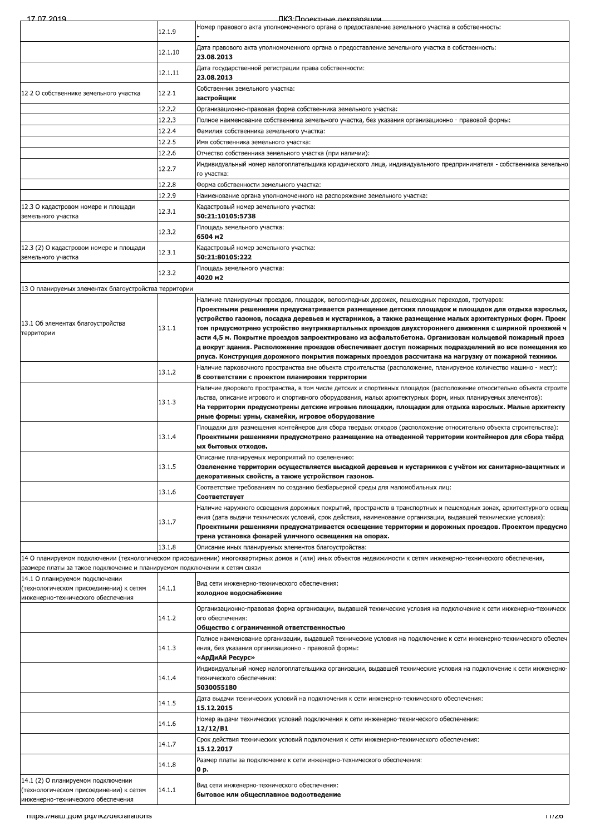ПКЗ<sup>-</sup>Проектные лекларации

| 12.1.9<br>Дата правового акта уполномоченного органа о предоставление земельного участка в собственность:<br>12.1.10<br>23.08.2013<br>Дата государственной регистрации права собственности:<br>12.1.11<br>23.08.2013<br>Собственник земельного участка:<br>12.2.1<br>12.2 О собственнике земельного участка<br>застройщик<br>12.2.2<br>Организационно-правовая форма собственника земельного участка:<br>12.2.3<br>Полное наименование собственника земельного участка, без указания организационно - правовой формы:<br>12.2.4<br>Фамилия собственника земельного участка:<br>12.2.5<br>Имя собственника земельного участка:<br>12.2.6<br>Отчество собственника земельного участка (при наличии):<br>Индивидуальный номер налогоплательщика юридического лица, индивидуального предпринимателя - собственника земельно<br>12.2.7<br>го участка:<br>12.2.8<br>Форма собственности земельного участка:<br>12.2.9<br>Наименование органа уполномоченного на распоряжение земельного участка:<br>Кадастровый номер земельного участка:<br>12.3.1<br>50:21:10105:5738<br>Площадь земельного участка:<br>12.3.2<br>6504 m2<br>Кадастровый номер земельного участка:<br>12.3.1<br>50:21:80105:222<br>Площадь земельного участка:<br>12.3.2<br>4020 M2<br>13 О планируемых элементах благоустройства территории<br>Наличие планируемых проездов, площадок, велосипедных дорожек, пешеходных переходов, тротуаров:<br>Проектными решениями предусматривается размещение детских площадок и площадок для отдыха взрослых,<br>устройство газонов, посадка деревьев и кустарников, а также размещение малых архитектурных форм. Проек<br>13.1.1<br>том предусмотрено устройство внутриквартальных проездов двухстороннего движения с шириной проезжей ч<br>асти 4,5 м. Покрытие проездов запроектировано из асфальтобетона. Организован кольцевой пожарный проез<br>д вокруг здания. Расположение проездов обеспечивает доступ пожарных подразделений во все помещения ко<br>рпуса. Конструкция дорожного покрытия пожарных проездов рассчитана на нагрузку от пожарной техники.<br>Наличие парковочного пространства вне объекта строительства (расположение, планируемое количество машино - мест):<br>13.1.2<br>В соответствии с проектом планировки территории<br>Наличие дворового пространства, в том числе детских и спортивных площадок (расположение относительно объекта строите<br>льства, описание игрового и спортивного оборудования, малых архитектурных форм, иных планируемых элементов):<br>13.1.3<br>На территории предусмотрены детские игровые площадки, площадки для отдыха взрослых. Малые архитекту<br>рные формы: урны, скамейки, игровое оборудование<br>Площадки для размещения контейнеров для сбора твердых отходов (расположение относительно объекта строительства):<br>13.1.4<br>Проектными решениями предусмотрено размещение на отведенной территории контейнеров для сбора твёрд<br>ых бытовых отходов.<br>Описание планируемых мероприятий по озеленению:<br>13.1.5<br>Озеленение территории осуществляется высадкой деревьев и кустарников с учётом их санитарно-защитных и<br>декоративных свойств, а также устройством газонов.<br>Соответствие требованиям по созданию безбарьерной среды для маломобильных лиц:<br>13.1.6<br>Соответствует<br>Наличие наружного освещения дорожных покрытий, пространств в транспортных и пешеходных зонах, архитектурного освещ<br>ения (дата выдачи технических условий, срок действия, наименование организации, выдавшей технические условия):<br>13.1.7<br>Проектными решениями предусматривается освещение территории и дорожных проездов. Проектом предусмо<br>трена установка фонарей уличного освещения на опорах.<br>13.1.8<br>Описание иных планируемых элементов благоустройства:<br>14 О планируемом подключении (технологическом присоединении) многоквартирных домов и (или) иных объектов недвижимости к сетям инженерно-технического обеспечения,<br>размере платы за такое подключение и планируемом подключении к сетям связи<br>14.1 О планируемом подключении<br>Вид сети инженерно-технического обеспечения:<br>14.1.1<br>(технологическом присоединении) к сетям<br>холодное водоснабжение<br>инженерно-технического обеспечения<br>Организационно-правовая форма организации, выдавшей технические условия на подключение к сети инженерно-техническ<br>14.1.2<br>ого обеспечения:<br>Общество с ограниченной ответственностью<br>Полное наименование организации, выдавшей технические условия на подключение к сети инженерно-технического обеспеч<br>14.1.3<br>ения, без указания организационно - правовой формы:<br>«АрДиАй Ресурс»<br>Индивидуальный номер налогоплательщика организации, выдавшей технические условия на подключение к сети инженерно-<br>14.1.4<br>технического обеспечения:<br>5030055180<br>Дата выдачи технических условий на подключения к сети инженерно-технического обеспечения:<br>14.1.5<br>15.12.2015<br>Номер выдачи технических условий подключения к сети инженерно-технического обеспечения:<br>14.1.6<br>12/12/B1<br>Срок действия технических условий подключения к сети инженерно-технического обеспечения:<br>14.1.7<br>15.12.2017<br>Размер платы за подключение к сети инженерно-технического обеспечения:<br>14.1.8<br>0 p.<br>Вид сети инженерно-технического обеспечения:<br>14.1.1<br>(технологическом присоединении) к сетям<br>бытовое или общесплавное водоотведение<br>mups.//наш.дом.pф/ikz/declarations<br>11/20 |                                                               | TIK 3'I INGGKTHLIG DAKUANAHIMA<br>Номер правового акта уполномоченного органа о предоставление земельного участка в собственность: |
|--------------------------------------------------------------------------------------------------------------------------------------------------------------------------------------------------------------------------------------------------------------------------------------------------------------------------------------------------------------------------------------------------------------------------------------------------------------------------------------------------------------------------------------------------------------------------------------------------------------------------------------------------------------------------------------------------------------------------------------------------------------------------------------------------------------------------------------------------------------------------------------------------------------------------------------------------------------------------------------------------------------------------------------------------------------------------------------------------------------------------------------------------------------------------------------------------------------------------------------------------------------------------------------------------------------------------------------------------------------------------------------------------------------------------------------------------------------------------------------------------------------------------------------------------------------------------------------------------------------------------------------------------------------------------------------------------------------------------------------------------------------------------------------------------------------------------------------------------------------------------------------------------------------------------------------------------------------------------------------------------------------------------------------------------------------------------------------------------------------------------------------------------------------------------------------------------------------------------------------------------------------------------------------------------------------------------------------------------------------------------------------------------------------------------------------------------------------------------------------------------------------------------------------------------------------------------------------------------------------------------------------------------------------------------------------------------------------------------------------------------------------------------------------------------------------------------------------------------------------------------------------------------------------------------------------------------------------------------------------------------------------------------------------------------------------------------------------------------------------------------------------------------------------------------------------------------------------------------------------------------------------------------------------------------------------------------------------------------------------------------------------------------------------------------------------------------------------------------------------------------------------------------------------------------------------------------------------------------------------------------------------------------------------------------------------------------------------------------------------------------------------------------------------------------------------------------------------------------------------------------------------------------------------------------------------------------------------------------------------------------------------------------------------------------------------------------------------------------------------------------------------------------------------------------------------------------------------------------------------------------------------------------------------------------------------------------------------------------------------------------------------------------------------------------------------------------------------------------------------------------------------------------------------------------------------------------------------------------------------------------------------------------------------------------------------------------------------------------------------------------------------------------------------------------------------------------------------------------------------------------------------------------------------------------------------------------------------------------------------------------------------------------------------------------------------------------------------------------------------------------------------------------------------------------------------------------------------------------------------------------------------------------------------------------------------------------------------------------------------------------------------------------------------------------------------------------------------|---------------------------------------------------------------|------------------------------------------------------------------------------------------------------------------------------------|
|                                                                                                                                                                                                                                                                                                                                                                                                                                                                                                                                                                                                                                                                                                                                                                                                                                                                                                                                                                                                                                                                                                                                                                                                                                                                                                                                                                                                                                                                                                                                                                                                                                                                                                                                                                                                                                                                                                                                                                                                                                                                                                                                                                                                                                                                                                                                                                                                                                                                                                                                                                                                                                                                                                                                                                                                                                                                                                                                                                                                                                                                                                                                                                                                                                                                                                                                                                                                                                                                                                                                                                                                                                                                                                                                                                                                                                                                                                                                                                                                                                                                                                                                                                                                                                                                                                                                                                                                                                                                                                                                                                                                                                                                                                                                                                                                                                                                                                                                                                                                                                                                                                                                                                                                                                                                                                                                                                                                                                                              |                                                               |                                                                                                                                    |
|                                                                                                                                                                                                                                                                                                                                                                                                                                                                                                                                                                                                                                                                                                                                                                                                                                                                                                                                                                                                                                                                                                                                                                                                                                                                                                                                                                                                                                                                                                                                                                                                                                                                                                                                                                                                                                                                                                                                                                                                                                                                                                                                                                                                                                                                                                                                                                                                                                                                                                                                                                                                                                                                                                                                                                                                                                                                                                                                                                                                                                                                                                                                                                                                                                                                                                                                                                                                                                                                                                                                                                                                                                                                                                                                                                                                                                                                                                                                                                                                                                                                                                                                                                                                                                                                                                                                                                                                                                                                                                                                                                                                                                                                                                                                                                                                                                                                                                                                                                                                                                                                                                                                                                                                                                                                                                                                                                                                                                                              |                                                               |                                                                                                                                    |
|                                                                                                                                                                                                                                                                                                                                                                                                                                                                                                                                                                                                                                                                                                                                                                                                                                                                                                                                                                                                                                                                                                                                                                                                                                                                                                                                                                                                                                                                                                                                                                                                                                                                                                                                                                                                                                                                                                                                                                                                                                                                                                                                                                                                                                                                                                                                                                                                                                                                                                                                                                                                                                                                                                                                                                                                                                                                                                                                                                                                                                                                                                                                                                                                                                                                                                                                                                                                                                                                                                                                                                                                                                                                                                                                                                                                                                                                                                                                                                                                                                                                                                                                                                                                                                                                                                                                                                                                                                                                                                                                                                                                                                                                                                                                                                                                                                                                                                                                                                                                                                                                                                                                                                                                                                                                                                                                                                                                                                                              |                                                               |                                                                                                                                    |
|                                                                                                                                                                                                                                                                                                                                                                                                                                                                                                                                                                                                                                                                                                                                                                                                                                                                                                                                                                                                                                                                                                                                                                                                                                                                                                                                                                                                                                                                                                                                                                                                                                                                                                                                                                                                                                                                                                                                                                                                                                                                                                                                                                                                                                                                                                                                                                                                                                                                                                                                                                                                                                                                                                                                                                                                                                                                                                                                                                                                                                                                                                                                                                                                                                                                                                                                                                                                                                                                                                                                                                                                                                                                                                                                                                                                                                                                                                                                                                                                                                                                                                                                                                                                                                                                                                                                                                                                                                                                                                                                                                                                                                                                                                                                                                                                                                                                                                                                                                                                                                                                                                                                                                                                                                                                                                                                                                                                                                                              |                                                               |                                                                                                                                    |
|                                                                                                                                                                                                                                                                                                                                                                                                                                                                                                                                                                                                                                                                                                                                                                                                                                                                                                                                                                                                                                                                                                                                                                                                                                                                                                                                                                                                                                                                                                                                                                                                                                                                                                                                                                                                                                                                                                                                                                                                                                                                                                                                                                                                                                                                                                                                                                                                                                                                                                                                                                                                                                                                                                                                                                                                                                                                                                                                                                                                                                                                                                                                                                                                                                                                                                                                                                                                                                                                                                                                                                                                                                                                                                                                                                                                                                                                                                                                                                                                                                                                                                                                                                                                                                                                                                                                                                                                                                                                                                                                                                                                                                                                                                                                                                                                                                                                                                                                                                                                                                                                                                                                                                                                                                                                                                                                                                                                                                                              |                                                               |                                                                                                                                    |
|                                                                                                                                                                                                                                                                                                                                                                                                                                                                                                                                                                                                                                                                                                                                                                                                                                                                                                                                                                                                                                                                                                                                                                                                                                                                                                                                                                                                                                                                                                                                                                                                                                                                                                                                                                                                                                                                                                                                                                                                                                                                                                                                                                                                                                                                                                                                                                                                                                                                                                                                                                                                                                                                                                                                                                                                                                                                                                                                                                                                                                                                                                                                                                                                                                                                                                                                                                                                                                                                                                                                                                                                                                                                                                                                                                                                                                                                                                                                                                                                                                                                                                                                                                                                                                                                                                                                                                                                                                                                                                                                                                                                                                                                                                                                                                                                                                                                                                                                                                                                                                                                                                                                                                                                                                                                                                                                                                                                                                                              |                                                               |                                                                                                                                    |
|                                                                                                                                                                                                                                                                                                                                                                                                                                                                                                                                                                                                                                                                                                                                                                                                                                                                                                                                                                                                                                                                                                                                                                                                                                                                                                                                                                                                                                                                                                                                                                                                                                                                                                                                                                                                                                                                                                                                                                                                                                                                                                                                                                                                                                                                                                                                                                                                                                                                                                                                                                                                                                                                                                                                                                                                                                                                                                                                                                                                                                                                                                                                                                                                                                                                                                                                                                                                                                                                                                                                                                                                                                                                                                                                                                                                                                                                                                                                                                                                                                                                                                                                                                                                                                                                                                                                                                                                                                                                                                                                                                                                                                                                                                                                                                                                                                                                                                                                                                                                                                                                                                                                                                                                                                                                                                                                                                                                                                                              |                                                               |                                                                                                                                    |
|                                                                                                                                                                                                                                                                                                                                                                                                                                                                                                                                                                                                                                                                                                                                                                                                                                                                                                                                                                                                                                                                                                                                                                                                                                                                                                                                                                                                                                                                                                                                                                                                                                                                                                                                                                                                                                                                                                                                                                                                                                                                                                                                                                                                                                                                                                                                                                                                                                                                                                                                                                                                                                                                                                                                                                                                                                                                                                                                                                                                                                                                                                                                                                                                                                                                                                                                                                                                                                                                                                                                                                                                                                                                                                                                                                                                                                                                                                                                                                                                                                                                                                                                                                                                                                                                                                                                                                                                                                                                                                                                                                                                                                                                                                                                                                                                                                                                                                                                                                                                                                                                                                                                                                                                                                                                                                                                                                                                                                                              |                                                               |                                                                                                                                    |
|                                                                                                                                                                                                                                                                                                                                                                                                                                                                                                                                                                                                                                                                                                                                                                                                                                                                                                                                                                                                                                                                                                                                                                                                                                                                                                                                                                                                                                                                                                                                                                                                                                                                                                                                                                                                                                                                                                                                                                                                                                                                                                                                                                                                                                                                                                                                                                                                                                                                                                                                                                                                                                                                                                                                                                                                                                                                                                                                                                                                                                                                                                                                                                                                                                                                                                                                                                                                                                                                                                                                                                                                                                                                                                                                                                                                                                                                                                                                                                                                                                                                                                                                                                                                                                                                                                                                                                                                                                                                                                                                                                                                                                                                                                                                                                                                                                                                                                                                                                                                                                                                                                                                                                                                                                                                                                                                                                                                                                                              |                                                               |                                                                                                                                    |
|                                                                                                                                                                                                                                                                                                                                                                                                                                                                                                                                                                                                                                                                                                                                                                                                                                                                                                                                                                                                                                                                                                                                                                                                                                                                                                                                                                                                                                                                                                                                                                                                                                                                                                                                                                                                                                                                                                                                                                                                                                                                                                                                                                                                                                                                                                                                                                                                                                                                                                                                                                                                                                                                                                                                                                                                                                                                                                                                                                                                                                                                                                                                                                                                                                                                                                                                                                                                                                                                                                                                                                                                                                                                                                                                                                                                                                                                                                                                                                                                                                                                                                                                                                                                                                                                                                                                                                                                                                                                                                                                                                                                                                                                                                                                                                                                                                                                                                                                                                                                                                                                                                                                                                                                                                                                                                                                                                                                                                                              |                                                               |                                                                                                                                    |
|                                                                                                                                                                                                                                                                                                                                                                                                                                                                                                                                                                                                                                                                                                                                                                                                                                                                                                                                                                                                                                                                                                                                                                                                                                                                                                                                                                                                                                                                                                                                                                                                                                                                                                                                                                                                                                                                                                                                                                                                                                                                                                                                                                                                                                                                                                                                                                                                                                                                                                                                                                                                                                                                                                                                                                                                                                                                                                                                                                                                                                                                                                                                                                                                                                                                                                                                                                                                                                                                                                                                                                                                                                                                                                                                                                                                                                                                                                                                                                                                                                                                                                                                                                                                                                                                                                                                                                                                                                                                                                                                                                                                                                                                                                                                                                                                                                                                                                                                                                                                                                                                                                                                                                                                                                                                                                                                                                                                                                                              |                                                               |                                                                                                                                    |
|                                                                                                                                                                                                                                                                                                                                                                                                                                                                                                                                                                                                                                                                                                                                                                                                                                                                                                                                                                                                                                                                                                                                                                                                                                                                                                                                                                                                                                                                                                                                                                                                                                                                                                                                                                                                                                                                                                                                                                                                                                                                                                                                                                                                                                                                                                                                                                                                                                                                                                                                                                                                                                                                                                                                                                                                                                                                                                                                                                                                                                                                                                                                                                                                                                                                                                                                                                                                                                                                                                                                                                                                                                                                                                                                                                                                                                                                                                                                                                                                                                                                                                                                                                                                                                                                                                                                                                                                                                                                                                                                                                                                                                                                                                                                                                                                                                                                                                                                                                                                                                                                                                                                                                                                                                                                                                                                                                                                                                                              |                                                               |                                                                                                                                    |
|                                                                                                                                                                                                                                                                                                                                                                                                                                                                                                                                                                                                                                                                                                                                                                                                                                                                                                                                                                                                                                                                                                                                                                                                                                                                                                                                                                                                                                                                                                                                                                                                                                                                                                                                                                                                                                                                                                                                                                                                                                                                                                                                                                                                                                                                                                                                                                                                                                                                                                                                                                                                                                                                                                                                                                                                                                                                                                                                                                                                                                                                                                                                                                                                                                                                                                                                                                                                                                                                                                                                                                                                                                                                                                                                                                                                                                                                                                                                                                                                                                                                                                                                                                                                                                                                                                                                                                                                                                                                                                                                                                                                                                                                                                                                                                                                                                                                                                                                                                                                                                                                                                                                                                                                                                                                                                                                                                                                                                                              | 12.3 О кадастровом номере и площади<br>земельного участка     |                                                                                                                                    |
|                                                                                                                                                                                                                                                                                                                                                                                                                                                                                                                                                                                                                                                                                                                                                                                                                                                                                                                                                                                                                                                                                                                                                                                                                                                                                                                                                                                                                                                                                                                                                                                                                                                                                                                                                                                                                                                                                                                                                                                                                                                                                                                                                                                                                                                                                                                                                                                                                                                                                                                                                                                                                                                                                                                                                                                                                                                                                                                                                                                                                                                                                                                                                                                                                                                                                                                                                                                                                                                                                                                                                                                                                                                                                                                                                                                                                                                                                                                                                                                                                                                                                                                                                                                                                                                                                                                                                                                                                                                                                                                                                                                                                                                                                                                                                                                                                                                                                                                                                                                                                                                                                                                                                                                                                                                                                                                                                                                                                                                              |                                                               |                                                                                                                                    |
|                                                                                                                                                                                                                                                                                                                                                                                                                                                                                                                                                                                                                                                                                                                                                                                                                                                                                                                                                                                                                                                                                                                                                                                                                                                                                                                                                                                                                                                                                                                                                                                                                                                                                                                                                                                                                                                                                                                                                                                                                                                                                                                                                                                                                                                                                                                                                                                                                                                                                                                                                                                                                                                                                                                                                                                                                                                                                                                                                                                                                                                                                                                                                                                                                                                                                                                                                                                                                                                                                                                                                                                                                                                                                                                                                                                                                                                                                                                                                                                                                                                                                                                                                                                                                                                                                                                                                                                                                                                                                                                                                                                                                                                                                                                                                                                                                                                                                                                                                                                                                                                                                                                                                                                                                                                                                                                                                                                                                                                              | 12.3 (2) О кадастровом номере и площади<br>земельного участка |                                                                                                                                    |
|                                                                                                                                                                                                                                                                                                                                                                                                                                                                                                                                                                                                                                                                                                                                                                                                                                                                                                                                                                                                                                                                                                                                                                                                                                                                                                                                                                                                                                                                                                                                                                                                                                                                                                                                                                                                                                                                                                                                                                                                                                                                                                                                                                                                                                                                                                                                                                                                                                                                                                                                                                                                                                                                                                                                                                                                                                                                                                                                                                                                                                                                                                                                                                                                                                                                                                                                                                                                                                                                                                                                                                                                                                                                                                                                                                                                                                                                                                                                                                                                                                                                                                                                                                                                                                                                                                                                                                                                                                                                                                                                                                                                                                                                                                                                                                                                                                                                                                                                                                                                                                                                                                                                                                                                                                                                                                                                                                                                                                                              |                                                               |                                                                                                                                    |
|                                                                                                                                                                                                                                                                                                                                                                                                                                                                                                                                                                                                                                                                                                                                                                                                                                                                                                                                                                                                                                                                                                                                                                                                                                                                                                                                                                                                                                                                                                                                                                                                                                                                                                                                                                                                                                                                                                                                                                                                                                                                                                                                                                                                                                                                                                                                                                                                                                                                                                                                                                                                                                                                                                                                                                                                                                                                                                                                                                                                                                                                                                                                                                                                                                                                                                                                                                                                                                                                                                                                                                                                                                                                                                                                                                                                                                                                                                                                                                                                                                                                                                                                                                                                                                                                                                                                                                                                                                                                                                                                                                                                                                                                                                                                                                                                                                                                                                                                                                                                                                                                                                                                                                                                                                                                                                                                                                                                                                                              |                                                               |                                                                                                                                    |
|                                                                                                                                                                                                                                                                                                                                                                                                                                                                                                                                                                                                                                                                                                                                                                                                                                                                                                                                                                                                                                                                                                                                                                                                                                                                                                                                                                                                                                                                                                                                                                                                                                                                                                                                                                                                                                                                                                                                                                                                                                                                                                                                                                                                                                                                                                                                                                                                                                                                                                                                                                                                                                                                                                                                                                                                                                                                                                                                                                                                                                                                                                                                                                                                                                                                                                                                                                                                                                                                                                                                                                                                                                                                                                                                                                                                                                                                                                                                                                                                                                                                                                                                                                                                                                                                                                                                                                                                                                                                                                                                                                                                                                                                                                                                                                                                                                                                                                                                                                                                                                                                                                                                                                                                                                                                                                                                                                                                                                                              |                                                               |                                                                                                                                    |
|                                                                                                                                                                                                                                                                                                                                                                                                                                                                                                                                                                                                                                                                                                                                                                                                                                                                                                                                                                                                                                                                                                                                                                                                                                                                                                                                                                                                                                                                                                                                                                                                                                                                                                                                                                                                                                                                                                                                                                                                                                                                                                                                                                                                                                                                                                                                                                                                                                                                                                                                                                                                                                                                                                                                                                                                                                                                                                                                                                                                                                                                                                                                                                                                                                                                                                                                                                                                                                                                                                                                                                                                                                                                                                                                                                                                                                                                                                                                                                                                                                                                                                                                                                                                                                                                                                                                                                                                                                                                                                                                                                                                                                                                                                                                                                                                                                                                                                                                                                                                                                                                                                                                                                                                                                                                                                                                                                                                                                                              |                                                               |                                                                                                                                    |
|                                                                                                                                                                                                                                                                                                                                                                                                                                                                                                                                                                                                                                                                                                                                                                                                                                                                                                                                                                                                                                                                                                                                                                                                                                                                                                                                                                                                                                                                                                                                                                                                                                                                                                                                                                                                                                                                                                                                                                                                                                                                                                                                                                                                                                                                                                                                                                                                                                                                                                                                                                                                                                                                                                                                                                                                                                                                                                                                                                                                                                                                                                                                                                                                                                                                                                                                                                                                                                                                                                                                                                                                                                                                                                                                                                                                                                                                                                                                                                                                                                                                                                                                                                                                                                                                                                                                                                                                                                                                                                                                                                                                                                                                                                                                                                                                                                                                                                                                                                                                                                                                                                                                                                                                                                                                                                                                                                                                                                                              | 13.1 Об элементах благоустройства                             |                                                                                                                                    |
|                                                                                                                                                                                                                                                                                                                                                                                                                                                                                                                                                                                                                                                                                                                                                                                                                                                                                                                                                                                                                                                                                                                                                                                                                                                                                                                                                                                                                                                                                                                                                                                                                                                                                                                                                                                                                                                                                                                                                                                                                                                                                                                                                                                                                                                                                                                                                                                                                                                                                                                                                                                                                                                                                                                                                                                                                                                                                                                                                                                                                                                                                                                                                                                                                                                                                                                                                                                                                                                                                                                                                                                                                                                                                                                                                                                                                                                                                                                                                                                                                                                                                                                                                                                                                                                                                                                                                                                                                                                                                                                                                                                                                                                                                                                                                                                                                                                                                                                                                                                                                                                                                                                                                                                                                                                                                                                                                                                                                                                              | территории                                                    |                                                                                                                                    |
|                                                                                                                                                                                                                                                                                                                                                                                                                                                                                                                                                                                                                                                                                                                                                                                                                                                                                                                                                                                                                                                                                                                                                                                                                                                                                                                                                                                                                                                                                                                                                                                                                                                                                                                                                                                                                                                                                                                                                                                                                                                                                                                                                                                                                                                                                                                                                                                                                                                                                                                                                                                                                                                                                                                                                                                                                                                                                                                                                                                                                                                                                                                                                                                                                                                                                                                                                                                                                                                                                                                                                                                                                                                                                                                                                                                                                                                                                                                                                                                                                                                                                                                                                                                                                                                                                                                                                                                                                                                                                                                                                                                                                                                                                                                                                                                                                                                                                                                                                                                                                                                                                                                                                                                                                                                                                                                                                                                                                                                              |                                                               |                                                                                                                                    |
|                                                                                                                                                                                                                                                                                                                                                                                                                                                                                                                                                                                                                                                                                                                                                                                                                                                                                                                                                                                                                                                                                                                                                                                                                                                                                                                                                                                                                                                                                                                                                                                                                                                                                                                                                                                                                                                                                                                                                                                                                                                                                                                                                                                                                                                                                                                                                                                                                                                                                                                                                                                                                                                                                                                                                                                                                                                                                                                                                                                                                                                                                                                                                                                                                                                                                                                                                                                                                                                                                                                                                                                                                                                                                                                                                                                                                                                                                                                                                                                                                                                                                                                                                                                                                                                                                                                                                                                                                                                                                                                                                                                                                                                                                                                                                                                                                                                                                                                                                                                                                                                                                                                                                                                                                                                                                                                                                                                                                                                              |                                                               |                                                                                                                                    |
|                                                                                                                                                                                                                                                                                                                                                                                                                                                                                                                                                                                                                                                                                                                                                                                                                                                                                                                                                                                                                                                                                                                                                                                                                                                                                                                                                                                                                                                                                                                                                                                                                                                                                                                                                                                                                                                                                                                                                                                                                                                                                                                                                                                                                                                                                                                                                                                                                                                                                                                                                                                                                                                                                                                                                                                                                                                                                                                                                                                                                                                                                                                                                                                                                                                                                                                                                                                                                                                                                                                                                                                                                                                                                                                                                                                                                                                                                                                                                                                                                                                                                                                                                                                                                                                                                                                                                                                                                                                                                                                                                                                                                                                                                                                                                                                                                                                                                                                                                                                                                                                                                                                                                                                                                                                                                                                                                                                                                                                              |                                                               |                                                                                                                                    |
|                                                                                                                                                                                                                                                                                                                                                                                                                                                                                                                                                                                                                                                                                                                                                                                                                                                                                                                                                                                                                                                                                                                                                                                                                                                                                                                                                                                                                                                                                                                                                                                                                                                                                                                                                                                                                                                                                                                                                                                                                                                                                                                                                                                                                                                                                                                                                                                                                                                                                                                                                                                                                                                                                                                                                                                                                                                                                                                                                                                                                                                                                                                                                                                                                                                                                                                                                                                                                                                                                                                                                                                                                                                                                                                                                                                                                                                                                                                                                                                                                                                                                                                                                                                                                                                                                                                                                                                                                                                                                                                                                                                                                                                                                                                                                                                                                                                                                                                                                                                                                                                                                                                                                                                                                                                                                                                                                                                                                                                              |                                                               |                                                                                                                                    |
|                                                                                                                                                                                                                                                                                                                                                                                                                                                                                                                                                                                                                                                                                                                                                                                                                                                                                                                                                                                                                                                                                                                                                                                                                                                                                                                                                                                                                                                                                                                                                                                                                                                                                                                                                                                                                                                                                                                                                                                                                                                                                                                                                                                                                                                                                                                                                                                                                                                                                                                                                                                                                                                                                                                                                                                                                                                                                                                                                                                                                                                                                                                                                                                                                                                                                                                                                                                                                                                                                                                                                                                                                                                                                                                                                                                                                                                                                                                                                                                                                                                                                                                                                                                                                                                                                                                                                                                                                                                                                                                                                                                                                                                                                                                                                                                                                                                                                                                                                                                                                                                                                                                                                                                                                                                                                                                                                                                                                                                              |                                                               |                                                                                                                                    |
|                                                                                                                                                                                                                                                                                                                                                                                                                                                                                                                                                                                                                                                                                                                                                                                                                                                                                                                                                                                                                                                                                                                                                                                                                                                                                                                                                                                                                                                                                                                                                                                                                                                                                                                                                                                                                                                                                                                                                                                                                                                                                                                                                                                                                                                                                                                                                                                                                                                                                                                                                                                                                                                                                                                                                                                                                                                                                                                                                                                                                                                                                                                                                                                                                                                                                                                                                                                                                                                                                                                                                                                                                                                                                                                                                                                                                                                                                                                                                                                                                                                                                                                                                                                                                                                                                                                                                                                                                                                                                                                                                                                                                                                                                                                                                                                                                                                                                                                                                                                                                                                                                                                                                                                                                                                                                                                                                                                                                                                              |                                                               |                                                                                                                                    |
|                                                                                                                                                                                                                                                                                                                                                                                                                                                                                                                                                                                                                                                                                                                                                                                                                                                                                                                                                                                                                                                                                                                                                                                                                                                                                                                                                                                                                                                                                                                                                                                                                                                                                                                                                                                                                                                                                                                                                                                                                                                                                                                                                                                                                                                                                                                                                                                                                                                                                                                                                                                                                                                                                                                                                                                                                                                                                                                                                                                                                                                                                                                                                                                                                                                                                                                                                                                                                                                                                                                                                                                                                                                                                                                                                                                                                                                                                                                                                                                                                                                                                                                                                                                                                                                                                                                                                                                                                                                                                                                                                                                                                                                                                                                                                                                                                                                                                                                                                                                                                                                                                                                                                                                                                                                                                                                                                                                                                                                              |                                                               |                                                                                                                                    |
|                                                                                                                                                                                                                                                                                                                                                                                                                                                                                                                                                                                                                                                                                                                                                                                                                                                                                                                                                                                                                                                                                                                                                                                                                                                                                                                                                                                                                                                                                                                                                                                                                                                                                                                                                                                                                                                                                                                                                                                                                                                                                                                                                                                                                                                                                                                                                                                                                                                                                                                                                                                                                                                                                                                                                                                                                                                                                                                                                                                                                                                                                                                                                                                                                                                                                                                                                                                                                                                                                                                                                                                                                                                                                                                                                                                                                                                                                                                                                                                                                                                                                                                                                                                                                                                                                                                                                                                                                                                                                                                                                                                                                                                                                                                                                                                                                                                                                                                                                                                                                                                                                                                                                                                                                                                                                                                                                                                                                                                              |                                                               |                                                                                                                                    |
|                                                                                                                                                                                                                                                                                                                                                                                                                                                                                                                                                                                                                                                                                                                                                                                                                                                                                                                                                                                                                                                                                                                                                                                                                                                                                                                                                                                                                                                                                                                                                                                                                                                                                                                                                                                                                                                                                                                                                                                                                                                                                                                                                                                                                                                                                                                                                                                                                                                                                                                                                                                                                                                                                                                                                                                                                                                                                                                                                                                                                                                                                                                                                                                                                                                                                                                                                                                                                                                                                                                                                                                                                                                                                                                                                                                                                                                                                                                                                                                                                                                                                                                                                                                                                                                                                                                                                                                                                                                                                                                                                                                                                                                                                                                                                                                                                                                                                                                                                                                                                                                                                                                                                                                                                                                                                                                                                                                                                                                              |                                                               |                                                                                                                                    |
|                                                                                                                                                                                                                                                                                                                                                                                                                                                                                                                                                                                                                                                                                                                                                                                                                                                                                                                                                                                                                                                                                                                                                                                                                                                                                                                                                                                                                                                                                                                                                                                                                                                                                                                                                                                                                                                                                                                                                                                                                                                                                                                                                                                                                                                                                                                                                                                                                                                                                                                                                                                                                                                                                                                                                                                                                                                                                                                                                                                                                                                                                                                                                                                                                                                                                                                                                                                                                                                                                                                                                                                                                                                                                                                                                                                                                                                                                                                                                                                                                                                                                                                                                                                                                                                                                                                                                                                                                                                                                                                                                                                                                                                                                                                                                                                                                                                                                                                                                                                                                                                                                                                                                                                                                                                                                                                                                                                                                                                              |                                                               |                                                                                                                                    |
|                                                                                                                                                                                                                                                                                                                                                                                                                                                                                                                                                                                                                                                                                                                                                                                                                                                                                                                                                                                                                                                                                                                                                                                                                                                                                                                                                                                                                                                                                                                                                                                                                                                                                                                                                                                                                                                                                                                                                                                                                                                                                                                                                                                                                                                                                                                                                                                                                                                                                                                                                                                                                                                                                                                                                                                                                                                                                                                                                                                                                                                                                                                                                                                                                                                                                                                                                                                                                                                                                                                                                                                                                                                                                                                                                                                                                                                                                                                                                                                                                                                                                                                                                                                                                                                                                                                                                                                                                                                                                                                                                                                                                                                                                                                                                                                                                                                                                                                                                                                                                                                                                                                                                                                                                                                                                                                                                                                                                                                              |                                                               |                                                                                                                                    |
|                                                                                                                                                                                                                                                                                                                                                                                                                                                                                                                                                                                                                                                                                                                                                                                                                                                                                                                                                                                                                                                                                                                                                                                                                                                                                                                                                                                                                                                                                                                                                                                                                                                                                                                                                                                                                                                                                                                                                                                                                                                                                                                                                                                                                                                                                                                                                                                                                                                                                                                                                                                                                                                                                                                                                                                                                                                                                                                                                                                                                                                                                                                                                                                                                                                                                                                                                                                                                                                                                                                                                                                                                                                                                                                                                                                                                                                                                                                                                                                                                                                                                                                                                                                                                                                                                                                                                                                                                                                                                                                                                                                                                                                                                                                                                                                                                                                                                                                                                                                                                                                                                                                                                                                                                                                                                                                                                                                                                                                              |                                                               |                                                                                                                                    |
|                                                                                                                                                                                                                                                                                                                                                                                                                                                                                                                                                                                                                                                                                                                                                                                                                                                                                                                                                                                                                                                                                                                                                                                                                                                                                                                                                                                                                                                                                                                                                                                                                                                                                                                                                                                                                                                                                                                                                                                                                                                                                                                                                                                                                                                                                                                                                                                                                                                                                                                                                                                                                                                                                                                                                                                                                                                                                                                                                                                                                                                                                                                                                                                                                                                                                                                                                                                                                                                                                                                                                                                                                                                                                                                                                                                                                                                                                                                                                                                                                                                                                                                                                                                                                                                                                                                                                                                                                                                                                                                                                                                                                                                                                                                                                                                                                                                                                                                                                                                                                                                                                                                                                                                                                                                                                                                                                                                                                                                              |                                                               |                                                                                                                                    |
|                                                                                                                                                                                                                                                                                                                                                                                                                                                                                                                                                                                                                                                                                                                                                                                                                                                                                                                                                                                                                                                                                                                                                                                                                                                                                                                                                                                                                                                                                                                                                                                                                                                                                                                                                                                                                                                                                                                                                                                                                                                                                                                                                                                                                                                                                                                                                                                                                                                                                                                                                                                                                                                                                                                                                                                                                                                                                                                                                                                                                                                                                                                                                                                                                                                                                                                                                                                                                                                                                                                                                                                                                                                                                                                                                                                                                                                                                                                                                                                                                                                                                                                                                                                                                                                                                                                                                                                                                                                                                                                                                                                                                                                                                                                                                                                                                                                                                                                                                                                                                                                                                                                                                                                                                                                                                                                                                                                                                                                              |                                                               |                                                                                                                                    |
|                                                                                                                                                                                                                                                                                                                                                                                                                                                                                                                                                                                                                                                                                                                                                                                                                                                                                                                                                                                                                                                                                                                                                                                                                                                                                                                                                                                                                                                                                                                                                                                                                                                                                                                                                                                                                                                                                                                                                                                                                                                                                                                                                                                                                                                                                                                                                                                                                                                                                                                                                                                                                                                                                                                                                                                                                                                                                                                                                                                                                                                                                                                                                                                                                                                                                                                                                                                                                                                                                                                                                                                                                                                                                                                                                                                                                                                                                                                                                                                                                                                                                                                                                                                                                                                                                                                                                                                                                                                                                                                                                                                                                                                                                                                                                                                                                                                                                                                                                                                                                                                                                                                                                                                                                                                                                                                                                                                                                                                              |                                                               |                                                                                                                                    |
|                                                                                                                                                                                                                                                                                                                                                                                                                                                                                                                                                                                                                                                                                                                                                                                                                                                                                                                                                                                                                                                                                                                                                                                                                                                                                                                                                                                                                                                                                                                                                                                                                                                                                                                                                                                                                                                                                                                                                                                                                                                                                                                                                                                                                                                                                                                                                                                                                                                                                                                                                                                                                                                                                                                                                                                                                                                                                                                                                                                                                                                                                                                                                                                                                                                                                                                                                                                                                                                                                                                                                                                                                                                                                                                                                                                                                                                                                                                                                                                                                                                                                                                                                                                                                                                                                                                                                                                                                                                                                                                                                                                                                                                                                                                                                                                                                                                                                                                                                                                                                                                                                                                                                                                                                                                                                                                                                                                                                                                              |                                                               |                                                                                                                                    |
|                                                                                                                                                                                                                                                                                                                                                                                                                                                                                                                                                                                                                                                                                                                                                                                                                                                                                                                                                                                                                                                                                                                                                                                                                                                                                                                                                                                                                                                                                                                                                                                                                                                                                                                                                                                                                                                                                                                                                                                                                                                                                                                                                                                                                                                                                                                                                                                                                                                                                                                                                                                                                                                                                                                                                                                                                                                                                                                                                                                                                                                                                                                                                                                                                                                                                                                                                                                                                                                                                                                                                                                                                                                                                                                                                                                                                                                                                                                                                                                                                                                                                                                                                                                                                                                                                                                                                                                                                                                                                                                                                                                                                                                                                                                                                                                                                                                                                                                                                                                                                                                                                                                                                                                                                                                                                                                                                                                                                                                              |                                                               |                                                                                                                                    |
|                                                                                                                                                                                                                                                                                                                                                                                                                                                                                                                                                                                                                                                                                                                                                                                                                                                                                                                                                                                                                                                                                                                                                                                                                                                                                                                                                                                                                                                                                                                                                                                                                                                                                                                                                                                                                                                                                                                                                                                                                                                                                                                                                                                                                                                                                                                                                                                                                                                                                                                                                                                                                                                                                                                                                                                                                                                                                                                                                                                                                                                                                                                                                                                                                                                                                                                                                                                                                                                                                                                                                                                                                                                                                                                                                                                                                                                                                                                                                                                                                                                                                                                                                                                                                                                                                                                                                                                                                                                                                                                                                                                                                                                                                                                                                                                                                                                                                                                                                                                                                                                                                                                                                                                                                                                                                                                                                                                                                                                              |                                                               |                                                                                                                                    |
|                                                                                                                                                                                                                                                                                                                                                                                                                                                                                                                                                                                                                                                                                                                                                                                                                                                                                                                                                                                                                                                                                                                                                                                                                                                                                                                                                                                                                                                                                                                                                                                                                                                                                                                                                                                                                                                                                                                                                                                                                                                                                                                                                                                                                                                                                                                                                                                                                                                                                                                                                                                                                                                                                                                                                                                                                                                                                                                                                                                                                                                                                                                                                                                                                                                                                                                                                                                                                                                                                                                                                                                                                                                                                                                                                                                                                                                                                                                                                                                                                                                                                                                                                                                                                                                                                                                                                                                                                                                                                                                                                                                                                                                                                                                                                                                                                                                                                                                                                                                                                                                                                                                                                                                                                                                                                                                                                                                                                                                              |                                                               |                                                                                                                                    |
|                                                                                                                                                                                                                                                                                                                                                                                                                                                                                                                                                                                                                                                                                                                                                                                                                                                                                                                                                                                                                                                                                                                                                                                                                                                                                                                                                                                                                                                                                                                                                                                                                                                                                                                                                                                                                                                                                                                                                                                                                                                                                                                                                                                                                                                                                                                                                                                                                                                                                                                                                                                                                                                                                                                                                                                                                                                                                                                                                                                                                                                                                                                                                                                                                                                                                                                                                                                                                                                                                                                                                                                                                                                                                                                                                                                                                                                                                                                                                                                                                                                                                                                                                                                                                                                                                                                                                                                                                                                                                                                                                                                                                                                                                                                                                                                                                                                                                                                                                                                                                                                                                                                                                                                                                                                                                                                                                                                                                                                              |                                                               |                                                                                                                                    |
|                                                                                                                                                                                                                                                                                                                                                                                                                                                                                                                                                                                                                                                                                                                                                                                                                                                                                                                                                                                                                                                                                                                                                                                                                                                                                                                                                                                                                                                                                                                                                                                                                                                                                                                                                                                                                                                                                                                                                                                                                                                                                                                                                                                                                                                                                                                                                                                                                                                                                                                                                                                                                                                                                                                                                                                                                                                                                                                                                                                                                                                                                                                                                                                                                                                                                                                                                                                                                                                                                                                                                                                                                                                                                                                                                                                                                                                                                                                                                                                                                                                                                                                                                                                                                                                                                                                                                                                                                                                                                                                                                                                                                                                                                                                                                                                                                                                                                                                                                                                                                                                                                                                                                                                                                                                                                                                                                                                                                                                              |                                                               |                                                                                                                                    |
|                                                                                                                                                                                                                                                                                                                                                                                                                                                                                                                                                                                                                                                                                                                                                                                                                                                                                                                                                                                                                                                                                                                                                                                                                                                                                                                                                                                                                                                                                                                                                                                                                                                                                                                                                                                                                                                                                                                                                                                                                                                                                                                                                                                                                                                                                                                                                                                                                                                                                                                                                                                                                                                                                                                                                                                                                                                                                                                                                                                                                                                                                                                                                                                                                                                                                                                                                                                                                                                                                                                                                                                                                                                                                                                                                                                                                                                                                                                                                                                                                                                                                                                                                                                                                                                                                                                                                                                                                                                                                                                                                                                                                                                                                                                                                                                                                                                                                                                                                                                                                                                                                                                                                                                                                                                                                                                                                                                                                                                              |                                                               |                                                                                                                                    |
|                                                                                                                                                                                                                                                                                                                                                                                                                                                                                                                                                                                                                                                                                                                                                                                                                                                                                                                                                                                                                                                                                                                                                                                                                                                                                                                                                                                                                                                                                                                                                                                                                                                                                                                                                                                                                                                                                                                                                                                                                                                                                                                                                                                                                                                                                                                                                                                                                                                                                                                                                                                                                                                                                                                                                                                                                                                                                                                                                                                                                                                                                                                                                                                                                                                                                                                                                                                                                                                                                                                                                                                                                                                                                                                                                                                                                                                                                                                                                                                                                                                                                                                                                                                                                                                                                                                                                                                                                                                                                                                                                                                                                                                                                                                                                                                                                                                                                                                                                                                                                                                                                                                                                                                                                                                                                                                                                                                                                                                              |                                                               |                                                                                                                                    |
|                                                                                                                                                                                                                                                                                                                                                                                                                                                                                                                                                                                                                                                                                                                                                                                                                                                                                                                                                                                                                                                                                                                                                                                                                                                                                                                                                                                                                                                                                                                                                                                                                                                                                                                                                                                                                                                                                                                                                                                                                                                                                                                                                                                                                                                                                                                                                                                                                                                                                                                                                                                                                                                                                                                                                                                                                                                                                                                                                                                                                                                                                                                                                                                                                                                                                                                                                                                                                                                                                                                                                                                                                                                                                                                                                                                                                                                                                                                                                                                                                                                                                                                                                                                                                                                                                                                                                                                                                                                                                                                                                                                                                                                                                                                                                                                                                                                                                                                                                                                                                                                                                                                                                                                                                                                                                                                                                                                                                                                              |                                                               |                                                                                                                                    |
|                                                                                                                                                                                                                                                                                                                                                                                                                                                                                                                                                                                                                                                                                                                                                                                                                                                                                                                                                                                                                                                                                                                                                                                                                                                                                                                                                                                                                                                                                                                                                                                                                                                                                                                                                                                                                                                                                                                                                                                                                                                                                                                                                                                                                                                                                                                                                                                                                                                                                                                                                                                                                                                                                                                                                                                                                                                                                                                                                                                                                                                                                                                                                                                                                                                                                                                                                                                                                                                                                                                                                                                                                                                                                                                                                                                                                                                                                                                                                                                                                                                                                                                                                                                                                                                                                                                                                                                                                                                                                                                                                                                                                                                                                                                                                                                                                                                                                                                                                                                                                                                                                                                                                                                                                                                                                                                                                                                                                                                              |                                                               |                                                                                                                                    |
|                                                                                                                                                                                                                                                                                                                                                                                                                                                                                                                                                                                                                                                                                                                                                                                                                                                                                                                                                                                                                                                                                                                                                                                                                                                                                                                                                                                                                                                                                                                                                                                                                                                                                                                                                                                                                                                                                                                                                                                                                                                                                                                                                                                                                                                                                                                                                                                                                                                                                                                                                                                                                                                                                                                                                                                                                                                                                                                                                                                                                                                                                                                                                                                                                                                                                                                                                                                                                                                                                                                                                                                                                                                                                                                                                                                                                                                                                                                                                                                                                                                                                                                                                                                                                                                                                                                                                                                                                                                                                                                                                                                                                                                                                                                                                                                                                                                                                                                                                                                                                                                                                                                                                                                                                                                                                                                                                                                                                                                              |                                                               |                                                                                                                                    |
|                                                                                                                                                                                                                                                                                                                                                                                                                                                                                                                                                                                                                                                                                                                                                                                                                                                                                                                                                                                                                                                                                                                                                                                                                                                                                                                                                                                                                                                                                                                                                                                                                                                                                                                                                                                                                                                                                                                                                                                                                                                                                                                                                                                                                                                                                                                                                                                                                                                                                                                                                                                                                                                                                                                                                                                                                                                                                                                                                                                                                                                                                                                                                                                                                                                                                                                                                                                                                                                                                                                                                                                                                                                                                                                                                                                                                                                                                                                                                                                                                                                                                                                                                                                                                                                                                                                                                                                                                                                                                                                                                                                                                                                                                                                                                                                                                                                                                                                                                                                                                                                                                                                                                                                                                                                                                                                                                                                                                                                              |                                                               |                                                                                                                                    |
|                                                                                                                                                                                                                                                                                                                                                                                                                                                                                                                                                                                                                                                                                                                                                                                                                                                                                                                                                                                                                                                                                                                                                                                                                                                                                                                                                                                                                                                                                                                                                                                                                                                                                                                                                                                                                                                                                                                                                                                                                                                                                                                                                                                                                                                                                                                                                                                                                                                                                                                                                                                                                                                                                                                                                                                                                                                                                                                                                                                                                                                                                                                                                                                                                                                                                                                                                                                                                                                                                                                                                                                                                                                                                                                                                                                                                                                                                                                                                                                                                                                                                                                                                                                                                                                                                                                                                                                                                                                                                                                                                                                                                                                                                                                                                                                                                                                                                                                                                                                                                                                                                                                                                                                                                                                                                                                                                                                                                                                              |                                                               |                                                                                                                                    |
|                                                                                                                                                                                                                                                                                                                                                                                                                                                                                                                                                                                                                                                                                                                                                                                                                                                                                                                                                                                                                                                                                                                                                                                                                                                                                                                                                                                                                                                                                                                                                                                                                                                                                                                                                                                                                                                                                                                                                                                                                                                                                                                                                                                                                                                                                                                                                                                                                                                                                                                                                                                                                                                                                                                                                                                                                                                                                                                                                                                                                                                                                                                                                                                                                                                                                                                                                                                                                                                                                                                                                                                                                                                                                                                                                                                                                                                                                                                                                                                                                                                                                                                                                                                                                                                                                                                                                                                                                                                                                                                                                                                                                                                                                                                                                                                                                                                                                                                                                                                                                                                                                                                                                                                                                                                                                                                                                                                                                                                              |                                                               |                                                                                                                                    |
|                                                                                                                                                                                                                                                                                                                                                                                                                                                                                                                                                                                                                                                                                                                                                                                                                                                                                                                                                                                                                                                                                                                                                                                                                                                                                                                                                                                                                                                                                                                                                                                                                                                                                                                                                                                                                                                                                                                                                                                                                                                                                                                                                                                                                                                                                                                                                                                                                                                                                                                                                                                                                                                                                                                                                                                                                                                                                                                                                                                                                                                                                                                                                                                                                                                                                                                                                                                                                                                                                                                                                                                                                                                                                                                                                                                                                                                                                                                                                                                                                                                                                                                                                                                                                                                                                                                                                                                                                                                                                                                                                                                                                                                                                                                                                                                                                                                                                                                                                                                                                                                                                                                                                                                                                                                                                                                                                                                                                                                              |                                                               |                                                                                                                                    |
|                                                                                                                                                                                                                                                                                                                                                                                                                                                                                                                                                                                                                                                                                                                                                                                                                                                                                                                                                                                                                                                                                                                                                                                                                                                                                                                                                                                                                                                                                                                                                                                                                                                                                                                                                                                                                                                                                                                                                                                                                                                                                                                                                                                                                                                                                                                                                                                                                                                                                                                                                                                                                                                                                                                                                                                                                                                                                                                                                                                                                                                                                                                                                                                                                                                                                                                                                                                                                                                                                                                                                                                                                                                                                                                                                                                                                                                                                                                                                                                                                                                                                                                                                                                                                                                                                                                                                                                                                                                                                                                                                                                                                                                                                                                                                                                                                                                                                                                                                                                                                                                                                                                                                                                                                                                                                                                                                                                                                                                              |                                                               |                                                                                                                                    |
|                                                                                                                                                                                                                                                                                                                                                                                                                                                                                                                                                                                                                                                                                                                                                                                                                                                                                                                                                                                                                                                                                                                                                                                                                                                                                                                                                                                                                                                                                                                                                                                                                                                                                                                                                                                                                                                                                                                                                                                                                                                                                                                                                                                                                                                                                                                                                                                                                                                                                                                                                                                                                                                                                                                                                                                                                                                                                                                                                                                                                                                                                                                                                                                                                                                                                                                                                                                                                                                                                                                                                                                                                                                                                                                                                                                                                                                                                                                                                                                                                                                                                                                                                                                                                                                                                                                                                                                                                                                                                                                                                                                                                                                                                                                                                                                                                                                                                                                                                                                                                                                                                                                                                                                                                                                                                                                                                                                                                                                              | 14.1 (2) О планируемом подключении                            |                                                                                                                                    |
|                                                                                                                                                                                                                                                                                                                                                                                                                                                                                                                                                                                                                                                                                                                                                                                                                                                                                                                                                                                                                                                                                                                                                                                                                                                                                                                                                                                                                                                                                                                                                                                                                                                                                                                                                                                                                                                                                                                                                                                                                                                                                                                                                                                                                                                                                                                                                                                                                                                                                                                                                                                                                                                                                                                                                                                                                                                                                                                                                                                                                                                                                                                                                                                                                                                                                                                                                                                                                                                                                                                                                                                                                                                                                                                                                                                                                                                                                                                                                                                                                                                                                                                                                                                                                                                                                                                                                                                                                                                                                                                                                                                                                                                                                                                                                                                                                                                                                                                                                                                                                                                                                                                                                                                                                                                                                                                                                                                                                                                              | инженерно-технического обеспечения                            |                                                                                                                                    |
|                                                                                                                                                                                                                                                                                                                                                                                                                                                                                                                                                                                                                                                                                                                                                                                                                                                                                                                                                                                                                                                                                                                                                                                                                                                                                                                                                                                                                                                                                                                                                                                                                                                                                                                                                                                                                                                                                                                                                                                                                                                                                                                                                                                                                                                                                                                                                                                                                                                                                                                                                                                                                                                                                                                                                                                                                                                                                                                                                                                                                                                                                                                                                                                                                                                                                                                                                                                                                                                                                                                                                                                                                                                                                                                                                                                                                                                                                                                                                                                                                                                                                                                                                                                                                                                                                                                                                                                                                                                                                                                                                                                                                                                                                                                                                                                                                                                                                                                                                                                                                                                                                                                                                                                                                                                                                                                                                                                                                                                              |                                                               |                                                                                                                                    |
|                                                                                                                                                                                                                                                                                                                                                                                                                                                                                                                                                                                                                                                                                                                                                                                                                                                                                                                                                                                                                                                                                                                                                                                                                                                                                                                                                                                                                                                                                                                                                                                                                                                                                                                                                                                                                                                                                                                                                                                                                                                                                                                                                                                                                                                                                                                                                                                                                                                                                                                                                                                                                                                                                                                                                                                                                                                                                                                                                                                                                                                                                                                                                                                                                                                                                                                                                                                                                                                                                                                                                                                                                                                                                                                                                                                                                                                                                                                                                                                                                                                                                                                                                                                                                                                                                                                                                                                                                                                                                                                                                                                                                                                                                                                                                                                                                                                                                                                                                                                                                                                                                                                                                                                                                                                                                                                                                                                                                                                              |                                                               |                                                                                                                                    |
|                                                                                                                                                                                                                                                                                                                                                                                                                                                                                                                                                                                                                                                                                                                                                                                                                                                                                                                                                                                                                                                                                                                                                                                                                                                                                                                                                                                                                                                                                                                                                                                                                                                                                                                                                                                                                                                                                                                                                                                                                                                                                                                                                                                                                                                                                                                                                                                                                                                                                                                                                                                                                                                                                                                                                                                                                                                                                                                                                                                                                                                                                                                                                                                                                                                                                                                                                                                                                                                                                                                                                                                                                                                                                                                                                                                                                                                                                                                                                                                                                                                                                                                                                                                                                                                                                                                                                                                                                                                                                                                                                                                                                                                                                                                                                                                                                                                                                                                                                                                                                                                                                                                                                                                                                                                                                                                                                                                                                                                              |                                                               |                                                                                                                                    |
|                                                                                                                                                                                                                                                                                                                                                                                                                                                                                                                                                                                                                                                                                                                                                                                                                                                                                                                                                                                                                                                                                                                                                                                                                                                                                                                                                                                                                                                                                                                                                                                                                                                                                                                                                                                                                                                                                                                                                                                                                                                                                                                                                                                                                                                                                                                                                                                                                                                                                                                                                                                                                                                                                                                                                                                                                                                                                                                                                                                                                                                                                                                                                                                                                                                                                                                                                                                                                                                                                                                                                                                                                                                                                                                                                                                                                                                                                                                                                                                                                                                                                                                                                                                                                                                                                                                                                                                                                                                                                                                                                                                                                                                                                                                                                                                                                                                                                                                                                                                                                                                                                                                                                                                                                                                                                                                                                                                                                                                              |                                                               |                                                                                                                                    |
|                                                                                                                                                                                                                                                                                                                                                                                                                                                                                                                                                                                                                                                                                                                                                                                                                                                                                                                                                                                                                                                                                                                                                                                                                                                                                                                                                                                                                                                                                                                                                                                                                                                                                                                                                                                                                                                                                                                                                                                                                                                                                                                                                                                                                                                                                                                                                                                                                                                                                                                                                                                                                                                                                                                                                                                                                                                                                                                                                                                                                                                                                                                                                                                                                                                                                                                                                                                                                                                                                                                                                                                                                                                                                                                                                                                                                                                                                                                                                                                                                                                                                                                                                                                                                                                                                                                                                                                                                                                                                                                                                                                                                                                                                                                                                                                                                                                                                                                                                                                                                                                                                                                                                                                                                                                                                                                                                                                                                                                              |                                                               |                                                                                                                                    |
|                                                                                                                                                                                                                                                                                                                                                                                                                                                                                                                                                                                                                                                                                                                                                                                                                                                                                                                                                                                                                                                                                                                                                                                                                                                                                                                                                                                                                                                                                                                                                                                                                                                                                                                                                                                                                                                                                                                                                                                                                                                                                                                                                                                                                                                                                                                                                                                                                                                                                                                                                                                                                                                                                                                                                                                                                                                                                                                                                                                                                                                                                                                                                                                                                                                                                                                                                                                                                                                                                                                                                                                                                                                                                                                                                                                                                                                                                                                                                                                                                                                                                                                                                                                                                                                                                                                                                                                                                                                                                                                                                                                                                                                                                                                                                                                                                                                                                                                                                                                                                                                                                                                                                                                                                                                                                                                                                                                                                                                              |                                                               |                                                                                                                                    |
|                                                                                                                                                                                                                                                                                                                                                                                                                                                                                                                                                                                                                                                                                                                                                                                                                                                                                                                                                                                                                                                                                                                                                                                                                                                                                                                                                                                                                                                                                                                                                                                                                                                                                                                                                                                                                                                                                                                                                                                                                                                                                                                                                                                                                                                                                                                                                                                                                                                                                                                                                                                                                                                                                                                                                                                                                                                                                                                                                                                                                                                                                                                                                                                                                                                                                                                                                                                                                                                                                                                                                                                                                                                                                                                                                                                                                                                                                                                                                                                                                                                                                                                                                                                                                                                                                                                                                                                                                                                                                                                                                                                                                                                                                                                                                                                                                                                                                                                                                                                                                                                                                                                                                                                                                                                                                                                                                                                                                                                              |                                                               |                                                                                                                                    |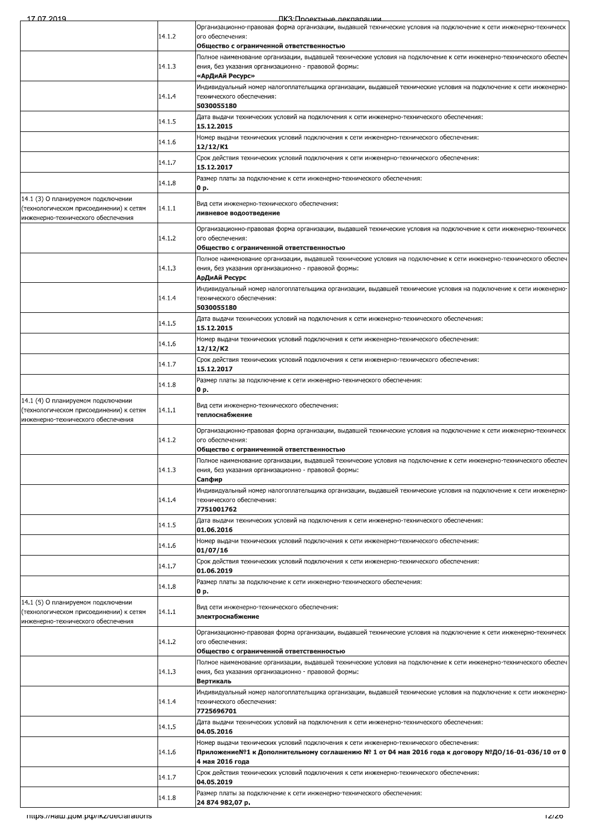<u> RK3· Полектные лекларации</u>

|                                                                                                                     | 14.1.2 | Организационно-правовая форма организации, выдавшей технические условия на подключение к сети инженерно-техническ<br>ого обеспечения:                                                                            |
|---------------------------------------------------------------------------------------------------------------------|--------|------------------------------------------------------------------------------------------------------------------------------------------------------------------------------------------------------------------|
|                                                                                                                     |        | Общество с ограниченной ответственностью                                                                                                                                                                         |
|                                                                                                                     | 14.1.3 | Полное наименование организации, выдавшей технические условия на подключение к сети инженерно-технического обеспеч<br>ения, без указания организационно - правовой формы:                                        |
|                                                                                                                     |        | «АрДиАй Ресурс»<br>Индивидуальный номер налогоплательщика организации, выдавшей технические условия на подключение к сети инженерно-                                                                             |
|                                                                                                                     | 14.1.4 | технического обеспечения:<br>5030055180                                                                                                                                                                          |
|                                                                                                                     | 14.1.5 | Дата выдачи технических условий на подключения к сети инженерно-технического обеспечения:<br>15.12.2015                                                                                                          |
|                                                                                                                     | 14.1.6 | Номер выдачи технических условий подключения к сети инженерно-технического обеспечения:<br>12/12/K1                                                                                                              |
|                                                                                                                     | 14.1.7 | Срок действия технических условий подключения к сети инженерно-технического обеспечения:<br>15.12.2017                                                                                                           |
|                                                                                                                     | 14.1.8 | Размер платы за подключение к сети инженерно-технического обеспечения:<br>0 p.                                                                                                                                   |
| 14.1 (3) О планируемом подключении<br>(технологическом присоединении) к сетям<br>инженерно-технического обеспечения | 14.1.1 | Вид сети инженерно-технического обеспечения:<br>ливневое водоотведение                                                                                                                                           |
|                                                                                                                     | 14.1.2 | Организационно-правовая форма организации, выдавшей технические условия на подключение к сети инженерно-техническ<br>ого обеспечения:<br>Общество с ограниченной ответственностью                                |
|                                                                                                                     | 14.1.3 | Полное наименование организации, выдавшей технические условия на подключение к сети инженерно-технического обеспеч<br>ения, без указания организационно - правовой формы:<br>АрДиАй Ресурс                       |
|                                                                                                                     | 14.1.4 | Индивидуальный номер налогоплательщика организации, выдавшей технические условия на подключение к сети инженерно-<br>технического обеспечения:<br>5030055180                                                     |
|                                                                                                                     | 14.1.5 | Дата выдачи технических условий на подключения к сети инженерно-технического обеспечения:<br>15.12.2015                                                                                                          |
|                                                                                                                     | 14.1.6 | Номер выдачи технических условий подключения к сети инженерно-технического обеспечения:<br>12/12/K2                                                                                                              |
|                                                                                                                     | 14.1.7 | Срок действия технических условий подключения к сети инженерно-технического обеспечения:<br>15.12.2017                                                                                                           |
|                                                                                                                     | 14.1.8 | Размер платы за подключение к сети инженерно-технического обеспечения:<br>0 p.                                                                                                                                   |
| 14.1 (4) О планируемом подключении<br>(технологическом присоединении) к сетям<br>инженерно-технического обеспечения | 14.1.1 | Вид сети инженерно-технического обеспечения:<br>теплоснабжение                                                                                                                                                   |
|                                                                                                                     | 14.1.2 | Организационно-правовая форма организации, выдавшей технические условия на подключение к сети инженерно-техническ<br>ого обеспечения:<br>Общество с ограниченной ответственностью                                |
|                                                                                                                     | 14.1.3 | Полное наименование организации, выдавшей технические условия на подключение к сети инженерно-технического обеспеч<br>ения, без указания организационно - правовой формы:<br>Сапфир                              |
|                                                                                                                     | 14.1.4 | Индивидуальный номер налогоплательщика организации, выдавшей технические условия на подключение к сети инженерно-<br>технического обеспечения:<br>7751001762                                                     |
|                                                                                                                     | 14.1.5 | Дата выдачи технических условий на подключения к сети инженерно-технического обеспечения:<br>01.06.2016                                                                                                          |
|                                                                                                                     | 14.1.6 | Номер выдачи технических условий подключения к сети инженерно-технического обеспечения:<br>01/07/16                                                                                                              |
|                                                                                                                     | 14.1.7 | Срок действия технических условий подключения к сети инженерно-технического обеспечения:<br>01.06.2019                                                                                                           |
|                                                                                                                     | 14.1.8 | Размер платы за подключение к сети инженерно-технического обеспечения:<br>0 p.                                                                                                                                   |
| 14.1 (5) О планируемом подключении<br>(технологическом присоединении) к сетям<br>инженерно-технического обеспечения | 14.1.1 | Вид сети инженерно-технического обеспечения:<br>электроснабжение                                                                                                                                                 |
|                                                                                                                     | 14.1.2 | Организационно-правовая форма организации, выдавшей технические условия на подключение к сети инженерно-техническ<br>ого обеспечения:                                                                            |
|                                                                                                                     |        | Общество с ограниченной ответственностью<br>Полное наименование организации, выдавшей технические условия на подключение к сети инженерно-технического обеспеч                                                   |
|                                                                                                                     | 14.1.3 | ения, без указания организационно - правовой формы:<br>Вертикаль                                                                                                                                                 |
|                                                                                                                     | 14.1.4 | Индивидуальный номер налогоплательщика организации, выдавшей технические условия на подключение к сети инженерно-<br>технического обеспечения:<br>7725696701                                                     |
|                                                                                                                     | 14.1.5 | Дата выдачи технических условий на подключения к сети инженерно-технического обеспечения:<br>04.05.2016                                                                                                          |
|                                                                                                                     | 14.1.6 | Номер выдачи технических условий подключения к сети инженерно-технического обеспечения:<br>Приложение№1 к Дополнительному соглашению № 1 от 04 мая 2016 года к договору №ДО/16-01-036/10 от 0<br>4 мая 2016 года |
|                                                                                                                     | 14.1.7 | Срок действия технических условий подключения к сети инженерно-технического обеспечения:<br>04.05.2019                                                                                                           |
|                                                                                                                     | 14.1.8 | Размер платы за подключение к сети инженерно-технического обеспечения:<br>24 874 982,07 p.                                                                                                                       |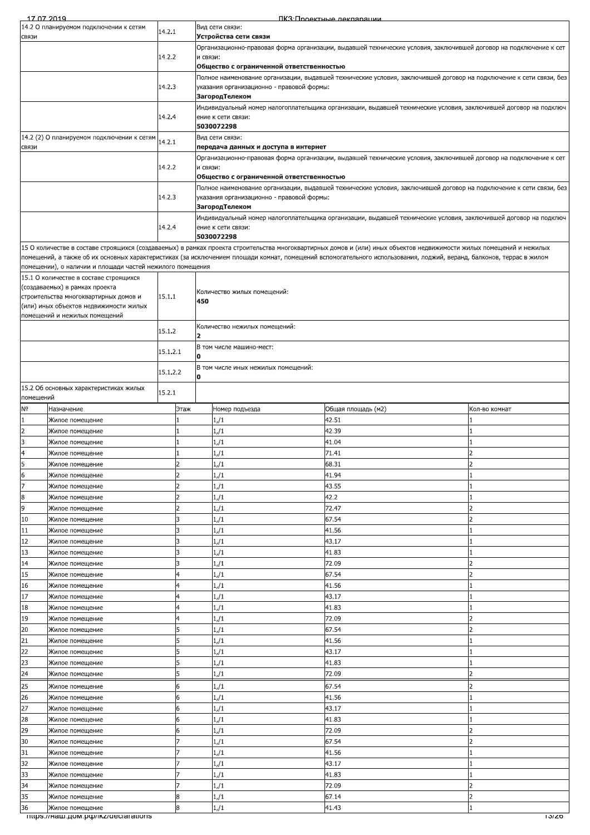| 14.2 О планируемом подключении к сетям<br>Вид сети связи:<br>14.2.1<br>Устройства сети связи<br>СВЯЗИ<br>Организационно-правовая форма организации, выдавшей технические условия, заключившей договор на подключение к сет<br>14.2.2<br>и связи:<br>Общество с ограниченной ответственностью<br>Полное наименование организации, выдавшей технические условия, заключившей договор на подключение к сети связи, без<br>14.2.3<br>указания организационно - правовой формы:<br>ЗагородТелеком<br>Индивидуальный номер налогоплательщика организации, выдавшей технические условия, заключившей договор на подключ<br>14.2.4<br>ение к сети связи:<br>5030072298<br>14.2 (2) О планируемом подключении к сетям<br>Вид сети связи:<br>14.2.1<br>передача данных и доступа в интернет<br>Организационно-правовая форма организации, выдавшей технические условия, заключившей договор на подключение к сет<br>14.2.2<br>и связи:<br>Общество с ограниченной ответственностью<br>Полное наименование организации, выдавшей технические условия, заключившей договор на подключение к сети связи, без<br>14.2.3<br>указания организационно - правовой формы:<br>ЗагородТелеком<br>Индивидуальный номер налогоплательщика организации, выдавшей технические условия, заключившей договор на подключ<br>14.2.4<br>ение к сети связи:<br>5030072298<br>15 О количестве в составе строящихся (создаваемых) в рамках проекта строительства многоквартирных домов и (или) иных объектов недвижимости жилых помещений и нежилых<br>помещений, а также об их основных характеристиках (за исключением площади комнат, помещений вспомогательного использования, лоджий, веранд, балконов, террас в жилом<br>помещении), о наличии и площади частей нежилого помещения<br>15.1 О количестве в составе строящихся<br>(создаваемых) в рамках проекта<br>Количество жилых помещений:<br>15.1.1<br>строительства многоквартирных домов и<br>450<br>(или) иных объектов недвижимости жилых<br>помещений и нежилых помещений<br>Количество нежилых помещений:<br>15.1.2<br>$\overline{\mathbf{2}}$<br>В том числе машино-мест:<br>15.1.2.1<br>O<br>В том числе иных нежилых помещений:<br>15.1.2.2<br>o<br>15.2 Об основных характеристиках жилых<br>15.2.1<br>помещений<br>Общая площадь (м2)<br>Назначение<br>Этаж<br>Номер подъезда<br>Кол-во комнат<br>42.51<br>1/1<br>Жилое помещение<br>$\overline{c}$<br>1/1<br>42.39<br>Жилое помещение<br>3<br>1/1<br>41.04<br>Жилое помещение<br>1/1<br>71.41<br>$\overline{a}$<br>Жилое помешение<br>1<br>2<br>1/1<br>68.31<br>Жилое помещение<br>1/1<br>41.94<br>Жилое помещение<br>1/1<br>43.55<br>Жилое помещение<br>42.2<br>$1/\sqrt{1}$<br>Жилое помещение<br>9<br>72.47<br>1/1<br>Жилое помещение<br>10<br>1/1<br>67.54<br>٦<br>Жилое помещение<br>11<br>3<br>1/1<br>41.56<br>Жилое помещение<br>43.17<br>1/1<br>3<br>Жилое помещение<br>1/1<br>41.83<br>Жилое помещение<br>3<br>1/1<br>72.09<br>Жилое помещение<br>67.54<br>$1/\sqrt{1}$<br>4<br>Жилое помещение<br>16<br>1/1<br>41.56<br>Жилое помещение<br>17<br>1/1<br>43.17<br>Жилое помещение<br>1/1<br>41.83<br>Жилое помещение<br>4<br>72.09<br>1/1<br>4<br>Жилое помещение<br>67.54<br>1/1<br>Жилое помещение<br>5<br>1/1<br>41.56<br>Жилое помещение<br>43.17<br>5<br>1/1<br>Жилое помещение<br>23<br>41.83<br>1/1<br>Жилое помещение<br>24<br>72.09<br>1/1<br>Жилое помещение<br>25<br>67.54<br>1/1<br>Жилое помещение<br>6<br>1/1<br>41.56<br>Жилое помещение<br>43.17<br>1/1<br>Жилое помещение<br>6<br>1/1<br>41.83<br>6<br>Жилое помещение<br>1/1<br>72.09<br>Жилое помещение<br>67.54<br>1/1<br>Жилое помещение<br>31<br>41.56<br>1/1<br>Жилое помещение<br>43.17<br>1/1<br>Жилое помещение<br>1/1<br>41.83<br>Жилое помещение<br>72.09<br>1/1<br>Жилое помещение<br>67.14<br>8<br>1/1<br>Жилое помещение<br>8<br>1/1<br>41.43<br>Жилое помещение<br>mups.//Ham.gom.po//ikz/declarations<br>סגוטו | 17 07 2019     |  |  |  |  | ПКЗ:Проектные лекпарации |  |  |
|-----------------------------------------------------------------------------------------------------------------------------------------------------------------------------------------------------------------------------------------------------------------------------------------------------------------------------------------------------------------------------------------------------------------------------------------------------------------------------------------------------------------------------------------------------------------------------------------------------------------------------------------------------------------------------------------------------------------------------------------------------------------------------------------------------------------------------------------------------------------------------------------------------------------------------------------------------------------------------------------------------------------------------------------------------------------------------------------------------------------------------------------------------------------------------------------------------------------------------------------------------------------------------------------------------------------------------------------------------------------------------------------------------------------------------------------------------------------------------------------------------------------------------------------------------------------------------------------------------------------------------------------------------------------------------------------------------------------------------------------------------------------------------------------------------------------------------------------------------------------------------------------------------------------------------------------------------------------------------------------------------------------------------------------------------------------------------------------------------------------------------------------------------------------------------------------------------------------------------------------------------------------------------------------------------------------------------------------------------------------------------------------------------------------------------------------------------------------------------------------------------------------------------------------------------------------------------------------------------------------------------------------------------------------------------------------------------------------------------------------------------------------------------------------------------------------------------------------------------------------------------------------------------------------------------------------------------------------------------------------------------------------------------------------------------------------------------------------------------------------------------------------------------------------------------------------------------------------------------------------------------------------------------------------------------------------------------------------------------------------------------------------------------------------------------------------------------------------------------------------------------------------------------------------------------------------------------------------------------------------------------------------------------------------------------------------------------------------------------------------------------------------------------------------------------------------------------------------------------------------------------------------------|----------------|--|--|--|--|--------------------------|--|--|
|                                                                                                                                                                                                                                                                                                                                                                                                                                                                                                                                                                                                                                                                                                                                                                                                                                                                                                                                                                                                                                                                                                                                                                                                                                                                                                                                                                                                                                                                                                                                                                                                                                                                                                                                                                                                                                                                                                                                                                                                                                                                                                                                                                                                                                                                                                                                                                                                                                                                                                                                                                                                                                                                                                                                                                                                                                                                                                                                                                                                                                                                                                                                                                                                                                                                                                                                                                                                                                                                                                                                                                                                                                                                                                                                                                                                                                                                                               |                |  |  |  |  |                          |  |  |
|                                                                                                                                                                                                                                                                                                                                                                                                                                                                                                                                                                                                                                                                                                                                                                                                                                                                                                                                                                                                                                                                                                                                                                                                                                                                                                                                                                                                                                                                                                                                                                                                                                                                                                                                                                                                                                                                                                                                                                                                                                                                                                                                                                                                                                                                                                                                                                                                                                                                                                                                                                                                                                                                                                                                                                                                                                                                                                                                                                                                                                                                                                                                                                                                                                                                                                                                                                                                                                                                                                                                                                                                                                                                                                                                                                                                                                                                                               |                |  |  |  |  |                          |  |  |
|                                                                                                                                                                                                                                                                                                                                                                                                                                                                                                                                                                                                                                                                                                                                                                                                                                                                                                                                                                                                                                                                                                                                                                                                                                                                                                                                                                                                                                                                                                                                                                                                                                                                                                                                                                                                                                                                                                                                                                                                                                                                                                                                                                                                                                                                                                                                                                                                                                                                                                                                                                                                                                                                                                                                                                                                                                                                                                                                                                                                                                                                                                                                                                                                                                                                                                                                                                                                                                                                                                                                                                                                                                                                                                                                                                                                                                                                                               |                |  |  |  |  |                          |  |  |
|                                                                                                                                                                                                                                                                                                                                                                                                                                                                                                                                                                                                                                                                                                                                                                                                                                                                                                                                                                                                                                                                                                                                                                                                                                                                                                                                                                                                                                                                                                                                                                                                                                                                                                                                                                                                                                                                                                                                                                                                                                                                                                                                                                                                                                                                                                                                                                                                                                                                                                                                                                                                                                                                                                                                                                                                                                                                                                                                                                                                                                                                                                                                                                                                                                                                                                                                                                                                                                                                                                                                                                                                                                                                                                                                                                                                                                                                                               |                |  |  |  |  |                          |  |  |
|                                                                                                                                                                                                                                                                                                                                                                                                                                                                                                                                                                                                                                                                                                                                                                                                                                                                                                                                                                                                                                                                                                                                                                                                                                                                                                                                                                                                                                                                                                                                                                                                                                                                                                                                                                                                                                                                                                                                                                                                                                                                                                                                                                                                                                                                                                                                                                                                                                                                                                                                                                                                                                                                                                                                                                                                                                                                                                                                                                                                                                                                                                                                                                                                                                                                                                                                                                                                                                                                                                                                                                                                                                                                                                                                                                                                                                                                                               |                |  |  |  |  |                          |  |  |
|                                                                                                                                                                                                                                                                                                                                                                                                                                                                                                                                                                                                                                                                                                                                                                                                                                                                                                                                                                                                                                                                                                                                                                                                                                                                                                                                                                                                                                                                                                                                                                                                                                                                                                                                                                                                                                                                                                                                                                                                                                                                                                                                                                                                                                                                                                                                                                                                                                                                                                                                                                                                                                                                                                                                                                                                                                                                                                                                                                                                                                                                                                                                                                                                                                                                                                                                                                                                                                                                                                                                                                                                                                                                                                                                                                                                                                                                                               |                |  |  |  |  |                          |  |  |
|                                                                                                                                                                                                                                                                                                                                                                                                                                                                                                                                                                                                                                                                                                                                                                                                                                                                                                                                                                                                                                                                                                                                                                                                                                                                                                                                                                                                                                                                                                                                                                                                                                                                                                                                                                                                                                                                                                                                                                                                                                                                                                                                                                                                                                                                                                                                                                                                                                                                                                                                                                                                                                                                                                                                                                                                                                                                                                                                                                                                                                                                                                                                                                                                                                                                                                                                                                                                                                                                                                                                                                                                                                                                                                                                                                                                                                                                                               |                |  |  |  |  |                          |  |  |
|                                                                                                                                                                                                                                                                                                                                                                                                                                                                                                                                                                                                                                                                                                                                                                                                                                                                                                                                                                                                                                                                                                                                                                                                                                                                                                                                                                                                                                                                                                                                                                                                                                                                                                                                                                                                                                                                                                                                                                                                                                                                                                                                                                                                                                                                                                                                                                                                                                                                                                                                                                                                                                                                                                                                                                                                                                                                                                                                                                                                                                                                                                                                                                                                                                                                                                                                                                                                                                                                                                                                                                                                                                                                                                                                                                                                                                                                                               |                |  |  |  |  |                          |  |  |
|                                                                                                                                                                                                                                                                                                                                                                                                                                                                                                                                                                                                                                                                                                                                                                                                                                                                                                                                                                                                                                                                                                                                                                                                                                                                                                                                                                                                                                                                                                                                                                                                                                                                                                                                                                                                                                                                                                                                                                                                                                                                                                                                                                                                                                                                                                                                                                                                                                                                                                                                                                                                                                                                                                                                                                                                                                                                                                                                                                                                                                                                                                                                                                                                                                                                                                                                                                                                                                                                                                                                                                                                                                                                                                                                                                                                                                                                                               |                |  |  |  |  |                          |  |  |
|                                                                                                                                                                                                                                                                                                                                                                                                                                                                                                                                                                                                                                                                                                                                                                                                                                                                                                                                                                                                                                                                                                                                                                                                                                                                                                                                                                                                                                                                                                                                                                                                                                                                                                                                                                                                                                                                                                                                                                                                                                                                                                                                                                                                                                                                                                                                                                                                                                                                                                                                                                                                                                                                                                                                                                                                                                                                                                                                                                                                                                                                                                                                                                                                                                                                                                                                                                                                                                                                                                                                                                                                                                                                                                                                                                                                                                                                                               | СВЯЗИ          |  |  |  |  |                          |  |  |
|                                                                                                                                                                                                                                                                                                                                                                                                                                                                                                                                                                                                                                                                                                                                                                                                                                                                                                                                                                                                                                                                                                                                                                                                                                                                                                                                                                                                                                                                                                                                                                                                                                                                                                                                                                                                                                                                                                                                                                                                                                                                                                                                                                                                                                                                                                                                                                                                                                                                                                                                                                                                                                                                                                                                                                                                                                                                                                                                                                                                                                                                                                                                                                                                                                                                                                                                                                                                                                                                                                                                                                                                                                                                                                                                                                                                                                                                                               |                |  |  |  |  |                          |  |  |
|                                                                                                                                                                                                                                                                                                                                                                                                                                                                                                                                                                                                                                                                                                                                                                                                                                                                                                                                                                                                                                                                                                                                                                                                                                                                                                                                                                                                                                                                                                                                                                                                                                                                                                                                                                                                                                                                                                                                                                                                                                                                                                                                                                                                                                                                                                                                                                                                                                                                                                                                                                                                                                                                                                                                                                                                                                                                                                                                                                                                                                                                                                                                                                                                                                                                                                                                                                                                                                                                                                                                                                                                                                                                                                                                                                                                                                                                                               |                |  |  |  |  |                          |  |  |
|                                                                                                                                                                                                                                                                                                                                                                                                                                                                                                                                                                                                                                                                                                                                                                                                                                                                                                                                                                                                                                                                                                                                                                                                                                                                                                                                                                                                                                                                                                                                                                                                                                                                                                                                                                                                                                                                                                                                                                                                                                                                                                                                                                                                                                                                                                                                                                                                                                                                                                                                                                                                                                                                                                                                                                                                                                                                                                                                                                                                                                                                                                                                                                                                                                                                                                                                                                                                                                                                                                                                                                                                                                                                                                                                                                                                                                                                                               |                |  |  |  |  |                          |  |  |
|                                                                                                                                                                                                                                                                                                                                                                                                                                                                                                                                                                                                                                                                                                                                                                                                                                                                                                                                                                                                                                                                                                                                                                                                                                                                                                                                                                                                                                                                                                                                                                                                                                                                                                                                                                                                                                                                                                                                                                                                                                                                                                                                                                                                                                                                                                                                                                                                                                                                                                                                                                                                                                                                                                                                                                                                                                                                                                                                                                                                                                                                                                                                                                                                                                                                                                                                                                                                                                                                                                                                                                                                                                                                                                                                                                                                                                                                                               |                |  |  |  |  |                          |  |  |
|                                                                                                                                                                                                                                                                                                                                                                                                                                                                                                                                                                                                                                                                                                                                                                                                                                                                                                                                                                                                                                                                                                                                                                                                                                                                                                                                                                                                                                                                                                                                                                                                                                                                                                                                                                                                                                                                                                                                                                                                                                                                                                                                                                                                                                                                                                                                                                                                                                                                                                                                                                                                                                                                                                                                                                                                                                                                                                                                                                                                                                                                                                                                                                                                                                                                                                                                                                                                                                                                                                                                                                                                                                                                                                                                                                                                                                                                                               |                |  |  |  |  |                          |  |  |
|                                                                                                                                                                                                                                                                                                                                                                                                                                                                                                                                                                                                                                                                                                                                                                                                                                                                                                                                                                                                                                                                                                                                                                                                                                                                                                                                                                                                                                                                                                                                                                                                                                                                                                                                                                                                                                                                                                                                                                                                                                                                                                                                                                                                                                                                                                                                                                                                                                                                                                                                                                                                                                                                                                                                                                                                                                                                                                                                                                                                                                                                                                                                                                                                                                                                                                                                                                                                                                                                                                                                                                                                                                                                                                                                                                                                                                                                                               |                |  |  |  |  |                          |  |  |
|                                                                                                                                                                                                                                                                                                                                                                                                                                                                                                                                                                                                                                                                                                                                                                                                                                                                                                                                                                                                                                                                                                                                                                                                                                                                                                                                                                                                                                                                                                                                                                                                                                                                                                                                                                                                                                                                                                                                                                                                                                                                                                                                                                                                                                                                                                                                                                                                                                                                                                                                                                                                                                                                                                                                                                                                                                                                                                                                                                                                                                                                                                                                                                                                                                                                                                                                                                                                                                                                                                                                                                                                                                                                                                                                                                                                                                                                                               |                |  |  |  |  |                          |  |  |
|                                                                                                                                                                                                                                                                                                                                                                                                                                                                                                                                                                                                                                                                                                                                                                                                                                                                                                                                                                                                                                                                                                                                                                                                                                                                                                                                                                                                                                                                                                                                                                                                                                                                                                                                                                                                                                                                                                                                                                                                                                                                                                                                                                                                                                                                                                                                                                                                                                                                                                                                                                                                                                                                                                                                                                                                                                                                                                                                                                                                                                                                                                                                                                                                                                                                                                                                                                                                                                                                                                                                                                                                                                                                                                                                                                                                                                                                                               |                |  |  |  |  |                          |  |  |
|                                                                                                                                                                                                                                                                                                                                                                                                                                                                                                                                                                                                                                                                                                                                                                                                                                                                                                                                                                                                                                                                                                                                                                                                                                                                                                                                                                                                                                                                                                                                                                                                                                                                                                                                                                                                                                                                                                                                                                                                                                                                                                                                                                                                                                                                                                                                                                                                                                                                                                                                                                                                                                                                                                                                                                                                                                                                                                                                                                                                                                                                                                                                                                                                                                                                                                                                                                                                                                                                                                                                                                                                                                                                                                                                                                                                                                                                                               |                |  |  |  |  |                          |  |  |
|                                                                                                                                                                                                                                                                                                                                                                                                                                                                                                                                                                                                                                                                                                                                                                                                                                                                                                                                                                                                                                                                                                                                                                                                                                                                                                                                                                                                                                                                                                                                                                                                                                                                                                                                                                                                                                                                                                                                                                                                                                                                                                                                                                                                                                                                                                                                                                                                                                                                                                                                                                                                                                                                                                                                                                                                                                                                                                                                                                                                                                                                                                                                                                                                                                                                                                                                                                                                                                                                                                                                                                                                                                                                                                                                                                                                                                                                                               |                |  |  |  |  |                          |  |  |
|                                                                                                                                                                                                                                                                                                                                                                                                                                                                                                                                                                                                                                                                                                                                                                                                                                                                                                                                                                                                                                                                                                                                                                                                                                                                                                                                                                                                                                                                                                                                                                                                                                                                                                                                                                                                                                                                                                                                                                                                                                                                                                                                                                                                                                                                                                                                                                                                                                                                                                                                                                                                                                                                                                                                                                                                                                                                                                                                                                                                                                                                                                                                                                                                                                                                                                                                                                                                                                                                                                                                                                                                                                                                                                                                                                                                                                                                                               |                |  |  |  |  |                          |  |  |
|                                                                                                                                                                                                                                                                                                                                                                                                                                                                                                                                                                                                                                                                                                                                                                                                                                                                                                                                                                                                                                                                                                                                                                                                                                                                                                                                                                                                                                                                                                                                                                                                                                                                                                                                                                                                                                                                                                                                                                                                                                                                                                                                                                                                                                                                                                                                                                                                                                                                                                                                                                                                                                                                                                                                                                                                                                                                                                                                                                                                                                                                                                                                                                                                                                                                                                                                                                                                                                                                                                                                                                                                                                                                                                                                                                                                                                                                                               |                |  |  |  |  |                          |  |  |
|                                                                                                                                                                                                                                                                                                                                                                                                                                                                                                                                                                                                                                                                                                                                                                                                                                                                                                                                                                                                                                                                                                                                                                                                                                                                                                                                                                                                                                                                                                                                                                                                                                                                                                                                                                                                                                                                                                                                                                                                                                                                                                                                                                                                                                                                                                                                                                                                                                                                                                                                                                                                                                                                                                                                                                                                                                                                                                                                                                                                                                                                                                                                                                                                                                                                                                                                                                                                                                                                                                                                                                                                                                                                                                                                                                                                                                                                                               |                |  |  |  |  |                          |  |  |
|                                                                                                                                                                                                                                                                                                                                                                                                                                                                                                                                                                                                                                                                                                                                                                                                                                                                                                                                                                                                                                                                                                                                                                                                                                                                                                                                                                                                                                                                                                                                                                                                                                                                                                                                                                                                                                                                                                                                                                                                                                                                                                                                                                                                                                                                                                                                                                                                                                                                                                                                                                                                                                                                                                                                                                                                                                                                                                                                                                                                                                                                                                                                                                                                                                                                                                                                                                                                                                                                                                                                                                                                                                                                                                                                                                                                                                                                                               |                |  |  |  |  |                          |  |  |
|                                                                                                                                                                                                                                                                                                                                                                                                                                                                                                                                                                                                                                                                                                                                                                                                                                                                                                                                                                                                                                                                                                                                                                                                                                                                                                                                                                                                                                                                                                                                                                                                                                                                                                                                                                                                                                                                                                                                                                                                                                                                                                                                                                                                                                                                                                                                                                                                                                                                                                                                                                                                                                                                                                                                                                                                                                                                                                                                                                                                                                                                                                                                                                                                                                                                                                                                                                                                                                                                                                                                                                                                                                                                                                                                                                                                                                                                                               |                |  |  |  |  |                          |  |  |
|                                                                                                                                                                                                                                                                                                                                                                                                                                                                                                                                                                                                                                                                                                                                                                                                                                                                                                                                                                                                                                                                                                                                                                                                                                                                                                                                                                                                                                                                                                                                                                                                                                                                                                                                                                                                                                                                                                                                                                                                                                                                                                                                                                                                                                                                                                                                                                                                                                                                                                                                                                                                                                                                                                                                                                                                                                                                                                                                                                                                                                                                                                                                                                                                                                                                                                                                                                                                                                                                                                                                                                                                                                                                                                                                                                                                                                                                                               |                |  |  |  |  |                          |  |  |
|                                                                                                                                                                                                                                                                                                                                                                                                                                                                                                                                                                                                                                                                                                                                                                                                                                                                                                                                                                                                                                                                                                                                                                                                                                                                                                                                                                                                                                                                                                                                                                                                                                                                                                                                                                                                                                                                                                                                                                                                                                                                                                                                                                                                                                                                                                                                                                                                                                                                                                                                                                                                                                                                                                                                                                                                                                                                                                                                                                                                                                                                                                                                                                                                                                                                                                                                                                                                                                                                                                                                                                                                                                                                                                                                                                                                                                                                                               |                |  |  |  |  |                          |  |  |
|                                                                                                                                                                                                                                                                                                                                                                                                                                                                                                                                                                                                                                                                                                                                                                                                                                                                                                                                                                                                                                                                                                                                                                                                                                                                                                                                                                                                                                                                                                                                                                                                                                                                                                                                                                                                                                                                                                                                                                                                                                                                                                                                                                                                                                                                                                                                                                                                                                                                                                                                                                                                                                                                                                                                                                                                                                                                                                                                                                                                                                                                                                                                                                                                                                                                                                                                                                                                                                                                                                                                                                                                                                                                                                                                                                                                                                                                                               |                |  |  |  |  |                          |  |  |
|                                                                                                                                                                                                                                                                                                                                                                                                                                                                                                                                                                                                                                                                                                                                                                                                                                                                                                                                                                                                                                                                                                                                                                                                                                                                                                                                                                                                                                                                                                                                                                                                                                                                                                                                                                                                                                                                                                                                                                                                                                                                                                                                                                                                                                                                                                                                                                                                                                                                                                                                                                                                                                                                                                                                                                                                                                                                                                                                                                                                                                                                                                                                                                                                                                                                                                                                                                                                                                                                                                                                                                                                                                                                                                                                                                                                                                                                                               |                |  |  |  |  |                          |  |  |
|                                                                                                                                                                                                                                                                                                                                                                                                                                                                                                                                                                                                                                                                                                                                                                                                                                                                                                                                                                                                                                                                                                                                                                                                                                                                                                                                                                                                                                                                                                                                                                                                                                                                                                                                                                                                                                                                                                                                                                                                                                                                                                                                                                                                                                                                                                                                                                                                                                                                                                                                                                                                                                                                                                                                                                                                                                                                                                                                                                                                                                                                                                                                                                                                                                                                                                                                                                                                                                                                                                                                                                                                                                                                                                                                                                                                                                                                                               | N <sub>o</sub> |  |  |  |  |                          |  |  |
|                                                                                                                                                                                                                                                                                                                                                                                                                                                                                                                                                                                                                                                                                                                                                                                                                                                                                                                                                                                                                                                                                                                                                                                                                                                                                                                                                                                                                                                                                                                                                                                                                                                                                                                                                                                                                                                                                                                                                                                                                                                                                                                                                                                                                                                                                                                                                                                                                                                                                                                                                                                                                                                                                                                                                                                                                                                                                                                                                                                                                                                                                                                                                                                                                                                                                                                                                                                                                                                                                                                                                                                                                                                                                                                                                                                                                                                                                               | 1              |  |  |  |  |                          |  |  |
|                                                                                                                                                                                                                                                                                                                                                                                                                                                                                                                                                                                                                                                                                                                                                                                                                                                                                                                                                                                                                                                                                                                                                                                                                                                                                                                                                                                                                                                                                                                                                                                                                                                                                                                                                                                                                                                                                                                                                                                                                                                                                                                                                                                                                                                                                                                                                                                                                                                                                                                                                                                                                                                                                                                                                                                                                                                                                                                                                                                                                                                                                                                                                                                                                                                                                                                                                                                                                                                                                                                                                                                                                                                                                                                                                                                                                                                                                               |                |  |  |  |  |                          |  |  |
|                                                                                                                                                                                                                                                                                                                                                                                                                                                                                                                                                                                                                                                                                                                                                                                                                                                                                                                                                                                                                                                                                                                                                                                                                                                                                                                                                                                                                                                                                                                                                                                                                                                                                                                                                                                                                                                                                                                                                                                                                                                                                                                                                                                                                                                                                                                                                                                                                                                                                                                                                                                                                                                                                                                                                                                                                                                                                                                                                                                                                                                                                                                                                                                                                                                                                                                                                                                                                                                                                                                                                                                                                                                                                                                                                                                                                                                                                               |                |  |  |  |  |                          |  |  |
|                                                                                                                                                                                                                                                                                                                                                                                                                                                                                                                                                                                                                                                                                                                                                                                                                                                                                                                                                                                                                                                                                                                                                                                                                                                                                                                                                                                                                                                                                                                                                                                                                                                                                                                                                                                                                                                                                                                                                                                                                                                                                                                                                                                                                                                                                                                                                                                                                                                                                                                                                                                                                                                                                                                                                                                                                                                                                                                                                                                                                                                                                                                                                                                                                                                                                                                                                                                                                                                                                                                                                                                                                                                                                                                                                                                                                                                                                               | 5              |  |  |  |  |                          |  |  |
|                                                                                                                                                                                                                                                                                                                                                                                                                                                                                                                                                                                                                                                                                                                                                                                                                                                                                                                                                                                                                                                                                                                                                                                                                                                                                                                                                                                                                                                                                                                                                                                                                                                                                                                                                                                                                                                                                                                                                                                                                                                                                                                                                                                                                                                                                                                                                                                                                                                                                                                                                                                                                                                                                                                                                                                                                                                                                                                                                                                                                                                                                                                                                                                                                                                                                                                                                                                                                                                                                                                                                                                                                                                                                                                                                                                                                                                                                               | 6              |  |  |  |  |                          |  |  |
|                                                                                                                                                                                                                                                                                                                                                                                                                                                                                                                                                                                                                                                                                                                                                                                                                                                                                                                                                                                                                                                                                                                                                                                                                                                                                                                                                                                                                                                                                                                                                                                                                                                                                                                                                                                                                                                                                                                                                                                                                                                                                                                                                                                                                                                                                                                                                                                                                                                                                                                                                                                                                                                                                                                                                                                                                                                                                                                                                                                                                                                                                                                                                                                                                                                                                                                                                                                                                                                                                                                                                                                                                                                                                                                                                                                                                                                                                               | $\overline{7}$ |  |  |  |  |                          |  |  |
|                                                                                                                                                                                                                                                                                                                                                                                                                                                                                                                                                                                                                                                                                                                                                                                                                                                                                                                                                                                                                                                                                                                                                                                                                                                                                                                                                                                                                                                                                                                                                                                                                                                                                                                                                                                                                                                                                                                                                                                                                                                                                                                                                                                                                                                                                                                                                                                                                                                                                                                                                                                                                                                                                                                                                                                                                                                                                                                                                                                                                                                                                                                                                                                                                                                                                                                                                                                                                                                                                                                                                                                                                                                                                                                                                                                                                                                                                               | 8              |  |  |  |  |                          |  |  |
|                                                                                                                                                                                                                                                                                                                                                                                                                                                                                                                                                                                                                                                                                                                                                                                                                                                                                                                                                                                                                                                                                                                                                                                                                                                                                                                                                                                                                                                                                                                                                                                                                                                                                                                                                                                                                                                                                                                                                                                                                                                                                                                                                                                                                                                                                                                                                                                                                                                                                                                                                                                                                                                                                                                                                                                                                                                                                                                                                                                                                                                                                                                                                                                                                                                                                                                                                                                                                                                                                                                                                                                                                                                                                                                                                                                                                                                                                               |                |  |  |  |  |                          |  |  |
|                                                                                                                                                                                                                                                                                                                                                                                                                                                                                                                                                                                                                                                                                                                                                                                                                                                                                                                                                                                                                                                                                                                                                                                                                                                                                                                                                                                                                                                                                                                                                                                                                                                                                                                                                                                                                                                                                                                                                                                                                                                                                                                                                                                                                                                                                                                                                                                                                                                                                                                                                                                                                                                                                                                                                                                                                                                                                                                                                                                                                                                                                                                                                                                                                                                                                                                                                                                                                                                                                                                                                                                                                                                                                                                                                                                                                                                                                               |                |  |  |  |  |                          |  |  |
|                                                                                                                                                                                                                                                                                                                                                                                                                                                                                                                                                                                                                                                                                                                                                                                                                                                                                                                                                                                                                                                                                                                                                                                                                                                                                                                                                                                                                                                                                                                                                                                                                                                                                                                                                                                                                                                                                                                                                                                                                                                                                                                                                                                                                                                                                                                                                                                                                                                                                                                                                                                                                                                                                                                                                                                                                                                                                                                                                                                                                                                                                                                                                                                                                                                                                                                                                                                                                                                                                                                                                                                                                                                                                                                                                                                                                                                                                               | 12             |  |  |  |  |                          |  |  |
|                                                                                                                                                                                                                                                                                                                                                                                                                                                                                                                                                                                                                                                                                                                                                                                                                                                                                                                                                                                                                                                                                                                                                                                                                                                                                                                                                                                                                                                                                                                                                                                                                                                                                                                                                                                                                                                                                                                                                                                                                                                                                                                                                                                                                                                                                                                                                                                                                                                                                                                                                                                                                                                                                                                                                                                                                                                                                                                                                                                                                                                                                                                                                                                                                                                                                                                                                                                                                                                                                                                                                                                                                                                                                                                                                                                                                                                                                               | 13             |  |  |  |  |                          |  |  |
|                                                                                                                                                                                                                                                                                                                                                                                                                                                                                                                                                                                                                                                                                                                                                                                                                                                                                                                                                                                                                                                                                                                                                                                                                                                                                                                                                                                                                                                                                                                                                                                                                                                                                                                                                                                                                                                                                                                                                                                                                                                                                                                                                                                                                                                                                                                                                                                                                                                                                                                                                                                                                                                                                                                                                                                                                                                                                                                                                                                                                                                                                                                                                                                                                                                                                                                                                                                                                                                                                                                                                                                                                                                                                                                                                                                                                                                                                               | 14             |  |  |  |  |                          |  |  |
|                                                                                                                                                                                                                                                                                                                                                                                                                                                                                                                                                                                                                                                                                                                                                                                                                                                                                                                                                                                                                                                                                                                                                                                                                                                                                                                                                                                                                                                                                                                                                                                                                                                                                                                                                                                                                                                                                                                                                                                                                                                                                                                                                                                                                                                                                                                                                                                                                                                                                                                                                                                                                                                                                                                                                                                                                                                                                                                                                                                                                                                                                                                                                                                                                                                                                                                                                                                                                                                                                                                                                                                                                                                                                                                                                                                                                                                                                               | 15             |  |  |  |  |                          |  |  |
|                                                                                                                                                                                                                                                                                                                                                                                                                                                                                                                                                                                                                                                                                                                                                                                                                                                                                                                                                                                                                                                                                                                                                                                                                                                                                                                                                                                                                                                                                                                                                                                                                                                                                                                                                                                                                                                                                                                                                                                                                                                                                                                                                                                                                                                                                                                                                                                                                                                                                                                                                                                                                                                                                                                                                                                                                                                                                                                                                                                                                                                                                                                                                                                                                                                                                                                                                                                                                                                                                                                                                                                                                                                                                                                                                                                                                                                                                               |                |  |  |  |  |                          |  |  |
|                                                                                                                                                                                                                                                                                                                                                                                                                                                                                                                                                                                                                                                                                                                                                                                                                                                                                                                                                                                                                                                                                                                                                                                                                                                                                                                                                                                                                                                                                                                                                                                                                                                                                                                                                                                                                                                                                                                                                                                                                                                                                                                                                                                                                                                                                                                                                                                                                                                                                                                                                                                                                                                                                                                                                                                                                                                                                                                                                                                                                                                                                                                                                                                                                                                                                                                                                                                                                                                                                                                                                                                                                                                                                                                                                                                                                                                                                               | 18             |  |  |  |  |                          |  |  |
|                                                                                                                                                                                                                                                                                                                                                                                                                                                                                                                                                                                                                                                                                                                                                                                                                                                                                                                                                                                                                                                                                                                                                                                                                                                                                                                                                                                                                                                                                                                                                                                                                                                                                                                                                                                                                                                                                                                                                                                                                                                                                                                                                                                                                                                                                                                                                                                                                                                                                                                                                                                                                                                                                                                                                                                                                                                                                                                                                                                                                                                                                                                                                                                                                                                                                                                                                                                                                                                                                                                                                                                                                                                                                                                                                                                                                                                                                               | 19             |  |  |  |  |                          |  |  |
|                                                                                                                                                                                                                                                                                                                                                                                                                                                                                                                                                                                                                                                                                                                                                                                                                                                                                                                                                                                                                                                                                                                                                                                                                                                                                                                                                                                                                                                                                                                                                                                                                                                                                                                                                                                                                                                                                                                                                                                                                                                                                                                                                                                                                                                                                                                                                                                                                                                                                                                                                                                                                                                                                                                                                                                                                                                                                                                                                                                                                                                                                                                                                                                                                                                                                                                                                                                                                                                                                                                                                                                                                                                                                                                                                                                                                                                                                               | 20             |  |  |  |  |                          |  |  |
|                                                                                                                                                                                                                                                                                                                                                                                                                                                                                                                                                                                                                                                                                                                                                                                                                                                                                                                                                                                                                                                                                                                                                                                                                                                                                                                                                                                                                                                                                                                                                                                                                                                                                                                                                                                                                                                                                                                                                                                                                                                                                                                                                                                                                                                                                                                                                                                                                                                                                                                                                                                                                                                                                                                                                                                                                                                                                                                                                                                                                                                                                                                                                                                                                                                                                                                                                                                                                                                                                                                                                                                                                                                                                                                                                                                                                                                                                               | 21             |  |  |  |  |                          |  |  |
|                                                                                                                                                                                                                                                                                                                                                                                                                                                                                                                                                                                                                                                                                                                                                                                                                                                                                                                                                                                                                                                                                                                                                                                                                                                                                                                                                                                                                                                                                                                                                                                                                                                                                                                                                                                                                                                                                                                                                                                                                                                                                                                                                                                                                                                                                                                                                                                                                                                                                                                                                                                                                                                                                                                                                                                                                                                                                                                                                                                                                                                                                                                                                                                                                                                                                                                                                                                                                                                                                                                                                                                                                                                                                                                                                                                                                                                                                               | 22             |  |  |  |  |                          |  |  |
|                                                                                                                                                                                                                                                                                                                                                                                                                                                                                                                                                                                                                                                                                                                                                                                                                                                                                                                                                                                                                                                                                                                                                                                                                                                                                                                                                                                                                                                                                                                                                                                                                                                                                                                                                                                                                                                                                                                                                                                                                                                                                                                                                                                                                                                                                                                                                                                                                                                                                                                                                                                                                                                                                                                                                                                                                                                                                                                                                                                                                                                                                                                                                                                                                                                                                                                                                                                                                                                                                                                                                                                                                                                                                                                                                                                                                                                                                               |                |  |  |  |  |                          |  |  |
|                                                                                                                                                                                                                                                                                                                                                                                                                                                                                                                                                                                                                                                                                                                                                                                                                                                                                                                                                                                                                                                                                                                                                                                                                                                                                                                                                                                                                                                                                                                                                                                                                                                                                                                                                                                                                                                                                                                                                                                                                                                                                                                                                                                                                                                                                                                                                                                                                                                                                                                                                                                                                                                                                                                                                                                                                                                                                                                                                                                                                                                                                                                                                                                                                                                                                                                                                                                                                                                                                                                                                                                                                                                                                                                                                                                                                                                                                               |                |  |  |  |  |                          |  |  |
|                                                                                                                                                                                                                                                                                                                                                                                                                                                                                                                                                                                                                                                                                                                                                                                                                                                                                                                                                                                                                                                                                                                                                                                                                                                                                                                                                                                                                                                                                                                                                                                                                                                                                                                                                                                                                                                                                                                                                                                                                                                                                                                                                                                                                                                                                                                                                                                                                                                                                                                                                                                                                                                                                                                                                                                                                                                                                                                                                                                                                                                                                                                                                                                                                                                                                                                                                                                                                                                                                                                                                                                                                                                                                                                                                                                                                                                                                               | 26             |  |  |  |  |                          |  |  |
|                                                                                                                                                                                                                                                                                                                                                                                                                                                                                                                                                                                                                                                                                                                                                                                                                                                                                                                                                                                                                                                                                                                                                                                                                                                                                                                                                                                                                                                                                                                                                                                                                                                                                                                                                                                                                                                                                                                                                                                                                                                                                                                                                                                                                                                                                                                                                                                                                                                                                                                                                                                                                                                                                                                                                                                                                                                                                                                                                                                                                                                                                                                                                                                                                                                                                                                                                                                                                                                                                                                                                                                                                                                                                                                                                                                                                                                                                               | 27             |  |  |  |  |                          |  |  |
|                                                                                                                                                                                                                                                                                                                                                                                                                                                                                                                                                                                                                                                                                                                                                                                                                                                                                                                                                                                                                                                                                                                                                                                                                                                                                                                                                                                                                                                                                                                                                                                                                                                                                                                                                                                                                                                                                                                                                                                                                                                                                                                                                                                                                                                                                                                                                                                                                                                                                                                                                                                                                                                                                                                                                                                                                                                                                                                                                                                                                                                                                                                                                                                                                                                                                                                                                                                                                                                                                                                                                                                                                                                                                                                                                                                                                                                                                               | 28             |  |  |  |  |                          |  |  |
|                                                                                                                                                                                                                                                                                                                                                                                                                                                                                                                                                                                                                                                                                                                                                                                                                                                                                                                                                                                                                                                                                                                                                                                                                                                                                                                                                                                                                                                                                                                                                                                                                                                                                                                                                                                                                                                                                                                                                                                                                                                                                                                                                                                                                                                                                                                                                                                                                                                                                                                                                                                                                                                                                                                                                                                                                                                                                                                                                                                                                                                                                                                                                                                                                                                                                                                                                                                                                                                                                                                                                                                                                                                                                                                                                                                                                                                                                               | 29             |  |  |  |  |                          |  |  |
|                                                                                                                                                                                                                                                                                                                                                                                                                                                                                                                                                                                                                                                                                                                                                                                                                                                                                                                                                                                                                                                                                                                                                                                                                                                                                                                                                                                                                                                                                                                                                                                                                                                                                                                                                                                                                                                                                                                                                                                                                                                                                                                                                                                                                                                                                                                                                                                                                                                                                                                                                                                                                                                                                                                                                                                                                                                                                                                                                                                                                                                                                                                                                                                                                                                                                                                                                                                                                                                                                                                                                                                                                                                                                                                                                                                                                                                                                               | 30             |  |  |  |  |                          |  |  |
|                                                                                                                                                                                                                                                                                                                                                                                                                                                                                                                                                                                                                                                                                                                                                                                                                                                                                                                                                                                                                                                                                                                                                                                                                                                                                                                                                                                                                                                                                                                                                                                                                                                                                                                                                                                                                                                                                                                                                                                                                                                                                                                                                                                                                                                                                                                                                                                                                                                                                                                                                                                                                                                                                                                                                                                                                                                                                                                                                                                                                                                                                                                                                                                                                                                                                                                                                                                                                                                                                                                                                                                                                                                                                                                                                                                                                                                                                               | 32             |  |  |  |  |                          |  |  |
|                                                                                                                                                                                                                                                                                                                                                                                                                                                                                                                                                                                                                                                                                                                                                                                                                                                                                                                                                                                                                                                                                                                                                                                                                                                                                                                                                                                                                                                                                                                                                                                                                                                                                                                                                                                                                                                                                                                                                                                                                                                                                                                                                                                                                                                                                                                                                                                                                                                                                                                                                                                                                                                                                                                                                                                                                                                                                                                                                                                                                                                                                                                                                                                                                                                                                                                                                                                                                                                                                                                                                                                                                                                                                                                                                                                                                                                                                               | 33             |  |  |  |  |                          |  |  |
|                                                                                                                                                                                                                                                                                                                                                                                                                                                                                                                                                                                                                                                                                                                                                                                                                                                                                                                                                                                                                                                                                                                                                                                                                                                                                                                                                                                                                                                                                                                                                                                                                                                                                                                                                                                                                                                                                                                                                                                                                                                                                                                                                                                                                                                                                                                                                                                                                                                                                                                                                                                                                                                                                                                                                                                                                                                                                                                                                                                                                                                                                                                                                                                                                                                                                                                                                                                                                                                                                                                                                                                                                                                                                                                                                                                                                                                                                               | 34             |  |  |  |  |                          |  |  |
|                                                                                                                                                                                                                                                                                                                                                                                                                                                                                                                                                                                                                                                                                                                                                                                                                                                                                                                                                                                                                                                                                                                                                                                                                                                                                                                                                                                                                                                                                                                                                                                                                                                                                                                                                                                                                                                                                                                                                                                                                                                                                                                                                                                                                                                                                                                                                                                                                                                                                                                                                                                                                                                                                                                                                                                                                                                                                                                                                                                                                                                                                                                                                                                                                                                                                                                                                                                                                                                                                                                                                                                                                                                                                                                                                                                                                                                                                               | 35             |  |  |  |  |                          |  |  |
|                                                                                                                                                                                                                                                                                                                                                                                                                                                                                                                                                                                                                                                                                                                                                                                                                                                                                                                                                                                                                                                                                                                                                                                                                                                                                                                                                                                                                                                                                                                                                                                                                                                                                                                                                                                                                                                                                                                                                                                                                                                                                                                                                                                                                                                                                                                                                                                                                                                                                                                                                                                                                                                                                                                                                                                                                                                                                                                                                                                                                                                                                                                                                                                                                                                                                                                                                                                                                                                                                                                                                                                                                                                                                                                                                                                                                                                                                               | 36             |  |  |  |  |                          |  |  |
|                                                                                                                                                                                                                                                                                                                                                                                                                                                                                                                                                                                                                                                                                                                                                                                                                                                                                                                                                                                                                                                                                                                                                                                                                                                                                                                                                                                                                                                                                                                                                                                                                                                                                                                                                                                                                                                                                                                                                                                                                                                                                                                                                                                                                                                                                                                                                                                                                                                                                                                                                                                                                                                                                                                                                                                                                                                                                                                                                                                                                                                                                                                                                                                                                                                                                                                                                                                                                                                                                                                                                                                                                                                                                                                                                                                                                                                                                               |                |  |  |  |  |                          |  |  |
|                                                                                                                                                                                                                                                                                                                                                                                                                                                                                                                                                                                                                                                                                                                                                                                                                                                                                                                                                                                                                                                                                                                                                                                                                                                                                                                                                                                                                                                                                                                                                                                                                                                                                                                                                                                                                                                                                                                                                                                                                                                                                                                                                                                                                                                                                                                                                                                                                                                                                                                                                                                                                                                                                                                                                                                                                                                                                                                                                                                                                                                                                                                                                                                                                                                                                                                                                                                                                                                                                                                                                                                                                                                                                                                                                                                                                                                                                               |                |  |  |  |  |                          |  |  |
|                                                                                                                                                                                                                                                                                                                                                                                                                                                                                                                                                                                                                                                                                                                                                                                                                                                                                                                                                                                                                                                                                                                                                                                                                                                                                                                                                                                                                                                                                                                                                                                                                                                                                                                                                                                                                                                                                                                                                                                                                                                                                                                                                                                                                                                                                                                                                                                                                                                                                                                                                                                                                                                                                                                                                                                                                                                                                                                                                                                                                                                                                                                                                                                                                                                                                                                                                                                                                                                                                                                                                                                                                                                                                                                                                                                                                                                                                               |                |  |  |  |  |                          |  |  |
|                                                                                                                                                                                                                                                                                                                                                                                                                                                                                                                                                                                                                                                                                                                                                                                                                                                                                                                                                                                                                                                                                                                                                                                                                                                                                                                                                                                                                                                                                                                                                                                                                                                                                                                                                                                                                                                                                                                                                                                                                                                                                                                                                                                                                                                                                                                                                                                                                                                                                                                                                                                                                                                                                                                                                                                                                                                                                                                                                                                                                                                                                                                                                                                                                                                                                                                                                                                                                                                                                                                                                                                                                                                                                                                                                                                                                                                                                               |                |  |  |  |  |                          |  |  |
|                                                                                                                                                                                                                                                                                                                                                                                                                                                                                                                                                                                                                                                                                                                                                                                                                                                                                                                                                                                                                                                                                                                                                                                                                                                                                                                                                                                                                                                                                                                                                                                                                                                                                                                                                                                                                                                                                                                                                                                                                                                                                                                                                                                                                                                                                                                                                                                                                                                                                                                                                                                                                                                                                                                                                                                                                                                                                                                                                                                                                                                                                                                                                                                                                                                                                                                                                                                                                                                                                                                                                                                                                                                                                                                                                                                                                                                                                               |                |  |  |  |  |                          |  |  |
|                                                                                                                                                                                                                                                                                                                                                                                                                                                                                                                                                                                                                                                                                                                                                                                                                                                                                                                                                                                                                                                                                                                                                                                                                                                                                                                                                                                                                                                                                                                                                                                                                                                                                                                                                                                                                                                                                                                                                                                                                                                                                                                                                                                                                                                                                                                                                                                                                                                                                                                                                                                                                                                                                                                                                                                                                                                                                                                                                                                                                                                                                                                                                                                                                                                                                                                                                                                                                                                                                                                                                                                                                                                                                                                                                                                                                                                                                               |                |  |  |  |  |                          |  |  |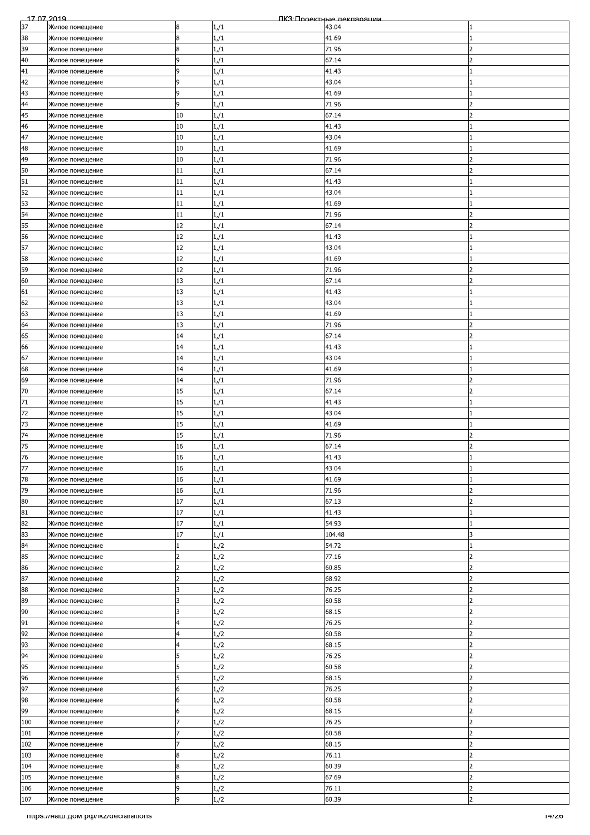| 17 07 2019 |                                     |                |      | ПКЗ Проектные лекпарации |                          |
|------------|-------------------------------------|----------------|------|--------------------------|--------------------------|
| 37         | Жилое помещение                     | 8              | 1/1  | 43.04                    |                          |
| 38         | Жилое помещение                     | 8              | 1/1  | 41.69                    |                          |
| 39         | Жилое помещение                     | 8              | 1/1  | 71.96                    | $\overline{\phantom{a}}$ |
| 40         | Жилое помещение                     | 9              | 1/1  | 67.14                    | 2                        |
| 41         | Жилое помещение                     | 9              | 1/1  | 41.43                    |                          |
| 42         |                                     | 9              |      | 43.04                    |                          |
|            | Жилое помещение                     |                | 1/1  |                          |                          |
| 43         | Жилое помещение                     | 9              | 1/1  | 41.69                    |                          |
| 44         | Жилое помещение                     | 9              | 1/1  | 71.96                    | $\overline{\phantom{a}}$ |
| 45         | Жилое помещение                     | 10             | 1/1  | 67.14                    | フ                        |
| 46         | Жилое помещение                     | 10             | 1/1  | 41.43                    |                          |
| 47         | Жилое помещение                     | 10             | 1/1  | 43.04                    |                          |
| 48         | Жилое помещение                     | 10             | 1/1  | 41.69                    |                          |
| 49         | Жилое помещение                     | 10             | 1/1  | 71.96                    |                          |
| 50         |                                     | 11             |      |                          | フ                        |
|            | Жилое помещение                     |                | 1/1  | 67.14                    |                          |
| 51         | Жилое помещение                     | 11             | 1/1  | 41.43                    |                          |
| 52         | Жилое помещение                     | 11             | 1/1  | 43.04                    |                          |
| 53         | Жилое помещение                     | 11             | 1/1  | 41.69                    |                          |
| 54         | Жилое помещение                     | 11             | 1/1  | 71.96                    |                          |
| 55         | Жилое помещение                     | 12             | 1/1  | 67.14                    |                          |
| 56         | Жилое помещение                     | 12             | 1/1  | 41.43                    |                          |
| 57         | Жилое помещение                     | 12             | 1/1  | 43.04                    |                          |
| 58         | Жилое помещение                     | 12             | 1/1  | 41.69                    |                          |
|            |                                     |                |      |                          |                          |
| 59         | Жилое помещение                     | 12             | 1/1  | 71.96                    |                          |
| 60         | Жилое помещение                     | 13             | 1/1  | 67.14                    | っ                        |
| 61         | Жилое помещение                     | 13             | 1/1  | 41.43                    |                          |
| 62         | Жилое помещение                     | 13             | 1/1  | 43.04                    |                          |
| 63         | Жилое помещение                     | 13             | 1/1  | 41.69                    |                          |
| 64         | Жилое помещение                     | 13             | 1/1  | 71.96                    | 2                        |
| 65         | Жилое помещение                     | 14             | 1/1  | 67.14                    |                          |
| 66         |                                     | 14             |      | 41.43                    |                          |
|            | Жилое помещение                     |                | 1/1  |                          |                          |
| 67         | Жилое помещение                     | 14             | 1/1  | 43.04                    |                          |
| 68         | Жилое помещение                     | 14             | 1/1  | 41.69                    |                          |
| 69         | Жилое помещение                     | 14             | 1/1  | 71.96                    |                          |
| 70         | Жилое помещение                     | 15             | 1/1  | 67.14                    | $\mathcal{P}$            |
| 71         | Жилое помещение                     | 15             | 1/1  | 41.43                    |                          |
| 72         | Жилое помещение                     | 15             | 1/1  | 43.04                    |                          |
| 73         | Жилое помещение                     | 15             | 1/1  | 41.69                    |                          |
| 74         | Жилое помещение                     | 15             | 1/1  | 71.96                    | っ                        |
|            |                                     |                |      |                          |                          |
| 75         | Жилое помещение                     | 16             | 1/1  | 67.14                    | $\overline{\phantom{a}}$ |
| 76         | Жилое помещение                     | 16             | 1/1  | 41.43                    |                          |
| 77         | Жилое помещение                     | 16             | 1/1  | 43.04                    |                          |
| 78         | Жилое помещение                     | 16             | 1/1  | 41.69                    |                          |
| 79         | Жилое помещение                     | 16             | 1/1  | 71.96                    | フ                        |
| 80         | Жилое помещение                     | 17             | 1/1  | 67.13                    | フ                        |
| 81         | Жилое помещение                     | 17             | 1/1  | 41.43                    |                          |
| 82         | Жилое помещение                     | 17             | 1/1  | 54.93                    |                          |
| 83         |                                     | 17             |      |                          |                          |
|            | Жилое помещение                     |                | 1/1  | 104.48                   |                          |
| 84         | Жилое помещение                     |                | 1/2  | 54.72                    |                          |
| 85         | Жилое помещение                     | $\overline{2}$ | 1,/2 | 77.16                    | 2                        |
| 86         | Жилое помещение                     | $\overline{2}$ | 1/2  | 60.85                    | 2                        |
| 87         | Жилое помещение                     | $\overline{c}$ | 1/2  | 68.92                    | フ                        |
| 88         | Жилое помещение                     | 3              | 1/2  | 76.25                    | $\overline{2}$           |
| 89         | Жилое помещение                     | k              | 1/2  | 60.58                    | $\overline{2}$           |
| 90         | Жилое помещение                     | 3              | 1/2  | 68.15                    | フ                        |
|            |                                     | 4              |      |                          | $\overline{\phantom{a}}$ |
| 91         | Жилое помещение                     |                | 1/2  | 76.25                    |                          |
| 92         | Жилое помещение                     | 4              | 1/2  | 60.58                    | 2                        |
| 93         | Жилое помещение                     | 4              | 1/2  | 68.15                    | 2                        |
| 94         | Жилое помещение                     | 5              | 1/2  | 76.25                    | $\overline{2}$           |
| 95         | Жилое помещение                     | 5              | 1/2  | 60.58                    | 2                        |
| 96         | Жилое помещение                     | 5              | 1/2  | 68.15                    | 2                        |
| 97         | Жилое помещение                     | 6              | 1,/2 | 76.25                    |                          |
| 98         | Жилое помещение                     | 6              | 1/2  | 60.58                    | $\mathcal{P}$            |
| 99         |                                     | 6              | 1/2  | 68.15                    | 2                        |
|            | Жилое помещение                     |                |      | 76.25                    | $\overline{\phantom{a}}$ |
| 100        | Жилое помещение                     |                | 1/2  |                          |                          |
| 101        | Жилое помещение                     |                | 1/2  | 60.58                    | $\overline{2}$           |
| 102        | Жилое помещение                     |                | 1/2  | 68.15                    | 2                        |
| 103        | Жилое помещение                     | 8              | 1/2  | 76.11                    |                          |
| 104        | Жилое помещение                     | 8              | 1,/2 | 60.39                    |                          |
| 105        | Жилое помещение                     | 8              | 1/2  | 67.69                    | $\overline{\phantom{a}}$ |
| 106        | Жилое помещение                     | 9              | 1/2  | 76.11                    | $\overline{2}$           |
| 107        |                                     | 9              |      | 60.39                    | $\overline{2}$           |
|            | Жилое помещение                     |                | 1/2  |                          |                          |
|            | mtps://Ham.pom.po//ikz/declarations |                |      |                          | 14/20                    |
|            |                                     |                |      |                          |                          |
|            |                                     |                |      |                          |                          |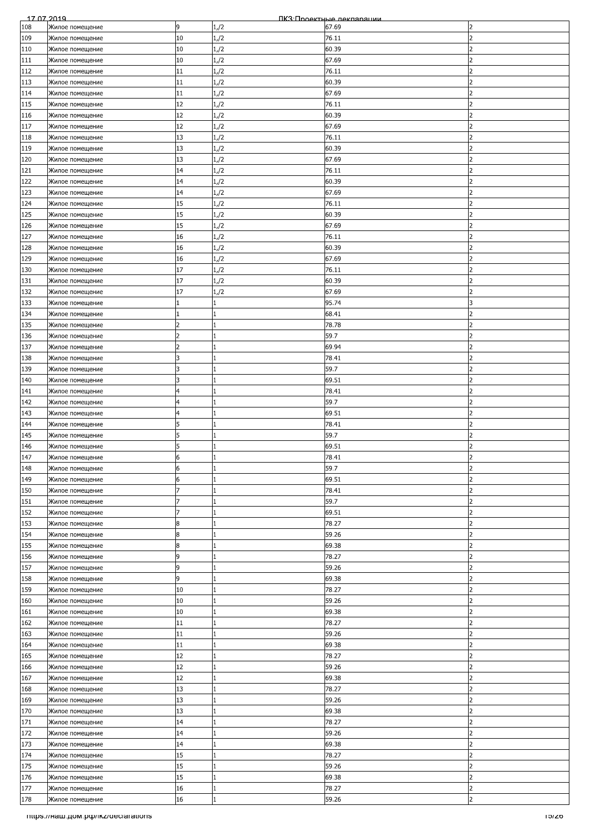| 17 07 2019 |                                     |                |              | ПКЗ: Проектные лекляряции |                          |
|------------|-------------------------------------|----------------|--------------|---------------------------|--------------------------|
| 108        | Жилое помещение                     | 9              | 1,/2         | 67.69                     | 2                        |
| 109        | Жилое помещение                     | 10             | 1/2          | 76.11                     | フ                        |
| 110        | Жилое помещение                     | 10             | 1/2          | 60.39                     | $\overline{\phantom{a}}$ |
| 111        | Жилое помещение                     | 10             | 1/2          | 67.69                     | 2                        |
| 112        | Жилое помещение                     | 11             | 1/2          | 76.11                     |                          |
| 113        | Жилое помещение                     | 11             | 1/2          | 60.39                     |                          |
| 114        | Жилое помещение                     | 11             | 1/2          | 67.69                     | っ                        |
|            |                                     |                |              |                           | $\overline{2}$           |
| 115        | Жилое помещение                     | 12             | 1/2          | 76.11                     |                          |
| 116        | Жилое помещение                     | 12             | 1/2          | 60.39                     | フ                        |
| 117        | Жилое помещение                     | 12             | 1/2          | 67.69                     | っ                        |
| 118        | Жилое помещение                     | 13             | 1/2          | 76.11                     | 2                        |
| 119        | Жилое помещение                     | 13             | 1/2          | 60.39                     |                          |
| 120        | Жилое помещение                     | 13             | 1/2          | 67.69                     |                          |
| 121        | Жилое помещение                     | 14             | 1,/2         | 76.11                     | フ                        |
| 122        | Жилое помещение                     | 14             | 1/2          | 60.39                     | 2                        |
| 123        | Жилое помещение                     | 14             | 1/2          | 67.69                     | 2                        |
| 124        | Жилое помещение                     | 15             | 1/2          | 76.11                     | フ                        |
| 125        | Жилое помещение                     | 15             | 1,/2         | 60.39                     | 2                        |
| 126        | Жилое помещение                     | 15             | 1/2          | 67.69                     |                          |
| 127        | Жилое помещение                     | 16             | 1/2          | 76.11                     |                          |
| 128        | Жилое помещение                     | 16             | 1,/2         | 60.39                     | $\mathcal{P}$            |
| 129        | Жилое помещение                     | 16             | 1/2          | 67.69                     | 2                        |
|            |                                     | 17             |              | 76.11                     | 2                        |
| 130        | Жилое помещение                     |                | 1/2          |                           | っ                        |
| 131        | Жилое помещение                     | 17             | 1/2          | 60.39                     |                          |
| 132        | Жилое помещение                     | 17             | 1/2          | 67.69                     | 2                        |
| 133        | Жилое помещение                     |                | $\mathbf{1}$ | 95.74                     |                          |
| 134        | Жилое помещение                     |                | 1            | 68.41                     | $\overline{\phantom{0}}$ |
| 135        | Жилое помещение                     | フ              | 1            | 78.78                     | 2                        |
| 136        | Жилое помещение                     | 2              | 1            | 59.7                      |                          |
| 137        | Жилое помещение                     | $\overline{2}$ | $\mathbf{1}$ | 69.94                     |                          |
| 138        | Жилое помещение                     | R              | 1            | 78.41                     | っ                        |
| 139        | Жилое помещение                     | 3              | 1            | 59.7                      | 2                        |
| 140        | Жилое помещение                     | 3              | 1            | 69.51                     | 2                        |
| 141        | Жилое помещение                     |                | 1            | 78.41                     | $\overline{\phantom{a}}$ |
| 142        | Жилое помещение                     | 4              | 1            | 59.7                      | 2                        |
| 143        | Жилое помещение                     | 4              | 1            | 69.51                     | 2                        |
|            |                                     | 5              | 1            | 78.41                     | 2                        |
| 144        | Жилое помещение                     |                | 1            |                           | フ                        |
| 145        | Жилое помещение                     | 5              |              | 59.7                      |                          |
| 146        | Жилое помещение                     | 5              | 1            | 69.51                     | $\overline{\phantom{a}}$ |
| 147        | Жилое помещение                     | 6              |              | 78.41                     | $\overline{ }$           |
| 148        | Жилое помещение                     | 6              | 1            | 59.7                      | $\overline{2}$           |
| 149        | Жилое помещение                     | 6              | 1            | 69.51                     |                          |
| 150        | Жилое помещение                     |                | $\mathbf{1}$ | 78.41                     | フ                        |
| 151        | Жилое помещение                     | 7              | 1            | 59.7                      | 2                        |
| 152        | Жилое помещение                     | 7              | 1            | 69.51                     | 2                        |
| 153        | Жилое помещение                     | 8              | 1            | 78.27                     | $\overline{2}$           |
| 154        | Жилое помещение                     | 8              | 1            | 59.26                     | 2                        |
| 155        | Жилое помещение                     | 8              | 1            | 69.38                     | $\overline{\phantom{a}}$ |
| 156        | Жилое помещение                     | 9              | 1            | 78.27                     | 2                        |
| 157        | Жилое помещение                     | 9              | $\mathbf{1}$ | 59.26                     | 2                        |
| 158        | Жилое помещение                     | 9              | 1            | 69.38                     | フ                        |
|            |                                     | 10             | $\mathbf{1}$ | 78.27                     | $\overline{\mathbf{c}}$  |
| 159<br>160 | Жилое помещение                     | 10             | 1            | 59.26                     | $\overline{2}$           |
|            | Жилое помещение                     |                |              |                           | フ                        |
| 161        | Жилое помещение                     | 10             | $\mathbf{1}$ | 69.38                     |                          |
| 162        | Жилое помещение                     | 11             | 1            | 78.27                     | $\overline{\phantom{a}}$ |
| 163        | Жилое помещение                     | 11             | 1            | 59.26                     | 2                        |
| 164        | Жилое помещение                     | 11             | 1            | 69.38                     | 2                        |
| 165        | Жилое помещение                     | 12             | 1            | 78.27                     | $\overline{2}$           |
| 166        | Жилое помещение                     | 12             | 1            | 59.26                     | 2                        |
| 167        | Жилое помещение                     | 12             | $\mathbf{1}$ | 69.38                     | 2                        |
| 168        | Жилое помещение                     | 13             | 1            | 78.27                     |                          |
| 169        | Жилое помещение                     | 13             | $\mathbf{1}$ | 59.26                     | $\mathcal{P}$            |
| 170        | Жилое помещение                     | 13             | 1            | 69.38                     | 2                        |
| 171        | Жилое помещение                     | 14             | 1            | 78.27                     | $\overline{\phantom{a}}$ |
| 172        | Жилое помещение                     | 14             | 1            | 59.26                     | $\overline{2}$           |
| 173        | Жилое помещение                     | 14             | 1            | 69.38                     | 2                        |
| 174        | Жилое помещение                     | 15             | 1            | 78.27                     |                          |
| 175        | Жилое помещение                     | 15             | 1            | 59.26                     |                          |
| 176        | Жилое помещение                     | 15             | 1            | 69.38                     | $\overline{\phantom{a}}$ |
| 177        |                                     | 16             | 1            | 78.27                     | $\overline{2}$           |
| 178        | Жилое помещение<br>Жилое помещение  | 16             | $\mathbf{1}$ | 59.26                     | $\overline{2}$           |
|            |                                     |                |              |                           |                          |
|            | mtps://Ham.pom.po//ikz/declarations |                |              |                           | סאפו                     |
|            |                                     |                |              |                           |                          |
|            |                                     |                |              |                           |                          |
|            |                                     |                |              |                           |                          |
|            |                                     |                |              |                           |                          |
|            |                                     |                |              |                           |                          |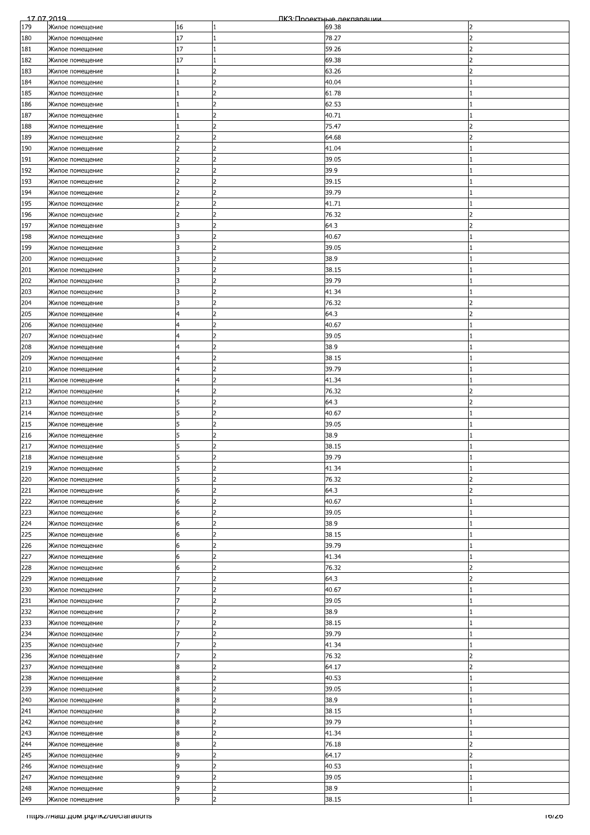| 17 07 2019 |                                    |                |                | ПКЗ Проектные леклярянии |                          |
|------------|------------------------------------|----------------|----------------|--------------------------|--------------------------|
| 179        | Жилое помещение                    | 16             | 1              | 69.38                    | 2                        |
| 180        | Жилое помещение                    | 17             | 1              | 78.27                    | フ                        |
| 181        | Жилое помещение                    | 17             | 1              | 59.26                    | $\overline{\phantom{a}}$ |
| 182        | Жилое помещение                    | 17             | 1              | 69.38                    | 2                        |
| 183        | Жилое помещение                    |                | 2              | 63.26                    |                          |
| 184        | Жилое помещение                    |                |                | 40.04                    |                          |
| 185        |                                    |                | 2              | 61.78                    |                          |
|            | Жилое помещение                    |                | $\overline{2}$ |                          |                          |
| 186        | Жилое помещение                    | 11             |                | 62.53                    |                          |
| 187        | Жилое помещение                    |                | $\overline{2}$ | 40.71                    |                          |
| 188        | Жилое помещение                    |                | $\overline{2}$ | 75.47                    | $\overline{\phantom{a}}$ |
| 189        | Жилое помещение                    |                | 2              | 64.68                    |                          |
| 190        | Жилое помещение                    |                | 2              | 41.04                    |                          |
| 191        | Жилое помещение                    |                | $\overline{2}$ | 39.05                    |                          |
| 192        | Жилое помещение                    | $\overline{2}$ | 2              | 39.9                     |                          |
| 193        | Жилое помещение                    | 2              | $\overline{2}$ | 39.15                    |                          |
| 194        | Жилое помещение                    | $\overline{2}$ | 2              | 39.79                    |                          |
| 195        | Жилое помещение                    | $\overline{z}$ | $\overline{2}$ | 41.71                    |                          |
| 196        | Жилое помещение                    | 2              | 2              | 76.32                    | 2                        |
| 197        | Жилое помещение                    | 3              | 2              | 64.3                     |                          |
| 198        | Жилое помещение                    |                | l2             | 40.67                    |                          |
|            |                                    | 3              | $\overline{2}$ |                          |                          |
| 199        | Жилое помещение                    |                |                | 39.05                    |                          |
| 200        | Жилое помещение                    | 3              | $\overline{2}$ | 38.9                     |                          |
| 201        | Жилое помещение                    | 3              | 2              | 38.15                    |                          |
| 202        | Жилое помещение                    | 3              | 2              | 39.79                    |                          |
| 203        | Жилое помещение                    | 3              | 2              | 41.34                    |                          |
| 204        | Жилое помещение                    | 3              | 2              | 76.32                    |                          |
| 205        | Жилое помещение                    | $\overline{4}$ | l2             | 64.3                     | C                        |
| 206        | Жилое помещение                    | 4              | l2             | 40.67                    |                          |
| 207        | Жилое помещение                    | 4              | $\overline{2}$ | 39.05                    |                          |
| 208        | Жилое помещение                    | 4              | $\overline{2}$ | 38.9                     |                          |
| 209        | Жилое помещение                    | $\overline{4}$ | 2              | 38.15                    |                          |
| 210        | Жилое помещение                    | 4              | 2              | 39.79                    |                          |
| 211        | Жилое помещение                    | 4              | $\overline{2}$ | 41.34                    |                          |
| 212        | Жилое помещение                    | $\overline{4}$ | 2              | 76.32                    | $\mathcal{P}$            |
| 213        |                                    | 5              | 2              | 64.3                     | 2                        |
|            | Жилое помещение                    |                | 2              |                          |                          |
| 214        | Жилое помещение                    | 5              |                | 40.67                    |                          |
| 215        | Жилое помещение                    |                | $\overline{2}$ | 39.05                    |                          |
| 216        | Жилое помещение                    | 5              | $\overline{2}$ | 38.9                     |                          |
| 217        | Жилое помещение                    | 5              | 2              | 38.15                    |                          |
| 218        | Жилое помещение                    | 5              | b              | 39.79                    |                          |
| 219        | Жилое помещение                    | 5              | 2              | 41.34                    |                          |
| 220        | Жилое помещение                    | 5              | 2              | 76.32                    |                          |
| 221        | Жилое помещение                    | 6              | 2              | 64.3                     | 2                        |
| 222        | Жилое помещение                    | 6              | 2              | 40.67                    |                          |
| 223        | Жилое помещение                    | 6              | $\overline{2}$ | 39.05                    |                          |
| 224        | Жилое помещение                    | 6              | $\overline{2}$ | 38.9                     |                          |
| 225        | Жилое помещение                    | 6              | $\overline{2}$ | 38.15                    |                          |
| 226        | Жилое помещение                    | 6              | $\overline{2}$ | 39.79                    |                          |
| 227        | Жилое помещение                    | 6              | $\overline{2}$ | 41.34                    |                          |
| 228        | Жилое помещение                    | 6              | $\overline{2}$ | 76.32                    | 2                        |
| 229        | Жилое помещение                    |                | 2              | 64.3                     | 2                        |
|            |                                    |                | 2              |                          |                          |
| 230        | Жилое помещение                    |                | l2             | 40.67                    |                          |
| 231        | Жилое помещение                    |                |                | 39.05                    |                          |
| 232        | Жилое помещение                    |                | $\overline{2}$ | 38.9                     |                          |
| 233        | Жилое помещение                    |                | 2              | 38.15                    |                          |
| 234        | Жилое помещение                    |                | $\overline{2}$ | 39.79                    |                          |
| 235        | Жилое помещение                    |                | $\overline{2}$ | 41.34                    |                          |
| 236        | Жилое помещение                    |                | $\overline{2}$ | 76.32                    | $\overline{\phantom{a}}$ |
| 237        | Жилое помещение                    | 8              | 2              | 64.17                    | 2                        |
| 238        | Жилое помещение                    | 8              | 2              | 40.53                    |                          |
| 239        | Жилое помещение                    | 8              |                | 39.05                    |                          |
| 240        | Жилое помещение                    | 8              | 2              | 38.9                     |                          |
| 241        | Жилое помещение                    | 8              | 2              | 38.15                    |                          |
| 242        | Жилое помещение                    | 8              | $\overline{2}$ | 39.79                    |                          |
| 243        | Жилое помещение                    | 8              | 2              | 41.34                    |                          |
| 244        | Жилое помещение                    | 8              | $\overline{2}$ | 76.18                    | 2                        |
| 245        | Жилое помещение                    | 9              | 2              | 64.17                    | 2                        |
| 246        |                                    | 9              | $\overline{2}$ | 40.53                    |                          |
|            | Жилое помещение                    |                | 2              |                          |                          |
| 247        | Жилое помещение                    | 9              |                | 39.05                    |                          |
| 248        | Жилое помещение                    | 9              | $\overline{2}$ | 38.9                     |                          |
| 249        | Жилое помещение                    | 9              | $\overline{2}$ | 38.15                    |                          |
|            | mups.//Ham.gom.po/ikz/declarations |                |                |                          | ס אסו                    |
|            |                                    |                |                |                          |                          |
|            |                                    |                |                |                          |                          |
|            |                                    |                |                |                          |                          |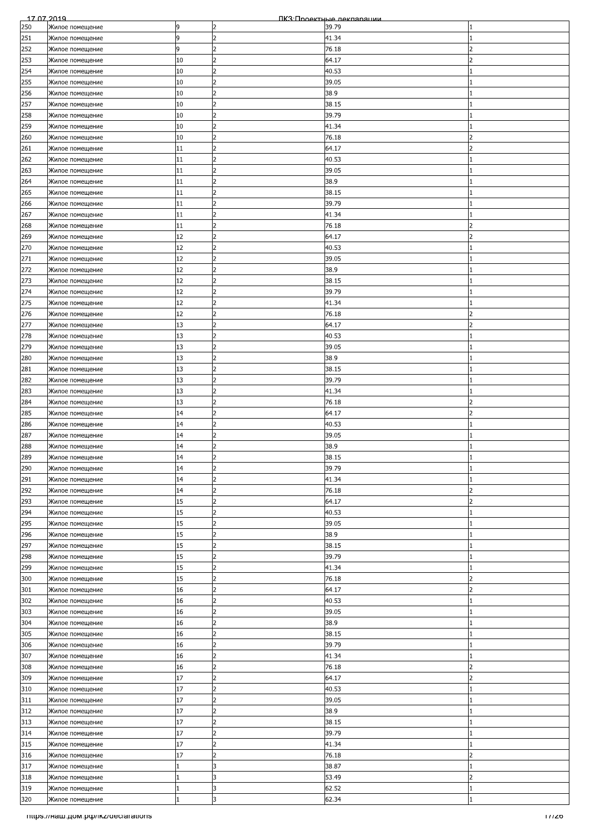| 17 07 2019 |                                      |    |                | ПКЗ Проектные леклярянии |                          |
|------------|--------------------------------------|----|----------------|--------------------------|--------------------------|
| 250        | Жилое помещение                      | 9  | 2              | 39.79                    |                          |
| 251        | Жилое помещение                      | 9  | $\overline{2}$ | 41.34                    |                          |
| 252        | Жилое помещение                      | 9  | 2              | 76.18                    | $\overline{\phantom{a}}$ |
| 253        | Жилое помещение                      | 10 | 2              | 64.17                    | 2                        |
| 254        |                                      | 10 | $\overline{2}$ | 40.53                    |                          |
|            | Жилое помещение                      |    |                |                          |                          |
| 255        | Жилое помещение                      | 10 |                | 39.05                    |                          |
| 256        | Жилое помещение                      | 10 | $\overline{2}$ | 38.9                     |                          |
| 257        | Жилое помещение                      | 10 | $\overline{2}$ | 38.15                    |                          |
| 258        | Жилое помещение                      | 10 | $\overline{2}$ | 39.79                    |                          |
| 259        | Жилое помещение                      | 10 | $\overline{2}$ | 41.34                    |                          |
| 260        | Жилое помещение                      | 10 | 2              | 76.18                    |                          |
| 261        | Жилое помещение                      | 11 | 2              | 64.17                    |                          |
| 262        | Жилое помещение                      | 11 | $\overline{2}$ | 40.53                    |                          |
| 263        | Жилое помещение                      | 11 | $\overline{2}$ | 39.05                    |                          |
|            |                                      |    |                |                          |                          |
| 264        | Жилое помещение                      | 11 | $\overline{2}$ | 38.9                     |                          |
| 265        | Жилое помещение                      | 11 | $\overline{2}$ | 38.15                    |                          |
| 266        | Жилое помещение                      | 11 | $\overline{2}$ | 39.79                    |                          |
| 267        | Жилое помещение                      | 11 | 2              | 41.34                    |                          |
| 268        | Жилое помещение                      | 11 | $\overline{2}$ | 76.18                    |                          |
| 269        | Жилое помещение                      | 12 | 2              | 64.17                    |                          |
| 270        | Жилое помещение                      | 12 | $\overline{2}$ | 40.53                    |                          |
| 271        | Жилое помещение                      | 12 | $\overline{2}$ | 39.05                    |                          |
| 272        | Жилое помещение                      | 12 | $\overline{2}$ | 38.9                     |                          |
|            |                                      |    | $\overline{2}$ |                          |                          |
| 273        | Жилое помещение                      | 12 |                | 38.15                    |                          |
| 274        | Жилое помещение                      | 12 | 2              | 39.79                    |                          |
| 275        | Жилое помещение                      | 12 | 2              | 41.34                    |                          |
| 276        | Жилое помещение                      | 12 | $\overline{2}$ | 76.18                    |                          |
| 277        | Жилое помещение                      | 13 | l2             | 64.17                    | 2                        |
| 278        | Жилое помещение                      | 13 | $\overline{2}$ | 40.53                    |                          |
| 279        | Жилое помещение                      | 13 | $\overline{2}$ | 39.05                    |                          |
| 280        | Жилое помещение                      | 13 | 2              | 38.9                     |                          |
|            |                                      | 13 | 2              |                          |                          |
| 281        | Жилое помещение                      |    |                | 38.15                    |                          |
| 282        | Жилое помещение                      | 13 | 2              | 39.79                    |                          |
| 283        | Жилое помещение                      | 13 | 2              | 41.34                    |                          |
| 284        | Жилое помещение                      | 13 | 2              | 76.18                    | 2                        |
| 285        | Жилое помещение                      | 14 | $\overline{2}$ | 64.17                    | $\overline{\phantom{a}}$ |
| 286        | Жилое помещение                      | 14 | $\overline{2}$ | 40.53                    |                          |
| 287        | Жилое помещение                      | 14 | $\overline{2}$ | 39.05                    |                          |
| 288        | Жилое помещение                      | 14 | $\overline{2}$ | 38.9                     |                          |
| 289        | Жилое помещение                      | 14 | $\overline{2}$ | 38.15                    |                          |
|            |                                      | 14 | 2              |                          |                          |
| 290        | Жилое помещение                      |    |                | 39.79                    |                          |
| 291        | Жилое помещение                      | 14 | 2              | 41.34                    |                          |
| 292        | Жилое помещение                      | 14 | $\overline{2}$ | 76.18                    | フ                        |
| 293        | Жилое помещение                      | 15 | 2              | 64.17                    | $\overline{2}$           |
| 294        | Жилое помещение                      | 15 | $\overline{2}$ | 40.53                    |                          |
| 295        | Жилое помещение                      | 15 | $\overline{2}$ | 39.05                    |                          |
| 296        | Жилое помещение                      | 15 | 2              | 38.9                     |                          |
| 297        | Жилое помещение                      | 15 | 2              | 38.15                    |                          |
| 298        | Жилое помещение                      | 15 | $\overline{2}$ | 39.79                    |                          |
|            |                                      |    | 2              |                          |                          |
| 299        | Жилое помещение                      | 15 |                | 41.34                    |                          |
| 300        | Жилое помещение                      | 15 | 2              | 76.18                    | 2                        |
| 301        | Жилое помещение                      | 16 | $\overline{2}$ | 64.17                    | $\overline{2}$           |
| 302        | Жилое помещение                      | 16 | $\overline{2}$ | 40.53                    |                          |
| 303        | Жилое помещение                      | 16 | 2              | 39.05                    |                          |
| 304        | Жилое помещение                      | 16 | 2              | 38.9                     |                          |
| 305        | Жилое помещение                      | 16 | $\overline{2}$ | 38.15                    |                          |
| 306        | Жилое помещение                      | 16 | 2              | 39.79                    |                          |
| 307        | Жилое помещение                      | 16 | $\overline{2}$ | 41.34                    |                          |
| 308        | Жилое помещение                      | 16 | 2              | 76.18                    | 2                        |
| 309        | Жилое помещение                      | 17 | 2              | 64.17                    | フ                        |
|            |                                      |    |                |                          |                          |
| 310        | Жилое помещение                      | 17 | $\overline{2}$ | 40.53                    |                          |
| 311        | Жилое помещение                      | 17 | 2              | 39.05                    |                          |
| 312        | Жилое помещение                      | 17 | $\overline{2}$ | 38.9                     |                          |
| 313        | Жилое помещение                      | 17 | $\overline{2}$ | 38.15                    |                          |
| 314        | Жилое помещение                      | 17 | 2              | 39.79                    |                          |
| 315        | Жилое помещение                      | 17 | 2              | 41.34                    |                          |
| 316        | Жилое помещение                      | 17 | 2              | 76.18                    | 2                        |
| 317        | Жилое помещение                      |    | 3              | 38.87                    |                          |
| 318        |                                      |    | l3             | 53.49                    | $\overline{2}$           |
|            | Жилое помещение                      |    |                |                          |                          |
| 319        | Жилое помещение                      | 11 | 3              | 62.52                    |                          |
| 320        | Жилое помещение                      | 1  | 3              | 62.34                    |                          |
|            | Tittps://Ham.pom.po/ikz/declarations |    |                |                          | 177ZO                    |
|            |                                      |    |                |                          |                          |
|            |                                      |    |                |                          |                          |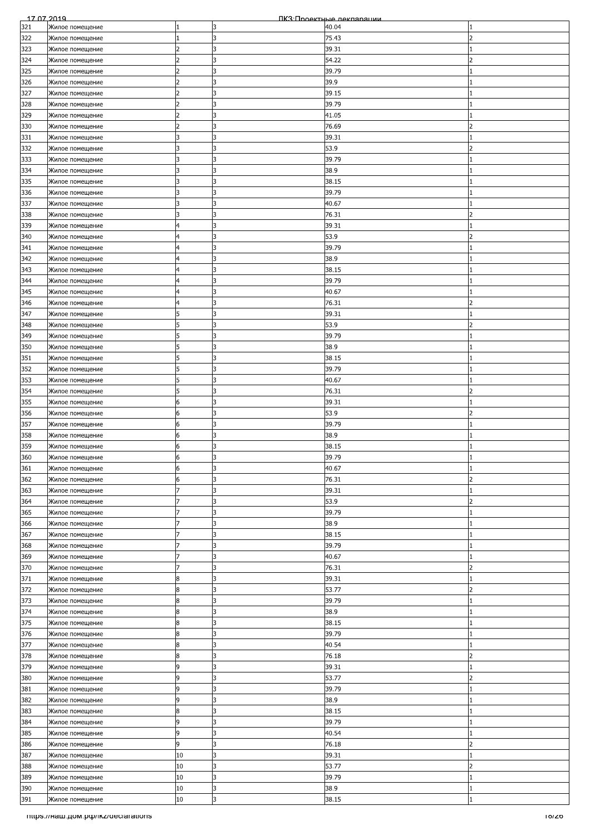| 17 07 2019 |                                    |                |    | ПКЗ Проектные лекпарации |                          |
|------------|------------------------------------|----------------|----|--------------------------|--------------------------|
| 321        | Жилое помещение                    | Π.             | 3  | 40.04                    |                          |
| 322        | Жилое помещение                    |                | 3  | 75.43                    | フ                        |
| 323        | Жилое помещение                    | 2              | l3 | 39.31                    |                          |
| 324        |                                    | 2              | l3 | 54.22                    | 2                        |
|            | Жилое помещение                    |                |    |                          |                          |
| 325        | Жилое помещение                    | 12             | 3  | 39.79                    |                          |
| 326        | Жилое помещение                    |                | 3  | 39.9                     |                          |
| 327        | Жилое помещение                    | $\overline{2}$ | Iз | 39.15                    |                          |
| 328        | Жилое помещение                    | $\overline{2}$ | 3  | 39.79                    |                          |
| 329        | Жилое помещение                    | $\overline{2}$ | 3  | 41.05                    |                          |
| 330        | Жилое помещение                    | $\overline{2}$ | l3 | 76.69                    | $\overline{\phantom{a}}$ |
| 331        | Жилое помещение                    | 3              | 3  | 39.31                    |                          |
| 332        | Жилое помещение                    | 3              | 3  | 53.9                     |                          |
|            |                                    |                |    |                          |                          |
| 333        | Жилое помещение                    |                | 3  | 39.79                    |                          |
| 334        | Жилое помещение                    | 3              | l3 | 38.9                     |                          |
| 335        | Жилое помещение                    | 3              | 3  | 38.15                    |                          |
| 336        | Жилое помещение                    | 3              | 3  | 39.79                    |                          |
| 337        | Жилое помещение                    | 3              | l3 | 40.67                    |                          |
| 338        | Жилое помещение                    | 3              | 3  | 76.31                    | 2                        |
| 339        | Жилое помещение                    | 4              | 3  | 39.31                    |                          |
| 340        | Жилое помещение                    |                | ß. | 53.9                     |                          |
| 341        |                                    | 4              | l3 | 39.79                    |                          |
|            | Жилое помещение                    |                |    |                          |                          |
| 342        | Жилое помещение                    | 4              | 3  | 38.9                     |                          |
| 343        | Жилое помещение                    | 4              | 3  | 38.15                    |                          |
| 344        | Жилое помещение                    | $\overline{4}$ | l3 | 39.79                    |                          |
| 345        | Жилое помещение                    | 4              | 3  | 40.67                    |                          |
| 346        | Жилое помещение                    | 4              | 3  | 76.31                    |                          |
| 347        | Жилое помещение                    |                | l3 | 39.31                    |                          |
| 348        | Жилое помещение                    | 5              | 3  | 53.9                     | 2                        |
| 349        | Жилое помещение                    | 5              | 3  | 39.79                    |                          |
| 350        |                                    |                | 3  | 38.9                     |                          |
|            | Жилое помещение                    |                |    |                          |                          |
| 351        | Жилое помещение                    |                | l3 | 38.15                    |                          |
| 352        | Жилое помещение                    | 5              | 3  | 39.79                    |                          |
| 353        | Жилое помещение                    | 5              | 3  | 40.67                    |                          |
| 354        | Жилое помещение                    | 5              | l3 | 76.31                    | $\overline{\phantom{a}}$ |
| 355        | Жилое помещение                    | 6              | 3  | 39.31                    |                          |
| 356        | Жилое помещение                    | 6              | 3  | 53.9                     | 2                        |
| 357        | Жилое помещение                    | 6              | l3 | 39.79                    |                          |
| 358        | Жилое помещение                    | 6              | l3 | 38.9                     |                          |
|            |                                    |                |    |                          |                          |
| 359        | Жилое помещение                    | 6              | 3  | 38.15                    |                          |
| 360        | Жилое помещение                    | 6              | l3 | 39.79                    |                          |
| 361        | Жилое помещение                    | 6              | l3 | 40.67                    |                          |
| 362        | Жилое помещение                    | 6              | 13 | 76.31                    | 2                        |
| 363        | Жилое помещение                    |                | 3  | 39.31                    |                          |
| 364        | Жилое помещение                    |                | l3 | 53.9                     | $\overline{2}$           |
| 365        | Жилое помещение                    |                | l3 | 39.79                    |                          |
| 366        | Жилое помещение                    | 17             | 3  | 38.9                     |                          |
| 367        |                                    |                | 3  | 38.15                    |                          |
|            | Жилое помещение                    |                |    |                          |                          |
| 368        | Жилое помещение                    |                | l3 | 39.79                    |                          |
| 369        | Жилое помещение                    |                | Iз | 40.67                    |                          |
| 370        | Жилое помещение                    |                | 3  | 76.31                    | 2                        |
| 371        | Жилое помещение                    | 8              | 3  | 39.31                    |                          |
| 372        | Жилое помещение                    | 8              | l3 | 53.77                    | $\overline{2}$           |
| 373        | Жилое помещение                    | 8              | l3 | 39.79                    |                          |
| 374        | Жилое помещение                    | 8              | l3 | 38.9                     |                          |
| 375        | Жилое помещение                    | 8              | l3 | 38.15                    |                          |
| 376        | Жилое помещение                    | 8              | 3  | 39.79                    |                          |
|            |                                    |                | l3 |                          |                          |
| 377        | Жилое помещение                    | 8              |    | 40.54                    |                          |
| 378        | Жилое помещение                    | 8              | l3 | 76.18                    | $\overline{2}$           |
| 379        | Жилое помещение                    | 9              | l3 | 39.31                    |                          |
| 380        | Жилое помещение                    | 9              | l3 | 53.77                    | フ                        |
| 381        | Жилое помещение                    | 9              | 3  | 39.79                    |                          |
| 382        | Жилое помещение                    | 9              | l3 | 38.9                     |                          |
| 383        | Жилое помещение                    | 8              | l3 | 38.15                    |                          |
| 384        | Жилое помещение                    | 9              | 3  | 39.79                    |                          |
| 385        | Жилое помещение                    | 9              | l3 | 40.54                    |                          |
|            |                                    | 9              | l3 |                          | 2                        |
| 386        | Жилое помещение                    |                |    | 76.18                    |                          |
| 387        | Жилое помещение                    | 10             | 3  | 39.31                    |                          |
| 388        | Жилое помещение                    | 10             | 3  | 53.77                    |                          |
| 389        | Жилое помещение                    | 10             | 3  | 39.79                    |                          |
| 390        | Жилое помещение                    | 10             | 3  | 38.9                     |                          |
| 391        | Жилое помещение                    | 10             | 3  | 38.15                    |                          |
|            | mups.//Ham.gom.po/ikz/declarations |                |    |                          | 10/Z0                    |
|            |                                    |                |    |                          |                          |
|            |                                    |                |    |                          |                          |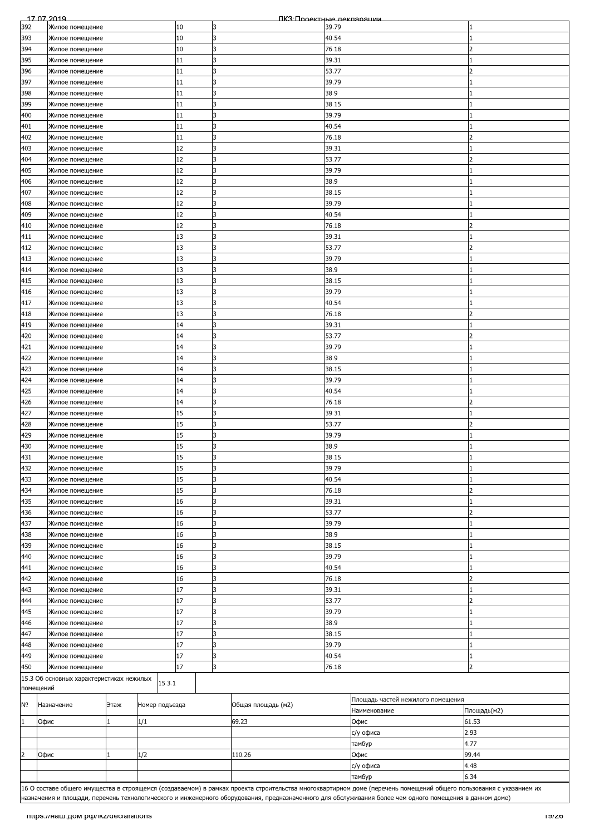|                | 17 07 2019                               |      |                |    |    | ПКЗ Проектные лекпарации |       |                                                                                                                                                                    |                |
|----------------|------------------------------------------|------|----------------|----|----|--------------------------|-------|--------------------------------------------------------------------------------------------------------------------------------------------------------------------|----------------|
| 392            | Жилое помещение                          |      |                | 10 | 3  |                          | 39.79 |                                                                                                                                                                    |                |
| 393            | Жилое помещение                          |      |                | 10 | 3  |                          | 40.54 |                                                                                                                                                                    |                |
| 394            | Жилое помещение                          |      |                | 10 | 3  |                          | 76.18 |                                                                                                                                                                    |                |
| 395            | Жилое помещение                          |      |                | 11 | l3 |                          | 39.31 |                                                                                                                                                                    |                |
| 396            |                                          |      |                | 11 | 3  |                          | 53.77 |                                                                                                                                                                    |                |
|                | Жилое помещение                          |      |                |    |    |                          |       |                                                                                                                                                                    |                |
| 397            | Жилое помещение                          |      |                | 11 | 3  |                          | 39.79 |                                                                                                                                                                    |                |
| 398            | Жилое помещение                          |      |                | 11 | 3  |                          | 38.9  |                                                                                                                                                                    |                |
| 399            | Жилое помещение                          |      |                | 11 | 3  |                          | 38.15 |                                                                                                                                                                    |                |
| 400            | Жилое помещение                          |      |                | 11 | 3  |                          | 39.79 |                                                                                                                                                                    |                |
| 401            | Жилое помещение                          |      |                | 11 | l3 |                          | 40.54 |                                                                                                                                                                    |                |
| 402            | Жилое помещение                          |      |                | 11 | 3  |                          | 76.18 |                                                                                                                                                                    |                |
| 403            | Жилое помещение                          |      |                | 12 | 3  |                          | 39.31 |                                                                                                                                                                    |                |
|                |                                          |      |                |    |    |                          |       |                                                                                                                                                                    |                |
| 404            | Жилое помещение                          |      |                | 12 | 3  |                          | 53.77 |                                                                                                                                                                    |                |
| 405            | Жилое помещение                          |      |                | 12 | 3  |                          | 39.79 |                                                                                                                                                                    |                |
| 406            | Жилое помещение                          |      |                | 12 | 3  |                          | 38.9  |                                                                                                                                                                    |                |
| 407            | Жилое помещение                          |      |                | 12 | 3  |                          | 38.15 |                                                                                                                                                                    |                |
| 408            | Жилое помещение                          |      |                | 12 | l3 |                          | 39.79 |                                                                                                                                                                    |                |
| 409            | Жилое помещение                          |      |                | 12 | 3  |                          | 40.54 |                                                                                                                                                                    |                |
|                |                                          |      |                | 12 | 3  |                          |       |                                                                                                                                                                    |                |
| 410            | Жилое помещение                          |      |                |    |    |                          | 76.18 |                                                                                                                                                                    |                |
| 411            | Жилое помещение                          |      |                | 13 | 3  |                          | 39.31 |                                                                                                                                                                    |                |
| 412            | Жилое помещение                          |      |                | 13 | 3  |                          | 53.77 |                                                                                                                                                                    | フ              |
| 413            | Жилое помещение                          |      |                | 13 | 3  |                          | 39.79 |                                                                                                                                                                    |                |
| 414            | Жилое помещение                          |      |                | 13 | 3  |                          | 38.9  |                                                                                                                                                                    |                |
| 415            | Жилое помещение                          |      |                | 13 | 3  |                          | 38.15 |                                                                                                                                                                    |                |
|                |                                          |      |                | 13 |    |                          |       |                                                                                                                                                                    |                |
| 416            | Жилое помещение                          |      |                |    | 3  |                          | 39.79 |                                                                                                                                                                    |                |
| 417            | Жилое помещение                          |      |                | 13 | 3  |                          | 40.54 |                                                                                                                                                                    |                |
| 418            | Жилое помещение                          |      |                | 13 | 3  |                          | 76.18 |                                                                                                                                                                    |                |
| 419            | Жилое помещение                          |      |                | 14 | 3  |                          | 39.31 |                                                                                                                                                                    |                |
| 420            | Жилое помещение                          |      |                | 14 | 3  |                          | 53.77 |                                                                                                                                                                    | 2              |
| 421            | Жилое помещение                          |      |                | 14 | 3  |                          | 39.79 |                                                                                                                                                                    |                |
| 422            |                                          |      |                | 14 | 3  |                          | 38.9  |                                                                                                                                                                    |                |
|                | Жилое помещение                          |      |                |    |    |                          |       |                                                                                                                                                                    |                |
| 423            | Жилое помещение                          |      |                | 14 | 3  |                          | 38.15 |                                                                                                                                                                    |                |
| 424            | Жилое помещение                          |      |                | 14 | 3  |                          | 39.79 |                                                                                                                                                                    |                |
| 425            | Жилое помещение                          |      |                | 14 | 3  |                          | 40.54 |                                                                                                                                                                    |                |
| 426            | Жилое помещение                          |      |                | 14 | 3  |                          | 76.18 |                                                                                                                                                                    | 2              |
| 427            | Жилое помещение                          |      |                | 15 | 3  |                          | 39.31 |                                                                                                                                                                    |                |
| 428            | Жилое помещение                          |      |                | 15 | 3  |                          | 53.77 |                                                                                                                                                                    |                |
|                |                                          |      |                |    |    |                          |       |                                                                                                                                                                    |                |
| 429            | Жилое помещение                          |      |                | 15 | l3 |                          | 39.79 |                                                                                                                                                                    |                |
| 430            | Жилое помещение                          |      |                | 15 | 3  |                          | 38.9  |                                                                                                                                                                    |                |
| 431            | Жилое помещение                          |      |                | 15 | l3 |                          | 38.15 |                                                                                                                                                                    |                |
| 432            | Жилое помещение                          |      |                | 15 | 3  |                          | 39.79 |                                                                                                                                                                    |                |
| 433            | Жилое помещение                          |      |                | 15 | 3  |                          | 40.54 |                                                                                                                                                                    |                |
| 434            | Жилое помещение                          |      |                | 15 | 3  |                          | 76.18 |                                                                                                                                                                    | 2              |
|                |                                          |      |                |    |    |                          |       |                                                                                                                                                                    |                |
| 435            | Жилое помещение                          |      |                | 16 | 3  |                          | 39.31 |                                                                                                                                                                    |                |
| 436            | Жилое помещение                          |      |                | 16 | 3  |                          | 53.77 |                                                                                                                                                                    | 2              |
| 437            | Жилое помещение                          |      |                | 16 | 3  |                          | 39.79 |                                                                                                                                                                    |                |
| 438            | Жилое помещение                          |      |                | 16 | 3  |                          | 38.9  |                                                                                                                                                                    |                |
| 439            | Жилое помещение                          |      |                | 16 | 3  |                          | 38.15 |                                                                                                                                                                    |                |
| 440            | Жилое помещение                          |      |                | 16 | 3  |                          | 39.79 |                                                                                                                                                                    |                |
|                |                                          |      |                |    |    |                          |       |                                                                                                                                                                    |                |
| 441            | Жилое помещение                          |      |                | 16 | 3  |                          | 40.54 |                                                                                                                                                                    |                |
| 442            | Жилое помещение                          |      |                | 16 | 3  |                          | 76.18 |                                                                                                                                                                    |                |
| 443            | Жилое помещение                          |      |                | 17 | 3  |                          | 39.31 |                                                                                                                                                                    |                |
| 444            | Жилое помещение                          |      |                | 17 | 3  |                          | 53.77 |                                                                                                                                                                    | 2              |
| 445            | Жилое помещение                          |      |                | 17 | 3  |                          | 39.79 |                                                                                                                                                                    |                |
| 446            | Жилое помещение                          |      |                | 17 | 3  |                          | 38.9  |                                                                                                                                                                    |                |
|                |                                          |      |                | 17 | 3  |                          |       |                                                                                                                                                                    |                |
| 447            | Жилое помещение                          |      |                |    |    |                          | 38.15 |                                                                                                                                                                    |                |
| 448            | Жилое помещение                          |      |                | 17 | l3 |                          | 39.79 |                                                                                                                                                                    |                |
| 449            | Жилое помещение                          |      |                | 17 | 3  |                          | 40.54 |                                                                                                                                                                    |                |
| 450            | Жилое помещение                          |      |                | 17 | B. |                          | 76.18 |                                                                                                                                                                    | $\overline{2}$ |
|                | 15.3 Об основных характеристиках нежилых |      |                |    |    |                          |       |                                                                                                                                                                    |                |
|                | помещений                                |      | 15.3.1         |    |    |                          |       |                                                                                                                                                                    |                |
|                |                                          |      |                |    |    |                          |       | Площадь частей нежилого помещения                                                                                                                                  |                |
| Nō             | Назначение                               | Этаж | Номер подъезда |    |    | Общая площадь (м2)       |       |                                                                                                                                                                    |                |
|                |                                          |      |                |    |    |                          |       | Наименование                                                                                                                                                       | Площадь(м2)    |
|                | Офис                                     |      | 1/1            |    |    | 69.23                    |       | Офис                                                                                                                                                               | 61.53          |
|                |                                          |      |                |    |    |                          |       | с/у офиса                                                                                                                                                          | 2.93           |
|                |                                          |      |                |    |    |                          |       | тамбур                                                                                                                                                             | 4.77           |
|                |                                          |      |                |    |    | 110.26                   |       | Офис                                                                                                                                                               | 99.44          |
| $\overline{2}$ |                                          |      |                |    |    |                          |       | с/у офиса                                                                                                                                                          | 4.48           |
|                | Офис                                     |      | 1/2            |    |    |                          |       |                                                                                                                                                                    |                |
|                |                                          |      |                |    |    |                          |       |                                                                                                                                                                    |                |
|                |                                          |      |                |    |    |                          |       | тамбур                                                                                                                                                             | 6.34           |
|                |                                          |      |                |    |    |                          |       | 16 О составе общего имущества в строящемся (создаваемом) в рамках проекта строительства многоквартирном доме (перечень помещений общего пользования с указанием их |                |
|                |                                          |      |                |    |    |                          |       |                                                                                                                                                                    |                |
|                |                                          |      |                |    |    |                          |       | назначения и площади, перечень технологического и инженерного оборудования, предназначенного для обслуживания более чем одного помещения в данном доме)            |                |
|                | mups.//наш.дом.рф/ikz/declarations       |      |                |    |    |                          |       |                                                                                                                                                                    | סאומו          |
|                |                                          |      |                |    |    |                          |       |                                                                                                                                                                    |                |
|                |                                          |      |                |    |    |                          |       |                                                                                                                                                                    |                |
|                |                                          |      |                |    |    |                          |       |                                                                                                                                                                    |                |
|                |                                          |      |                |    |    |                          |       |                                                                                                                                                                    |                |
|                |                                          |      |                |    |    |                          |       |                                                                                                                                                                    |                |
|                |                                          |      |                |    |    |                          |       |                                                                                                                                                                    |                |
|                |                                          |      |                |    |    |                          |       |                                                                                                                                                                    |                |
|                |                                          |      |                |    |    |                          |       |                                                                                                                                                                    |                |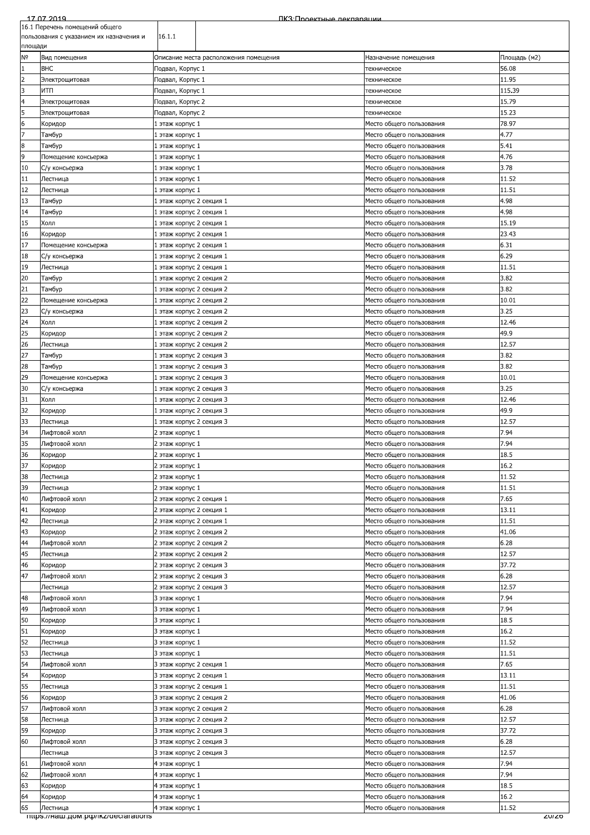|                | 17 07 2019                              |                          | ПКЗ:Проектные лекпарации              |                          |              |
|----------------|-----------------------------------------|--------------------------|---------------------------------------|--------------------------|--------------|
|                | 16.1 Перечень помещений общего          |                          |                                       |                          |              |
|                | пользования с указанием их назначения и | 16.1.1                   |                                       |                          |              |
| площади        |                                         |                          |                                       |                          |              |
| Νō             | Вид помещения                           |                          | Описание места расположения помещения | Назначение помещения     | Площадь (м2) |
| $\mathbf{1}$   | <b>BHC</b>                              | Подвал, Корпус 1         |                                       | техническое              | 56.08        |
| $\overline{c}$ | Электрощитовая                          | Подвал, Корпус 1         |                                       | техническое              | 11.95        |
| 3              | итп                                     | Подвал, Корпус 1         |                                       | техническое              | 115.39       |
| 4              | Электрощитовая                          | Подвал, Корпус 2         |                                       | техническое              | 15.79        |
| 5              | Электрощитовая                          | Подвал, Корпус 2         |                                       | техническое              | 15.23        |
| $\overline{6}$ | Коридор                                 | 1 этаж корпус 1          |                                       | Место общего пользования | 78.97        |
| 7              | Тамбур                                  | 1 этаж корпус 1          |                                       | Место общего пользования | 4.77         |
| $\bf{8}$       | Тамбур                                  | 1 этаж корпус 1          |                                       | Место общего пользования | 5.41         |
| 9              |                                         |                          |                                       |                          |              |
|                | Помещение консьержа                     | 1 этаж корпус 1          |                                       | Место общего пользования | 4.76         |
| 10             | С/у консьержа                           | 1 этаж корпус 1          |                                       | Место общего пользования | 3.78         |
| $11\,$         | Лестница                                | 1 этаж корпус 1          |                                       | Место общего пользования | 11.52        |
| 12             | Лестница                                | 1 этаж корпус 1          |                                       | Место общего пользования | 11.51        |
| 13             | Тамбур                                  | 1 этаж корпус 2 секция 1 |                                       | Место общего пользования | 4.98         |
| 14             | Тамбур                                  | 1 этаж корпус 2 секция 1 |                                       | Место общего пользования | 4.98         |
| 15             | Холл                                    | 1 этаж корпус 2 секция 1 |                                       | Место общего пользования | 15.19        |
| 16             | Коридор                                 | 1 этаж корпус 2 секция 1 |                                       | Место общего пользования | 23.43        |
| 17             | Помещение консьержа                     | 1 этаж корпус 2 секция 1 |                                       | Место общего пользования | 6.31         |
| 18             | С/у консьержа                           | 1 этаж корпус 2 секция 1 |                                       | Место общего пользования | 6.29         |
| 19             | Лестница                                | 1 этаж корпус 2 секция 1 |                                       | Место общего пользования | 11.51        |
| 20             | Тамбур                                  | 1 этаж корпус 2 секция 2 |                                       | Место общего пользования | 3.82         |
| 21             | Тамбур                                  | 1 этаж корпус 2 секция 2 |                                       | Место общего пользования | 3.82         |
| 22             | Помещение консьержа                     | 1 этаж корпус 2 секция 2 |                                       | Место общего пользования | 10.01        |
| 23             | С/у консьержа                           | 1 этаж корпус 2 секция 2 |                                       | Место общего пользования | 3.25         |
| 24             | Холл                                    |                          |                                       |                          | 12.46        |
|                |                                         | 1 этаж корпус 2 секция 2 |                                       | Место общего пользования |              |
| 25             | Коридор                                 | 1 этаж корпус 2 секция 2 |                                       | Место общего пользования | 49.9         |
| 26             | Лестница                                | 1 этаж корпус 2 секция 2 |                                       | Место общего пользования | 12.57        |
| 27             | Тамбур                                  | 1 этаж корпус 2 секция 3 |                                       | Место общего пользования | 3.82         |
| 28             | Тамбур                                  | 1 этаж корпус 2 секция 3 |                                       | Место общего пользования | 3.82         |
| 29             | Помещение консьержа                     | 1 этаж корпус 2 секция 3 |                                       | Место общего пользования | 10.01        |
| 30             | С/у консьержа                           | 1 этаж корпус 2 секция 3 |                                       | Место общего пользования | 3.25         |
| 31             | Холл                                    | 1 этаж корпус 2 секция 3 |                                       | Место общего пользования | 12.46        |
| 32             | Коридор                                 | 1 этаж корпус 2 секция 3 |                                       | Место общего пользования | 49.9         |
| 33             | Лестница                                | 1 этаж корпус 2 секция 3 |                                       | Место общего пользования | 12.57        |
| 34             | Лифтовой холл                           | 2 этаж корпус 1          |                                       | Место общего пользования | 7.94         |
| 35             | Лифтовой холл                           | 2 этаж корпус 1          |                                       | Место общего пользования | 7.94         |
| 36             | Коридор                                 | 2 этаж корпус 1          |                                       | Место общего пользования | 18.5         |
| 37             | Коридор                                 | 2 этаж корпус 1          |                                       | Место общего пользования | 16.2         |
| 38             | Лестница                                | 2 этаж корпус 1          |                                       | Место общего пользования | 11.52        |
| 39             | Лестница                                | 2 этаж корпус 1          |                                       | Место общего пользования | 11.51        |
| 40             | Лифтовой холл                           | 2 этаж корпус 2 секция 1 |                                       | Место общего пользования | 7.65         |
|                |                                         |                          |                                       |                          | 13.11        |
| 41             | Коридор                                 | 2 этаж корпус 2 секция 1 |                                       | Место общего пользования |              |
| 42             | Лестница                                | 2 этаж корпус 2 секция 1 |                                       | Место общего пользования | 11.51        |
| 43             | Коридор                                 | 2 этаж корпус 2 секция 2 |                                       | Место общего пользования | 41.06        |
| 44             | Лифтовой холл                           | 2 этаж корпус 2 секция 2 |                                       | Место общего пользования | 6.28         |
| 45             | Лестница                                | 2 этаж корпус 2 секция 2 |                                       | Место общего пользования | 12.57        |
| 46             | Коридор                                 | 2 этаж корпус 2 секция 3 |                                       | Место общего пользования | 37.72        |
| 47             | Лифтовой холл                           | 2 этаж корпус 2 секция 3 |                                       | Место общего пользования | 6.28         |
|                | Лестница                                | 2 этаж корпус 2 секция 3 |                                       | Место общего пользования | 12.57        |
| 48             | Лифтовой холл                           | 3 этаж корпус 1          |                                       | Место общего пользования | 7.94         |
| 49             | Лифтовой холл                           | 3 этаж корпус 1          |                                       | Место общего пользования | 7.94         |
| 50             | Коридор                                 | 3 этаж корпус 1          |                                       | Место общего пользования | 18.5         |
| 51             | Коридор                                 | 3 этаж корпус 1          |                                       | Место общего пользования | 16.2         |
| 52             | Лестница                                | 3 этаж корпус 1          |                                       | Место общего пользования | 11.52        |
| 53             | Лестница                                | 3 этаж корпус 1          |                                       | Место общего пользования | 11.51        |
| 54             | Лифтовой холл                           | 3 этаж корпус 2 секция 1 |                                       | Место общего пользования | 7.65         |
|                |                                         |                          |                                       |                          |              |
| 54<br>55       | Коридор                                 | 3 этаж корпус 2 секция 1 |                                       | Место общего пользования | 13.11        |
|                | Лестница                                | 3 этаж корпус 2 секция 1 |                                       | Место общего пользования | 11.51        |
| 56             | Коридор                                 | 3 этаж корпус 2 секция 2 |                                       | Место общего пользования | 41.06        |
| 57             | Лифтовой холл                           | 3 этаж корпус 2 секция 2 |                                       | Место общего пользования | 6.28         |
| 58             | Лестница                                | 3 этаж корпус 2 секция 2 |                                       | Место общего пользования | 12.57        |
| 59             | Коридор                                 | 3 этаж корпус 2 секция 3 |                                       | Место общего пользования | 37.72        |
| 60             | Лифтовой холл                           | 3 этаж корпус 2 секция 3 |                                       | Место общего пользования | 6.28         |
|                | Лестница                                | 3 этаж корпус 2 секция 3 |                                       | Место общего пользования | 12.57        |
| 61             | Лифтовой холл                           | 4 этаж корпус 1          |                                       | Место общего пользования | 7.94         |
| 62             | Лифтовой холл                           | 4 этаж корпус 1          |                                       | Место общего пользования | 7.94         |
| 63             | Коридор                                 | 4 этаж корпус 1          |                                       | Место общего пользования | 18.5         |
| 64             | Коридор                                 | 4 этаж корпус 1          |                                       | Место общего пользования | 16.2         |
| 65             | Лестница                                | 4 этаж корпус 1          |                                       | Место общего пользования | 11.52        |
|                | mups.//Ham дом.po//ikz/declarations     |                          |                                       |                          | zurzo        |
|                |                                         |                          |                                       |                          |              |
|                |                                         |                          |                                       |                          |              |
|                |                                         |                          |                                       |                          |              |
|                |                                         |                          |                                       |                          |              |
|                |                                         |                          |                                       |                          |              |
|                |                                         |                          |                                       |                          |              |
|                |                                         |                          |                                       |                          |              |
|                |                                         |                          |                                       |                          |              |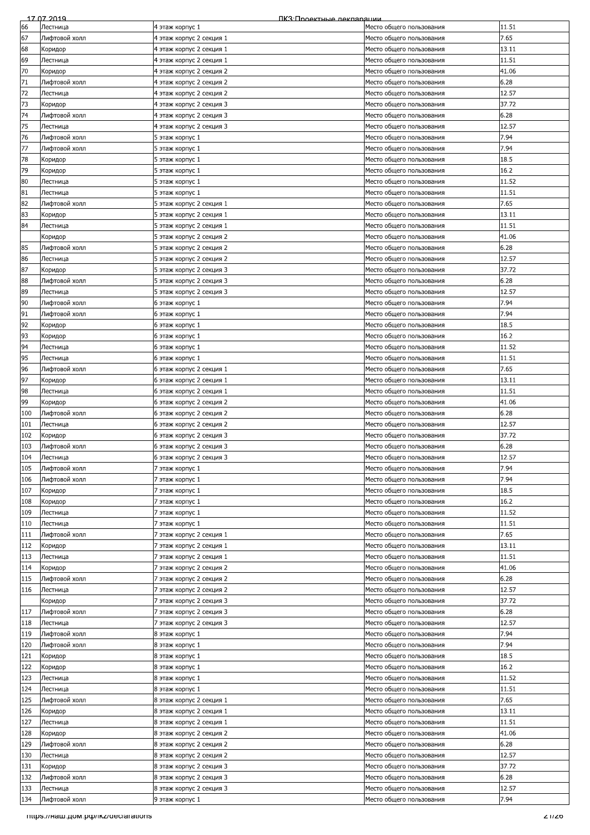| 66<br>11.51<br>Лестница<br>4 этаж корпус 1<br>Место общего пользования<br>67<br>7.65<br>Лифтовой холл<br>4 этаж корпус 2 секция 1<br>Место общего пользования<br>68<br>13.11<br>4 этаж корпус 2 секция 1<br>Коридор<br>Место общего пользования<br>69<br>11.51<br>Лестница<br>4 этаж корпус 2 секция 1<br>Место общего пользования<br>70<br>41.06<br>4 этаж корпус 2 секция 2<br>Место общего пользования<br>Коридор<br>71<br>6.28<br>Лифтовой холл<br>4 этаж корпус 2 секция 2<br>Место общего пользования<br>72<br>12.57<br>Лестница<br>4 этаж корпус 2 секция 2<br>Место общего пользования<br>73<br>37.72<br>4 этаж корпус 2 секция 3<br>Коридор<br>Место общего пользования<br>74<br>6.28<br>Лифтовой холл<br>4 этаж корпус 2 секция 3<br>Место общего пользования<br>75<br>12.57<br>Лестница<br>4 этаж корпус 2 секция 3<br>Место общего пользования<br>76<br>7.94<br>Лифтовой холл<br>5 этаж корпус 1<br>Место общего пользования<br>77<br>7.94<br>Лифтовой холл<br>5 этаж корпус 1<br>Место общего пользования<br>78<br>18.5<br>5 этаж корпус 1<br>Место общего пользования<br>Коридор<br>79<br>16.2<br>Коридор<br>5 этаж корпус 1<br>Место общего пользования<br>80<br>11.52<br>5 этаж корпус 1<br>Лестница<br>Место общего пользования<br>81<br>11.51<br>Лестница<br>5 этаж корпус 1<br>Место общего пользования<br>82<br>7.65<br>Лифтовой холл<br>5 этаж корпус 2 секция 1<br>Место общего пользования<br>83<br>5 этаж корпус 2 секция 1<br>13.11<br>Коридор<br>Место общего пользования<br>84<br>11.51<br>Лестница<br>5 этаж корпус 2 секция 1<br>Место общего пользования<br>5 этаж корпус 2 секция 2<br>41.06<br>Коридор<br>Место общего пользования<br>85<br>6.28<br>Лифтовой холл<br>5 этаж корпус 2 секция 2<br>Место общего пользования<br>86<br>12.57<br>5 этаж корпус 2 секция 2<br>Лестница<br>Место общего пользования<br>87<br>37.72<br>5 этаж корпус 2 секция 3<br>Коридор<br>Место общего пользования<br>6.28<br>88<br>Лифтовой холл<br>5 этаж корпус 2 секция 3<br>Место общего пользования<br>89<br>12.57<br>Лестница<br>5 этаж корпус 2 секция 3<br>Место общего пользования<br>90<br>7.94<br>Лифтовой холл<br>Место общего пользования<br>6 этаж корпус 1<br>91<br>7.94<br>Лифтовой холл<br>6 этаж корпус 1<br>Место общего пользования<br>92<br>18.5<br>6 этаж корпус 1<br>Место общего пользования<br>Коридор<br>93<br>16.2<br>Коридор<br>6 этаж корпус 1<br>Место общего пользования<br>94<br>11.52<br>Лестница<br>6 этаж корпус 1<br>Место общего пользования<br>95<br>11.51<br>Лестница<br>6 этаж корпус 1<br>Место общего пользования<br>96<br>7.65<br>Лифтовой холл<br>6 этаж корпус 2 секция 1<br>Место общего пользования<br>97<br>13.11<br>6 этаж корпус 2 секция 1<br>Место общего пользования<br>Коридор<br>98<br>11.51<br>Лестница<br>6 этаж корпус 2 секция 1<br>Место общего пользования<br>99<br>41.06<br>Коридор<br>6 этаж корпус 2 секция 2<br>Место общего пользования<br>100<br>6.28<br>Лифтовой холл<br>6 этаж корпус 2 секция 2<br>Место общего пользования<br>101<br>12.57<br>Лестница<br>6 этаж корпус 2 секция 2<br>Место общего пользования<br>37.72<br>102<br>Коридор<br>6 этаж корпус 2 секция 3<br>Место общего пользования<br>103<br>6.28<br>Лифтовой холл<br>6 этаж корпус 2 секция 3<br>Место общего пользования<br>104<br>Лестница<br>12.57<br>6 этаж корпус 2 секция 3<br>Место общего пользования<br>105<br>7.94<br>Лифтовой холл<br>7 этаж корпус 1<br>Место общего пользования<br>106<br>7.94<br>Лифтовой холл<br>7 этаж корпус 1<br>Место общего пользования<br>107<br>18.5<br>7 этаж корпус 1<br>Место общего пользования<br>Коридор<br>108<br>16.2<br>7 этаж корпус 1<br>Место общего пользования<br>Коридор<br>11.52<br>109<br>Лестница<br>7 этаж корпус 1<br>Место общего пользования<br>110<br>11.51<br>Лестница<br>7 этаж корпус 1<br>Место общего пользования<br>111<br>7.65<br>Лифтовой холл<br>7 этаж корпус 2 секция 1<br>Место общего пользования<br>112<br>13.11<br>Коридор<br>7 этаж корпус 2 секция 1<br>Место общего пользования<br>113<br>11.51<br>Лестница<br>7 этаж корпус 2 секция 1<br>Место общего пользования<br>114<br>41.06<br>7 этаж корпус 2 секция 2<br>Место общего пользования<br>Коридор<br>6.28<br>115<br>7 этаж корпус 2 секция 2<br>Лифтовой холл<br>Место общего пользования<br>12.57<br>116<br>Лестница<br>7 этаж корпус 2 секция 2<br>Место общего пользования<br>7 этаж корпус 2 секция 3<br>37.72<br>Коридор<br>Место общего пользования<br>117<br>Лифтовой холл<br>7 этаж корпус 2 секция 3<br>6.28<br>Место общего пользования<br>12.57<br>118<br>Лестница<br>7 этаж корпус 2 секция 3<br>Место общего пользования<br>119<br>7.94<br>Лифтовой холл<br>8 этаж корпус 1<br>Место общего пользования<br>120<br>7.94<br>Лифтовой холл<br>8 этаж корпус 1<br>Место общего пользования<br>121<br>18.5<br>8 этаж корпус 1<br>Коридор<br>Место общего пользования<br>122<br>16.2<br>Коридор<br>8 этаж корпус 1<br>Место общего пользования<br>123<br>11.52<br>Лестница<br>8 этаж корпус 1<br>Место общего пользования<br>124<br>11.51<br>Лестница<br>8 этаж корпус 1<br>Место общего пользования<br>125<br>7.65<br>Лифтовой холл<br>8 этаж корпус 2 секция 1<br>Место общего пользования<br>126<br>13.11<br>8 этаж корпус 2 секция 1<br>Коридор<br>Место общего пользования<br>127<br>8 этаж корпус 2 секция 1<br>11.51<br>Лестница<br>Место общего пользования<br>128<br>8 этаж корпус 2 секция 2<br>41.06<br>Место общего пользования<br>Коридор<br>129<br>6.28<br>Лифтовой холл<br>8 этаж корпус 2 секция 2<br>Место общего пользования<br>130<br>12.57<br>Лестница<br>8 этаж корпус 2 секция 2<br>Место общего пользования<br>131<br>37.72<br>8 этаж корпус 2 секция 3<br>Коридор<br>Место общего пользования<br>132<br>Лифтовой холл<br>6.28<br>8 этаж корпус 2 секция 3<br>Место общего пользования<br>133<br>12.57<br>8 этаж корпус 2 секция 3<br>Лестница<br>Место общего пользования<br>134<br>7.94<br>Лифтовой холл<br>Место общего пользования<br>9 этаж корпус 1<br>mups.//наш.дом.pф/ikz/declarations<br>Z 1720 | 17 07 2019 | ПКЗ:Проектные лекпарации |  |
|---------------------------------------------------------------------------------------------------------------------------------------------------------------------------------------------------------------------------------------------------------------------------------------------------------------------------------------------------------------------------------------------------------------------------------------------------------------------------------------------------------------------------------------------------------------------------------------------------------------------------------------------------------------------------------------------------------------------------------------------------------------------------------------------------------------------------------------------------------------------------------------------------------------------------------------------------------------------------------------------------------------------------------------------------------------------------------------------------------------------------------------------------------------------------------------------------------------------------------------------------------------------------------------------------------------------------------------------------------------------------------------------------------------------------------------------------------------------------------------------------------------------------------------------------------------------------------------------------------------------------------------------------------------------------------------------------------------------------------------------------------------------------------------------------------------------------------------------------------------------------------------------------------------------------------------------------------------------------------------------------------------------------------------------------------------------------------------------------------------------------------------------------------------------------------------------------------------------------------------------------------------------------------------------------------------------------------------------------------------------------------------------------------------------------------------------------------------------------------------------------------------------------------------------------------------------------------------------------------------------------------------------------------------------------------------------------------------------------------------------------------------------------------------------------------------------------------------------------------------------------------------------------------------------------------------------------------------------------------------------------------------------------------------------------------------------------------------------------------------------------------------------------------------------------------------------------------------------------------------------------------------------------------------------------------------------------------------------------------------------------------------------------------------------------------------------------------------------------------------------------------------------------------------------------------------------------------------------------------------------------------------------------------------------------------------------------------------------------------------------------------------------------------------------------------------------------------------------------------------------------------------------------------------------------------------------------------------------------------------------------------------------------------------------------------------------------------------------------------------------------------------------------------------------------------------------------------------------------------------------------------------------------------------------------------------------------------------------------------------------------------------------------------------------------------------------------------------------------------------------------------------------------------------------------------------------------------------------------------------------------------------------------------------------------------------------------------------------------------------------------------------------------------------------------------------------------------------------------------------------------------------------------------------------------------------------------------------------------------------------------------------------------------------------------------------------------------------------------------------------------------------------------------------------------------------------------------------------------------------------------------------------------------------------------------------------------------------------------------------------------------------------------------------------------------------------------------------------------------------------------------------------------------------------------------------------------------------------------------------------------------------------------------------------------------------------------------------------------------------------------------------------------------------------------------------------------------------------------------------------------------------------------------------------------------------------------------------------------------------------------------------------------------|------------|--------------------------|--|
|                                                                                                                                                                                                                                                                                                                                                                                                                                                                                                                                                                                                                                                                                                                                                                                                                                                                                                                                                                                                                                                                                                                                                                                                                                                                                                                                                                                                                                                                                                                                                                                                                                                                                                                                                                                                                                                                                                                                                                                                                                                                                                                                                                                                                                                                                                                                                                                                                                                                                                                                                                                                                                                                                                                                                                                                                                                                                                                                                                                                                                                                                                                                                                                                                                                                                                                                                                                                                                                                                                                                                                                                                                                                                                                                                                                                                                                                                                                                                                                                                                                                                                                                                                                                                                                                                                                                                                                                                                                                                                                                                                                                                                                                                                                                                                                                                                                                                                                                                                                                                                                                                                                                                                                                                                                                                                                                                                                                                                                                                                                                                                                                                                                                                                                                                                                                                                                                                                                                                                                                                                 |            |                          |  |
|                                                                                                                                                                                                                                                                                                                                                                                                                                                                                                                                                                                                                                                                                                                                                                                                                                                                                                                                                                                                                                                                                                                                                                                                                                                                                                                                                                                                                                                                                                                                                                                                                                                                                                                                                                                                                                                                                                                                                                                                                                                                                                                                                                                                                                                                                                                                                                                                                                                                                                                                                                                                                                                                                                                                                                                                                                                                                                                                                                                                                                                                                                                                                                                                                                                                                                                                                                                                                                                                                                                                                                                                                                                                                                                                                                                                                                                                                                                                                                                                                                                                                                                                                                                                                                                                                                                                                                                                                                                                                                                                                                                                                                                                                                                                                                                                                                                                                                                                                                                                                                                                                                                                                                                                                                                                                                                                                                                                                                                                                                                                                                                                                                                                                                                                                                                                                                                                                                                                                                                                                                 |            |                          |  |
|                                                                                                                                                                                                                                                                                                                                                                                                                                                                                                                                                                                                                                                                                                                                                                                                                                                                                                                                                                                                                                                                                                                                                                                                                                                                                                                                                                                                                                                                                                                                                                                                                                                                                                                                                                                                                                                                                                                                                                                                                                                                                                                                                                                                                                                                                                                                                                                                                                                                                                                                                                                                                                                                                                                                                                                                                                                                                                                                                                                                                                                                                                                                                                                                                                                                                                                                                                                                                                                                                                                                                                                                                                                                                                                                                                                                                                                                                                                                                                                                                                                                                                                                                                                                                                                                                                                                                                                                                                                                                                                                                                                                                                                                                                                                                                                                                                                                                                                                                                                                                                                                                                                                                                                                                                                                                                                                                                                                                                                                                                                                                                                                                                                                                                                                                                                                                                                                                                                                                                                                                                 |            |                          |  |
|                                                                                                                                                                                                                                                                                                                                                                                                                                                                                                                                                                                                                                                                                                                                                                                                                                                                                                                                                                                                                                                                                                                                                                                                                                                                                                                                                                                                                                                                                                                                                                                                                                                                                                                                                                                                                                                                                                                                                                                                                                                                                                                                                                                                                                                                                                                                                                                                                                                                                                                                                                                                                                                                                                                                                                                                                                                                                                                                                                                                                                                                                                                                                                                                                                                                                                                                                                                                                                                                                                                                                                                                                                                                                                                                                                                                                                                                                                                                                                                                                                                                                                                                                                                                                                                                                                                                                                                                                                                                                                                                                                                                                                                                                                                                                                                                                                                                                                                                                                                                                                                                                                                                                                                                                                                                                                                                                                                                                                                                                                                                                                                                                                                                                                                                                                                                                                                                                                                                                                                                                                 |            |                          |  |
|                                                                                                                                                                                                                                                                                                                                                                                                                                                                                                                                                                                                                                                                                                                                                                                                                                                                                                                                                                                                                                                                                                                                                                                                                                                                                                                                                                                                                                                                                                                                                                                                                                                                                                                                                                                                                                                                                                                                                                                                                                                                                                                                                                                                                                                                                                                                                                                                                                                                                                                                                                                                                                                                                                                                                                                                                                                                                                                                                                                                                                                                                                                                                                                                                                                                                                                                                                                                                                                                                                                                                                                                                                                                                                                                                                                                                                                                                                                                                                                                                                                                                                                                                                                                                                                                                                                                                                                                                                                                                                                                                                                                                                                                                                                                                                                                                                                                                                                                                                                                                                                                                                                                                                                                                                                                                                                                                                                                                                                                                                                                                                                                                                                                                                                                                                                                                                                                                                                                                                                                                                 |            |                          |  |
|                                                                                                                                                                                                                                                                                                                                                                                                                                                                                                                                                                                                                                                                                                                                                                                                                                                                                                                                                                                                                                                                                                                                                                                                                                                                                                                                                                                                                                                                                                                                                                                                                                                                                                                                                                                                                                                                                                                                                                                                                                                                                                                                                                                                                                                                                                                                                                                                                                                                                                                                                                                                                                                                                                                                                                                                                                                                                                                                                                                                                                                                                                                                                                                                                                                                                                                                                                                                                                                                                                                                                                                                                                                                                                                                                                                                                                                                                                                                                                                                                                                                                                                                                                                                                                                                                                                                                                                                                                                                                                                                                                                                                                                                                                                                                                                                                                                                                                                                                                                                                                                                                                                                                                                                                                                                                                                                                                                                                                                                                                                                                                                                                                                                                                                                                                                                                                                                                                                                                                                                                                 |            |                          |  |
|                                                                                                                                                                                                                                                                                                                                                                                                                                                                                                                                                                                                                                                                                                                                                                                                                                                                                                                                                                                                                                                                                                                                                                                                                                                                                                                                                                                                                                                                                                                                                                                                                                                                                                                                                                                                                                                                                                                                                                                                                                                                                                                                                                                                                                                                                                                                                                                                                                                                                                                                                                                                                                                                                                                                                                                                                                                                                                                                                                                                                                                                                                                                                                                                                                                                                                                                                                                                                                                                                                                                                                                                                                                                                                                                                                                                                                                                                                                                                                                                                                                                                                                                                                                                                                                                                                                                                                                                                                                                                                                                                                                                                                                                                                                                                                                                                                                                                                                                                                                                                                                                                                                                                                                                                                                                                                                                                                                                                                                                                                                                                                                                                                                                                                                                                                                                                                                                                                                                                                                                                                 |            |                          |  |
|                                                                                                                                                                                                                                                                                                                                                                                                                                                                                                                                                                                                                                                                                                                                                                                                                                                                                                                                                                                                                                                                                                                                                                                                                                                                                                                                                                                                                                                                                                                                                                                                                                                                                                                                                                                                                                                                                                                                                                                                                                                                                                                                                                                                                                                                                                                                                                                                                                                                                                                                                                                                                                                                                                                                                                                                                                                                                                                                                                                                                                                                                                                                                                                                                                                                                                                                                                                                                                                                                                                                                                                                                                                                                                                                                                                                                                                                                                                                                                                                                                                                                                                                                                                                                                                                                                                                                                                                                                                                                                                                                                                                                                                                                                                                                                                                                                                                                                                                                                                                                                                                                                                                                                                                                                                                                                                                                                                                                                                                                                                                                                                                                                                                                                                                                                                                                                                                                                                                                                                                                                 |            |                          |  |
|                                                                                                                                                                                                                                                                                                                                                                                                                                                                                                                                                                                                                                                                                                                                                                                                                                                                                                                                                                                                                                                                                                                                                                                                                                                                                                                                                                                                                                                                                                                                                                                                                                                                                                                                                                                                                                                                                                                                                                                                                                                                                                                                                                                                                                                                                                                                                                                                                                                                                                                                                                                                                                                                                                                                                                                                                                                                                                                                                                                                                                                                                                                                                                                                                                                                                                                                                                                                                                                                                                                                                                                                                                                                                                                                                                                                                                                                                                                                                                                                                                                                                                                                                                                                                                                                                                                                                                                                                                                                                                                                                                                                                                                                                                                                                                                                                                                                                                                                                                                                                                                                                                                                                                                                                                                                                                                                                                                                                                                                                                                                                                                                                                                                                                                                                                                                                                                                                                                                                                                                                                 |            |                          |  |
|                                                                                                                                                                                                                                                                                                                                                                                                                                                                                                                                                                                                                                                                                                                                                                                                                                                                                                                                                                                                                                                                                                                                                                                                                                                                                                                                                                                                                                                                                                                                                                                                                                                                                                                                                                                                                                                                                                                                                                                                                                                                                                                                                                                                                                                                                                                                                                                                                                                                                                                                                                                                                                                                                                                                                                                                                                                                                                                                                                                                                                                                                                                                                                                                                                                                                                                                                                                                                                                                                                                                                                                                                                                                                                                                                                                                                                                                                                                                                                                                                                                                                                                                                                                                                                                                                                                                                                                                                                                                                                                                                                                                                                                                                                                                                                                                                                                                                                                                                                                                                                                                                                                                                                                                                                                                                                                                                                                                                                                                                                                                                                                                                                                                                                                                                                                                                                                                                                                                                                                                                                 |            |                          |  |
|                                                                                                                                                                                                                                                                                                                                                                                                                                                                                                                                                                                                                                                                                                                                                                                                                                                                                                                                                                                                                                                                                                                                                                                                                                                                                                                                                                                                                                                                                                                                                                                                                                                                                                                                                                                                                                                                                                                                                                                                                                                                                                                                                                                                                                                                                                                                                                                                                                                                                                                                                                                                                                                                                                                                                                                                                                                                                                                                                                                                                                                                                                                                                                                                                                                                                                                                                                                                                                                                                                                                                                                                                                                                                                                                                                                                                                                                                                                                                                                                                                                                                                                                                                                                                                                                                                                                                                                                                                                                                                                                                                                                                                                                                                                                                                                                                                                                                                                                                                                                                                                                                                                                                                                                                                                                                                                                                                                                                                                                                                                                                                                                                                                                                                                                                                                                                                                                                                                                                                                                                                 |            |                          |  |
|                                                                                                                                                                                                                                                                                                                                                                                                                                                                                                                                                                                                                                                                                                                                                                                                                                                                                                                                                                                                                                                                                                                                                                                                                                                                                                                                                                                                                                                                                                                                                                                                                                                                                                                                                                                                                                                                                                                                                                                                                                                                                                                                                                                                                                                                                                                                                                                                                                                                                                                                                                                                                                                                                                                                                                                                                                                                                                                                                                                                                                                                                                                                                                                                                                                                                                                                                                                                                                                                                                                                                                                                                                                                                                                                                                                                                                                                                                                                                                                                                                                                                                                                                                                                                                                                                                                                                                                                                                                                                                                                                                                                                                                                                                                                                                                                                                                                                                                                                                                                                                                                                                                                                                                                                                                                                                                                                                                                                                                                                                                                                                                                                                                                                                                                                                                                                                                                                                                                                                                                                                 |            |                          |  |
|                                                                                                                                                                                                                                                                                                                                                                                                                                                                                                                                                                                                                                                                                                                                                                                                                                                                                                                                                                                                                                                                                                                                                                                                                                                                                                                                                                                                                                                                                                                                                                                                                                                                                                                                                                                                                                                                                                                                                                                                                                                                                                                                                                                                                                                                                                                                                                                                                                                                                                                                                                                                                                                                                                                                                                                                                                                                                                                                                                                                                                                                                                                                                                                                                                                                                                                                                                                                                                                                                                                                                                                                                                                                                                                                                                                                                                                                                                                                                                                                                                                                                                                                                                                                                                                                                                                                                                                                                                                                                                                                                                                                                                                                                                                                                                                                                                                                                                                                                                                                                                                                                                                                                                                                                                                                                                                                                                                                                                                                                                                                                                                                                                                                                                                                                                                                                                                                                                                                                                                                                                 |            |                          |  |
|                                                                                                                                                                                                                                                                                                                                                                                                                                                                                                                                                                                                                                                                                                                                                                                                                                                                                                                                                                                                                                                                                                                                                                                                                                                                                                                                                                                                                                                                                                                                                                                                                                                                                                                                                                                                                                                                                                                                                                                                                                                                                                                                                                                                                                                                                                                                                                                                                                                                                                                                                                                                                                                                                                                                                                                                                                                                                                                                                                                                                                                                                                                                                                                                                                                                                                                                                                                                                                                                                                                                                                                                                                                                                                                                                                                                                                                                                                                                                                                                                                                                                                                                                                                                                                                                                                                                                                                                                                                                                                                                                                                                                                                                                                                                                                                                                                                                                                                                                                                                                                                                                                                                                                                                                                                                                                                                                                                                                                                                                                                                                                                                                                                                                                                                                                                                                                                                                                                                                                                                                                 |            |                          |  |
|                                                                                                                                                                                                                                                                                                                                                                                                                                                                                                                                                                                                                                                                                                                                                                                                                                                                                                                                                                                                                                                                                                                                                                                                                                                                                                                                                                                                                                                                                                                                                                                                                                                                                                                                                                                                                                                                                                                                                                                                                                                                                                                                                                                                                                                                                                                                                                                                                                                                                                                                                                                                                                                                                                                                                                                                                                                                                                                                                                                                                                                                                                                                                                                                                                                                                                                                                                                                                                                                                                                                                                                                                                                                                                                                                                                                                                                                                                                                                                                                                                                                                                                                                                                                                                                                                                                                                                                                                                                                                                                                                                                                                                                                                                                                                                                                                                                                                                                                                                                                                                                                                                                                                                                                                                                                                                                                                                                                                                                                                                                                                                                                                                                                                                                                                                                                                                                                                                                                                                                                                                 |            |                          |  |
|                                                                                                                                                                                                                                                                                                                                                                                                                                                                                                                                                                                                                                                                                                                                                                                                                                                                                                                                                                                                                                                                                                                                                                                                                                                                                                                                                                                                                                                                                                                                                                                                                                                                                                                                                                                                                                                                                                                                                                                                                                                                                                                                                                                                                                                                                                                                                                                                                                                                                                                                                                                                                                                                                                                                                                                                                                                                                                                                                                                                                                                                                                                                                                                                                                                                                                                                                                                                                                                                                                                                                                                                                                                                                                                                                                                                                                                                                                                                                                                                                                                                                                                                                                                                                                                                                                                                                                                                                                                                                                                                                                                                                                                                                                                                                                                                                                                                                                                                                                                                                                                                                                                                                                                                                                                                                                                                                                                                                                                                                                                                                                                                                                                                                                                                                                                                                                                                                                                                                                                                                                 |            |                          |  |
|                                                                                                                                                                                                                                                                                                                                                                                                                                                                                                                                                                                                                                                                                                                                                                                                                                                                                                                                                                                                                                                                                                                                                                                                                                                                                                                                                                                                                                                                                                                                                                                                                                                                                                                                                                                                                                                                                                                                                                                                                                                                                                                                                                                                                                                                                                                                                                                                                                                                                                                                                                                                                                                                                                                                                                                                                                                                                                                                                                                                                                                                                                                                                                                                                                                                                                                                                                                                                                                                                                                                                                                                                                                                                                                                                                                                                                                                                                                                                                                                                                                                                                                                                                                                                                                                                                                                                                                                                                                                                                                                                                                                                                                                                                                                                                                                                                                                                                                                                                                                                                                                                                                                                                                                                                                                                                                                                                                                                                                                                                                                                                                                                                                                                                                                                                                                                                                                                                                                                                                                                                 |            |                          |  |
|                                                                                                                                                                                                                                                                                                                                                                                                                                                                                                                                                                                                                                                                                                                                                                                                                                                                                                                                                                                                                                                                                                                                                                                                                                                                                                                                                                                                                                                                                                                                                                                                                                                                                                                                                                                                                                                                                                                                                                                                                                                                                                                                                                                                                                                                                                                                                                                                                                                                                                                                                                                                                                                                                                                                                                                                                                                                                                                                                                                                                                                                                                                                                                                                                                                                                                                                                                                                                                                                                                                                                                                                                                                                                                                                                                                                                                                                                                                                                                                                                                                                                                                                                                                                                                                                                                                                                                                                                                                                                                                                                                                                                                                                                                                                                                                                                                                                                                                                                                                                                                                                                                                                                                                                                                                                                                                                                                                                                                                                                                                                                                                                                                                                                                                                                                                                                                                                                                                                                                                                                                 |            |                          |  |
|                                                                                                                                                                                                                                                                                                                                                                                                                                                                                                                                                                                                                                                                                                                                                                                                                                                                                                                                                                                                                                                                                                                                                                                                                                                                                                                                                                                                                                                                                                                                                                                                                                                                                                                                                                                                                                                                                                                                                                                                                                                                                                                                                                                                                                                                                                                                                                                                                                                                                                                                                                                                                                                                                                                                                                                                                                                                                                                                                                                                                                                                                                                                                                                                                                                                                                                                                                                                                                                                                                                                                                                                                                                                                                                                                                                                                                                                                                                                                                                                                                                                                                                                                                                                                                                                                                                                                                                                                                                                                                                                                                                                                                                                                                                                                                                                                                                                                                                                                                                                                                                                                                                                                                                                                                                                                                                                                                                                                                                                                                                                                                                                                                                                                                                                                                                                                                                                                                                                                                                                                                 |            |                          |  |
|                                                                                                                                                                                                                                                                                                                                                                                                                                                                                                                                                                                                                                                                                                                                                                                                                                                                                                                                                                                                                                                                                                                                                                                                                                                                                                                                                                                                                                                                                                                                                                                                                                                                                                                                                                                                                                                                                                                                                                                                                                                                                                                                                                                                                                                                                                                                                                                                                                                                                                                                                                                                                                                                                                                                                                                                                                                                                                                                                                                                                                                                                                                                                                                                                                                                                                                                                                                                                                                                                                                                                                                                                                                                                                                                                                                                                                                                                                                                                                                                                                                                                                                                                                                                                                                                                                                                                                                                                                                                                                                                                                                                                                                                                                                                                                                                                                                                                                                                                                                                                                                                                                                                                                                                                                                                                                                                                                                                                                                                                                                                                                                                                                                                                                                                                                                                                                                                                                                                                                                                                                 |            |                          |  |
|                                                                                                                                                                                                                                                                                                                                                                                                                                                                                                                                                                                                                                                                                                                                                                                                                                                                                                                                                                                                                                                                                                                                                                                                                                                                                                                                                                                                                                                                                                                                                                                                                                                                                                                                                                                                                                                                                                                                                                                                                                                                                                                                                                                                                                                                                                                                                                                                                                                                                                                                                                                                                                                                                                                                                                                                                                                                                                                                                                                                                                                                                                                                                                                                                                                                                                                                                                                                                                                                                                                                                                                                                                                                                                                                                                                                                                                                                                                                                                                                                                                                                                                                                                                                                                                                                                                                                                                                                                                                                                                                                                                                                                                                                                                                                                                                                                                                                                                                                                                                                                                                                                                                                                                                                                                                                                                                                                                                                                                                                                                                                                                                                                                                                                                                                                                                                                                                                                                                                                                                                                 |            |                          |  |
|                                                                                                                                                                                                                                                                                                                                                                                                                                                                                                                                                                                                                                                                                                                                                                                                                                                                                                                                                                                                                                                                                                                                                                                                                                                                                                                                                                                                                                                                                                                                                                                                                                                                                                                                                                                                                                                                                                                                                                                                                                                                                                                                                                                                                                                                                                                                                                                                                                                                                                                                                                                                                                                                                                                                                                                                                                                                                                                                                                                                                                                                                                                                                                                                                                                                                                                                                                                                                                                                                                                                                                                                                                                                                                                                                                                                                                                                                                                                                                                                                                                                                                                                                                                                                                                                                                                                                                                                                                                                                                                                                                                                                                                                                                                                                                                                                                                                                                                                                                                                                                                                                                                                                                                                                                                                                                                                                                                                                                                                                                                                                                                                                                                                                                                                                                                                                                                                                                                                                                                                                                 |            |                          |  |
|                                                                                                                                                                                                                                                                                                                                                                                                                                                                                                                                                                                                                                                                                                                                                                                                                                                                                                                                                                                                                                                                                                                                                                                                                                                                                                                                                                                                                                                                                                                                                                                                                                                                                                                                                                                                                                                                                                                                                                                                                                                                                                                                                                                                                                                                                                                                                                                                                                                                                                                                                                                                                                                                                                                                                                                                                                                                                                                                                                                                                                                                                                                                                                                                                                                                                                                                                                                                                                                                                                                                                                                                                                                                                                                                                                                                                                                                                                                                                                                                                                                                                                                                                                                                                                                                                                                                                                                                                                                                                                                                                                                                                                                                                                                                                                                                                                                                                                                                                                                                                                                                                                                                                                                                                                                                                                                                                                                                                                                                                                                                                                                                                                                                                                                                                                                                                                                                                                                                                                                                                                 |            |                          |  |
|                                                                                                                                                                                                                                                                                                                                                                                                                                                                                                                                                                                                                                                                                                                                                                                                                                                                                                                                                                                                                                                                                                                                                                                                                                                                                                                                                                                                                                                                                                                                                                                                                                                                                                                                                                                                                                                                                                                                                                                                                                                                                                                                                                                                                                                                                                                                                                                                                                                                                                                                                                                                                                                                                                                                                                                                                                                                                                                                                                                                                                                                                                                                                                                                                                                                                                                                                                                                                                                                                                                                                                                                                                                                                                                                                                                                                                                                                                                                                                                                                                                                                                                                                                                                                                                                                                                                                                                                                                                                                                                                                                                                                                                                                                                                                                                                                                                                                                                                                                                                                                                                                                                                                                                                                                                                                                                                                                                                                                                                                                                                                                                                                                                                                                                                                                                                                                                                                                                                                                                                                                 |            |                          |  |
|                                                                                                                                                                                                                                                                                                                                                                                                                                                                                                                                                                                                                                                                                                                                                                                                                                                                                                                                                                                                                                                                                                                                                                                                                                                                                                                                                                                                                                                                                                                                                                                                                                                                                                                                                                                                                                                                                                                                                                                                                                                                                                                                                                                                                                                                                                                                                                                                                                                                                                                                                                                                                                                                                                                                                                                                                                                                                                                                                                                                                                                                                                                                                                                                                                                                                                                                                                                                                                                                                                                                                                                                                                                                                                                                                                                                                                                                                                                                                                                                                                                                                                                                                                                                                                                                                                                                                                                                                                                                                                                                                                                                                                                                                                                                                                                                                                                                                                                                                                                                                                                                                                                                                                                                                                                                                                                                                                                                                                                                                                                                                                                                                                                                                                                                                                                                                                                                                                                                                                                                                                 |            |                          |  |
|                                                                                                                                                                                                                                                                                                                                                                                                                                                                                                                                                                                                                                                                                                                                                                                                                                                                                                                                                                                                                                                                                                                                                                                                                                                                                                                                                                                                                                                                                                                                                                                                                                                                                                                                                                                                                                                                                                                                                                                                                                                                                                                                                                                                                                                                                                                                                                                                                                                                                                                                                                                                                                                                                                                                                                                                                                                                                                                                                                                                                                                                                                                                                                                                                                                                                                                                                                                                                                                                                                                                                                                                                                                                                                                                                                                                                                                                                                                                                                                                                                                                                                                                                                                                                                                                                                                                                                                                                                                                                                                                                                                                                                                                                                                                                                                                                                                                                                                                                                                                                                                                                                                                                                                                                                                                                                                                                                                                                                                                                                                                                                                                                                                                                                                                                                                                                                                                                                                                                                                                                                 |            |                          |  |
|                                                                                                                                                                                                                                                                                                                                                                                                                                                                                                                                                                                                                                                                                                                                                                                                                                                                                                                                                                                                                                                                                                                                                                                                                                                                                                                                                                                                                                                                                                                                                                                                                                                                                                                                                                                                                                                                                                                                                                                                                                                                                                                                                                                                                                                                                                                                                                                                                                                                                                                                                                                                                                                                                                                                                                                                                                                                                                                                                                                                                                                                                                                                                                                                                                                                                                                                                                                                                                                                                                                                                                                                                                                                                                                                                                                                                                                                                                                                                                                                                                                                                                                                                                                                                                                                                                                                                                                                                                                                                                                                                                                                                                                                                                                                                                                                                                                                                                                                                                                                                                                                                                                                                                                                                                                                                                                                                                                                                                                                                                                                                                                                                                                                                                                                                                                                                                                                                                                                                                                                                                 |            |                          |  |
|                                                                                                                                                                                                                                                                                                                                                                                                                                                                                                                                                                                                                                                                                                                                                                                                                                                                                                                                                                                                                                                                                                                                                                                                                                                                                                                                                                                                                                                                                                                                                                                                                                                                                                                                                                                                                                                                                                                                                                                                                                                                                                                                                                                                                                                                                                                                                                                                                                                                                                                                                                                                                                                                                                                                                                                                                                                                                                                                                                                                                                                                                                                                                                                                                                                                                                                                                                                                                                                                                                                                                                                                                                                                                                                                                                                                                                                                                                                                                                                                                                                                                                                                                                                                                                                                                                                                                                                                                                                                                                                                                                                                                                                                                                                                                                                                                                                                                                                                                                                                                                                                                                                                                                                                                                                                                                                                                                                                                                                                                                                                                                                                                                                                                                                                                                                                                                                                                                                                                                                                                                 |            |                          |  |
|                                                                                                                                                                                                                                                                                                                                                                                                                                                                                                                                                                                                                                                                                                                                                                                                                                                                                                                                                                                                                                                                                                                                                                                                                                                                                                                                                                                                                                                                                                                                                                                                                                                                                                                                                                                                                                                                                                                                                                                                                                                                                                                                                                                                                                                                                                                                                                                                                                                                                                                                                                                                                                                                                                                                                                                                                                                                                                                                                                                                                                                                                                                                                                                                                                                                                                                                                                                                                                                                                                                                                                                                                                                                                                                                                                                                                                                                                                                                                                                                                                                                                                                                                                                                                                                                                                                                                                                                                                                                                                                                                                                                                                                                                                                                                                                                                                                                                                                                                                                                                                                                                                                                                                                                                                                                                                                                                                                                                                                                                                                                                                                                                                                                                                                                                                                                                                                                                                                                                                                                                                 |            |                          |  |
|                                                                                                                                                                                                                                                                                                                                                                                                                                                                                                                                                                                                                                                                                                                                                                                                                                                                                                                                                                                                                                                                                                                                                                                                                                                                                                                                                                                                                                                                                                                                                                                                                                                                                                                                                                                                                                                                                                                                                                                                                                                                                                                                                                                                                                                                                                                                                                                                                                                                                                                                                                                                                                                                                                                                                                                                                                                                                                                                                                                                                                                                                                                                                                                                                                                                                                                                                                                                                                                                                                                                                                                                                                                                                                                                                                                                                                                                                                                                                                                                                                                                                                                                                                                                                                                                                                                                                                                                                                                                                                                                                                                                                                                                                                                                                                                                                                                                                                                                                                                                                                                                                                                                                                                                                                                                                                                                                                                                                                                                                                                                                                                                                                                                                                                                                                                                                                                                                                                                                                                                                                 |            |                          |  |
|                                                                                                                                                                                                                                                                                                                                                                                                                                                                                                                                                                                                                                                                                                                                                                                                                                                                                                                                                                                                                                                                                                                                                                                                                                                                                                                                                                                                                                                                                                                                                                                                                                                                                                                                                                                                                                                                                                                                                                                                                                                                                                                                                                                                                                                                                                                                                                                                                                                                                                                                                                                                                                                                                                                                                                                                                                                                                                                                                                                                                                                                                                                                                                                                                                                                                                                                                                                                                                                                                                                                                                                                                                                                                                                                                                                                                                                                                                                                                                                                                                                                                                                                                                                                                                                                                                                                                                                                                                                                                                                                                                                                                                                                                                                                                                                                                                                                                                                                                                                                                                                                                                                                                                                                                                                                                                                                                                                                                                                                                                                                                                                                                                                                                                                                                                                                                                                                                                                                                                                                                                 |            |                          |  |
|                                                                                                                                                                                                                                                                                                                                                                                                                                                                                                                                                                                                                                                                                                                                                                                                                                                                                                                                                                                                                                                                                                                                                                                                                                                                                                                                                                                                                                                                                                                                                                                                                                                                                                                                                                                                                                                                                                                                                                                                                                                                                                                                                                                                                                                                                                                                                                                                                                                                                                                                                                                                                                                                                                                                                                                                                                                                                                                                                                                                                                                                                                                                                                                                                                                                                                                                                                                                                                                                                                                                                                                                                                                                                                                                                                                                                                                                                                                                                                                                                                                                                                                                                                                                                                                                                                                                                                                                                                                                                                                                                                                                                                                                                                                                                                                                                                                                                                                                                                                                                                                                                                                                                                                                                                                                                                                                                                                                                                                                                                                                                                                                                                                                                                                                                                                                                                                                                                                                                                                                                                 |            |                          |  |
|                                                                                                                                                                                                                                                                                                                                                                                                                                                                                                                                                                                                                                                                                                                                                                                                                                                                                                                                                                                                                                                                                                                                                                                                                                                                                                                                                                                                                                                                                                                                                                                                                                                                                                                                                                                                                                                                                                                                                                                                                                                                                                                                                                                                                                                                                                                                                                                                                                                                                                                                                                                                                                                                                                                                                                                                                                                                                                                                                                                                                                                                                                                                                                                                                                                                                                                                                                                                                                                                                                                                                                                                                                                                                                                                                                                                                                                                                                                                                                                                                                                                                                                                                                                                                                                                                                                                                                                                                                                                                                                                                                                                                                                                                                                                                                                                                                                                                                                                                                                                                                                                                                                                                                                                                                                                                                                                                                                                                                                                                                                                                                                                                                                                                                                                                                                                                                                                                                                                                                                                                                 |            |                          |  |
|                                                                                                                                                                                                                                                                                                                                                                                                                                                                                                                                                                                                                                                                                                                                                                                                                                                                                                                                                                                                                                                                                                                                                                                                                                                                                                                                                                                                                                                                                                                                                                                                                                                                                                                                                                                                                                                                                                                                                                                                                                                                                                                                                                                                                                                                                                                                                                                                                                                                                                                                                                                                                                                                                                                                                                                                                                                                                                                                                                                                                                                                                                                                                                                                                                                                                                                                                                                                                                                                                                                                                                                                                                                                                                                                                                                                                                                                                                                                                                                                                                                                                                                                                                                                                                                                                                                                                                                                                                                                                                                                                                                                                                                                                                                                                                                                                                                                                                                                                                                                                                                                                                                                                                                                                                                                                                                                                                                                                                                                                                                                                                                                                                                                                                                                                                                                                                                                                                                                                                                                                                 |            |                          |  |
|                                                                                                                                                                                                                                                                                                                                                                                                                                                                                                                                                                                                                                                                                                                                                                                                                                                                                                                                                                                                                                                                                                                                                                                                                                                                                                                                                                                                                                                                                                                                                                                                                                                                                                                                                                                                                                                                                                                                                                                                                                                                                                                                                                                                                                                                                                                                                                                                                                                                                                                                                                                                                                                                                                                                                                                                                                                                                                                                                                                                                                                                                                                                                                                                                                                                                                                                                                                                                                                                                                                                                                                                                                                                                                                                                                                                                                                                                                                                                                                                                                                                                                                                                                                                                                                                                                                                                                                                                                                                                                                                                                                                                                                                                                                                                                                                                                                                                                                                                                                                                                                                                                                                                                                                                                                                                                                                                                                                                                                                                                                                                                                                                                                                                                                                                                                                                                                                                                                                                                                                                                 |            |                          |  |
|                                                                                                                                                                                                                                                                                                                                                                                                                                                                                                                                                                                                                                                                                                                                                                                                                                                                                                                                                                                                                                                                                                                                                                                                                                                                                                                                                                                                                                                                                                                                                                                                                                                                                                                                                                                                                                                                                                                                                                                                                                                                                                                                                                                                                                                                                                                                                                                                                                                                                                                                                                                                                                                                                                                                                                                                                                                                                                                                                                                                                                                                                                                                                                                                                                                                                                                                                                                                                                                                                                                                                                                                                                                                                                                                                                                                                                                                                                                                                                                                                                                                                                                                                                                                                                                                                                                                                                                                                                                                                                                                                                                                                                                                                                                                                                                                                                                                                                                                                                                                                                                                                                                                                                                                                                                                                                                                                                                                                                                                                                                                                                                                                                                                                                                                                                                                                                                                                                                                                                                                                                 |            |                          |  |
|                                                                                                                                                                                                                                                                                                                                                                                                                                                                                                                                                                                                                                                                                                                                                                                                                                                                                                                                                                                                                                                                                                                                                                                                                                                                                                                                                                                                                                                                                                                                                                                                                                                                                                                                                                                                                                                                                                                                                                                                                                                                                                                                                                                                                                                                                                                                                                                                                                                                                                                                                                                                                                                                                                                                                                                                                                                                                                                                                                                                                                                                                                                                                                                                                                                                                                                                                                                                                                                                                                                                                                                                                                                                                                                                                                                                                                                                                                                                                                                                                                                                                                                                                                                                                                                                                                                                                                                                                                                                                                                                                                                                                                                                                                                                                                                                                                                                                                                                                                                                                                                                                                                                                                                                                                                                                                                                                                                                                                                                                                                                                                                                                                                                                                                                                                                                                                                                                                                                                                                                                                 |            |                          |  |
|                                                                                                                                                                                                                                                                                                                                                                                                                                                                                                                                                                                                                                                                                                                                                                                                                                                                                                                                                                                                                                                                                                                                                                                                                                                                                                                                                                                                                                                                                                                                                                                                                                                                                                                                                                                                                                                                                                                                                                                                                                                                                                                                                                                                                                                                                                                                                                                                                                                                                                                                                                                                                                                                                                                                                                                                                                                                                                                                                                                                                                                                                                                                                                                                                                                                                                                                                                                                                                                                                                                                                                                                                                                                                                                                                                                                                                                                                                                                                                                                                                                                                                                                                                                                                                                                                                                                                                                                                                                                                                                                                                                                                                                                                                                                                                                                                                                                                                                                                                                                                                                                                                                                                                                                                                                                                                                                                                                                                                                                                                                                                                                                                                                                                                                                                                                                                                                                                                                                                                                                                                 |            |                          |  |
|                                                                                                                                                                                                                                                                                                                                                                                                                                                                                                                                                                                                                                                                                                                                                                                                                                                                                                                                                                                                                                                                                                                                                                                                                                                                                                                                                                                                                                                                                                                                                                                                                                                                                                                                                                                                                                                                                                                                                                                                                                                                                                                                                                                                                                                                                                                                                                                                                                                                                                                                                                                                                                                                                                                                                                                                                                                                                                                                                                                                                                                                                                                                                                                                                                                                                                                                                                                                                                                                                                                                                                                                                                                                                                                                                                                                                                                                                                                                                                                                                                                                                                                                                                                                                                                                                                                                                                                                                                                                                                                                                                                                                                                                                                                                                                                                                                                                                                                                                                                                                                                                                                                                                                                                                                                                                                                                                                                                                                                                                                                                                                                                                                                                                                                                                                                                                                                                                                                                                                                                                                 |            |                          |  |
|                                                                                                                                                                                                                                                                                                                                                                                                                                                                                                                                                                                                                                                                                                                                                                                                                                                                                                                                                                                                                                                                                                                                                                                                                                                                                                                                                                                                                                                                                                                                                                                                                                                                                                                                                                                                                                                                                                                                                                                                                                                                                                                                                                                                                                                                                                                                                                                                                                                                                                                                                                                                                                                                                                                                                                                                                                                                                                                                                                                                                                                                                                                                                                                                                                                                                                                                                                                                                                                                                                                                                                                                                                                                                                                                                                                                                                                                                                                                                                                                                                                                                                                                                                                                                                                                                                                                                                                                                                                                                                                                                                                                                                                                                                                                                                                                                                                                                                                                                                                                                                                                                                                                                                                                                                                                                                                                                                                                                                                                                                                                                                                                                                                                                                                                                                                                                                                                                                                                                                                                                                 |            |                          |  |
|                                                                                                                                                                                                                                                                                                                                                                                                                                                                                                                                                                                                                                                                                                                                                                                                                                                                                                                                                                                                                                                                                                                                                                                                                                                                                                                                                                                                                                                                                                                                                                                                                                                                                                                                                                                                                                                                                                                                                                                                                                                                                                                                                                                                                                                                                                                                                                                                                                                                                                                                                                                                                                                                                                                                                                                                                                                                                                                                                                                                                                                                                                                                                                                                                                                                                                                                                                                                                                                                                                                                                                                                                                                                                                                                                                                                                                                                                                                                                                                                                                                                                                                                                                                                                                                                                                                                                                                                                                                                                                                                                                                                                                                                                                                                                                                                                                                                                                                                                                                                                                                                                                                                                                                                                                                                                                                                                                                                                                                                                                                                                                                                                                                                                                                                                                                                                                                                                                                                                                                                                                 |            |                          |  |
|                                                                                                                                                                                                                                                                                                                                                                                                                                                                                                                                                                                                                                                                                                                                                                                                                                                                                                                                                                                                                                                                                                                                                                                                                                                                                                                                                                                                                                                                                                                                                                                                                                                                                                                                                                                                                                                                                                                                                                                                                                                                                                                                                                                                                                                                                                                                                                                                                                                                                                                                                                                                                                                                                                                                                                                                                                                                                                                                                                                                                                                                                                                                                                                                                                                                                                                                                                                                                                                                                                                                                                                                                                                                                                                                                                                                                                                                                                                                                                                                                                                                                                                                                                                                                                                                                                                                                                                                                                                                                                                                                                                                                                                                                                                                                                                                                                                                                                                                                                                                                                                                                                                                                                                                                                                                                                                                                                                                                                                                                                                                                                                                                                                                                                                                                                                                                                                                                                                                                                                                                                 |            |                          |  |
|                                                                                                                                                                                                                                                                                                                                                                                                                                                                                                                                                                                                                                                                                                                                                                                                                                                                                                                                                                                                                                                                                                                                                                                                                                                                                                                                                                                                                                                                                                                                                                                                                                                                                                                                                                                                                                                                                                                                                                                                                                                                                                                                                                                                                                                                                                                                                                                                                                                                                                                                                                                                                                                                                                                                                                                                                                                                                                                                                                                                                                                                                                                                                                                                                                                                                                                                                                                                                                                                                                                                                                                                                                                                                                                                                                                                                                                                                                                                                                                                                                                                                                                                                                                                                                                                                                                                                                                                                                                                                                                                                                                                                                                                                                                                                                                                                                                                                                                                                                                                                                                                                                                                                                                                                                                                                                                                                                                                                                                                                                                                                                                                                                                                                                                                                                                                                                                                                                                                                                                                                                 |            |                          |  |
|                                                                                                                                                                                                                                                                                                                                                                                                                                                                                                                                                                                                                                                                                                                                                                                                                                                                                                                                                                                                                                                                                                                                                                                                                                                                                                                                                                                                                                                                                                                                                                                                                                                                                                                                                                                                                                                                                                                                                                                                                                                                                                                                                                                                                                                                                                                                                                                                                                                                                                                                                                                                                                                                                                                                                                                                                                                                                                                                                                                                                                                                                                                                                                                                                                                                                                                                                                                                                                                                                                                                                                                                                                                                                                                                                                                                                                                                                                                                                                                                                                                                                                                                                                                                                                                                                                                                                                                                                                                                                                                                                                                                                                                                                                                                                                                                                                                                                                                                                                                                                                                                                                                                                                                                                                                                                                                                                                                                                                                                                                                                                                                                                                                                                                                                                                                                                                                                                                                                                                                                                                 |            |                          |  |
|                                                                                                                                                                                                                                                                                                                                                                                                                                                                                                                                                                                                                                                                                                                                                                                                                                                                                                                                                                                                                                                                                                                                                                                                                                                                                                                                                                                                                                                                                                                                                                                                                                                                                                                                                                                                                                                                                                                                                                                                                                                                                                                                                                                                                                                                                                                                                                                                                                                                                                                                                                                                                                                                                                                                                                                                                                                                                                                                                                                                                                                                                                                                                                                                                                                                                                                                                                                                                                                                                                                                                                                                                                                                                                                                                                                                                                                                                                                                                                                                                                                                                                                                                                                                                                                                                                                                                                                                                                                                                                                                                                                                                                                                                                                                                                                                                                                                                                                                                                                                                                                                                                                                                                                                                                                                                                                                                                                                                                                                                                                                                                                                                                                                                                                                                                                                                                                                                                                                                                                                                                 |            |                          |  |
|                                                                                                                                                                                                                                                                                                                                                                                                                                                                                                                                                                                                                                                                                                                                                                                                                                                                                                                                                                                                                                                                                                                                                                                                                                                                                                                                                                                                                                                                                                                                                                                                                                                                                                                                                                                                                                                                                                                                                                                                                                                                                                                                                                                                                                                                                                                                                                                                                                                                                                                                                                                                                                                                                                                                                                                                                                                                                                                                                                                                                                                                                                                                                                                                                                                                                                                                                                                                                                                                                                                                                                                                                                                                                                                                                                                                                                                                                                                                                                                                                                                                                                                                                                                                                                                                                                                                                                                                                                                                                                                                                                                                                                                                                                                                                                                                                                                                                                                                                                                                                                                                                                                                                                                                                                                                                                                                                                                                                                                                                                                                                                                                                                                                                                                                                                                                                                                                                                                                                                                                                                 |            |                          |  |
|                                                                                                                                                                                                                                                                                                                                                                                                                                                                                                                                                                                                                                                                                                                                                                                                                                                                                                                                                                                                                                                                                                                                                                                                                                                                                                                                                                                                                                                                                                                                                                                                                                                                                                                                                                                                                                                                                                                                                                                                                                                                                                                                                                                                                                                                                                                                                                                                                                                                                                                                                                                                                                                                                                                                                                                                                                                                                                                                                                                                                                                                                                                                                                                                                                                                                                                                                                                                                                                                                                                                                                                                                                                                                                                                                                                                                                                                                                                                                                                                                                                                                                                                                                                                                                                                                                                                                                                                                                                                                                                                                                                                                                                                                                                                                                                                                                                                                                                                                                                                                                                                                                                                                                                                                                                                                                                                                                                                                                                                                                                                                                                                                                                                                                                                                                                                                                                                                                                                                                                                                                 |            |                          |  |
|                                                                                                                                                                                                                                                                                                                                                                                                                                                                                                                                                                                                                                                                                                                                                                                                                                                                                                                                                                                                                                                                                                                                                                                                                                                                                                                                                                                                                                                                                                                                                                                                                                                                                                                                                                                                                                                                                                                                                                                                                                                                                                                                                                                                                                                                                                                                                                                                                                                                                                                                                                                                                                                                                                                                                                                                                                                                                                                                                                                                                                                                                                                                                                                                                                                                                                                                                                                                                                                                                                                                                                                                                                                                                                                                                                                                                                                                                                                                                                                                                                                                                                                                                                                                                                                                                                                                                                                                                                                                                                                                                                                                                                                                                                                                                                                                                                                                                                                                                                                                                                                                                                                                                                                                                                                                                                                                                                                                                                                                                                                                                                                                                                                                                                                                                                                                                                                                                                                                                                                                                                 |            |                          |  |
|                                                                                                                                                                                                                                                                                                                                                                                                                                                                                                                                                                                                                                                                                                                                                                                                                                                                                                                                                                                                                                                                                                                                                                                                                                                                                                                                                                                                                                                                                                                                                                                                                                                                                                                                                                                                                                                                                                                                                                                                                                                                                                                                                                                                                                                                                                                                                                                                                                                                                                                                                                                                                                                                                                                                                                                                                                                                                                                                                                                                                                                                                                                                                                                                                                                                                                                                                                                                                                                                                                                                                                                                                                                                                                                                                                                                                                                                                                                                                                                                                                                                                                                                                                                                                                                                                                                                                                                                                                                                                                                                                                                                                                                                                                                                                                                                                                                                                                                                                                                                                                                                                                                                                                                                                                                                                                                                                                                                                                                                                                                                                                                                                                                                                                                                                                                                                                                                                                                                                                                                                                 |            |                          |  |
|                                                                                                                                                                                                                                                                                                                                                                                                                                                                                                                                                                                                                                                                                                                                                                                                                                                                                                                                                                                                                                                                                                                                                                                                                                                                                                                                                                                                                                                                                                                                                                                                                                                                                                                                                                                                                                                                                                                                                                                                                                                                                                                                                                                                                                                                                                                                                                                                                                                                                                                                                                                                                                                                                                                                                                                                                                                                                                                                                                                                                                                                                                                                                                                                                                                                                                                                                                                                                                                                                                                                                                                                                                                                                                                                                                                                                                                                                                                                                                                                                                                                                                                                                                                                                                                                                                                                                                                                                                                                                                                                                                                                                                                                                                                                                                                                                                                                                                                                                                                                                                                                                                                                                                                                                                                                                                                                                                                                                                                                                                                                                                                                                                                                                                                                                                                                                                                                                                                                                                                                                                 |            |                          |  |
|                                                                                                                                                                                                                                                                                                                                                                                                                                                                                                                                                                                                                                                                                                                                                                                                                                                                                                                                                                                                                                                                                                                                                                                                                                                                                                                                                                                                                                                                                                                                                                                                                                                                                                                                                                                                                                                                                                                                                                                                                                                                                                                                                                                                                                                                                                                                                                                                                                                                                                                                                                                                                                                                                                                                                                                                                                                                                                                                                                                                                                                                                                                                                                                                                                                                                                                                                                                                                                                                                                                                                                                                                                                                                                                                                                                                                                                                                                                                                                                                                                                                                                                                                                                                                                                                                                                                                                                                                                                                                                                                                                                                                                                                                                                                                                                                                                                                                                                                                                                                                                                                                                                                                                                                                                                                                                                                                                                                                                                                                                                                                                                                                                                                                                                                                                                                                                                                                                                                                                                                                                 |            |                          |  |
|                                                                                                                                                                                                                                                                                                                                                                                                                                                                                                                                                                                                                                                                                                                                                                                                                                                                                                                                                                                                                                                                                                                                                                                                                                                                                                                                                                                                                                                                                                                                                                                                                                                                                                                                                                                                                                                                                                                                                                                                                                                                                                                                                                                                                                                                                                                                                                                                                                                                                                                                                                                                                                                                                                                                                                                                                                                                                                                                                                                                                                                                                                                                                                                                                                                                                                                                                                                                                                                                                                                                                                                                                                                                                                                                                                                                                                                                                                                                                                                                                                                                                                                                                                                                                                                                                                                                                                                                                                                                                                                                                                                                                                                                                                                                                                                                                                                                                                                                                                                                                                                                                                                                                                                                                                                                                                                                                                                                                                                                                                                                                                                                                                                                                                                                                                                                                                                                                                                                                                                                                                 |            |                          |  |
|                                                                                                                                                                                                                                                                                                                                                                                                                                                                                                                                                                                                                                                                                                                                                                                                                                                                                                                                                                                                                                                                                                                                                                                                                                                                                                                                                                                                                                                                                                                                                                                                                                                                                                                                                                                                                                                                                                                                                                                                                                                                                                                                                                                                                                                                                                                                                                                                                                                                                                                                                                                                                                                                                                                                                                                                                                                                                                                                                                                                                                                                                                                                                                                                                                                                                                                                                                                                                                                                                                                                                                                                                                                                                                                                                                                                                                                                                                                                                                                                                                                                                                                                                                                                                                                                                                                                                                                                                                                                                                                                                                                                                                                                                                                                                                                                                                                                                                                                                                                                                                                                                                                                                                                                                                                                                                                                                                                                                                                                                                                                                                                                                                                                                                                                                                                                                                                                                                                                                                                                                                 |            |                          |  |
|                                                                                                                                                                                                                                                                                                                                                                                                                                                                                                                                                                                                                                                                                                                                                                                                                                                                                                                                                                                                                                                                                                                                                                                                                                                                                                                                                                                                                                                                                                                                                                                                                                                                                                                                                                                                                                                                                                                                                                                                                                                                                                                                                                                                                                                                                                                                                                                                                                                                                                                                                                                                                                                                                                                                                                                                                                                                                                                                                                                                                                                                                                                                                                                                                                                                                                                                                                                                                                                                                                                                                                                                                                                                                                                                                                                                                                                                                                                                                                                                                                                                                                                                                                                                                                                                                                                                                                                                                                                                                                                                                                                                                                                                                                                                                                                                                                                                                                                                                                                                                                                                                                                                                                                                                                                                                                                                                                                                                                                                                                                                                                                                                                                                                                                                                                                                                                                                                                                                                                                                                                 |            |                          |  |
|                                                                                                                                                                                                                                                                                                                                                                                                                                                                                                                                                                                                                                                                                                                                                                                                                                                                                                                                                                                                                                                                                                                                                                                                                                                                                                                                                                                                                                                                                                                                                                                                                                                                                                                                                                                                                                                                                                                                                                                                                                                                                                                                                                                                                                                                                                                                                                                                                                                                                                                                                                                                                                                                                                                                                                                                                                                                                                                                                                                                                                                                                                                                                                                                                                                                                                                                                                                                                                                                                                                                                                                                                                                                                                                                                                                                                                                                                                                                                                                                                                                                                                                                                                                                                                                                                                                                                                                                                                                                                                                                                                                                                                                                                                                                                                                                                                                                                                                                                                                                                                                                                                                                                                                                                                                                                                                                                                                                                                                                                                                                                                                                                                                                                                                                                                                                                                                                                                                                                                                                                                 |            |                          |  |
|                                                                                                                                                                                                                                                                                                                                                                                                                                                                                                                                                                                                                                                                                                                                                                                                                                                                                                                                                                                                                                                                                                                                                                                                                                                                                                                                                                                                                                                                                                                                                                                                                                                                                                                                                                                                                                                                                                                                                                                                                                                                                                                                                                                                                                                                                                                                                                                                                                                                                                                                                                                                                                                                                                                                                                                                                                                                                                                                                                                                                                                                                                                                                                                                                                                                                                                                                                                                                                                                                                                                                                                                                                                                                                                                                                                                                                                                                                                                                                                                                                                                                                                                                                                                                                                                                                                                                                                                                                                                                                                                                                                                                                                                                                                                                                                                                                                                                                                                                                                                                                                                                                                                                                                                                                                                                                                                                                                                                                                                                                                                                                                                                                                                                                                                                                                                                                                                                                                                                                                                                                 |            |                          |  |
|                                                                                                                                                                                                                                                                                                                                                                                                                                                                                                                                                                                                                                                                                                                                                                                                                                                                                                                                                                                                                                                                                                                                                                                                                                                                                                                                                                                                                                                                                                                                                                                                                                                                                                                                                                                                                                                                                                                                                                                                                                                                                                                                                                                                                                                                                                                                                                                                                                                                                                                                                                                                                                                                                                                                                                                                                                                                                                                                                                                                                                                                                                                                                                                                                                                                                                                                                                                                                                                                                                                                                                                                                                                                                                                                                                                                                                                                                                                                                                                                                                                                                                                                                                                                                                                                                                                                                                                                                                                                                                                                                                                                                                                                                                                                                                                                                                                                                                                                                                                                                                                                                                                                                                                                                                                                                                                                                                                                                                                                                                                                                                                                                                                                                                                                                                                                                                                                                                                                                                                                                                 |            |                          |  |
|                                                                                                                                                                                                                                                                                                                                                                                                                                                                                                                                                                                                                                                                                                                                                                                                                                                                                                                                                                                                                                                                                                                                                                                                                                                                                                                                                                                                                                                                                                                                                                                                                                                                                                                                                                                                                                                                                                                                                                                                                                                                                                                                                                                                                                                                                                                                                                                                                                                                                                                                                                                                                                                                                                                                                                                                                                                                                                                                                                                                                                                                                                                                                                                                                                                                                                                                                                                                                                                                                                                                                                                                                                                                                                                                                                                                                                                                                                                                                                                                                                                                                                                                                                                                                                                                                                                                                                                                                                                                                                                                                                                                                                                                                                                                                                                                                                                                                                                                                                                                                                                                                                                                                                                                                                                                                                                                                                                                                                                                                                                                                                                                                                                                                                                                                                                                                                                                                                                                                                                                                                 |            |                          |  |
|                                                                                                                                                                                                                                                                                                                                                                                                                                                                                                                                                                                                                                                                                                                                                                                                                                                                                                                                                                                                                                                                                                                                                                                                                                                                                                                                                                                                                                                                                                                                                                                                                                                                                                                                                                                                                                                                                                                                                                                                                                                                                                                                                                                                                                                                                                                                                                                                                                                                                                                                                                                                                                                                                                                                                                                                                                                                                                                                                                                                                                                                                                                                                                                                                                                                                                                                                                                                                                                                                                                                                                                                                                                                                                                                                                                                                                                                                                                                                                                                                                                                                                                                                                                                                                                                                                                                                                                                                                                                                                                                                                                                                                                                                                                                                                                                                                                                                                                                                                                                                                                                                                                                                                                                                                                                                                                                                                                                                                                                                                                                                                                                                                                                                                                                                                                                                                                                                                                                                                                                                                 |            |                          |  |
|                                                                                                                                                                                                                                                                                                                                                                                                                                                                                                                                                                                                                                                                                                                                                                                                                                                                                                                                                                                                                                                                                                                                                                                                                                                                                                                                                                                                                                                                                                                                                                                                                                                                                                                                                                                                                                                                                                                                                                                                                                                                                                                                                                                                                                                                                                                                                                                                                                                                                                                                                                                                                                                                                                                                                                                                                                                                                                                                                                                                                                                                                                                                                                                                                                                                                                                                                                                                                                                                                                                                                                                                                                                                                                                                                                                                                                                                                                                                                                                                                                                                                                                                                                                                                                                                                                                                                                                                                                                                                                                                                                                                                                                                                                                                                                                                                                                                                                                                                                                                                                                                                                                                                                                                                                                                                                                                                                                                                                                                                                                                                                                                                                                                                                                                                                                                                                                                                                                                                                                                                                 |            |                          |  |
|                                                                                                                                                                                                                                                                                                                                                                                                                                                                                                                                                                                                                                                                                                                                                                                                                                                                                                                                                                                                                                                                                                                                                                                                                                                                                                                                                                                                                                                                                                                                                                                                                                                                                                                                                                                                                                                                                                                                                                                                                                                                                                                                                                                                                                                                                                                                                                                                                                                                                                                                                                                                                                                                                                                                                                                                                                                                                                                                                                                                                                                                                                                                                                                                                                                                                                                                                                                                                                                                                                                                                                                                                                                                                                                                                                                                                                                                                                                                                                                                                                                                                                                                                                                                                                                                                                                                                                                                                                                                                                                                                                                                                                                                                                                                                                                                                                                                                                                                                                                                                                                                                                                                                                                                                                                                                                                                                                                                                                                                                                                                                                                                                                                                                                                                                                                                                                                                                                                                                                                                                                 |            |                          |  |
|                                                                                                                                                                                                                                                                                                                                                                                                                                                                                                                                                                                                                                                                                                                                                                                                                                                                                                                                                                                                                                                                                                                                                                                                                                                                                                                                                                                                                                                                                                                                                                                                                                                                                                                                                                                                                                                                                                                                                                                                                                                                                                                                                                                                                                                                                                                                                                                                                                                                                                                                                                                                                                                                                                                                                                                                                                                                                                                                                                                                                                                                                                                                                                                                                                                                                                                                                                                                                                                                                                                                                                                                                                                                                                                                                                                                                                                                                                                                                                                                                                                                                                                                                                                                                                                                                                                                                                                                                                                                                                                                                                                                                                                                                                                                                                                                                                                                                                                                                                                                                                                                                                                                                                                                                                                                                                                                                                                                                                                                                                                                                                                                                                                                                                                                                                                                                                                                                                                                                                                                                                 |            |                          |  |
|                                                                                                                                                                                                                                                                                                                                                                                                                                                                                                                                                                                                                                                                                                                                                                                                                                                                                                                                                                                                                                                                                                                                                                                                                                                                                                                                                                                                                                                                                                                                                                                                                                                                                                                                                                                                                                                                                                                                                                                                                                                                                                                                                                                                                                                                                                                                                                                                                                                                                                                                                                                                                                                                                                                                                                                                                                                                                                                                                                                                                                                                                                                                                                                                                                                                                                                                                                                                                                                                                                                                                                                                                                                                                                                                                                                                                                                                                                                                                                                                                                                                                                                                                                                                                                                                                                                                                                                                                                                                                                                                                                                                                                                                                                                                                                                                                                                                                                                                                                                                                                                                                                                                                                                                                                                                                                                                                                                                                                                                                                                                                                                                                                                                                                                                                                                                                                                                                                                                                                                                                                 |            |                          |  |
|                                                                                                                                                                                                                                                                                                                                                                                                                                                                                                                                                                                                                                                                                                                                                                                                                                                                                                                                                                                                                                                                                                                                                                                                                                                                                                                                                                                                                                                                                                                                                                                                                                                                                                                                                                                                                                                                                                                                                                                                                                                                                                                                                                                                                                                                                                                                                                                                                                                                                                                                                                                                                                                                                                                                                                                                                                                                                                                                                                                                                                                                                                                                                                                                                                                                                                                                                                                                                                                                                                                                                                                                                                                                                                                                                                                                                                                                                                                                                                                                                                                                                                                                                                                                                                                                                                                                                                                                                                                                                                                                                                                                                                                                                                                                                                                                                                                                                                                                                                                                                                                                                                                                                                                                                                                                                                                                                                                                                                                                                                                                                                                                                                                                                                                                                                                                                                                                                                                                                                                                                                 |            |                          |  |
|                                                                                                                                                                                                                                                                                                                                                                                                                                                                                                                                                                                                                                                                                                                                                                                                                                                                                                                                                                                                                                                                                                                                                                                                                                                                                                                                                                                                                                                                                                                                                                                                                                                                                                                                                                                                                                                                                                                                                                                                                                                                                                                                                                                                                                                                                                                                                                                                                                                                                                                                                                                                                                                                                                                                                                                                                                                                                                                                                                                                                                                                                                                                                                                                                                                                                                                                                                                                                                                                                                                                                                                                                                                                                                                                                                                                                                                                                                                                                                                                                                                                                                                                                                                                                                                                                                                                                                                                                                                                                                                                                                                                                                                                                                                                                                                                                                                                                                                                                                                                                                                                                                                                                                                                                                                                                                                                                                                                                                                                                                                                                                                                                                                                                                                                                                                                                                                                                                                                                                                                                                 |            |                          |  |
|                                                                                                                                                                                                                                                                                                                                                                                                                                                                                                                                                                                                                                                                                                                                                                                                                                                                                                                                                                                                                                                                                                                                                                                                                                                                                                                                                                                                                                                                                                                                                                                                                                                                                                                                                                                                                                                                                                                                                                                                                                                                                                                                                                                                                                                                                                                                                                                                                                                                                                                                                                                                                                                                                                                                                                                                                                                                                                                                                                                                                                                                                                                                                                                                                                                                                                                                                                                                                                                                                                                                                                                                                                                                                                                                                                                                                                                                                                                                                                                                                                                                                                                                                                                                                                                                                                                                                                                                                                                                                                                                                                                                                                                                                                                                                                                                                                                                                                                                                                                                                                                                                                                                                                                                                                                                                                                                                                                                                                                                                                                                                                                                                                                                                                                                                                                                                                                                                                                                                                                                                                 |            |                          |  |
|                                                                                                                                                                                                                                                                                                                                                                                                                                                                                                                                                                                                                                                                                                                                                                                                                                                                                                                                                                                                                                                                                                                                                                                                                                                                                                                                                                                                                                                                                                                                                                                                                                                                                                                                                                                                                                                                                                                                                                                                                                                                                                                                                                                                                                                                                                                                                                                                                                                                                                                                                                                                                                                                                                                                                                                                                                                                                                                                                                                                                                                                                                                                                                                                                                                                                                                                                                                                                                                                                                                                                                                                                                                                                                                                                                                                                                                                                                                                                                                                                                                                                                                                                                                                                                                                                                                                                                                                                                                                                                                                                                                                                                                                                                                                                                                                                                                                                                                                                                                                                                                                                                                                                                                                                                                                                                                                                                                                                                                                                                                                                                                                                                                                                                                                                                                                                                                                                                                                                                                                                                 |            |                          |  |
|                                                                                                                                                                                                                                                                                                                                                                                                                                                                                                                                                                                                                                                                                                                                                                                                                                                                                                                                                                                                                                                                                                                                                                                                                                                                                                                                                                                                                                                                                                                                                                                                                                                                                                                                                                                                                                                                                                                                                                                                                                                                                                                                                                                                                                                                                                                                                                                                                                                                                                                                                                                                                                                                                                                                                                                                                                                                                                                                                                                                                                                                                                                                                                                                                                                                                                                                                                                                                                                                                                                                                                                                                                                                                                                                                                                                                                                                                                                                                                                                                                                                                                                                                                                                                                                                                                                                                                                                                                                                                                                                                                                                                                                                                                                                                                                                                                                                                                                                                                                                                                                                                                                                                                                                                                                                                                                                                                                                                                                                                                                                                                                                                                                                                                                                                                                                                                                                                                                                                                                                                                 |            |                          |  |
|                                                                                                                                                                                                                                                                                                                                                                                                                                                                                                                                                                                                                                                                                                                                                                                                                                                                                                                                                                                                                                                                                                                                                                                                                                                                                                                                                                                                                                                                                                                                                                                                                                                                                                                                                                                                                                                                                                                                                                                                                                                                                                                                                                                                                                                                                                                                                                                                                                                                                                                                                                                                                                                                                                                                                                                                                                                                                                                                                                                                                                                                                                                                                                                                                                                                                                                                                                                                                                                                                                                                                                                                                                                                                                                                                                                                                                                                                                                                                                                                                                                                                                                                                                                                                                                                                                                                                                                                                                                                                                                                                                                                                                                                                                                                                                                                                                                                                                                                                                                                                                                                                                                                                                                                                                                                                                                                                                                                                                                                                                                                                                                                                                                                                                                                                                                                                                                                                                                                                                                                                                 |            |                          |  |
|                                                                                                                                                                                                                                                                                                                                                                                                                                                                                                                                                                                                                                                                                                                                                                                                                                                                                                                                                                                                                                                                                                                                                                                                                                                                                                                                                                                                                                                                                                                                                                                                                                                                                                                                                                                                                                                                                                                                                                                                                                                                                                                                                                                                                                                                                                                                                                                                                                                                                                                                                                                                                                                                                                                                                                                                                                                                                                                                                                                                                                                                                                                                                                                                                                                                                                                                                                                                                                                                                                                                                                                                                                                                                                                                                                                                                                                                                                                                                                                                                                                                                                                                                                                                                                                                                                                                                                                                                                                                                                                                                                                                                                                                                                                                                                                                                                                                                                                                                                                                                                                                                                                                                                                                                                                                                                                                                                                                                                                                                                                                                                                                                                                                                                                                                                                                                                                                                                                                                                                                                                 |            |                          |  |
|                                                                                                                                                                                                                                                                                                                                                                                                                                                                                                                                                                                                                                                                                                                                                                                                                                                                                                                                                                                                                                                                                                                                                                                                                                                                                                                                                                                                                                                                                                                                                                                                                                                                                                                                                                                                                                                                                                                                                                                                                                                                                                                                                                                                                                                                                                                                                                                                                                                                                                                                                                                                                                                                                                                                                                                                                                                                                                                                                                                                                                                                                                                                                                                                                                                                                                                                                                                                                                                                                                                                                                                                                                                                                                                                                                                                                                                                                                                                                                                                                                                                                                                                                                                                                                                                                                                                                                                                                                                                                                                                                                                                                                                                                                                                                                                                                                                                                                                                                                                                                                                                                                                                                                                                                                                                                                                                                                                                                                                                                                                                                                                                                                                                                                                                                                                                                                                                                                                                                                                                                                 |            |                          |  |
|                                                                                                                                                                                                                                                                                                                                                                                                                                                                                                                                                                                                                                                                                                                                                                                                                                                                                                                                                                                                                                                                                                                                                                                                                                                                                                                                                                                                                                                                                                                                                                                                                                                                                                                                                                                                                                                                                                                                                                                                                                                                                                                                                                                                                                                                                                                                                                                                                                                                                                                                                                                                                                                                                                                                                                                                                                                                                                                                                                                                                                                                                                                                                                                                                                                                                                                                                                                                                                                                                                                                                                                                                                                                                                                                                                                                                                                                                                                                                                                                                                                                                                                                                                                                                                                                                                                                                                                                                                                                                                                                                                                                                                                                                                                                                                                                                                                                                                                                                                                                                                                                                                                                                                                                                                                                                                                                                                                                                                                                                                                                                                                                                                                                                                                                                                                                                                                                                                                                                                                                                                 |            |                          |  |
|                                                                                                                                                                                                                                                                                                                                                                                                                                                                                                                                                                                                                                                                                                                                                                                                                                                                                                                                                                                                                                                                                                                                                                                                                                                                                                                                                                                                                                                                                                                                                                                                                                                                                                                                                                                                                                                                                                                                                                                                                                                                                                                                                                                                                                                                                                                                                                                                                                                                                                                                                                                                                                                                                                                                                                                                                                                                                                                                                                                                                                                                                                                                                                                                                                                                                                                                                                                                                                                                                                                                                                                                                                                                                                                                                                                                                                                                                                                                                                                                                                                                                                                                                                                                                                                                                                                                                                                                                                                                                                                                                                                                                                                                                                                                                                                                                                                                                                                                                                                                                                                                                                                                                                                                                                                                                                                                                                                                                                                                                                                                                                                                                                                                                                                                                                                                                                                                                                                                                                                                                                 |            |                          |  |
|                                                                                                                                                                                                                                                                                                                                                                                                                                                                                                                                                                                                                                                                                                                                                                                                                                                                                                                                                                                                                                                                                                                                                                                                                                                                                                                                                                                                                                                                                                                                                                                                                                                                                                                                                                                                                                                                                                                                                                                                                                                                                                                                                                                                                                                                                                                                                                                                                                                                                                                                                                                                                                                                                                                                                                                                                                                                                                                                                                                                                                                                                                                                                                                                                                                                                                                                                                                                                                                                                                                                                                                                                                                                                                                                                                                                                                                                                                                                                                                                                                                                                                                                                                                                                                                                                                                                                                                                                                                                                                                                                                                                                                                                                                                                                                                                                                                                                                                                                                                                                                                                                                                                                                                                                                                                                                                                                                                                                                                                                                                                                                                                                                                                                                                                                                                                                                                                                                                                                                                                                                 |            |                          |  |
|                                                                                                                                                                                                                                                                                                                                                                                                                                                                                                                                                                                                                                                                                                                                                                                                                                                                                                                                                                                                                                                                                                                                                                                                                                                                                                                                                                                                                                                                                                                                                                                                                                                                                                                                                                                                                                                                                                                                                                                                                                                                                                                                                                                                                                                                                                                                                                                                                                                                                                                                                                                                                                                                                                                                                                                                                                                                                                                                                                                                                                                                                                                                                                                                                                                                                                                                                                                                                                                                                                                                                                                                                                                                                                                                                                                                                                                                                                                                                                                                                                                                                                                                                                                                                                                                                                                                                                                                                                                                                                                                                                                                                                                                                                                                                                                                                                                                                                                                                                                                                                                                                                                                                                                                                                                                                                                                                                                                                                                                                                                                                                                                                                                                                                                                                                                                                                                                                                                                                                                                                                 |            |                          |  |
|                                                                                                                                                                                                                                                                                                                                                                                                                                                                                                                                                                                                                                                                                                                                                                                                                                                                                                                                                                                                                                                                                                                                                                                                                                                                                                                                                                                                                                                                                                                                                                                                                                                                                                                                                                                                                                                                                                                                                                                                                                                                                                                                                                                                                                                                                                                                                                                                                                                                                                                                                                                                                                                                                                                                                                                                                                                                                                                                                                                                                                                                                                                                                                                                                                                                                                                                                                                                                                                                                                                                                                                                                                                                                                                                                                                                                                                                                                                                                                                                                                                                                                                                                                                                                                                                                                                                                                                                                                                                                                                                                                                                                                                                                                                                                                                                                                                                                                                                                                                                                                                                                                                                                                                                                                                                                                                                                                                                                                                                                                                                                                                                                                                                                                                                                                                                                                                                                                                                                                                                                                 |            |                          |  |
|                                                                                                                                                                                                                                                                                                                                                                                                                                                                                                                                                                                                                                                                                                                                                                                                                                                                                                                                                                                                                                                                                                                                                                                                                                                                                                                                                                                                                                                                                                                                                                                                                                                                                                                                                                                                                                                                                                                                                                                                                                                                                                                                                                                                                                                                                                                                                                                                                                                                                                                                                                                                                                                                                                                                                                                                                                                                                                                                                                                                                                                                                                                                                                                                                                                                                                                                                                                                                                                                                                                                                                                                                                                                                                                                                                                                                                                                                                                                                                                                                                                                                                                                                                                                                                                                                                                                                                                                                                                                                                                                                                                                                                                                                                                                                                                                                                                                                                                                                                                                                                                                                                                                                                                                                                                                                                                                                                                                                                                                                                                                                                                                                                                                                                                                                                                                                                                                                                                                                                                                                                 |            |                          |  |
|                                                                                                                                                                                                                                                                                                                                                                                                                                                                                                                                                                                                                                                                                                                                                                                                                                                                                                                                                                                                                                                                                                                                                                                                                                                                                                                                                                                                                                                                                                                                                                                                                                                                                                                                                                                                                                                                                                                                                                                                                                                                                                                                                                                                                                                                                                                                                                                                                                                                                                                                                                                                                                                                                                                                                                                                                                                                                                                                                                                                                                                                                                                                                                                                                                                                                                                                                                                                                                                                                                                                                                                                                                                                                                                                                                                                                                                                                                                                                                                                                                                                                                                                                                                                                                                                                                                                                                                                                                                                                                                                                                                                                                                                                                                                                                                                                                                                                                                                                                                                                                                                                                                                                                                                                                                                                                                                                                                                                                                                                                                                                                                                                                                                                                                                                                                                                                                                                                                                                                                                                                 |            |                          |  |
|                                                                                                                                                                                                                                                                                                                                                                                                                                                                                                                                                                                                                                                                                                                                                                                                                                                                                                                                                                                                                                                                                                                                                                                                                                                                                                                                                                                                                                                                                                                                                                                                                                                                                                                                                                                                                                                                                                                                                                                                                                                                                                                                                                                                                                                                                                                                                                                                                                                                                                                                                                                                                                                                                                                                                                                                                                                                                                                                                                                                                                                                                                                                                                                                                                                                                                                                                                                                                                                                                                                                                                                                                                                                                                                                                                                                                                                                                                                                                                                                                                                                                                                                                                                                                                                                                                                                                                                                                                                                                                                                                                                                                                                                                                                                                                                                                                                                                                                                                                                                                                                                                                                                                                                                                                                                                                                                                                                                                                                                                                                                                                                                                                                                                                                                                                                                                                                                                                                                                                                                                                 |            |                          |  |
|                                                                                                                                                                                                                                                                                                                                                                                                                                                                                                                                                                                                                                                                                                                                                                                                                                                                                                                                                                                                                                                                                                                                                                                                                                                                                                                                                                                                                                                                                                                                                                                                                                                                                                                                                                                                                                                                                                                                                                                                                                                                                                                                                                                                                                                                                                                                                                                                                                                                                                                                                                                                                                                                                                                                                                                                                                                                                                                                                                                                                                                                                                                                                                                                                                                                                                                                                                                                                                                                                                                                                                                                                                                                                                                                                                                                                                                                                                                                                                                                                                                                                                                                                                                                                                                                                                                                                                                                                                                                                                                                                                                                                                                                                                                                                                                                                                                                                                                                                                                                                                                                                                                                                                                                                                                                                                                                                                                                                                                                                                                                                                                                                                                                                                                                                                                                                                                                                                                                                                                                                                 |            |                          |  |
|                                                                                                                                                                                                                                                                                                                                                                                                                                                                                                                                                                                                                                                                                                                                                                                                                                                                                                                                                                                                                                                                                                                                                                                                                                                                                                                                                                                                                                                                                                                                                                                                                                                                                                                                                                                                                                                                                                                                                                                                                                                                                                                                                                                                                                                                                                                                                                                                                                                                                                                                                                                                                                                                                                                                                                                                                                                                                                                                                                                                                                                                                                                                                                                                                                                                                                                                                                                                                                                                                                                                                                                                                                                                                                                                                                                                                                                                                                                                                                                                                                                                                                                                                                                                                                                                                                                                                                                                                                                                                                                                                                                                                                                                                                                                                                                                                                                                                                                                                                                                                                                                                                                                                                                                                                                                                                                                                                                                                                                                                                                                                                                                                                                                                                                                                                                                                                                                                                                                                                                                                                 |            |                          |  |
|                                                                                                                                                                                                                                                                                                                                                                                                                                                                                                                                                                                                                                                                                                                                                                                                                                                                                                                                                                                                                                                                                                                                                                                                                                                                                                                                                                                                                                                                                                                                                                                                                                                                                                                                                                                                                                                                                                                                                                                                                                                                                                                                                                                                                                                                                                                                                                                                                                                                                                                                                                                                                                                                                                                                                                                                                                                                                                                                                                                                                                                                                                                                                                                                                                                                                                                                                                                                                                                                                                                                                                                                                                                                                                                                                                                                                                                                                                                                                                                                                                                                                                                                                                                                                                                                                                                                                                                                                                                                                                                                                                                                                                                                                                                                                                                                                                                                                                                                                                                                                                                                                                                                                                                                                                                                                                                                                                                                                                                                                                                                                                                                                                                                                                                                                                                                                                                                                                                                                                                                                                 |            |                          |  |
|                                                                                                                                                                                                                                                                                                                                                                                                                                                                                                                                                                                                                                                                                                                                                                                                                                                                                                                                                                                                                                                                                                                                                                                                                                                                                                                                                                                                                                                                                                                                                                                                                                                                                                                                                                                                                                                                                                                                                                                                                                                                                                                                                                                                                                                                                                                                                                                                                                                                                                                                                                                                                                                                                                                                                                                                                                                                                                                                                                                                                                                                                                                                                                                                                                                                                                                                                                                                                                                                                                                                                                                                                                                                                                                                                                                                                                                                                                                                                                                                                                                                                                                                                                                                                                                                                                                                                                                                                                                                                                                                                                                                                                                                                                                                                                                                                                                                                                                                                                                                                                                                                                                                                                                                                                                                                                                                                                                                                                                                                                                                                                                                                                                                                                                                                                                                                                                                                                                                                                                                                                 |            |                          |  |
|                                                                                                                                                                                                                                                                                                                                                                                                                                                                                                                                                                                                                                                                                                                                                                                                                                                                                                                                                                                                                                                                                                                                                                                                                                                                                                                                                                                                                                                                                                                                                                                                                                                                                                                                                                                                                                                                                                                                                                                                                                                                                                                                                                                                                                                                                                                                                                                                                                                                                                                                                                                                                                                                                                                                                                                                                                                                                                                                                                                                                                                                                                                                                                                                                                                                                                                                                                                                                                                                                                                                                                                                                                                                                                                                                                                                                                                                                                                                                                                                                                                                                                                                                                                                                                                                                                                                                                                                                                                                                                                                                                                                                                                                                                                                                                                                                                                                                                                                                                                                                                                                                                                                                                                                                                                                                                                                                                                                                                                                                                                                                                                                                                                                                                                                                                                                                                                                                                                                                                                                                                 |            |                          |  |
|                                                                                                                                                                                                                                                                                                                                                                                                                                                                                                                                                                                                                                                                                                                                                                                                                                                                                                                                                                                                                                                                                                                                                                                                                                                                                                                                                                                                                                                                                                                                                                                                                                                                                                                                                                                                                                                                                                                                                                                                                                                                                                                                                                                                                                                                                                                                                                                                                                                                                                                                                                                                                                                                                                                                                                                                                                                                                                                                                                                                                                                                                                                                                                                                                                                                                                                                                                                                                                                                                                                                                                                                                                                                                                                                                                                                                                                                                                                                                                                                                                                                                                                                                                                                                                                                                                                                                                                                                                                                                                                                                                                                                                                                                                                                                                                                                                                                                                                                                                                                                                                                                                                                                                                                                                                                                                                                                                                                                                                                                                                                                                                                                                                                                                                                                                                                                                                                                                                                                                                                                                 |            |                          |  |
|                                                                                                                                                                                                                                                                                                                                                                                                                                                                                                                                                                                                                                                                                                                                                                                                                                                                                                                                                                                                                                                                                                                                                                                                                                                                                                                                                                                                                                                                                                                                                                                                                                                                                                                                                                                                                                                                                                                                                                                                                                                                                                                                                                                                                                                                                                                                                                                                                                                                                                                                                                                                                                                                                                                                                                                                                                                                                                                                                                                                                                                                                                                                                                                                                                                                                                                                                                                                                                                                                                                                                                                                                                                                                                                                                                                                                                                                                                                                                                                                                                                                                                                                                                                                                                                                                                                                                                                                                                                                                                                                                                                                                                                                                                                                                                                                                                                                                                                                                                                                                                                                                                                                                                                                                                                                                                                                                                                                                                                                                                                                                                                                                                                                                                                                                                                                                                                                                                                                                                                                                                 |            |                          |  |
|                                                                                                                                                                                                                                                                                                                                                                                                                                                                                                                                                                                                                                                                                                                                                                                                                                                                                                                                                                                                                                                                                                                                                                                                                                                                                                                                                                                                                                                                                                                                                                                                                                                                                                                                                                                                                                                                                                                                                                                                                                                                                                                                                                                                                                                                                                                                                                                                                                                                                                                                                                                                                                                                                                                                                                                                                                                                                                                                                                                                                                                                                                                                                                                                                                                                                                                                                                                                                                                                                                                                                                                                                                                                                                                                                                                                                                                                                                                                                                                                                                                                                                                                                                                                                                                                                                                                                                                                                                                                                                                                                                                                                                                                                                                                                                                                                                                                                                                                                                                                                                                                                                                                                                                                                                                                                                                                                                                                                                                                                                                                                                                                                                                                                                                                                                                                                                                                                                                                                                                                                                 |            |                          |  |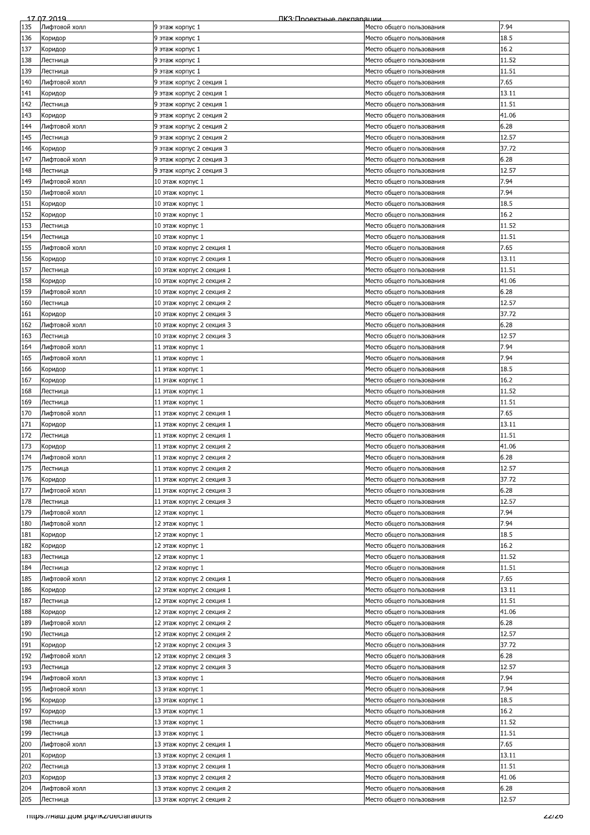|     | 17 07 2019                         | ПКЗ: Проектные лекляряции |                          |        |
|-----|------------------------------------|---------------------------|--------------------------|--------|
| 135 | Лифтовой холл                      | 9 этаж корпус 1           | Место общего пользования | 7.94   |
| 136 | Коридор                            | 9 этаж корпус 1           | Место общего пользования | 18.5   |
|     |                                    |                           |                          |        |
| 137 | Коридор                            | 9 этаж корпус 1           | Место общего пользования | 16.2   |
| 138 | Лестница                           | 9 этаж корпус 1           | Место общего пользования | 11.52  |
| 139 | Лестница                           | 9 этаж корпус 1           | Место общего пользования | 11.51  |
| 140 | Лифтовой холл                      | 9 этаж корпус 2 секция 1  | Место общего пользования | 7.65   |
| 141 | Коридор                            | 9 этаж корпус 2 секция 1  | Место общего пользования | 13.11  |
|     |                                    |                           |                          |        |
| 142 | Лестница                           | 9 этаж корпус 2 секция 1  | Место общего пользования | 11.51  |
| 143 | Коридор                            | 9 этаж корпус 2 секция 2  | Место общего пользования | 41.06  |
| 144 | Лифтовой холл                      | 9 этаж корпус 2 секция 2  | Место общего пользования | 6.28   |
| 145 | Лестница                           | 9 этаж корпус 2 секция 2  | Место общего пользования | 12.57  |
|     |                                    |                           | Место общего пользования |        |
| 146 | Коридор                            | 9 этаж корпус 2 секция 3  |                          | 37.72  |
| 147 | Лифтовой холл                      | 9 этаж корпус 2 секция 3  | Место общего пользования | 6.28   |
| 148 | Лестница                           | 9 этаж корпус 2 секция 3  | Место общего пользования | 12.57  |
| 149 | Лифтовой холл                      | 10 этаж корпус 1          | Место общего пользования | 7.94   |
| 150 | Лифтовой холл                      | 10 этаж корпус 1          | Место общего пользования | 7.94   |
|     |                                    |                           |                          | 18.5   |
| 151 | Коридор                            | 10 этаж корпус 1          | Место общего пользования |        |
| 152 | Коридор                            | 10 этаж корпус 1          | Место общего пользования | 16.2   |
| 153 | Лестница                           | 10 этаж корпус 1          | Место общего пользования | 11.52  |
| 154 | Лестница                           | 10 этаж корпус 1          | Место общего пользования | 11.51  |
| 155 | Лифтовой холл                      | 10 этаж корпус 2 секция 1 | Место общего пользования | 7.65   |
|     |                                    |                           |                          | 13.11  |
| 156 | Коридор                            | 10 этаж корпус 2 секция 1 | Место общего пользования |        |
| 157 | Лестница                           | 10 этаж корпус 2 секция 1 | Место общего пользования | 11.51  |
| 158 | Коридор                            | 10 этаж корпус 2 секция 2 | Место общего пользования | 41.06  |
| 159 | Лифтовой холл                      | 10 этаж корпус 2 секция 2 | Место общего пользования | 6.28   |
| 160 | Лестница                           | 10 этаж корпус 2 секция 2 | Место общего пользования | 12.57  |
|     |                                    |                           |                          |        |
| 161 | Коридор                            | 10 этаж корпус 2 секция 3 | Место общего пользования | 37.72  |
| 162 | Лифтовой холл                      | 10 этаж корпус 2 секция 3 | Место общего пользования | 6.28   |
| 163 | Лестница                           | 10 этаж корпус 2 секция 3 | Место общего пользования | 12.57  |
| 164 | Лифтовой холл                      | 11 этаж корпус 1          | Место общего пользования | 7.94   |
| 165 | Лифтовой холл                      | 11 этаж корпус 1          | Место общего пользования | 7.94   |
|     |                                    |                           |                          |        |
| 166 | Коридор                            | 11 этаж корпус 1          | Место общего пользования | 18.5   |
| 167 | Коридор                            | 11 этаж корпус 1          | Место общего пользования | 16.2   |
| 168 | Лестница                           | 11 этаж корпус 1          | Место общего пользования | 11.52  |
| 169 | Лестница                           | 11 этаж корпус 1          | Место общего пользования | 11.51  |
| 170 | Лифтовой холл                      | 11 этаж корпус 2 секция 1 | Место общего пользования | 7.65   |
|     |                                    |                           |                          |        |
| 171 | Коридор                            | 11 этаж корпус 2 секция 1 | Место общего пользования | 13.11  |
| 172 | Лестница                           | 11 этаж корпус 2 секция 1 | Место общего пользования | 11.51  |
| 173 | Коридор                            | 11 этаж корпус 2 секция 2 | Место общего пользования | 41.06  |
| 174 | Лифтовой холл                      | 11 этаж корпус 2 секция 2 | Место общего пользования | 6.28   |
| 175 | Лестница                           | 11 этаж корпус 2 секция 2 |                          | 12.57  |
|     |                                    |                           | Место общего пользования |        |
| 176 | Коридор                            | 11 этаж корпус 2 секция 3 | Место общего пользования | 37.72  |
| 177 | Лифтовой холл                      | 11 этаж корпус 2 секция 3 | Место общего пользования | 6.28   |
| 178 | Лестница                           | 11 этаж корпус 2 секция 3 | Место общего пользования | 12.57  |
| 179 | Лифтовой холл                      | 12 этаж корпус 1          | Место общего пользования | 7.94   |
| 180 | Лифтовой холл                      | 12 этаж корпус 1          | Место общего пользования | 7.94   |
|     |                                    |                           |                          |        |
| 181 | Коридор                            | 12 этаж корпус 1          | Место общего пользования | 18.5   |
| 182 | Коридор                            | 12 этаж корпус 1          | Место общего пользования | 16.2   |
| 183 | Лестница                           | 12 этаж корпус 1          | Место общего пользования | 11.52  |
| 184 | Лестница                           | 12 этаж корпус 1          | Место общего пользования | 11.51  |
|     |                                    |                           |                          | 7.65   |
| 185 | Лифтовой холл                      | 12 этаж корпус 2 секция 1 | Место общего пользования |        |
| 186 | Коридор                            | 12 этаж корпус 2 секция 1 | Место общего пользования | 13.11  |
| 187 | Лестница                           | 12 этаж корпус 2 секция 1 | Место общего пользования | 11.51  |
| 188 | Коридор                            | 12 этаж корпус 2 секция 2 | Место общего пользования | 41.06  |
| 189 | Лифтовой холл                      | 12 этаж корпус 2 секция 2 | Место общего пользования | 6.28   |
| 190 | Лестница                           | 12 этаж корпус 2 секция 2 | Место общего пользования | 12.57  |
|     |                                    |                           |                          |        |
| 191 | Коридор                            | 12 этаж корпус 2 секция 3 | Место общего пользования | 37.72  |
| 192 | Лифтовой холл                      | 12 этаж корпус 2 секция 3 | Место общего пользования | 6.28   |
| 193 | Лестница                           | 12 этаж корпус 2 секция 3 | Место общего пользования | 12.57  |
| 194 | Лифтовой холл                      | 13 этаж корпус 1          | Место общего пользования | 7.94   |
| 195 | Лифтовой холл                      | 13 этаж корпус 1          | Место общего пользования | 7.94   |
|     |                                    |                           |                          |        |
| 196 | Коридор                            | 13 этаж корпус 1          | Место общего пользования | 18.5   |
| 197 | Коридор                            | 13 этаж корпус 1          | Место общего пользования | 16.2   |
| 198 | Лестница                           | 13 этаж корпус 1          | Место общего пользования | 11.52  |
| 199 | Лестница                           | 13 этаж корпус 1          | Место общего пользования | 11.51  |
| 200 | Лифтовой холл                      | 13 этаж корпус 2 секция 1 | Место общего пользования | 7.65   |
|     |                                    |                           |                          |        |
| 201 | Коридор                            | 13 этаж корпус 2 секция 1 | Место общего пользования | 13.11  |
| 202 | Лестница                           | 13 этаж корпус 2 секция 1 | Место общего пользования | 11.51  |
| 203 | Коридор                            | 13 этаж корпус 2 секция 2 | Место общего пользования | 41.06  |
| 204 | Лифтовой холл                      | 13 этаж корпус 2 секция 2 | Место общего пользования | 6.28   |
| 205 | Лестница                           | 13 этаж корпус 2 секция 2 | Место общего пользования | 12.57  |
|     |                                    |                           |                          |        |
|     | mups.//наш.дом.рф/ikz/deciarations |                           |                          | ZZI ZO |
|     |                                    |                           |                          |        |
|     |                                    |                           |                          |        |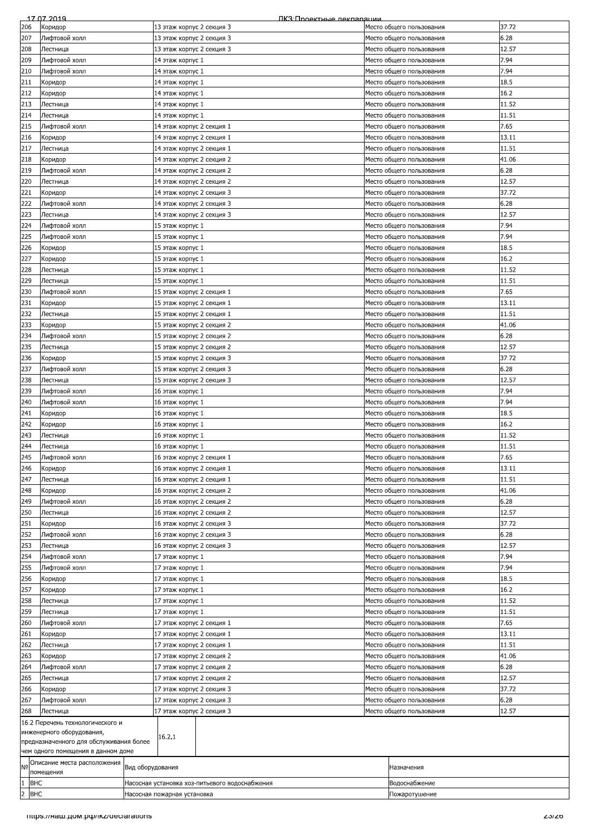|                | 17 07 2019                              |                             | ПКЗ:Проектные лекпарации                       |  |                          |              |
|----------------|-----------------------------------------|-----------------------------|------------------------------------------------|--|--------------------------|--------------|
| 206            | Коридор                                 | 13 этаж корпус 2 секция 3   |                                                |  | Место общего пользования | 37.72        |
| 207            | Лифтовой холл                           | 13 этаж корпус 2 секция 3   |                                                |  | Место общего пользования | 6.28         |
| 208            | Лестница                                | 13 этаж корпус 2 секция 3   |                                                |  | Место общего пользования | 12.57        |
| 209            | Лифтовой холл                           | 14 этаж корпус 1            |                                                |  | Место общего пользования | 7.94         |
| 210            | Лифтовой холл                           | 14 этаж корпус 1            |                                                |  | Место общего пользования | 7.94         |
|                |                                         |                             |                                                |  |                          | 18.5         |
| 211            | Коридор                                 | 14 этаж корпус 1            |                                                |  | Место общего пользования |              |
| 212            | Коридор                                 | 14 этаж корпус 1            |                                                |  | Место общего пользования | 16.2         |
| 213            | Лестница                                | 14 этаж корпус 1            |                                                |  | Место общего пользования | 11.52        |
| 214            | Лестница                                | 14 этаж корпус 1            |                                                |  | Место общего пользования | 11.51        |
| 215            | Лифтовой холл                           | 14 этаж корпус 2 секция 1   |                                                |  | Место общего пользования | 7.65         |
| 216            | Коридор                                 | 14 этаж корпус 2 секция 1   |                                                |  | Место общего пользования | 13.11        |
| 217            | Лестница                                | 14 этаж корпус 2 секция 1   |                                                |  | Место общего пользования | 11.51        |
| 218            |                                         |                             |                                                |  |                          | 41.06        |
|                | Коридор                                 | 14 этаж корпус 2 секция 2   |                                                |  | Место общего пользования |              |
| 219            | Лифтовой холл                           | 14 этаж корпус 2 секция 2   |                                                |  | Место общего пользования | 6.28         |
| 220            | Лестница                                | 14 этаж корпус 2 секция 2   |                                                |  | Место общего пользования | 12.57        |
| 221            | Коридор                                 | 14 этаж корпус 2 секция 3   |                                                |  | Место общего пользования | 37.72        |
| 222            | Лифтовой холл                           | 14 этаж корпус 2 секция 3   |                                                |  | Место общего пользования | 6.28         |
| 223            | Лестница                                | 14 этаж корпус 2 секция 3   |                                                |  | Место общего пользования | 12.57        |
| 224            | Лифтовой холл                           | 15 этаж корпус 1            |                                                |  | Место общего пользования | 7.94         |
| 225            |                                         |                             |                                                |  |                          | 7.94         |
|                | Лифтовой холл                           | 15 этаж корпус 1            |                                                |  | Место общего пользования |              |
| 226            | Коридор                                 | 15 этаж корпус 1            |                                                |  | Место общего пользования | 18.5         |
| 227            | Коридор                                 | 15 этаж корпус 1            |                                                |  | Место общего пользования | 16.2         |
| 228            | Лестница                                | 15 этаж корпус 1            |                                                |  | Место общего пользования | 11.52        |
| 229            | Лестница                                | 15 этаж корпус 1            |                                                |  | Место общего пользования | 11.51        |
| 230            | Лифтовой холл                           | 15 этаж корпус 2 секция 1   |                                                |  | Место общего пользования | 7.65         |
| 231            |                                         | 15 этаж корпус 2 секция 1   |                                                |  |                          | 13.11        |
|                | Коридор                                 |                             |                                                |  | Место общего пользования |              |
| 232            | Лестница                                | 15 этаж корпус 2 секция 1   |                                                |  | Место общего пользования | 11.51        |
| 233            | Коридор                                 | 15 этаж корпус 2 секция 2   |                                                |  | Место общего пользования | 41.06        |
| 234            | Лифтовой холл                           | 15 этаж корпус 2 секция 2   |                                                |  | Место общего пользования | 6.28         |
| 235            | Лестница                                | 15 этаж корпус 2 секция 2   |                                                |  | Место общего пользования | 12.57        |
| 236            | Коридор                                 | 15 этаж корпус 2 секция 3   |                                                |  | Место общего пользования | 37.72        |
| 237            | Лифтовой холл                           | 15 этаж корпус 2 секция 3   |                                                |  | Место общего пользования | 6.28         |
|                |                                         |                             |                                                |  |                          |              |
| 238            | Лестница                                | 15 этаж корпус 2 секция 3   |                                                |  | Место общего пользования | 12.57        |
| 239            | Лифтовой холл                           | 16 этаж корпус 1            |                                                |  | Место общего пользования | 7.94         |
| 240            | Лифтовой холл                           | 16 этаж корпус 1            |                                                |  | Место общего пользования | 7.94         |
| 241            | Коридор                                 | 16 этаж корпус 1            |                                                |  | Место общего пользования | 18.5         |
| 242            | Коридор                                 | 16 этаж корпус 1            |                                                |  | Место общего пользования | 16.2         |
| 243            | Лестница                                | 16 этаж корпус 1            |                                                |  | Место общего пользования | 11.52        |
| 244            | Лестница                                | 16 этаж корпус 1            |                                                |  | Место общего пользования | 11.51        |
|                |                                         |                             |                                                |  |                          |              |
| 245            | Лифтовой холл                           | 16 этаж корпус 2 секция 1   |                                                |  | Место общего пользования | 7.65         |
| 246            | Коридор                                 | 16 этаж корпус 2 секция 1   |                                                |  | Место общего пользования | 13.11        |
| 247            | Лестница                                | 16 этаж корпус 2 секция 1   |                                                |  | Место общего пользования | 11.51        |
| 248            | Коридор                                 |                             | 16 этаж корпус 2 секция 2                      |  | Место общего пользования | 41.06        |
| 249            | Лифтовой холл                           | 16 этаж корпус 2 секция 2   |                                                |  | Место общего пользования | 6.28         |
| 250            | Лестница                                | 16 этаж корпус 2 секция 2   |                                                |  | Место общего пользования | 12.57        |
|                |                                         | 16 этаж корпус 2 секция 3   |                                                |  |                          |              |
| 251            | Коридор                                 |                             |                                                |  | Место общего пользования | 37.72        |
| 252            | Лифтовой холл                           | 16 этаж корпус 2 секция 3   |                                                |  | Место общего пользования | 6.28         |
| 253            | Лестница                                | 16 этаж корпус 2 секция 3   |                                                |  | Место общего пользования | 12.57        |
| 254            | Лифтовой холл                           | 17 этаж корпус 1            |                                                |  | Место общего пользования | 7.94         |
| 255            | Лифтовой холл                           |                             | 17 этаж корпус 1                               |  | Место общего пользования | 7.94         |
| 256            | Коридор                                 |                             | 17 этаж корпус 1                               |  | Место общего пользования | 18.5         |
|                |                                         |                             |                                                |  |                          |              |
| 257            | Коридор                                 | 17 этаж корпус 1            |                                                |  | Место общего пользования | 16.2         |
| 258            | Лестница                                | 17 этаж корпус 1            |                                                |  | Место общего пользования | 11.52        |
| 259            | Лестница                                | 17 этаж корпус 1            |                                                |  | Место общего пользования | 11.51        |
| 260            | Лифтовой холл                           | 17 этаж корпус 2 секция 1   |                                                |  | Место общего пользования | 7.65         |
| 261            | Коридор                                 | 17 этаж корпус 2 секция 1   |                                                |  | Место общего пользования | 13.11        |
| 262            | Лестница                                | 17 этаж корпус 2 секция 1   |                                                |  | Место общего пользования | 11.51        |
| 263            | Коридор                                 | 17 этаж корпус 2 секция 2   |                                                |  | Место общего пользования | 41.06        |
|                |                                         |                             |                                                |  |                          |              |
| 264            | Лифтовой холл                           | 17 этаж корпус 2 секция 2   |                                                |  | Место общего пользования | 6.28         |
| 265            | Лестница                                | 17 этаж корпус 2 секция 2   |                                                |  | Место общего пользования | 12.57        |
| 266            | Коридор                                 | 17 этаж корпус 2 секция 3   |                                                |  | Место общего пользования | 37.72        |
| 267            | Лифтовой холл                           | 17 этаж корпус 2 секция 3   |                                                |  | Место общего пользования | 6.28         |
| 268            | Лестница                                | 17 этаж корпус 2 секция 3   |                                                |  | Место общего пользования | 12.57        |
|                | 16.2 Перечень технологического и        |                             |                                                |  |                          |              |
|                | инженерного оборудования,               |                             |                                                |  |                          |              |
|                | предназначенного для обслуживания более | 16.2.1                      |                                                |  |                          |              |
|                | чем одного помещения в данном доме      |                             |                                                |  |                          |              |
|                | Описание места расположения             |                             |                                                |  |                          |              |
| N <sub>o</sub> | помещения                               | Вид оборудования            |                                                |  | Назначения               |              |
|                |                                         |                             |                                                |  |                          |              |
| <b>BHC</b>     |                                         |                             | Насосная установка хоз-питьевого водоснабжения |  | Водоснабжение            |              |
| 2 BHC          |                                         | Насосная пожарная установка |                                                |  | Пожаротушение            |              |
|                |                                         |                             |                                                |  |                          |              |
|                | TItips.//Ham.uom.po/ikz/declarations    |                             |                                                |  |                          | <b>ZJIZ0</b> |
|                |                                         |                             |                                                |  |                          |              |
|                |                                         |                             |                                                |  |                          |              |
|                |                                         |                             |                                                |  |                          |              |
|                |                                         |                             |                                                |  |                          |              |
|                |                                         |                             |                                                |  |                          |              |
|                |                                         |                             |                                                |  |                          |              |
|                |                                         |                             |                                                |  |                          |              |
|                |                                         |                             |                                                |  |                          |              |
|                |                                         |                             |                                                |  |                          |              |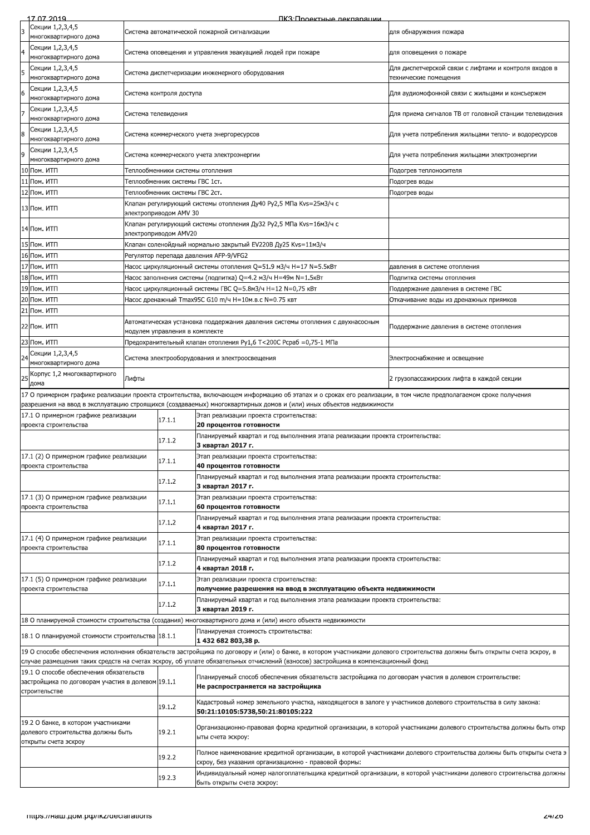|    | 17 07 2019                                                                                                    |                                                             |                                  | ПКЗ·Проектные лекляряции                                                                                                                                                                                                                                                              |                                                                                |  |
|----|---------------------------------------------------------------------------------------------------------------|-------------------------------------------------------------|----------------------------------|---------------------------------------------------------------------------------------------------------------------------------------------------------------------------------------------------------------------------------------------------------------------------------------|--------------------------------------------------------------------------------|--|
| 3  | Секции 1,2,3,4,5<br>многоквартирного дома                                                                     |                                                             |                                  | Система автоматической пожарной сигнализации                                                                                                                                                                                                                                          | для обнаружения пожара                                                         |  |
|    | Секции 1,2,3,4,5                                                                                              |                                                             |                                  |                                                                                                                                                                                                                                                                                       |                                                                                |  |
|    | многоквартирного дома                                                                                         | Система оповещения и управления эвакуацией людей при пожаре |                                  |                                                                                                                                                                                                                                                                                       | для оповещения о пожаре                                                        |  |
| 5  | Секции 1,2,3,4,5<br>многоквартирного дома                                                                     |                                                             |                                  | Система диспетчеризации инженерного оборудования                                                                                                                                                                                                                                      | Для диспетчерской связи с лифтами и контроля входов в<br>технические помещения |  |
|    | Секции 1,2,3,4,5<br>многоквартирного дома                                                                     |                                                             | Система контроля доступа         |                                                                                                                                                                                                                                                                                       | Для аудиомофонной связи с жильцами и консъержем                                |  |
|    | Секции 1,2,3,4,5<br>многоквартирного дома                                                                     | Система телевидения                                         |                                  |                                                                                                                                                                                                                                                                                       | Для приема сигналов ТВ от головной станции телевидения                         |  |
| 8  | Секции 1,2,3,4,5<br>многоквартирного дома                                                                     |                                                             |                                  | Система коммерческого учета энергоресурсов                                                                                                                                                                                                                                            | Для учета потребления жильцами тепло- и водоресурсов                           |  |
|    | Секции 1,2,3,4,5                                                                                              |                                                             |                                  | Система коммерческого учета электроэнергии                                                                                                                                                                                                                                            | Для учета потребления жильцами электроэнергии                                  |  |
|    | многоквартирного дома<br>10 Пом. ИТП                                                                          |                                                             | Теплообменники системы отопления |                                                                                                                                                                                                                                                                                       | Подогрев теплоносителя                                                         |  |
|    | 11 Пом. ИТП                                                                                                   |                                                             | Теплообменник системы ГВС 1ст.   |                                                                                                                                                                                                                                                                                       | Подогрев воды                                                                  |  |
|    | 12 Пом. ИТП                                                                                                   |                                                             | Теплообменник системы ГВС 2ст.   |                                                                                                                                                                                                                                                                                       | Подогрев воды                                                                  |  |
|    | 13 Пом. ИТП                                                                                                   |                                                             | электроприводом AMV 30           | Клапан регулирующий системы отопления Ду40 Py2,5 МПа Kvs=25м3/ч с                                                                                                                                                                                                                     |                                                                                |  |
|    | 14 Пом. ИТП                                                                                                   |                                                             | электроприводом AMV20            | Клапан регулирующий системы отопления Ду32 Py2,5 МПа Kvs=16м3/ч с                                                                                                                                                                                                                     |                                                                                |  |
|    | 15 Пом. ИТП                                                                                                   |                                                             |                                  | Клапан соленойдный нормально закрытый EV220B Ду25 Kvs=11м3/ч                                                                                                                                                                                                                          |                                                                                |  |
|    | 16 Пом. ИТП                                                                                                   |                                                             |                                  | Регулятор перепада давления AFP-9/VFG2                                                                                                                                                                                                                                                |                                                                                |  |
|    | 17 Пом. ИТП                                                                                                   |                                                             |                                  | Насос циркуляционный системы отопления Q=51.9 м3/ч H=17 N=5.5кВт                                                                                                                                                                                                                      | давления в системе отопления                                                   |  |
|    | 18 Пом. ИТП                                                                                                   |                                                             |                                  | Hacoc заполнения системы (подпитка) Q=4.2 м3/ч H=49м N=1.5кВт                                                                                                                                                                                                                         | Подпитка системы отопления                                                     |  |
|    | 19 Пом. ИТП                                                                                                   |                                                             |                                  | Hacoc циркуляционный системы ГВС Q=5.8м3/ч H=12 N=0,75 кВт                                                                                                                                                                                                                            | Поддержание давления в системе ГВС                                             |  |
|    | 20 Пом. ИТП                                                                                                   |                                                             |                                  | Hacoc дренажный Tmax95C G10 m/ч H=10м.в.с N=0.75 квт                                                                                                                                                                                                                                  | Откачивание воды из дренажных приямков                                         |  |
|    | 21 Пом. ИТП                                                                                                   |                                                             |                                  |                                                                                                                                                                                                                                                                                       |                                                                                |  |
|    | 22 Пом. ИТП                                                                                                   |                                                             |                                  | Автоматическая установка поддержания давления системы отопления с двухнасосным                                                                                                                                                                                                        | Поддержание давления в системе отопления                                       |  |
|    | 23 Пом. ИТП                                                                                                   |                                                             | модулем управления в комплекте   |                                                                                                                                                                                                                                                                                       |                                                                                |  |
|    |                                                                                                               |                                                             |                                  | Предохранительный клапан отопления Py1,6 T<200C Pcpaб =0,75-1 МПа                                                                                                                                                                                                                     |                                                                                |  |
| 24 | Секции 1,2,3,4,5<br>многоквартирного дома                                                                     |                                                             |                                  | Система электрооборудования и электроосвещения                                                                                                                                                                                                                                        | Электроснабжение и освещение                                                   |  |
| 25 | Корпус 1,2 многоквартирного<br>дома                                                                           | Лифты                                                       |                                  |                                                                                                                                                                                                                                                                                       | 2 грузопассажирских лифта в каждой секции                                      |  |
|    |                                                                                                               |                                                             |                                  | 17 О примерном графике реализации проекта строительства, включающем информацию об этапах и о сроках его реализации, в том числе предполагаемом сроке получения<br>разрешения на ввод в эксплуатацию строящихся (создаваемых) многоквартирных домов и (или) иных объектов недвижимости |                                                                                |  |
|    | 17.1 О примерном графике реализации<br>проекта строительства                                                  |                                                             | 17.1.1                           | Этап реализации проекта строительства:<br>20 процентов готовности                                                                                                                                                                                                                     |                                                                                |  |
|    |                                                                                                               |                                                             | 17.1.2                           | Планируемый квартал и год выполнения этапа реализации проекта строительства:                                                                                                                                                                                                          |                                                                                |  |
|    | 17.1 (2) О примерном графике реализации                                                                       |                                                             |                                  | 3 квартал 2017 г.<br>Этап реализации проекта строительства:                                                                                                                                                                                                                           |                                                                                |  |
|    | проекта строительства                                                                                         |                                                             | 17.1.1                           | 40 процентов готовности<br>Планируемый квартал и год выполнения этапа реализации проекта строительства:                                                                                                                                                                               |                                                                                |  |
|    |                                                                                                               |                                                             | 17.1.2                           | 3 квартал 2017 г.                                                                                                                                                                                                                                                                     |                                                                                |  |
|    | 17.1 (3) О примерном графике реализации<br>проекта строительства                                              |                                                             | 17.1.1                           | Этап реализации проекта строительства:<br>60 процентов готовности                                                                                                                                                                                                                     |                                                                                |  |
|    |                                                                                                               |                                                             | 17.1.2                           | Планируемый квартал и год выполнения этапа реализации проекта строительства:<br>4 квартал 2017 г.                                                                                                                                                                                     |                                                                                |  |
|    | 17.1 (4) О примерном графике реализации<br>проекта строительства                                              |                                                             | 17.1.1                           | Этап реализации проекта строительства:<br>80 процентов готовности                                                                                                                                                                                                                     |                                                                                |  |
|    |                                                                                                               |                                                             | 17.1.2                           | Планируемый квартал и год выполнения этапа реализации проекта строительства:<br>4 квартал 2018 г.                                                                                                                                                                                     |                                                                                |  |
|    | 17.1 (5) О примерном графике реализации<br>проекта строительства                                              |                                                             | 17.1.1                           | Этап реализации проекта строительства:<br>получение разрешения на ввод в эксплуатацию объекта недвижимости                                                                                                                                                                            |                                                                                |  |
|    |                                                                                                               |                                                             | 17.1.2                           | Планируемый квартал и год выполнения этапа реализации проекта строительства:                                                                                                                                                                                                          |                                                                                |  |
|    |                                                                                                               |                                                             |                                  | 3 квартал 2019 г.<br>18 О планируемой стоимости строительства (создания) многоквартирного дома и (или) иного объекта недвижимости                                                                                                                                                     |                                                                                |  |
|    | 18.1 О планируемой стоимости строительства 18.1.1                                                             |                                                             |                                  | Планируемая стоимость строительства:                                                                                                                                                                                                                                                  |                                                                                |  |
|    |                                                                                                               |                                                             |                                  | 1432 682 803,38 p.<br>19 О способе обеспечения исполнения обязательств застройщика по договору и (или) о банке, в котором участниками долевого строительства должны быть открыты счета эскроу, в                                                                                      |                                                                                |  |
|    |                                                                                                               |                                                             |                                  | случае размещения таких средств на счетах эскроу, об уплате обязательных отчислений (взносов) застройщика в компенсационный фонд                                                                                                                                                      |                                                                                |  |
|    | 19.1 О способе обеспечения обязательств<br>застройщика по договорам участия в долевом 19.1.1<br>строительстве |                                                             |                                  | Планируемый способ обеспечения обязательств застройщика по договорам участия в долевом строительстве:<br>Не распространяется на застройщика                                                                                                                                           |                                                                                |  |
|    |                                                                                                               |                                                             | 19.1.2                           | Кадастровый номер земельного участка, находящегося в залоге у участников долевого строительства в силу закона:<br>50:21:10105:5738,50:21:80105:222                                                                                                                                    |                                                                                |  |
|    | 19.2 О банке, в котором участниками<br>долевого строительства должны быть<br>открыты счета эскроу             |                                                             | 19.2.1                           | Организационно-правовая форма кредитной организации, в которой участниками долевого строительства должны быть откр<br>ыты счета эскроу:                                                                                                                                               |                                                                                |  |
|    |                                                                                                               |                                                             | 19.2.2                           | Полное наименование кредитной организации, в которой участниками долевого строительства должны быть открыты счета э<br>скроу, без указания организационно - правовой формы:                                                                                                           |                                                                                |  |
|    |                                                                                                               |                                                             | 19.2.3                           | Индивидуальный номер налогоплательщика кредитной организации, в которой участниками долевого строительства должны<br>быть открыты счета эскроу:                                                                                                                                       |                                                                                |  |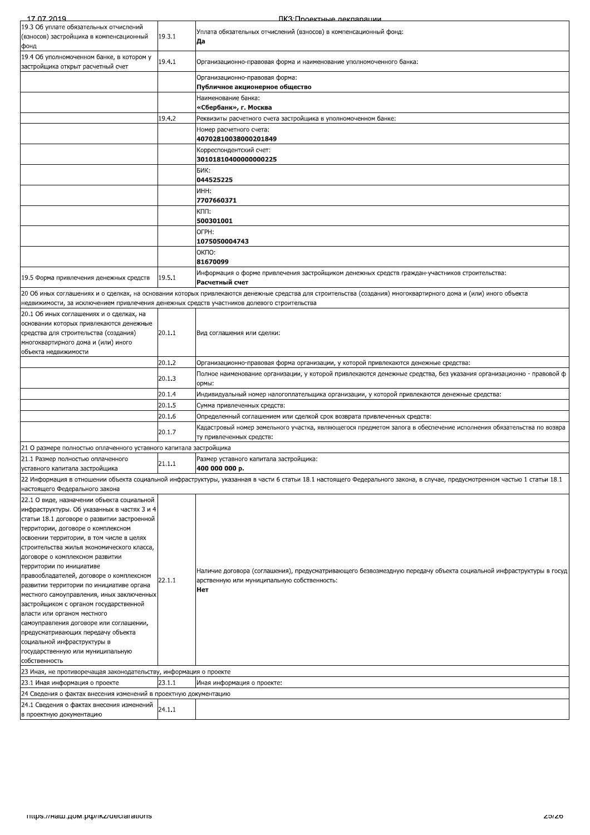| 17 07 2019                                                                                                                                                                                                    |        | ПКЗ: Проектные лекпарации                                                                                           |
|---------------------------------------------------------------------------------------------------------------------------------------------------------------------------------------------------------------|--------|---------------------------------------------------------------------------------------------------------------------|
| 19.3 Об уплате обязательных отчислений                                                                                                                                                                        |        | Уплата обязательных отчислений (взносов) в компенсационный фонд:                                                    |
| (взносов) застройщика в компенсационный                                                                                                                                                                       | 19.3.1 | Да                                                                                                                  |
| фонд                                                                                                                                                                                                          |        |                                                                                                                     |
| 19.4 Об уполномоченном банке, в котором у                                                                                                                                                                     | 19.4.1 | Организационно-правовая форма и наименование уполномоченного банка:                                                 |
| застройщика открыт расчетный счет                                                                                                                                                                             |        |                                                                                                                     |
|                                                                                                                                                                                                               |        | Организационно-правовая форма:                                                                                      |
|                                                                                                                                                                                                               |        | Публичное акционерное общество                                                                                      |
|                                                                                                                                                                                                               |        | Наименование банка:                                                                                                 |
|                                                                                                                                                                                                               |        | «Сбербанк», г. Москва                                                                                               |
|                                                                                                                                                                                                               | 19.4.2 | Реквизиты расчетного счета застройщика в уполномоченном банке:                                                      |
|                                                                                                                                                                                                               |        | Номер расчетного счета:                                                                                             |
|                                                                                                                                                                                                               |        | 40702810038000201849                                                                                                |
|                                                                                                                                                                                                               |        | Корреспондентский счет:<br>30101810400000000225                                                                     |
|                                                                                                                                                                                                               |        | БИК:                                                                                                                |
|                                                                                                                                                                                                               |        | 044525225                                                                                                           |
|                                                                                                                                                                                                               |        | NHH:                                                                                                                |
|                                                                                                                                                                                                               |        | 7707660371                                                                                                          |
|                                                                                                                                                                                                               |        | кпп:                                                                                                                |
|                                                                                                                                                                                                               |        | 500301001                                                                                                           |
|                                                                                                                                                                                                               |        | OFPH:                                                                                                               |
|                                                                                                                                                                                                               |        | 1075050004743                                                                                                       |
|                                                                                                                                                                                                               |        | ОКПО:                                                                                                               |
|                                                                                                                                                                                                               |        | 81670099                                                                                                            |
|                                                                                                                                                                                                               |        | Информация о форме привлечения застройщиком денежных средств граждан-участников строительства:                      |
| 19.5 Форма привлечения денежных средств                                                                                                                                                                       | 19.5.1 | Расчетный счет                                                                                                      |
| 20 Об иных соглашениях и о сделках, на основании которых привлекаются денежные средства для строительства (создания) многоквартирного дома и (или) иного объекта                                              |        |                                                                                                                     |
| недвижимости, за исключением привлечения денежных средств участников долевого строительства                                                                                                                   |        |                                                                                                                     |
| 20.1 Об иных соглашениях и о сделках, на                                                                                                                                                                      |        |                                                                                                                     |
| основании которых привлекаются денежные                                                                                                                                                                       |        |                                                                                                                     |
| средства для строительства (создания)                                                                                                                                                                         | 20.1.1 | Вид соглашения или сделки:                                                                                          |
| многоквартирного дома и (или) иного                                                                                                                                                                           |        |                                                                                                                     |
| объекта недвижимости                                                                                                                                                                                          |        |                                                                                                                     |
|                                                                                                                                                                                                               | 20.1.2 | Организационно-правовая форма организации, у которой привлекаются денежные средства:                                |
|                                                                                                                                                                                                               |        | Полное наименование организации, у которой привлекаются денежные средства, без указания организационно - правовой ф |
|                                                                                                                                                                                                               | 20.1.3 | ормы:                                                                                                               |
|                                                                                                                                                                                                               | 20.1.4 | "Индивидуальный номер налогоплательщика организации, у которой привлекаются денежные средства                       |
|                                                                                                                                                                                                               | 20.1.5 | Сумма привлеченных средств:                                                                                         |
|                                                                                                                                                                                                               | 20.1.6 | Определенный соглашением или сделкой срок возврата привлеченных средств:                                            |
|                                                                                                                                                                                                               |        | Кадастровый номер земельного участка, являющегося предметом залога в обеспечение исполнения обязательства по возвра |
|                                                                                                                                                                                                               | 20.1.7 | ту привлеченных средств:                                                                                            |
| 21 О размере полностью оплаченного уставного капитала застройщика                                                                                                                                             |        |                                                                                                                     |
| Размер уставного капитала застройщика:                                                                                                                                                                        |        |                                                                                                                     |
| 21.1 Размер полностью оплаченного<br>уставного капитала застройщика                                                                                                                                           | 21.1.1 | 400 000 000 p.                                                                                                      |
|                                                                                                                                                                                                               |        |                                                                                                                     |
| 22 Информация в отношении объекта социальной инфраструктуры, указанная в части 6 статьи 18.1 настоящего Федерального закона, в случае, предусмотренном частью 1 статьи 18.1<br>настоящего Федерального закона |        |                                                                                                                     |
| 22.1 О виде, назначении объекта социальной                                                                                                                                                                    |        |                                                                                                                     |
| инфраструктуры. Об указанных в частях 3 и 4                                                                                                                                                                   |        |                                                                                                                     |
|                                                                                                                                                                                                               |        |                                                                                                                     |
| статьи 18.1 договоре о развитии застроенной                                                                                                                                                                   |        |                                                                                                                     |
| территории, договоре о комплексном                                                                                                                                                                            |        |                                                                                                                     |
| освоении территории, в том числе в целях                                                                                                                                                                      |        |                                                                                                                     |
| строительства жилья экономического класса,                                                                                                                                                                    |        |                                                                                                                     |
| договоре о комплексном развитии                                                                                                                                                                               |        |                                                                                                                     |
| территории по инициативе                                                                                                                                                                                      |        | Наличие договора (соглашения), предусматривающего безвозмездную передачу объекта социальной инфраструктуры в госуд  |
| правообладателей, договоре о комплексном                                                                                                                                                                      | 22.1.1 | арственную или муниципальную собственность:                                                                         |
| развитии территории по инициативе органа                                                                                                                                                                      |        | Нет                                                                                                                 |
| местного самоуправления, иных заключенных                                                                                                                                                                     |        |                                                                                                                     |
| застройщиком с органом государственной                                                                                                                                                                        |        |                                                                                                                     |
| власти или органом местного                                                                                                                                                                                   |        |                                                                                                                     |
| самоуправления договоре или соглашении,                                                                                                                                                                       |        |                                                                                                                     |
| предусматривающих передачу объекта                                                                                                                                                                            |        |                                                                                                                     |
| социальной инфраструктуры в                                                                                                                                                                                   |        |                                                                                                                     |
| государственную или муниципальную                                                                                                                                                                             |        |                                                                                                                     |
| собственность                                                                                                                                                                                                 |        |                                                                                                                     |
| 23 Иная, не противоречащая законодательству, информация о проекте                                                                                                                                             |        |                                                                                                                     |
| 23.1 Иная информация о проекте                                                                                                                                                                                | 23.1.1 | Иная информация о проекте:                                                                                          |
| 24 Сведения о фактах внесения изменений в проектную документацию                                                                                                                                              |        |                                                                                                                     |
| 24.1 Сведения о фактах внесения изменений                                                                                                                                                                     |        |                                                                                                                     |
| в проектную документацию                                                                                                                                                                                      | 24.1.1 |                                                                                                                     |